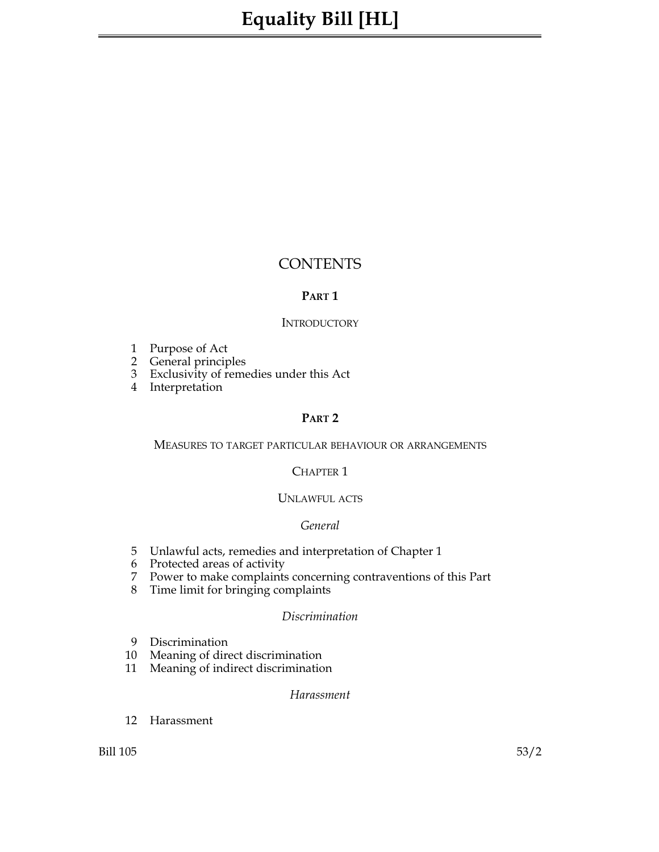# **CONTENTS**

# **Part 1**

# **INTRODUCTORY**

- 1 Purpose of Act
- 2 General principles
- 3 Exclusivity of remedies under this Act
- 4 Interpretation

#### **Part 2**

# Measures to target particular behaviour or arrangements

# CHAPTER<sub>1</sub>

# UNLAWFUL ACTS

#### *General*

- 5 Unlawful acts, remedies and interpretation of Chapter 1
- 6 Protected areas of activity
- 7 Power to make complaints concerning contraventions of this Part
- 8 Time limit for bringing complaints

#### *Discrimination*

- 9 Discrimination
- 
- 10 Meaning of direct discrimination<br>11 Meaning of indirect discrimination Meaning of indirect discrimination

#### *Harassment*

12 Harassment

Bill 105 53/2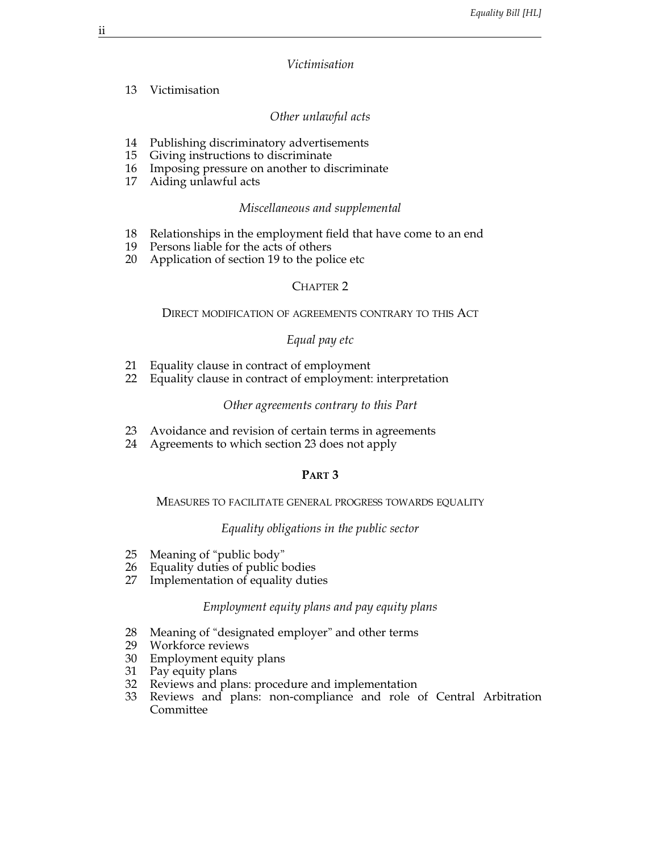#### *Victimisation*

#### 13 Victimisation

# *Other unlawful acts*

- 14 Publishing discriminatory advertisements
- 15 Giving instructions to discriminate
- 16 Imposing pressure on another to discriminate
- 17 Aiding unlawful acts

#### *Miscellaneous and supplemental*

- 18 Relationships in the employment field that have come to an end
- 19 Persons liable for the acts of others
- 20 Application of section 19 to the police etc

# CHAPTER<sub>2</sub>

#### Direct modification of agreements contrary to this Act

# *Equal pay etc*

- 21 Equality clause in contract of employment:<br>22 Equality clause in contract of employment:
- Equality clause in contract of employment: interpretation

#### *Other agreements contrary to this Part*

- 23 Avoidance and revision of certain terms in agreements
- 24 Agreements to which section 23 does not apply

# **Part 3**

# Measures to facilitate general progress towards equality

#### *Equality obligations in the public sector*

- 25 Meaning of "public body"
- 26 Equality duties of public bodies<br>27 Implementation of equality duti
- Implementation of equality duties

# *Employment equity plans and pay equity plans*

- 28 Meaning of "designated employer" and other terms
- 29 Workforce reviews
- 30 Employment equity plans
- 31 Pay equity plans
- 32 Reviews and plans: procedure and implementation<br>33 Reviews and plans: non-compliance and role o
- Reviews and plans: non-compliance and role of Central Arbitration Committee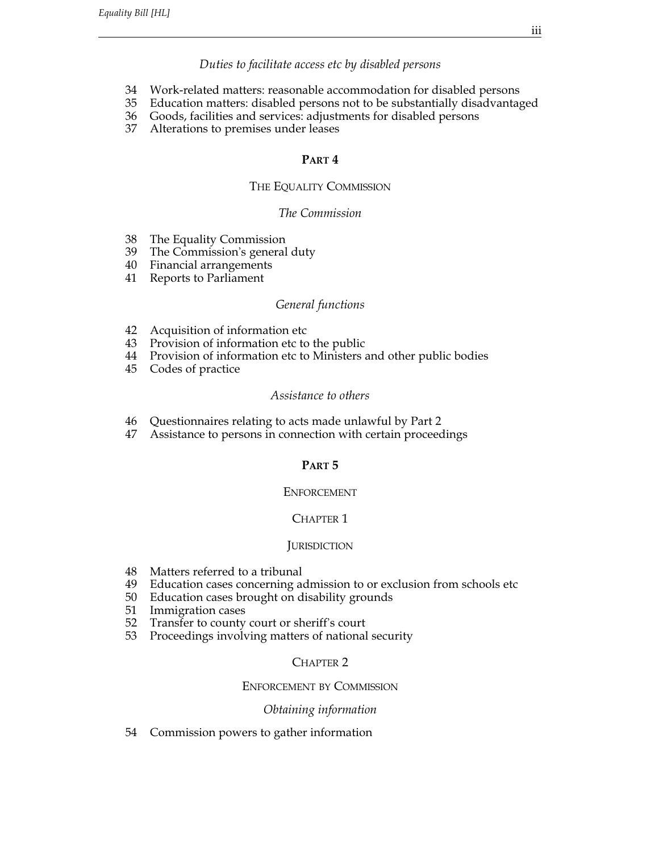# *Duties to facilitate access etc by disabled persons*

- 34 Work-related matters: reasonable accommodation for disabled persons
- 35 Education matters: disabled persons not to be substantially disadvantaged
- 36 Goods, facilities and services: adjustments for disabled persons
- 37 Alterations to premises under leases

#### **Part 4**

# THE EQUALITY COMMISSION

#### *The Commission*

- 38 The Equality Commission
- 39 The Commission's general duty
- 40 Financial arrangements
- 41 Reports to Parliament

#### *General functions*

- 42 Acquisition of information etc
- 43 Provision of information etc to the public
- 44 Provision of information etc to Ministers and other public bodies
- 45 Codes of practice

#### *Assistance to others*

- 46 Questionnaires relating to acts made unlawful by Part 2
- 47 Assistance to persons in connection with certain proceedings

# **Part 5**

#### **ENFORCEMENT**

# CHAPTER 1

# **JURISDICTION**

- 48 Matters referred to a tribunal
- 49 Education cases concerning admission to or exclusion from schools etc
- 50 Education cases brought on disability grounds
- 51 Immigration cases
- 52 Transfer to county court or sheriff's court
- 53 Proceedings involving matters of national security

# CHAPTER<sub>2</sub>

# Enforcement by Commission

#### *Obtaining information*

54 Commission powers to gather information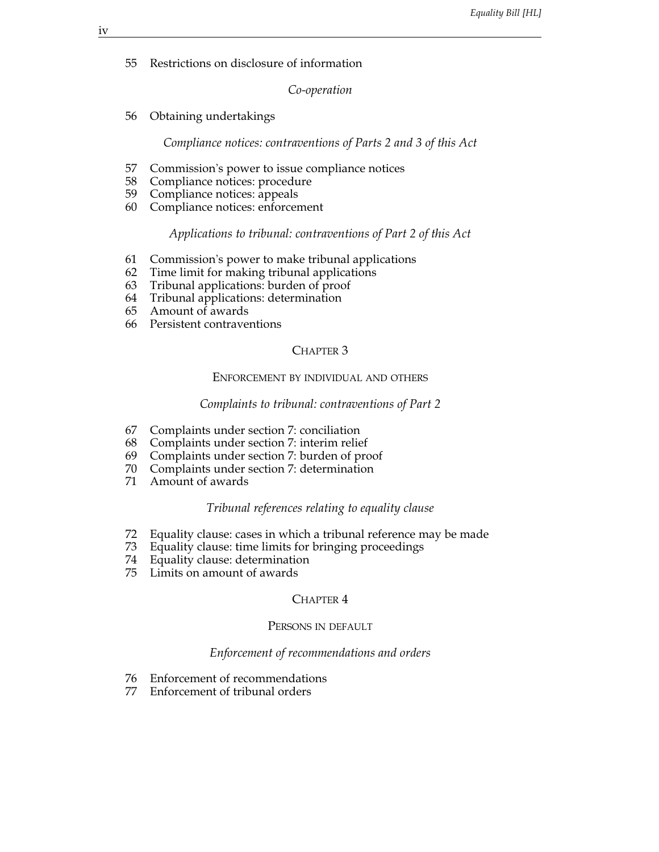55 Restrictions on disclosure of information

*Co-operation*

56 Obtaining undertakings

*Compliance notices: contraventions of Parts 2 and 3 of this Act*

- 57 Commission's power to issue compliance notices
- 58 Compliance notices: procedure
- 59 Compliance notices: appeals
- 60 Compliance notices: enforcement

#### *Applications to tribunal: contraventions of Part 2 of this Act*

- 61 Commission's power to make tribunal applications
- 62 Time limit for making tribunal applications
- 63 Tribunal applications: burden of proof
- 64 Tribunal applications: determination
- 65 Amount of awards
- 66 Persistent contraventions

# CHAPTER<sub>3</sub>

# Enforcement by individual and others

#### *Complaints to tribunal: contraventions of Part 2*

- 67 Complaints under section 7: conciliation
- 68 Complaints under section 7: interim relief
- 69 Complaints under section 7: burden of proof
- 70 Complaints under section 7: determination
- Amount of awards

#### *Tribunal references relating to equality clause*

- 72 Equality clause: cases in which a tribunal reference may be made
- 73 Equality clause: time limits for bringing proceedings
- 74 Equality clause: determination
- 75 Limits on amount of awards

# CHAPTER 4

# Persons in default

#### *Enforcement of recommendations and orders*

- 76 Enforcement of recommendations
- 77 Enforcement of tribunal orders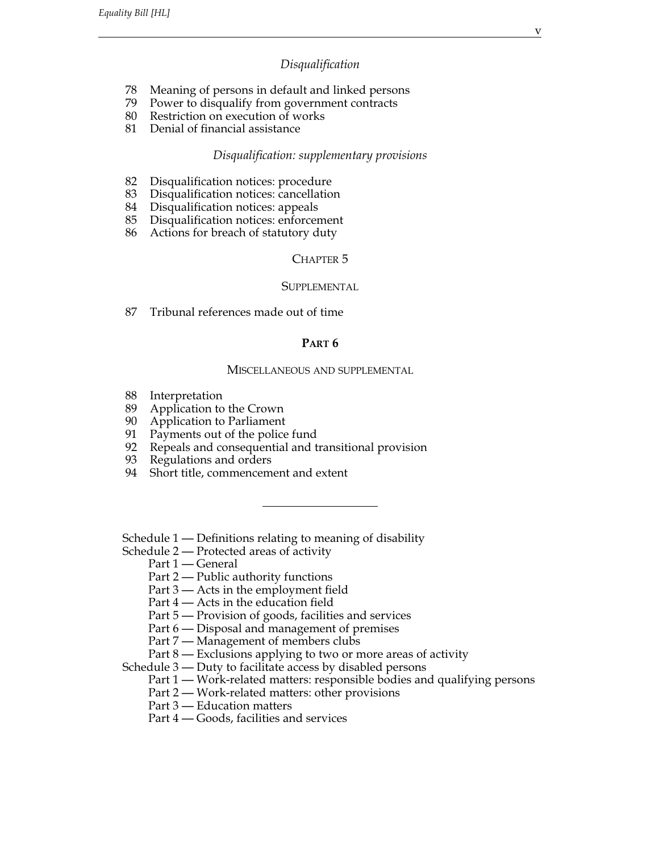#### *Disqualification*

- 78 Meaning of persons in default and linked persons
- 79 Power to disqualify from government contracts
- 80 Restriction on execution of works
- 81 Denial of financial assistance

#### *Disqualification: supplementary provisions*

- 82 Disqualification notices: procedure
- 83 Disqualification notices: cancellation
- 84 Disqualification notices: appeals
- 85 Disqualification notices: enforcement
- 86 Actions for breach of statutory duty

# CHAPTER<sub>5</sub>

# Supplemental

87 Tribunal references made out of time

#### **Part 6**

#### Miscellaneous and supplemental

- 88 Interpretation
- 89 Application to the Crown
- 90 Application to Parliament
- 91 Payments out of the police fund
- 92 Repeals and consequential and transitional provision
- 93 Regulations and orders
- 94 Short title, commencement and extent

Schedule 1 — Definitions relating to meaning of disability

Schedule 2 — Protected areas of activity

Part 1 — General

Part 2 — Public authority functions

Part 3 — Acts in the employment field

Part 4 — Acts in the education field

Part 5 — Provision of goods, facilities and services

Part 6 — Disposal and management of premises

Part 7 — Management of members clubs

Part 8 — Exclusions applying to two or more areas of activity

Schedule 3 — Duty to facilitate access by disabled persons

Part 1 — Work-related matters: responsible bodies and qualifying persons

Part 2 — Work-related matters: other provisions

Part 3 — Education matters

Part 4 — Goods, facilities and services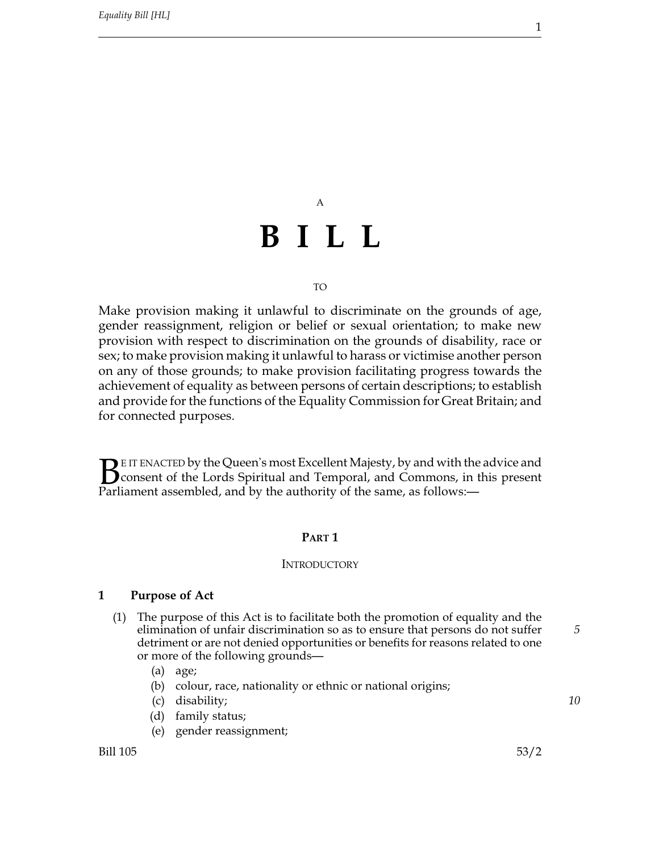# A **BILL**

#### TO

Make provision making it unlawful to discriminate on the grounds of age, gender reassignment, religion or belief or sexual orientation; to make new provision with respect to discrimination on the grounds of disability, race or sex; to make provision making it unlawful to harass or victimise another person on any of those grounds; to make provision facilitating progress towards the achievement of equality as between persons of certain descriptions; to establish and provide for the functions of the Equality Commission for Great Britain; and for connected purposes.

**BE IT ENACTED by the Queen's most Excellent Majesty, by and with the advice and Consent of the Lords Spiritual and Temporal, and Commons, in this present Parliament assembled. and by the authority of the same, as follows:** consent of the Lords Spiritual and Temporal, and Commons, in this present Parliament assembled, and by the authority of the same, as follows:—

#### **Part 1**

# **INTRODUCTORY**

#### **1 Purpose of Act**

- (1) The purpose of this Act is to facilitate both the promotion of equality and the elimination of unfair discrimination so as to ensure that persons do not suffer *5* detriment or are not denied opportunities or benefits for reasons related to one or more of the following grounds—
	- (a) age;
	- (b) colour, race, nationality or ethnic or national origins;
	- (c) disability; *10*
	- (d) family status;
	- (e) gender reassignment;

Bill 105 53/2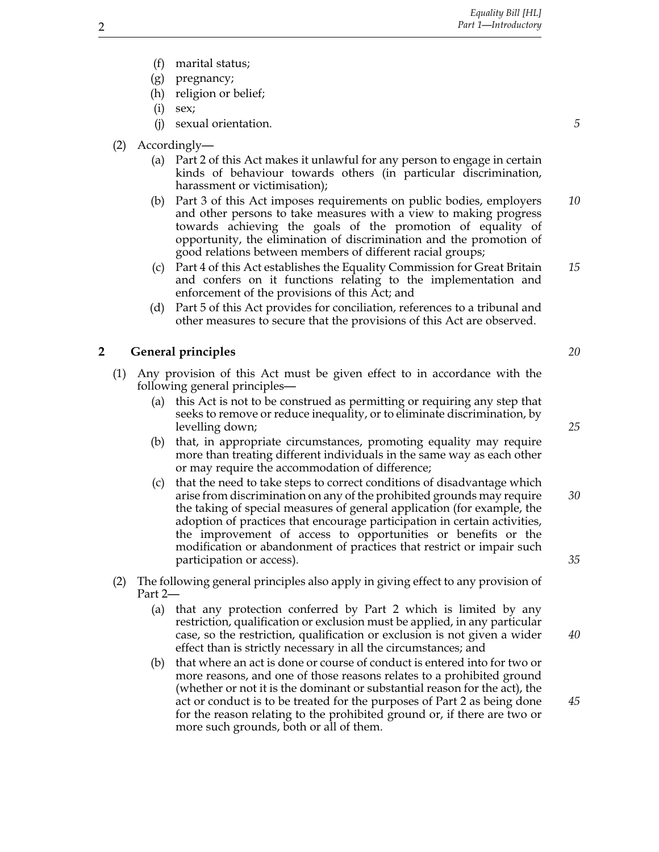- (f) marital status;
- (g) pregnancy;
- (h) religion or belief;
- (i) sex;
- (j) sexual orientation. *5*
- (2) Accordingly—
	- (a) Part 2 of this Act makes it unlawful for any person to engage in certain kinds of behaviour towards others (in particular discrimination, harassment or victimisation);
	- (b) Part 3 of this Act imposes requirements on public bodies, employers *10* and other persons to take measures with a view to making progress towards achieving the goals of the promotion of equality of opportunity, the elimination of discrimination and the promotion of good relations between members of different racial groups;
	- (c) Part 4 of this Act establishes the Equality Commission for Great Britain *15* and confers on it functions relating to the implementation and enforcement of the provisions of this Act; and
	- (d) Part 5 of this Act provides for conciliation, references to a tribunal and other measures to secure that the provisions of this Act are observed.

#### **2 General principles** *20*

- (1) Any provision of this Act must be given effect to in accordance with the following general principles—
	- (a) this Act is not to be construed as permitting or requiring any step that seeks to remove or reduce inequality, or to eliminate discrimination, by levelling down; *25*
	- (b) that, in appropriate circumstances, promoting equality may require more than treating different individuals in the same way as each other or may require the accommodation of difference;
	- (c) that the need to take steps to correct conditions of disadvantage which arise from discrimination on any of the prohibited grounds may require *30* the taking of special measures of general application (for example, the adoption of practices that encourage participation in certain activities, the improvement of access to opportunities or benefits or the modification or abandonment of practices that restrict or impair such participation or access). *35*
- (2) The following general principles also apply in giving effect to any provision of Part 2—
	- (a) that any protection conferred by Part 2 which is limited by any restriction, qualification or exclusion must be applied, in any particular case, so the restriction, qualification or exclusion is not given a wider *40* effect than is strictly necessary in all the circumstances; and
	- (b) that where an act is done or course of conduct is entered into for two or more reasons, and one of those reasons relates to a prohibited ground (whether or not it is the dominant or substantial reason for the act), the act or conduct is to be treated for the purposes of Part 2 as being done *45* for the reason relating to the prohibited ground or, if there are two or more such grounds, both or all of them.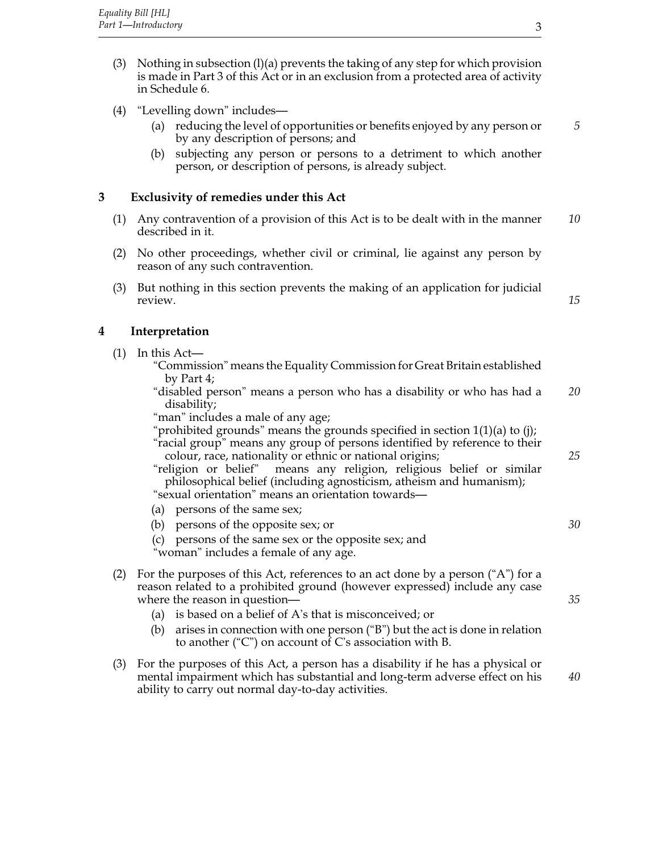- (3) Nothing in subsection (l)(a) prevents the taking of any step for which provision is made in Part 3 of this Act or in an exclusion from a protected area of activity in Schedule 6.
- (4) "Levelling down" includes—
	- (a) reducing the level of opportunities or benefits enjoyed by any person or *5* by any description of persons; and
	- (b) subjecting any person or persons to a detriment to which another person, or description of persons, is already subject.

# **3 Exclusivity of remedies under this Act**

- (1) Any contravention of a provision of this Act is to be dealt with in the manner *10* described in it.
- (2) No other proceedings, whether civil or criminal, lie against any person by reason of any such contravention.
- (3) But nothing in this section prevents the making of an application for judicial review. *15*

# **4 Interpretation**

- (1) In this Act—
	- "Commission" means the Equality Commission for Great Britain established by Part 4;
	- "disabled person" means a person who has a disability or who has had a *20* disability;
	- "man" includes a male of any age;

"prohibited grounds" means the grounds specified in section 1(1)(a) to (j);

"racial group" means any group of persons identified by reference to their colour, race, nationality or ethnic or national origins; *25*

"religion or belief" means any religion, religious belief or similar philosophical belief (including agnosticism, atheism and humanism);

"sexual orientation" means an orientation towards—

- (a) persons of the same sex;
- (b) persons of the opposite sex; or *30*
- (c) persons of the same sex or the opposite sex; and

"woman" includes a female of any age.

- (2) For the purposes of this Act, references to an act done by a person ( $A$ ") for a reason related to a prohibited ground (however expressed) include any case where the reason in question— *35* 
	- (a) is based on a belief of A's that is misconceived; or
	- (b) arises in connection with one person ("B") but the act is done in relation to another ("C") on account of C's association with B.
- (3) For the purposes of this Act, a person has a disability if he has a physical or mental impairment which has substantial and long-term adverse effect on his *40* ability to carry out normal day-to-day activities.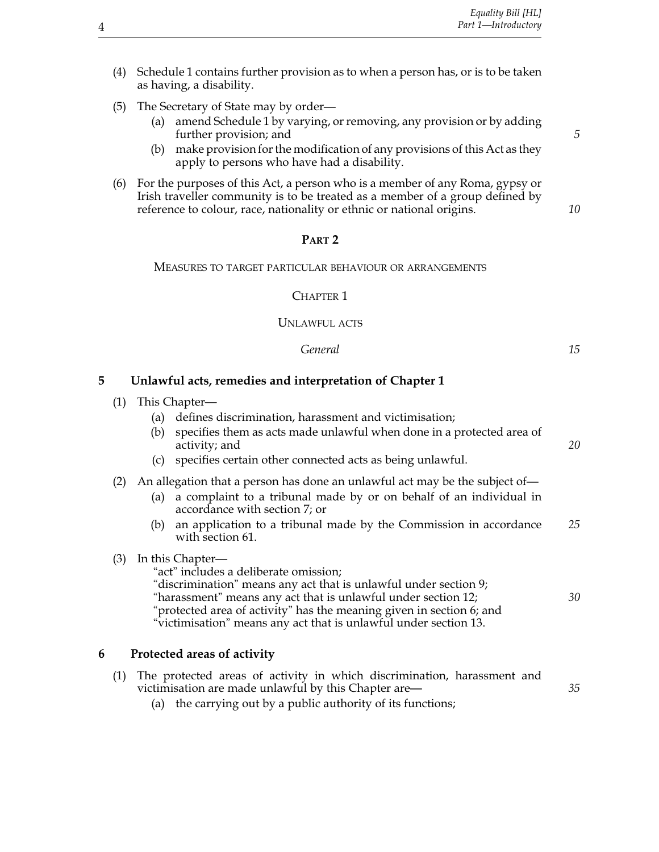- (4) Schedule 1 contains further provision as to when a person has, or is to be taken as having, a disability.
- (5) The Secretary of State may by order—
	- (a) amend Schedule 1 by varying, or removing, any provision or by adding further provision; and **5**
	- (b) make provision for the modification of any provisions of this Act as they apply to persons who have had a disability.
- (6) For the purposes of this Act, a person who is a member of any Roma, gypsy or Irish traveller community is to be treated as a member of a group defined by reference to colour, race, nationality or ethnic or national origins. *10*

#### **Part 2**

#### Measures to target particular behaviour or arrangements

CHAPTER<sub>1</sub>

#### UNLAWFUL ACTS

| 15 |
|----|
|    |

#### **5 Unlawful acts, remedies and interpretation of Chapter 1**

- (1) This Chapter—
	- (a) defines discrimination, harassment and victimisation;
	- (b) specifies them as acts made unlawful when done in a protected area of activity; and *20*
	- (c) specifies certain other connected acts as being unlawful.
- (2) An allegation that a person has done an unlawful act may be the subject of—
	- (a) a complaint to a tribunal made by or on behalf of an individual in accordance with section 7; or
	- (b) an application to a tribunal made by the Commission in accordance *25* with section 61.

#### (3) In this Chapter—

"act" includes a deliberate omission; "discrimination" means any act that is unlawful under section 9; "harassment" means any act that is unlawful under section 12; *30* "protected area of activity" has the meaning given in section 6; and "victimisation" means any act that is unlawful under section 13.

#### **6 Protected areas of activity**

| (1) The protected areas of activity in which discrimination, harassment and |  |  |  |  |  |  |  |  |
|-----------------------------------------------------------------------------|--|--|--|--|--|--|--|--|
| victimisation are made unlawful by this Chapter are—                        |  |  |  |  |  |  |  |  |
| $(a)$ the counting out by a public outhout of its functions:                |  |  |  |  |  |  |  |  |

(a) the carrying out by a public authority of its functions;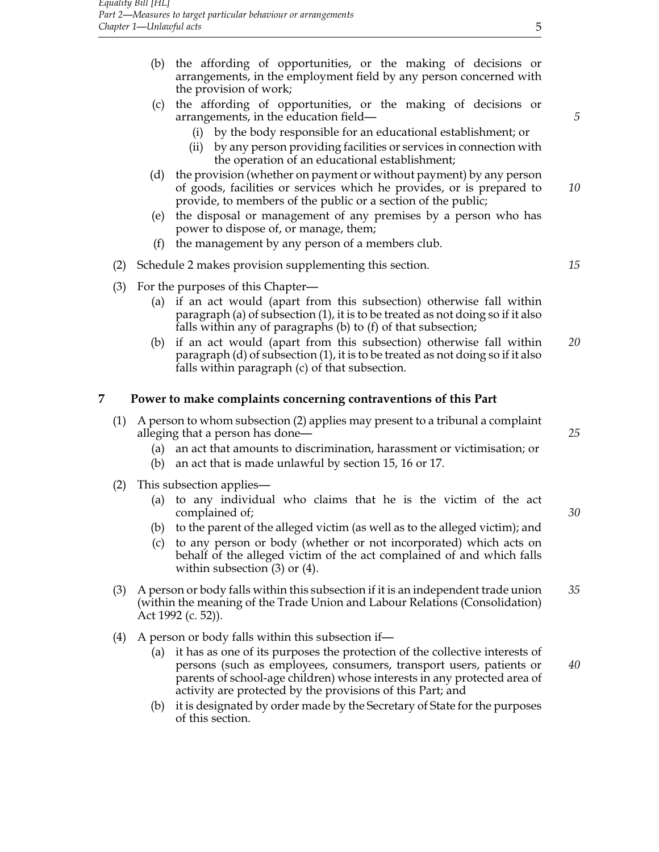- (b) the affording of opportunities, or the making of decisions or arrangements, in the employment field by any person concerned with the provision of work;
- (c) the affording of opportunities, or the making of decisions or arrangements, in the education field— *5*
	- (i) by the body responsible for an educational establishment; or
	- (ii) by any person providing facilities or services in connection with the operation of an educational establishment;
- (d) the provision (whether on payment or without payment) by any person of goods, facilities or services which he provides, or is prepared to *10* provide, to members of the public or a section of the public;
- (e) the disposal or management of any premises by a person who has power to dispose of, or manage, them;
- (f) the management by any person of a members club.
- (2) Schedule 2 makes provision supplementing this section. *15*
- (3) For the purposes of this Chapter—
	- (a) if an act would (apart from this subsection) otherwise fall within paragraph (a) of subsection (1), it is to be treated as not doing so if it also falls within any of paragraphs (b) to (f) of that subsection;
	- (b) if an act would (apart from this subsection) otherwise fall within *20* paragraph (d) of subsection (1), it is to be treated as not doing so if it also falls within paragraph (c) of that subsection.

#### **7 Power to make complaints concerning contraventions of this Part**

- (1) A person to whom subsection (2) applies may present to a tribunal a complaint alleging that a person has done— *25*
	- (a) an act that amounts to discrimination, harassment or victimisation; or
	- (b) an act that is made unlawful by section 15, 16 or 17.
- (2) This subsection applies—
	- (a) to any individual who claims that he is the victim of the act complained of; *30*
	- (b) to the parent of the alleged victim (as well as to the alleged victim); and
	- (c) to any person or body (whether or not incorporated) which acts on behalf of the alleged victim of the act complained of and which falls within subsection (3) or (4).
- (3) A person or body falls within this subsection if it is an independent trade union *35* (within the meaning of the Trade Union and Labour Relations (Consolidation) Act 1992 (c. 52)).
- (4) A person or body falls within this subsection if—
	- (a) it has as one of its purposes the protection of the collective interests of persons (such as employees, consumers, transport users, patients or *40* parents of school-age children) whose interests in any protected area of activity are protected by the provisions of this Part; and
	- (b) it is designated by order made by the Secretary of State for the purposes of this section.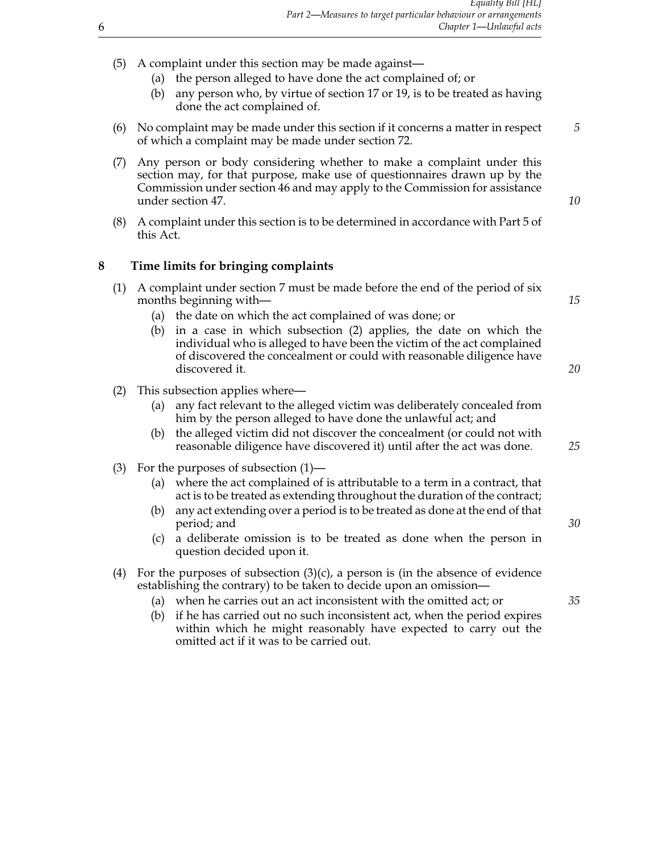- (5) A complaint under this section may be made against—
	- (a) the person alleged to have done the act complained of; or
	- (b) any person who, by virtue of section 17 or 19, is to be treated as having done the act complained of.
- (6) No complaint may be made under this section if it concerns a matter in respect *5* of which a complaint may be made under section 72.
- (7) Any person or body considering whether to make a complaint under this section may, for that purpose, make use of questionnaires drawn up by the Commission under section 46 and may apply to the Commission for assistance under section 47. *10*
- (8) A complaint under this section is to be determined in accordance with Part 5 of this Act.

#### **8 Time limits for bringing complaints**

- (1) A complaint under section 7 must be made before the end of the period of six months beginning with— **15** and the second second second second second second second second second second second second second second second second second second second second second second second second second second seco
	- (a) the date on which the act complained of was done; or
	- (b) in a case in which subsection (2) applies, the date on which the individual who is alleged to have been the victim of the act complained of discovered the concealment or could with reasonable diligence have discovered it. *20*
- (2) This subsection applies where—
	- (a) any fact relevant to the alleged victim was deliberately concealed from him by the person alleged to have done the unlawful act; and
	- (b) the alleged victim did not discover the concealment (or could not with reasonable diligence have discovered it) until after the act was done. *25*
- (3) For the purposes of subsection (1)—
	- (a) where the act complained of is attributable to a term in a contract, that act is to be treated as extending throughout the duration of the contract;
	- (b) any act extending over a period is to be treated as done at the end of that period; and *30*
	- (c) a deliberate omission is to be treated as done when the person in question decided upon it.
- (4) For the purposes of subsection  $(3)(c)$ , a person is (in the absence of evidence establishing the contrary) to be taken to decide upon an omission—
	- (a) when he carries out an act inconsistent with the omitted act; or *35*
	- (b) if he has carried out no such inconsistent act, when the period expires within which he might reasonably have expected to carry out the omitted act if it was to be carried out.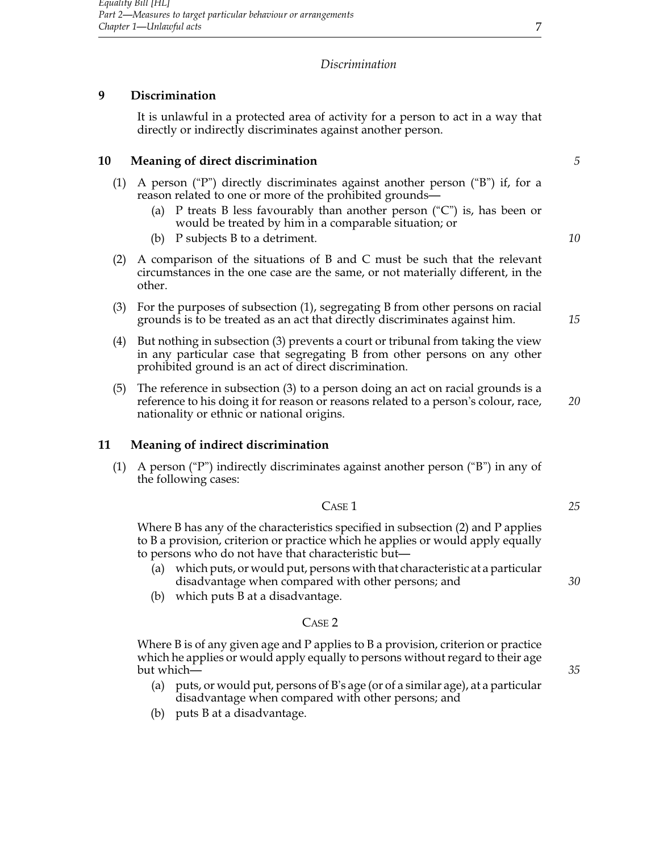# *Discrimination*

# **9 Discrimination**

It is unlawful in a protected area of activity for a person to act in a way that directly or indirectly discriminates against another person.

# **10 Meaning of direct discrimination** *5*

- (1) A person ("P") directly discriminates against another person ("B") if, for a reason related to one or more of the prohibited grounds—
	- (a) P treats B less favourably than another person ("C") is, has been or would be treated by him in a comparable situation; or
	- (b) P subjects B to a detriment. *10*
- (2) A comparison of the situations of B and C must be such that the relevant circumstances in the one case are the same, or not materially different, in the other.
- (3) For the purposes of subsection (1), segregating B from other persons on racial grounds is to be treated as an act that directly discriminates against him. *15*
- (4) But nothing in subsection (3) prevents a court or tribunal from taking the view in any particular case that segregating B from other persons on any other prohibited ground is an act of direct discrimination.
- (5) The reference in subsection (3) to a person doing an act on racial grounds is a reference to his doing it for reason or reasons related to a person's colour, race, *20* nationality or ethnic or national origins.

# **11 Meaning of indirect discrimination**

(1) A person ("P") indirectly discriminates against another person ("B") in any of the following cases:

$$
\text{Case}\,1
$$

Where B has any of the characteristics specified in subsection (2) and P applies to B a provision, criterion or practice which he applies or would apply equally to persons who do not have that characteristic but—

- (a) which puts, or would put, persons with that characteristic at a particular disadvantage when compared with other persons; and *30*
- (b) which puts B at a disadvantage.

#### Case 2

Where B is of any given age and P applies to B a provision, criterion or practice which he applies or would apply equally to persons without regard to their age but which— *35*

- (a) puts, or would put, persons of B's age (or of a similar age), at a particular disadvantage when compared with other persons; and
- (b) puts B at a disadvantage.

*25*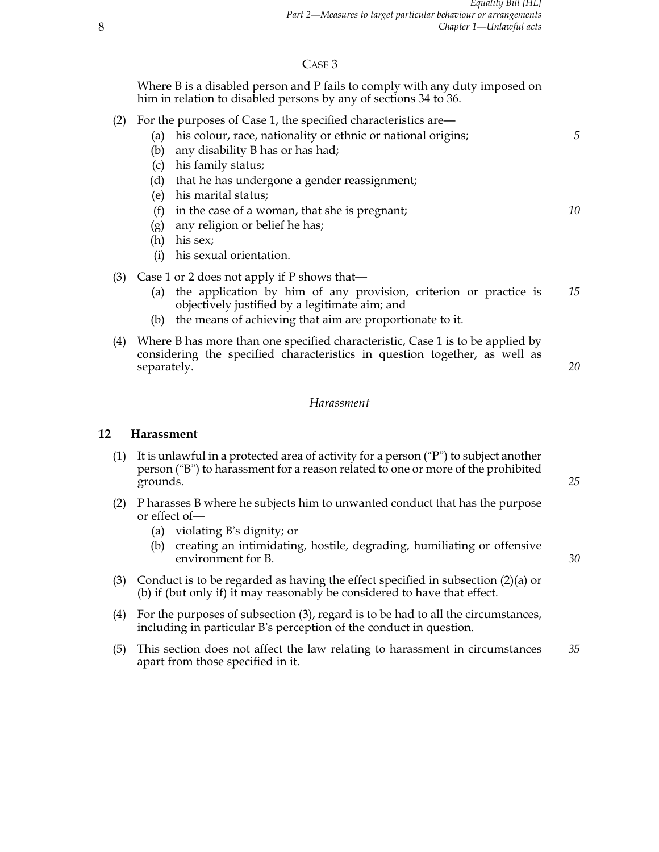# Case 3

Where B is a disabled person and P fails to comply with any duty imposed on him in relation to disabled persons by any of sections 34 to 36.

- (2) For the purposes of Case 1, the specified characteristics are—
	- (a) his colour, race, nationality or ethnic or national origins; *5* (b) any disability B has or has had; (c) his family status; (d) that he has undergone a gender reassignment; (e) his marital status; (f) in the case of a woman, that she is pregnant; *10* (g) any religion or belief he has; (h) his sex;
		- (i) his sexual orientation.
- (3) Case 1 or 2 does not apply if P shows that—
	- (a) the application by him of any provision, criterion or practice is *15* objectively justified by a legitimate aim; and
	- (b) the means of achieving that aim are proportionate to it.
- (4) Where B has more than one specified characteristic, Case 1 is to be applied by considering the specified characteristics in question together, as well as separately. **20**

#### *Harassment*

#### **12 Harassment**

- (1) It is unlawful in a protected area of activity for a person  $( P^{\prime\prime})$  to subject another person ("B") to harassment for a reason related to one or more of the prohibited grounds. *25*
- (2) P harasses B where he subjects him to unwanted conduct that has the purpose or effect of—
	- (a) violating B's dignity; or
	- (b) creating an intimidating, hostile, degrading, humiliating or offensive environment for B.  $\frac{30}{2}$
- (3) Conduct is to be regarded as having the effect specified in subsection (2)(a) or (b) if (but only if) it may reasonably be considered to have that effect.
- (4) For the purposes of subsection (3), regard is to be had to all the circumstances, including in particular B's perception of the conduct in question.
- (5) This section does not affect the law relating to harassment in circumstances *35* apart from those specified in it.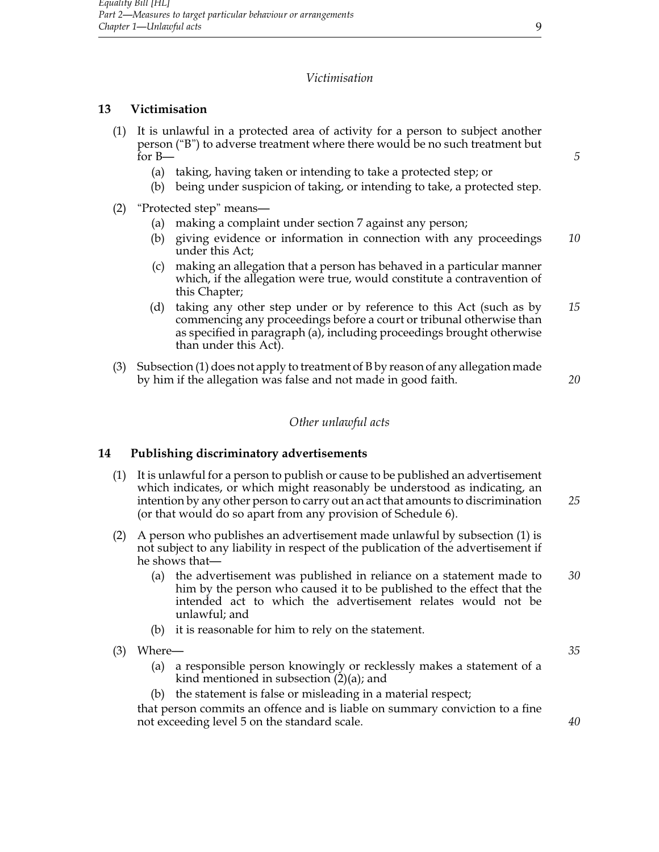# *Victimisation*

# **13 Victimisation**

- (1) It is unlawful in a protected area of activity for a person to subject another person ("B") to adverse treatment where there would be no such treatment but for B— *5*
	- (a) taking, having taken or intending to take a protected step; or
	- (b) being under suspicion of taking, or intending to take, a protected step.
- (2) "Protected step" means—
	- (a) making a complaint under section 7 against any person;
	- (b) giving evidence or information in connection with any proceedings *10* under this Act;
	- (c) making an allegation that a person has behaved in a particular manner which, if the allegation were true, would constitute a contravention of this Chapter;
	- (d) taking any other step under or by reference to this Act (such as by *15* commencing any proceedings before a court or tribunal otherwise than as specified in paragraph (a), including proceedings brought otherwise than under this Act).
- (3) Subsection (1) does not apply to treatment of B by reason of any allegation made by him if the allegation was false and not made in good faith. *20*

#### *Other unlawful acts*

# **14 Publishing discriminatory advertisements**

- (1) It is unlawful for a person to publish or cause to be published an advertisement which indicates, or which might reasonably be understood as indicating, an intention by any other person to carry out an act that amounts to discrimination *25* (or that would do so apart from any provision of Schedule 6).
- (2) A person who publishes an advertisement made unlawful by subsection (1) is not subject to any liability in respect of the publication of the advertisement if he shows that—
	- (a) the advertisement was published in reliance on a statement made to *30* him by the person who caused it to be published to the effect that the intended act to which the advertisement relates would not be unlawful; and
	- (b) it is reasonable for him to rely on the statement.
- (3) Where— *35* (a) a responsible person knowingly or recklessly makes a statement of a kind mentioned in subsection  $(2)(a)$ ; and (b) the statement is false or misleading in a material respect; that person commits an offence and is liable on summary conviction to a fine not exceeding level 5 on the standard scale. *40*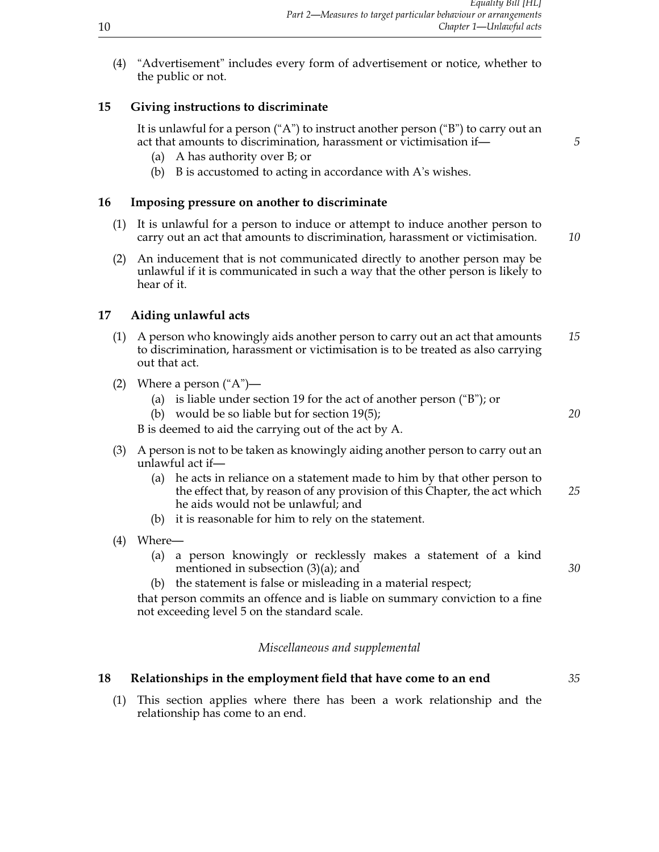(4) "Advertisement" includes every form of advertisement or notice, whether to the public or not.

# **15 Giving instructions to discriminate**

It is unlawful for a person ("A") to instruct another person ("B") to carry out an act that amounts to discrimination, harassment or victimisation if— *5*

- (a) A has authority over B; or
- (b) B is accustomed to acting in accordance with A's wishes.

# **16 Imposing pressure on another to discriminate**

- (1) It is unlawful for a person to induce or attempt to induce another person to carry out an act that amounts to discrimination, harassment or victimisation. *10*
- (2) An inducement that is not communicated directly to another person may be unlawful if it is communicated in such a way that the other person is likely to hear of it.

# **17 Aiding unlawful acts**

- (1) A person who knowingly aids another person to carry out an act that amounts *15* to discrimination, harassment or victimisation is to be treated as also carrying out that act.
- (2) Where a person  $("A")$ 
	- (a) is liable under section 19 for the act of another person ("B"); or
	- (b) would be so liable but for section 19(5); *20*

B is deemed to aid the carrying out of the act by A.

- (3) A person is not to be taken as knowingly aiding another person to carry out an unlawful act if—
	- (a) he acts in reliance on a statement made to him by that other person to the effect that, by reason of any provision of this Chapter, the act which *25* he aids would not be unlawful; and
	- (b) it is reasonable for him to rely on the statement.
- (4) Where—
	- (a) a person knowingly or recklessly makes a statement of a kind mentioned in subsection (3)(a); and *30*
	- (b) the statement is false or misleading in a material respect;

that person commits an offence and is liable on summary conviction to a fine not exceeding level 5 on the standard scale.

# *Miscellaneous and supplemental*

# **18 Relationships in the employment field that have come to an end** *35*

(1) This section applies where there has been a work relationship and the relationship has come to an end.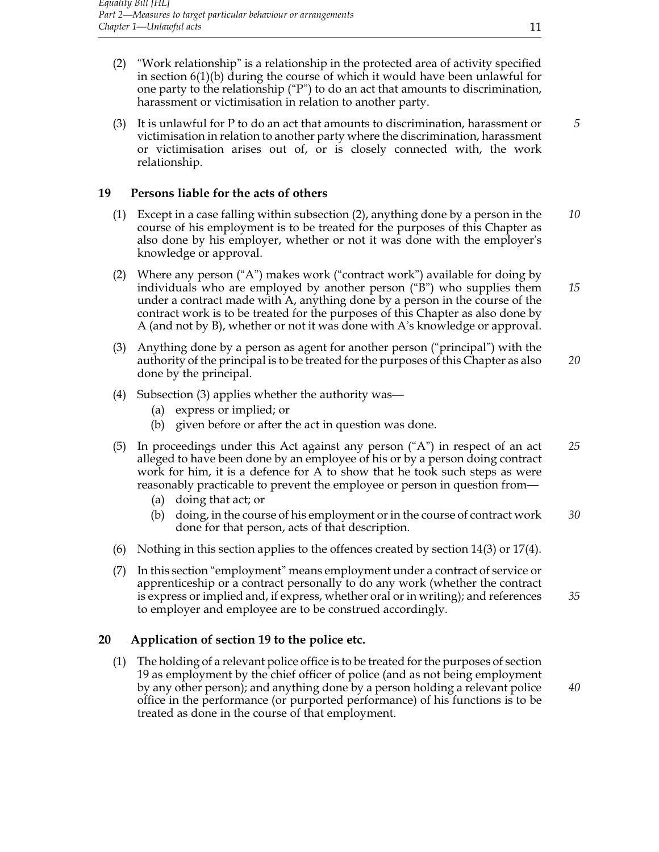- (2) "Work relationship" is a relationship in the protected area of activity specified in section 6(1)(b) during the course of which it would have been unlawful for one party to the relationship ("P") to do an act that amounts to discrimination, harassment or victimisation in relation to another party.
- (3) It is unlawful for P to do an act that amounts to discrimination, harassment or *5* victimisation in relation to another party where the discrimination, harassment or victimisation arises out of, or is closely connected with, the work relationship.

#### **19 Persons liable for the acts of others**

- (1) Except in a case falling within subsection (2), anything done by a person in the *10* course of his employment is to be treated for the purposes of this Chapter as also done by his employer, whether or not it was done with the employer's knowledge or approval.
- (2) Where any person ("A") makes work ("contract work") available for doing by individuals who are employed by another person ("B") who supplies them *15* under a contract made with A, anything done by a person in the course of the contract work is to be treated for the purposes of this Chapter as also done by A (and not by B), whether or not it was done with A's knowledge or approval.
- (3) Anything done by a person as agent for another person ("principal") with the authority of the principal is to be treated for the purposes of this Chapter as also *20* done by the principal.
- (4) Subsection (3) applies whether the authority was—
	- (a) express or implied; or
	- (b) given before or after the act in question was done.
- (5) In proceedings under this Act against any person ("A") in respect of an act *25* alleged to have been done by an employee of his or by a person doing contract work for him, it is a defence for A to show that he took such steps as were reasonably practicable to prevent the employee or person in question from—
	- (a) doing that act; or
	- (b) doing, in the course of his employment or in the course of contract work *30* done for that person, acts of that description.
- (6) Nothing in this section applies to the offences created by section 14(3) or 17(4).
- (7) In this section "employment" means employment under a contract of service or apprenticeship or a contract personally to do any work (whether the contract is express or implied and, if express, whether oral or in writing); and references *35* to employer and employee are to be construed accordingly.

# **20 Application of section 19 to the police etc.**

(1) The holding of a relevant police office is to be treated for the purposes of section 19 as employment by the chief officer of police (and as not being employment by any other person); and anything done by a person holding a relevant police *40* office in the performance (or purported performance) of his functions is to be treated as done in the course of that employment.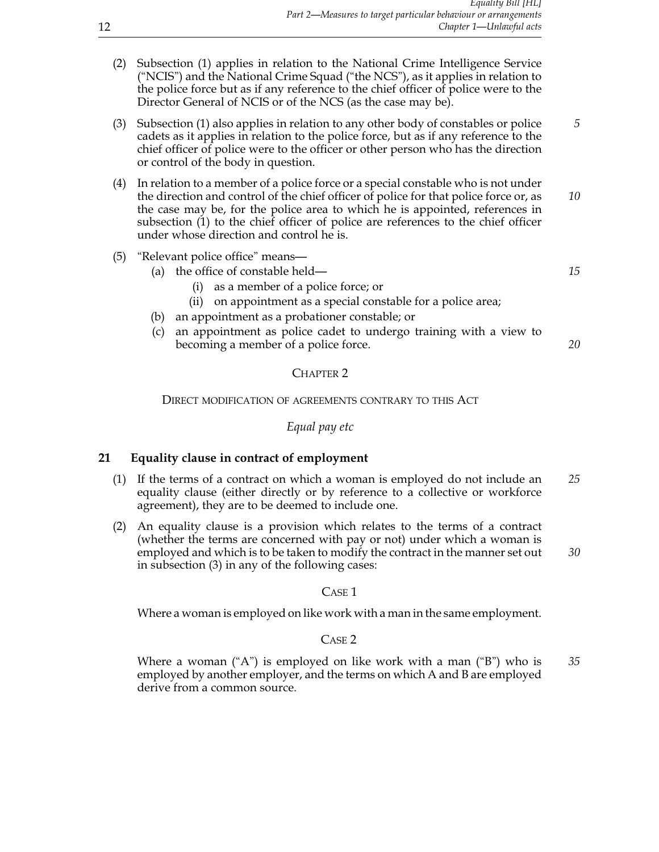- (2) Subsection (1) applies in relation to the National Crime Intelligence Service ("NCIS") and the National Crime Squad ("the NCS"), as it applies in relation to the police force but as if any reference to the chief officer of police were to the Director General of NCIS or of the NCS (as the case may be).
- (3) Subsection (1) also applies in relation to any other body of constables or police *5* cadets as it applies in relation to the police force, but as if any reference to the chief officer of police were to the officer or other person who has the direction or control of the body in question.
- (4) In relation to a member of a police force or a special constable who is not under the direction and control of the chief officer of police for that police force or, as *10* the case may be, for the police area to which he is appointed, references in subsection (1) to the chief officer of police are references to the chief officer under whose direction and control he is.
- (5) "Relevant police office" means—
	- (a) the office of constable held— *15*
		- (i) as a member of a police force; or
		- (ii) on appointment as a special constable for a police area;
	- (b) an appointment as a probationer constable; or
	- (c) an appointment as police cadet to undergo training with a view to becoming a member of a police force. *20*

# CHAPTER<sub>2</sub>

# Direct modification of agreements contrary to this Act

#### *Equal pay etc*

# **21 Equality clause in contract of employment**

- (1) If the terms of a contract on which a woman is employed do not include an *25* equality clause (either directly or by reference to a collective or workforce agreement), they are to be deemed to include one.
- (2) An equality clause is a provision which relates to the terms of a contract (whether the terms are concerned with pay or not) under which a woman is employed and which is to be taken to modify the contract in the manner set out *30* in subsection (3) in any of the following cases:

# C<sub>ASE</sub><sub>1</sub>

Where a woman is employed on like work with a man in the same employment.

# Case 2

Where a woman ("A") is employed on like work with a man ("B") who is *35* employed by another employer, and the terms on which A and B are employed derive from a common source.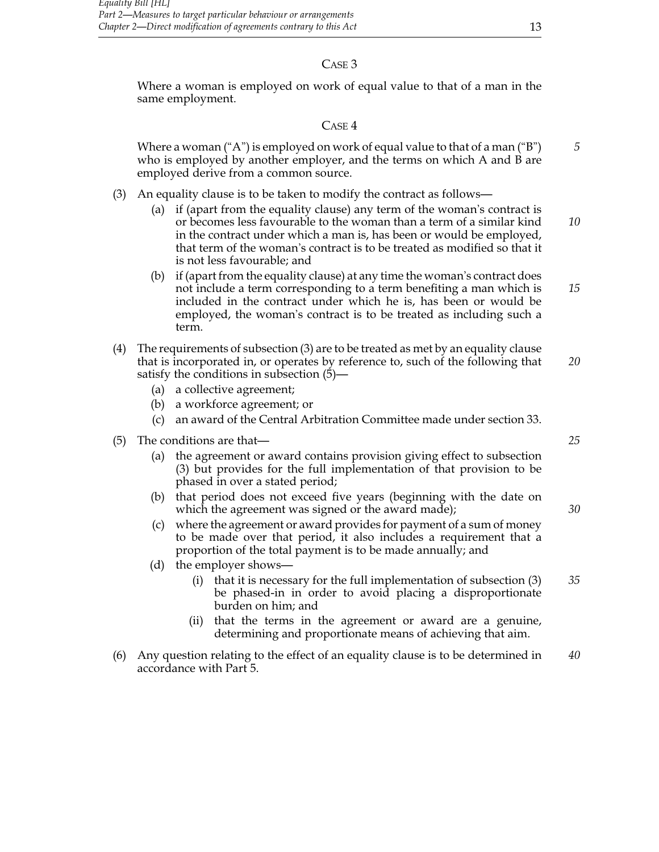# Case 3

Where a woman is employed on work of equal value to that of a man in the same employment.

# Case 4

Where a woman ("A") is employed on work of equal value to that of a man ("B") *5* who is employed by another employer, and the terms on which A and B are employed derive from a common source.

- (3) An equality clause is to be taken to modify the contract as follows—
	- (a) if (apart from the equality clause) any term of the woman's contract is or becomes less favourable to the woman than a term of a similar kind *10* in the contract under which a man is, has been or would be employed, that term of the woman's contract is to be treated as modified so that it is not less favourable; and
	- (b) if (apart from the equality clause) at any time the woman's contract does not include a term corresponding to a term benefiting a man which is *15* included in the contract under which he is, has been or would be employed, the woman's contract is to be treated as including such a term.
- (4) The requirements of subsection (3) are to be treated as met by an equality clause that is incorporated in, or operates by reference to, such of the following that *20* satisfy the conditions in subsection (5)—
	- (a) a collective agreement;
	- (b) a workforce agreement; or
	- (c) an award of the Central Arbitration Committee made under section 33.
- (5) The conditions are that— *25*
	- (a) the agreement or award contains provision giving effect to subsection (3) but provides for the full implementation of that provision to be phased in over a stated period;
	- (b) that period does not exceed five years (beginning with the date on which the agreement was signed or the award made); *30*
	- (c) where the agreement or award provides for payment of a sum of money to be made over that period, it also includes a requirement that a proportion of the total payment is to be made annually; and
	- (d) the employer shows—
		- (i) that it is necessary for the full implementation of subsection (3) *35* be phased-in in order to avoid placing a disproportionate burden on him; and
		- (ii) that the terms in the agreement or award are a genuine, determining and proportionate means of achieving that aim.
- (6) Any question relating to the effect of an equality clause is to be determined in *40* accordance with Part 5.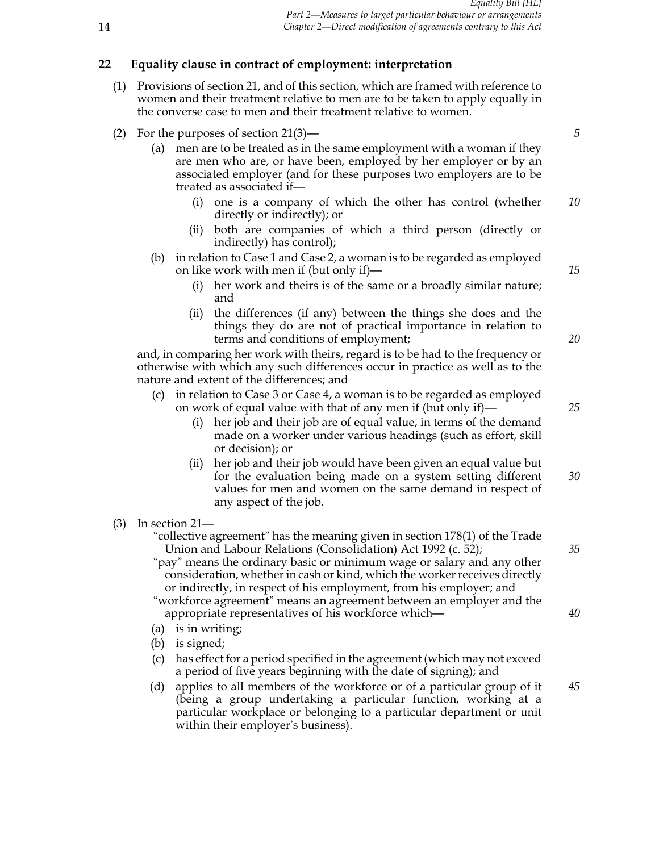# **22 Equality clause in contract of employment: interpretation**

- (1) Provisions of section 21, and of this section, which are framed with reference to women and their treatment relative to men are to be taken to apply equally in the converse case to men and their treatment relative to women.
- (2) For the purposes of section 21(3)— *5*
	- (a) men are to be treated as in the same employment with a woman if they are men who are, or have been, employed by her employer or by an associated employer (and for these purposes two employers are to be treated as associated if—
		- (i) one is a company of which the other has control (whether *10* directly or indirectly); or
		- (ii) both are companies of which a third person (directly or indirectly) has control);
	- (b) in relation to Case 1 and Case 2, a woman is to be regarded as employed on like work with men if (but only if)— *15*
		- (i) her work and theirs is of the same or a broadly similar nature; and
		- (ii) the differences (if any) between the things she does and the things they do are not of practical importance in relation to terms and conditions of employment; *20*

and, in comparing her work with theirs, regard is to be had to the frequency or otherwise with which any such differences occur in practice as well as to the nature and extent of the differences; and

- (c) in relation to Case 3 or Case 4, a woman is to be regarded as employed on work of equal value with that of any men if (but only if)— *25*
	- (i) her job and their job are of equal value, in terms of the demand made on a worker under various headings (such as effort, skill or decision); or
	- (ii) her job and their job would have been given an equal value but for the evaluation being made on a system setting different *30* values for men and women on the same demand in respect of any aspect of the job.
- (3) In section 21—

"collective agreement" has the meaning given in section 178(1) of the Trade Union and Labour Relations (Consolidation) Act 1992 (c. 52); *35*

"pay" means the ordinary basic or minimum wage or salary and any other consideration, whether in cash or kind, which the worker receives directly or indirectly, in respect of his employment, from his employer; and

"workforce agreement" means an agreement between an employer and the appropriate representatives of his workforce which— *40*

- (a) is in writing;
- (b) is signed;
- (c) has effect for a period specified in the agreement (which may not exceed a period of five years beginning with the date of signing); and
- (d) applies to all members of the workforce or of a particular group of it *45* (being a group undertaking a particular function, working at a particular workplace or belonging to a particular department or unit within their employer's business).

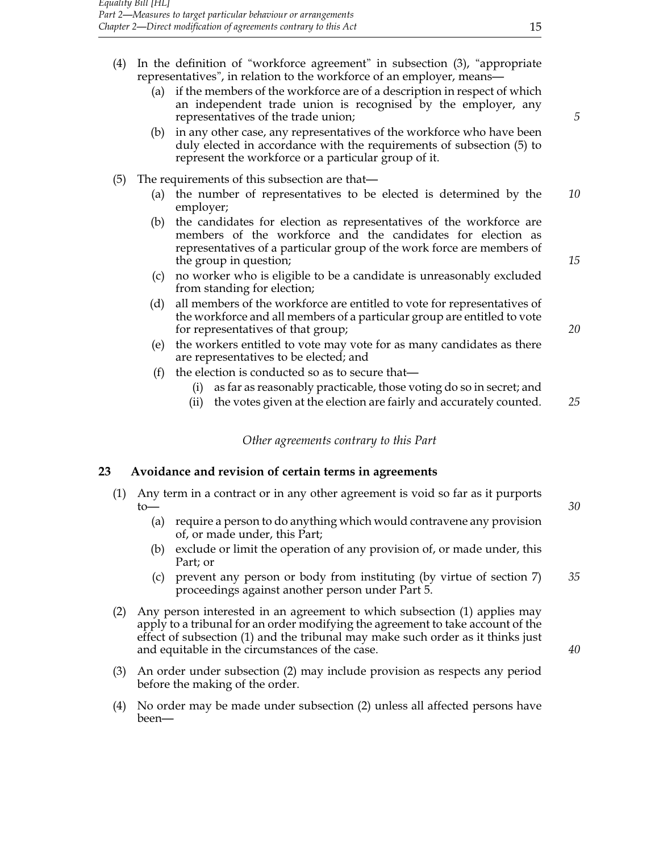- (4) In the definition of "workforce agreement" in subsection (3), "appropriate representatives", in relation to the workforce of an employer, means—
	- (a) if the members of the workforce are of a description in respect of which an independent trade union is recognised by the employer, any representatives of the trade union; *5*
	- (b) in any other case, any representatives of the workforce who have been duly elected in accordance with the requirements of subsection (5) to represent the workforce or a particular group of it.
- (5) The requirements of this subsection are that—
	- (a) the number of representatives to be elected is determined by the *10* employer;
	- (b) the candidates for election as representatives of the workforce are members of the workforce and the candidates for election as representatives of a particular group of the work force are members of the group in question; **15** and the group in question; **15** and the group in question; **15**
	- (c) no worker who is eligible to be a candidate is unreasonably excluded from standing for election;
	- (d) all members of the workforce are entitled to vote for representatives of the workforce and all members of a particular group are entitled to vote for representatives of that group; *20*
	- (e) the workers entitled to vote may vote for as many candidates as there are representatives to be elected; and
	- (f) the election is conducted so as to secure that—
		- (i) as far as reasonably practicable, those voting do so in secret; and
		- (ii) the votes given at the election are fairly and accurately counted. *25*

*Other agreements contrary to this Part*

#### **23 Avoidance and revision of certain terms in agreements**

- (1) Any term in a contract or in any other agreement is void so far as it purports to— *30*
	- (a) require a person to do anything which would contravene any provision of, or made under, this Part;
	- (b) exclude or limit the operation of any provision of, or made under, this Part; or
	- (c) prevent any person or body from instituting (by virtue of section 7) *35* proceedings against another person under Part 5.
- (2) Any person interested in an agreement to which subsection (1) applies may apply to a tribunal for an order modifying the agreement to take account of the effect of subsection (1) and the tribunal may make such order as it thinks just and equitable in the circumstances of the case. *40*
- (3) An order under subsection (2) may include provision as respects any period before the making of the order.
- (4) No order may be made under subsection (2) unless all affected persons have been—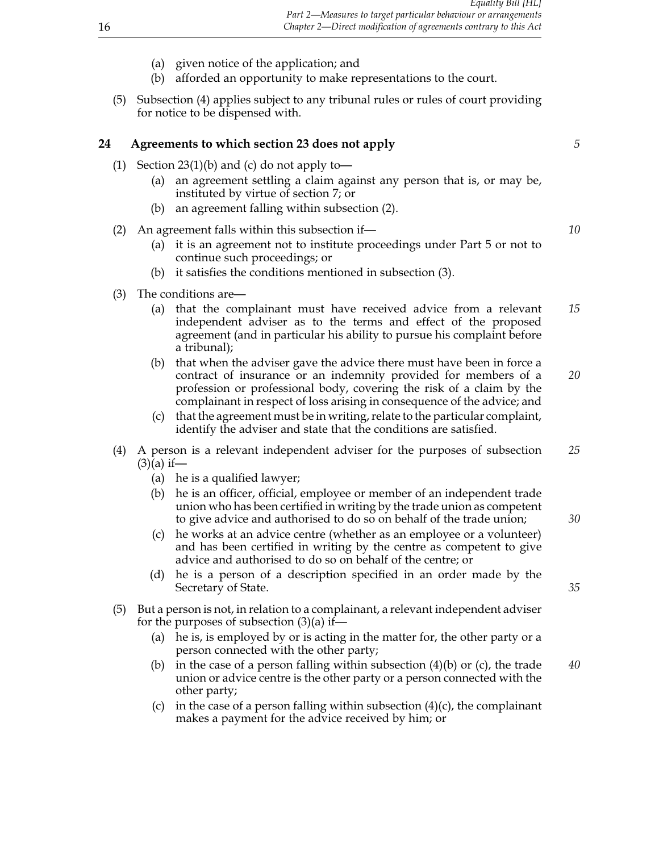- (a) given notice of the application; and
- (b) afforded an opportunity to make representations to the court.
- (5) Subsection (4) applies subject to any tribunal rules or rules of court providing for notice to be dispensed with.

#### **24 Agreements to which section 23 does not apply** *5*

- (1) Section  $23(1)(b)$  and (c) do not apply to-
	- (a) an agreement settling a claim against any person that is, or may be, instituted by virtue of section 7; or
	- (b) an agreement falling within subsection (2).
- (2) An agreement falls within this subsection if— *10*
	- (a) it is an agreement not to institute proceedings under Part 5 or not to continue such proceedings; or
	- (b) it satisfies the conditions mentioned in subsection (3).
- (3) The conditions are—
	- (a) that the complainant must have received advice from a relevant *15* independent adviser as to the terms and effect of the proposed agreement (and in particular his ability to pursue his complaint before a tribunal);
	- (b) that when the adviser gave the advice there must have been in force a contract of insurance or an indemnity provided for members of a *20* profession or professional body, covering the risk of a claim by the complainant in respect of loss arising in consequence of the advice; and
	- (c) that the agreement must be in writing, relate to the particular complaint, identify the adviser and state that the conditions are satisfied.
- (4) A person is a relevant independent adviser for the purposes of subsection *25*  $(3)(a)$  if—
	- (a) he is a qualified lawyer;
	- (b) he is an officer, official, employee or member of an independent trade union who has been certified in writing by the trade union as competent to give advice and authorised to do so on behalf of the trade union; *30*
	- (c) he works at an advice centre (whether as an employee or a volunteer) and has been certified in writing by the centre as competent to give advice and authorised to do so on behalf of the centre; or
	- (d) he is a person of a description specified in an order made by the Secretary of State. **35**
- (5) But a person is not, in relation to a complainant, a relevant independent adviser for the purposes of subsection  $(3)(a)$  if—
	- (a) he is, is employed by or is acting in the matter for, the other party or a person connected with the other party;
	- (b) in the case of a person falling within subsection (4)(b) or (c), the trade *40* union or advice centre is the other party or a person connected with the other party;
	- (c) in the case of a person falling within subsection  $(4)(c)$ , the complainant makes a payment for the advice received by him; or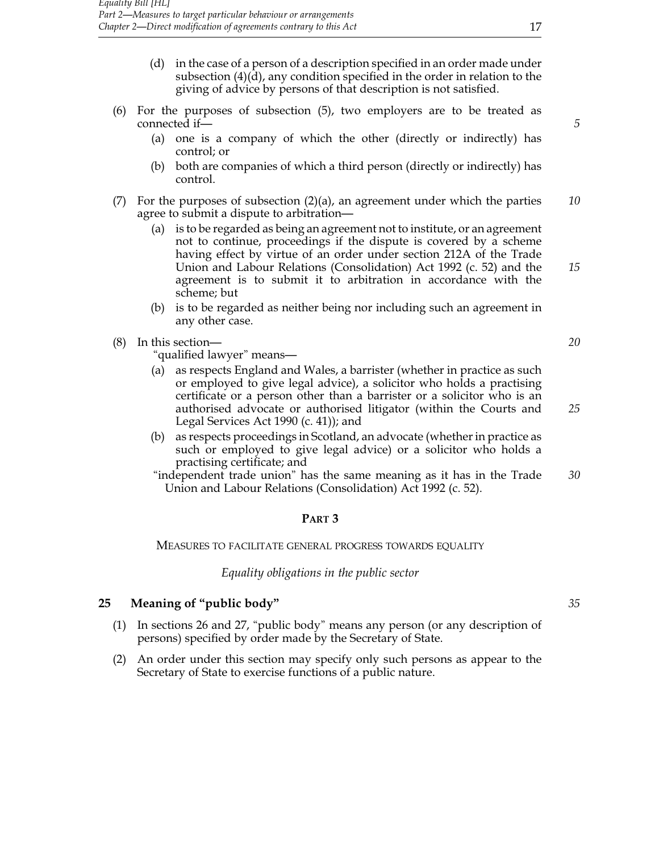- (d) in the case of a person of a description specified in an order made under subsection (4)(d), any condition specified in the order in relation to the giving of advice by persons of that description is not satisfied.
- (6) For the purposes of subsection (5), two employers are to be treated as connected if— **5** 
	- (a) one is a company of which the other (directly or indirectly) has control; or
	- (b) both are companies of which a third person (directly or indirectly) has control.
- (7) For the purposes of subsection (2)(a), an agreement under which the parties *10* agree to submit a dispute to arbitration—
	- (a) is to be regarded as being an agreement not to institute, or an agreement not to continue, proceedings if the dispute is covered by a scheme having effect by virtue of an order under section 212A of the Trade Union and Labour Relations (Consolidation) Act 1992 (c. 52) and the *15* agreement is to submit it to arbitration in accordance with the scheme; but
	- (b) is to be regarded as neither being nor including such an agreement in any other case.
- (8) In this section— *20*

"qualified lawyer" means—

- (a) as respects England and Wales, a barrister (whether in practice as such or employed to give legal advice), a solicitor who holds a practising certificate or a person other than a barrister or a solicitor who is an authorised advocate or authorised litigator (within the Courts and *25* Legal Services Act 1990 (c. 41)); and
- (b) as respects proceedings in Scotland, an advocate (whether in practice as such or employed to give legal advice) or a solicitor who holds a practising certificate; and
- "independent trade union" has the same meaning as it has in the Trade *30* Union and Labour Relations (Consolidation) Act 1992 (c. 52).

# **Part 3**

Measures to facilitate general progress towards equality

*Equality obligations in the public sector*

#### **25 Meaning of "public body"** *35*

- (1) In sections 26 and 27, "public body" means any person (or any description of persons) specified by order made by the Secretary of State.
- (2) An order under this section may specify only such persons as appear to the Secretary of State to exercise functions of a public nature.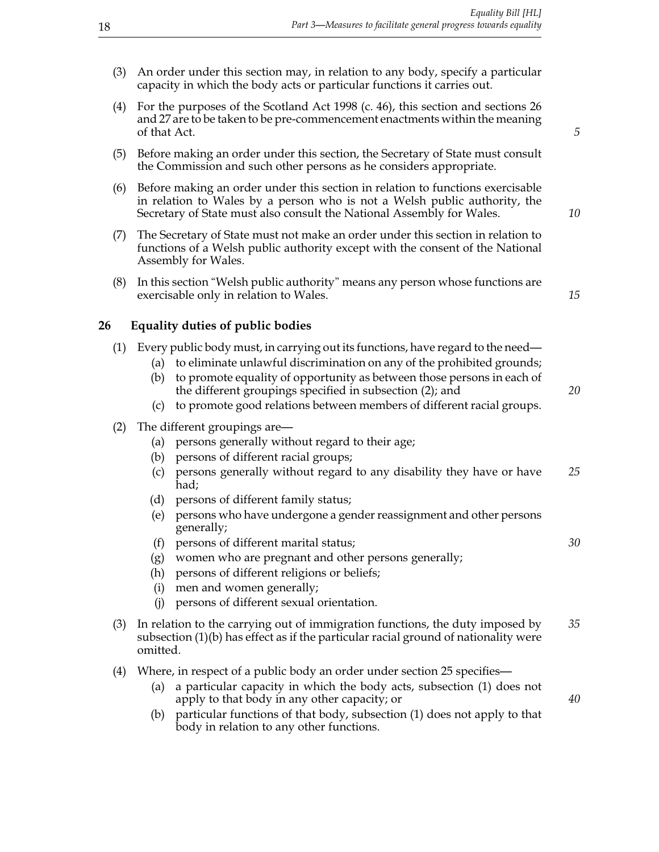- (3) An order under this section may, in relation to any body, specify a particular capacity in which the body acts or particular functions it carries out.
- (4) For the purposes of the Scotland Act 1998 (c. 46), this section and sections 26 and 27 are to be taken to be pre-commencement enactments within the meaning of that Act. *5*
- (5) Before making an order under this section, the Secretary of State must consult the Commission and such other persons as he considers appropriate.
- (6) Before making an order under this section in relation to functions exercisable in relation to Wales by a person who is not a Welsh public authority, the Secretary of State must also consult the National Assembly for Wales. *10*
- (7) The Secretary of State must not make an order under this section in relation to functions of a Welsh public authority except with the consent of the National Assembly for Wales.
- (8) In this section "Welsh public authority" means any person whose functions are exercisable only in relation to Wales. **15**

# **26 Equality duties of public bodies**

| (1) Every public body must, in carrying out its functions, have regard to the need— |  |  |  |  |  |  |  |
|-------------------------------------------------------------------------------------|--|--|--|--|--|--|--|
|                                                                                     |  |  |  |  |  |  |  |

- (a) to eliminate unlawful discrimination on any of the prohibited grounds; (b) to promote equality of opportunity as between those persons in each of
	- the different groupings specified in subsection (2); and *20*
- (c) to promote good relations between members of different racial groups.
- (2) The different groupings are—
	- (a) persons generally without regard to their age;
	- (b) persons of different racial groups;
	- (c) persons generally without regard to any disability they have or have *25* had;
	- (d) persons of different family status;
	- (e) persons who have undergone a gender reassignment and other persons generally;
	- (f) persons of different marital status; *30*
	- (g) women who are pregnant and other persons generally;
	- (h) persons of different religions or beliefs;
	- (i) men and women generally;
	- (j) persons of different sexual orientation.
- (3) In relation to the carrying out of immigration functions, the duty imposed by *35* subsection (1)(b) has effect as if the particular racial ground of nationality were omitted.
- (4) Where, in respect of a public body an order under section 25 specifies—
	- (a) a particular capacity in which the body acts, subsection (1) does not apply to that body in any other capacity; or *40*
	- (b) particular functions of that body, subsection (1) does not apply to that body in relation to any other functions.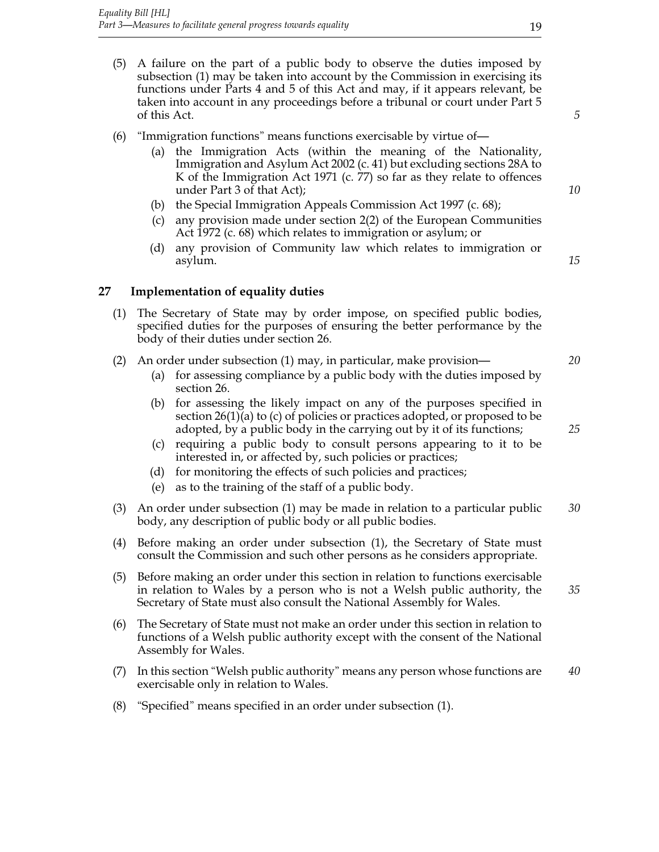**27 Implementation of equality duties**

body of their duties under section 26.

- (5) A failure on the part of a public body to observe the duties imposed by subsection (1) may be taken into account by the Commission in exercising its functions under Parts 4 and 5 of this Act and may, if it appears relevant, be taken into account in any proceedings before a tribunal or court under Part 5 of this Act. *5*
- (6) "Immigration functions" means functions exercisable by virtue of—
	- (a) the Immigration Acts (within the meaning of the Nationality, Immigration and Asylum Act 2002 (c. 41) but excluding sections 28A to K of the Immigration Act 1971 (c. 77) so far as they relate to offences under Part 3 of that Act); *10*
	- (b) the Special Immigration Appeals Commission Act 1997 (c. 68);

(1) The Secretary of State may by order impose, on specified public bodies, specified duties for the purposes of ensuring the better performance by the

- (c) any provision made under section 2(2) of the European Communities Act 1972 (c. 68) which relates to immigration or asylum; or
- (d) any provision of Community law which relates to immigration or asylum. *15*

# (2) An order under subsection (1) may, in particular, make provision— *20*

- (a) for assessing compliance by a public body with the duties imposed by section 26.
- (b) for assessing the likely impact on any of the purposes specified in section 26(1)(a) to (c) of policies or practices adopted, or proposed to be adopted, by a public body in the carrying out by it of its functions; *25*
- (c) requiring a public body to consult persons appearing to it to be interested in, or affected by, such policies or practices;
- (d) for monitoring the effects of such policies and practices;
- (e) as to the training of the staff of a public body.
- (3) An order under subsection (1) may be made in relation to a particular public *30* body, any description of public body or all public bodies.
- (4) Before making an order under subsection (1), the Secretary of State must consult the Commission and such other persons as he considers appropriate.
- (5) Before making an order under this section in relation to functions exercisable in relation to Wales by a person who is not a Welsh public authority, the *35* Secretary of State must also consult the National Assembly for Wales.
- (6) The Secretary of State must not make an order under this section in relation to functions of a Welsh public authority except with the consent of the National Assembly for Wales.
- (7) In this section "Welsh public authority" means any person whose functions are *40* exercisable only in relation to Wales.
- (8) "Specified" means specified in an order under subsection (1).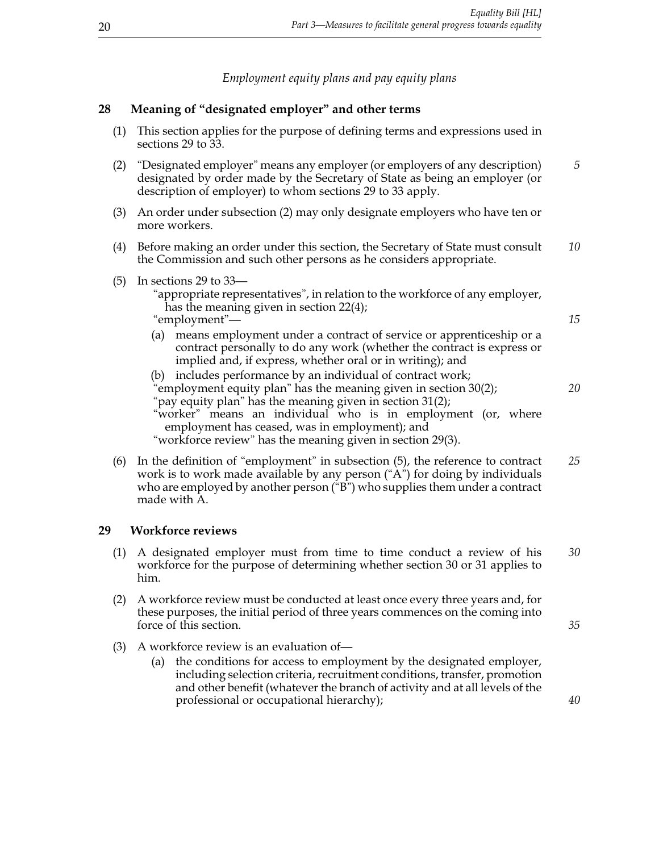*Employment equity plans and pay equity plans*

# **28 Meaning of "designated employer" and other terms**

| (1) | This section applies for the purpose of defining terms and expressions used in<br>sections 29 to 33.                                                                                                                                                                                                                                                                               |    |  |  |  |  |  |
|-----|------------------------------------------------------------------------------------------------------------------------------------------------------------------------------------------------------------------------------------------------------------------------------------------------------------------------------------------------------------------------------------|----|--|--|--|--|--|
| (2) | "Designated employer" means any employer (or employers of any description)<br>designated by order made by the Secretary of State as being an employer (or<br>description of employer) to whom sections 29 to 33 apply.                                                                                                                                                             |    |  |  |  |  |  |
| (3) | An order under subsection (2) may only designate employers who have ten or<br>more workers.                                                                                                                                                                                                                                                                                        |    |  |  |  |  |  |
| (4) | Before making an order under this section, the Secretary of State must consult<br>the Commission and such other persons as he considers appropriate.                                                                                                                                                                                                                               |    |  |  |  |  |  |
| (5) | In sections 29 to 33—<br>"appropriate representatives", in relation to the workforce of any employer,<br>has the meaning given in section $22(4)$ ;<br>"employment"-                                                                                                                                                                                                               |    |  |  |  |  |  |
|     | (a) means employment under a contract of service or apprenticeship or a<br>contract personally to do any work (whether the contract is express or<br>implied and, if express, whether oral or in writing); and                                                                                                                                                                     |    |  |  |  |  |  |
|     | includes performance by an individual of contract work;<br>(b)<br>'employment equity plan" has the meaning given in section 30(2);<br>"pay equity plan" has the meaning given in section $31(2)$ ;<br>"worker" means an individual who is in employment (or, where<br>employment has ceased, was in employment); and<br>"workforce review" has the meaning given in section 29(3). |    |  |  |  |  |  |
| (6) | In the definition of "employment" in subsection (5), the reference to contract<br>$\mathbf{1}$ and $\mathbf{1}$                                                                                                                                                                                                                                                                    | 25 |  |  |  |  |  |

work is to work made available by any person ("A") for doing by individuals who are employed by another person ("B") who supplies them under a contract made with A.

# **29 Workforce reviews**

- (1) A designated employer must from time to time conduct a review of his *30* workforce for the purpose of determining whether section 30 or 31 applies to him.
- (2) A workforce review must be conducted at least once every three years and, for these purposes, the initial period of three years commences on the coming into force of this section. *35*
- (3) A workforce review is an evaluation of—
	- (a) the conditions for access to employment by the designated employer, including selection criteria, recruitment conditions, transfer, promotion and other benefit (whatever the branch of activity and at all levels of the professional or occupational hierarchy); *40*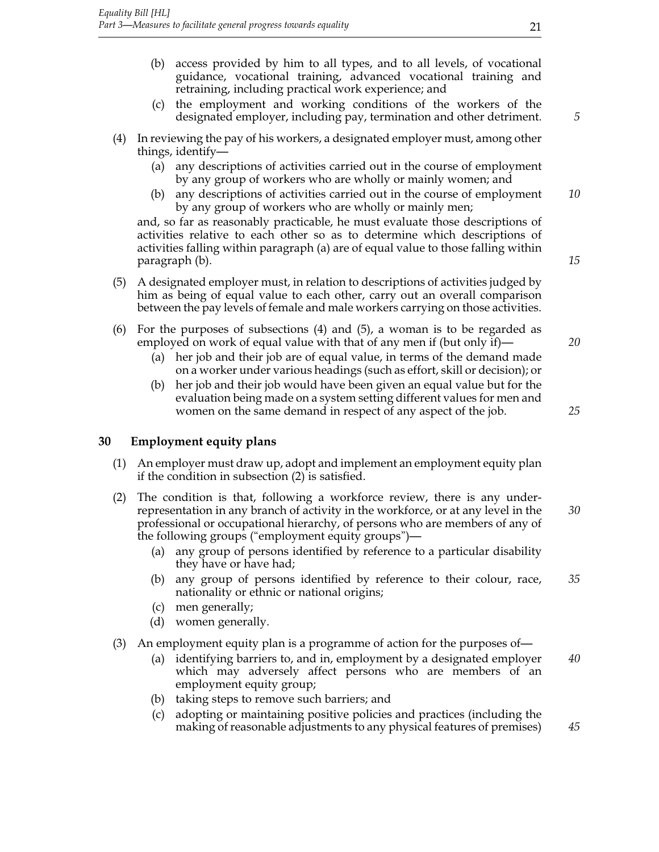- (b) access provided by him to all types, and to all levels, of vocational guidance, vocational training, advanced vocational training and retraining, including practical work experience; and
- (c) the employment and working conditions of the workers of the designated employer, including pay, termination and other detriment. *5*
- (4) In reviewing the pay of his workers, a designated employer must, among other things, identify—
	- (a) any descriptions of activities carried out in the course of employment by any group of workers who are wholly or mainly women; and
	- (b) any descriptions of activities carried out in the course of employment *10* by any group of workers who are wholly or mainly men;

and, so far as reasonably practicable, he must evaluate those descriptions of activities relative to each other so as to determine which descriptions of activities falling within paragraph (a) are of equal value to those falling within paragraph (b). *15*

- (5) A designated employer must, in relation to descriptions of activities judged by him as being of equal value to each other, carry out an overall comparison between the pay levels of female and male workers carrying on those activities.
- (6) For the purposes of subsections (4) and (5), a woman is to be regarded as employed on work of equal value with that of any men if (but only if)— *20*
	- (a) her job and their job are of equal value, in terms of the demand made on a worker under various headings (such as effort, skill or decision); or
	- (b) her job and their job would have been given an equal value but for the evaluation being made on a system setting different values for men and women on the same demand in respect of any aspect of the job. *25*

#### **30 Employment equity plans**

- (1) An employer must draw up, adopt and implement an employment equity plan if the condition in subsection (2) is satisfied.
- (2) The condition is that, following a workforce review, there is any underrepresentation in any branch of activity in the workforce, or at any level in the *30* professional or occupational hierarchy, of persons who are members of any of the following groups ("employment equity groups")—
	- (a) any group of persons identified by reference to a particular disability they have or have had;
	- (b) any group of persons identified by reference to their colour, race, *35* nationality or ethnic or national origins;
	- (c) men generally;
	- (d) women generally.
- (3) An employment equity plan is a programme of action for the purposes of—
	- (a) identifying barriers to, and in, employment by a designated employer *40* which may adversely affect persons who are members of an employment equity group;
	- (b) taking steps to remove such barriers; and
	- (c) adopting or maintaining positive policies and practices (including the making of reasonable adjustments to any physical features of premises) *45*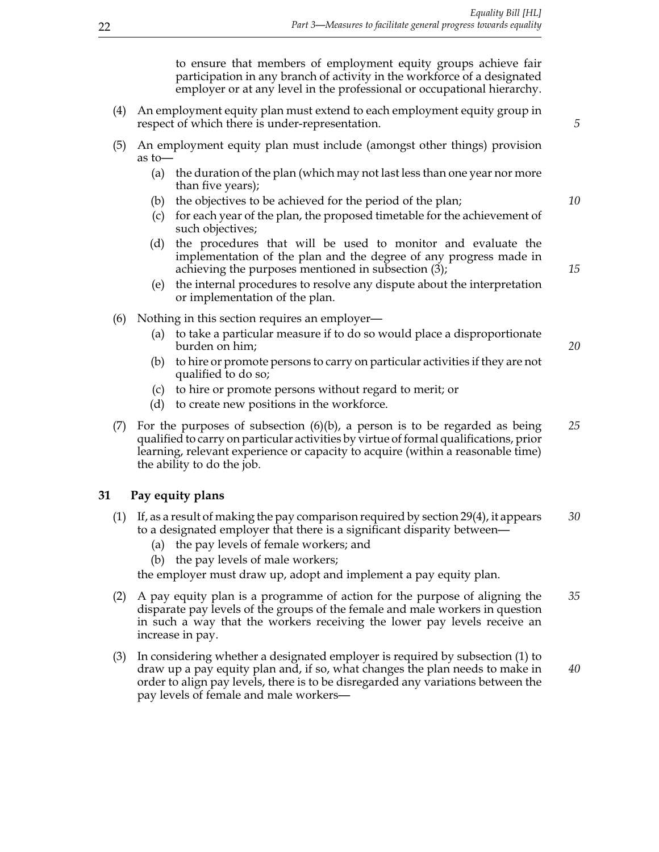to ensure that members of employment equity groups achieve fair participation in any branch of activity in the workforce of a designated employer or at any level in the professional or occupational hierarchy.

- (4) An employment equity plan must extend to each employment equity group in respect of which there is under-representation. *5*
- (5) An employment equity plan must include (amongst other things) provision as to—
	- (a) the duration of the plan (which may not last less than one year nor more than five years);
	- (b) the objectives to be achieved for the period of the plan; *10*
	- (c) for each year of the plan, the proposed timetable for the achievement of such objectives;
	- (d) the procedures that will be used to monitor and evaluate the implementation of the plan and the degree of any progress made in achieving the purposes mentioned in subsection (3); *15*
	- (e) the internal procedures to resolve any dispute about the interpretation or implementation of the plan.
- (6) Nothing in this section requires an employer—
	- (a) to take a particular measure if to do so would place a disproportionate burden on him; *20*
	- (b) to hire or promote persons to carry on particular activities if they are not qualified to do so;
	- (c) to hire or promote persons without regard to merit; or
	- (d) to create new positions in the workforce.
- (7) For the purposes of subsection (6)(b), a person is to be regarded as being *25* qualified to carry on particular activities by virtue of formal qualifications, prior learning, relevant experience or capacity to acquire (within a reasonable time) the ability to do the job.

#### **31 Pay equity plans**

- (1) If, as a result of making the pay comparison required by section 29(4), it appears *30* to a designated employer that there is a significant disparity between—
	- (a) the pay levels of female workers; and
	- (b) the pay levels of male workers;

the employer must draw up, adopt and implement a pay equity plan.

- (2) A pay equity plan is a programme of action for the purpose of aligning the *35* disparate pay levels of the groups of the female and male workers in question in such a way that the workers receiving the lower pay levels receive an increase in pay.
- (3) In considering whether a designated employer is required by subsection (1) to draw up a pay equity plan and, if so, what changes the plan needs to make in *40* order to align pay levels, there is to be disregarded any variations between the pay levels of female and male workers—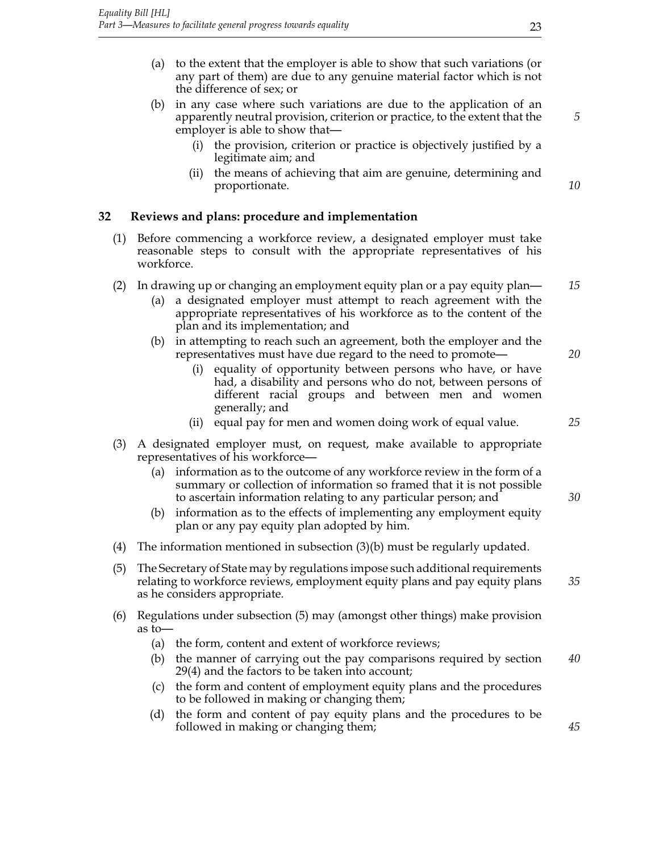- (a) to the extent that the employer is able to show that such variations (or any part of them) are due to any genuine material factor which is not the difference of sex; or
- (b) in any case where such variations are due to the application of an apparently neutral provision, criterion or practice, to the extent that the *5* employer is able to show that—
	- (i) the provision, criterion or practice is objectively justified by a legitimate aim; and
	- (ii) the means of achieving that aim are genuine, determining and proportionate. *10*

# **32 Reviews and plans: procedure and implementation**

- (1) Before commencing a workforce review, a designated employer must take reasonable steps to consult with the appropriate representatives of his workforce.
- (2) In drawing up or changing an employment equity plan or a pay equity plan— *15*
	- (a) a designated employer must attempt to reach agreement with the appropriate representatives of his workforce as to the content of the plan and its implementation; and
	- (b) in attempting to reach such an agreement, both the employer and the representatives must have due regard to the need to promote— *20*
		- (i) equality of opportunity between persons who have, or have had, a disability and persons who do not, between persons of different racial groups and between men and women generally; and
		- (ii) equal pay for men and women doing work of equal value. *25*
- (3) A designated employer must, on request, make available to appropriate representatives of his workforce—
	- (a) information as to the outcome of any workforce review in the form of a summary or collection of information so framed that it is not possible to ascertain information relating to any particular person; and *30*
	- (b) information as to the effects of implementing any employment equity plan or any pay equity plan adopted by him.
- (4) The information mentioned in subsection (3)(b) must be regularly updated.
- (5) The Secretary of State may by regulations impose such additional requirements relating to workforce reviews, employment equity plans and pay equity plans *35* as he considers appropriate.
- (6) Regulations under subsection (5) may (amongst other things) make provision as to—
	- (a) the form, content and extent of workforce reviews;
	- (b) the manner of carrying out the pay comparisons required by section *40* 29(4) and the factors to be taken into account;
	- (c) the form and content of employment equity plans and the procedures to be followed in making or changing them;
	- (d) the form and content of pay equity plans and the procedures to be followed in making or changing them; *45*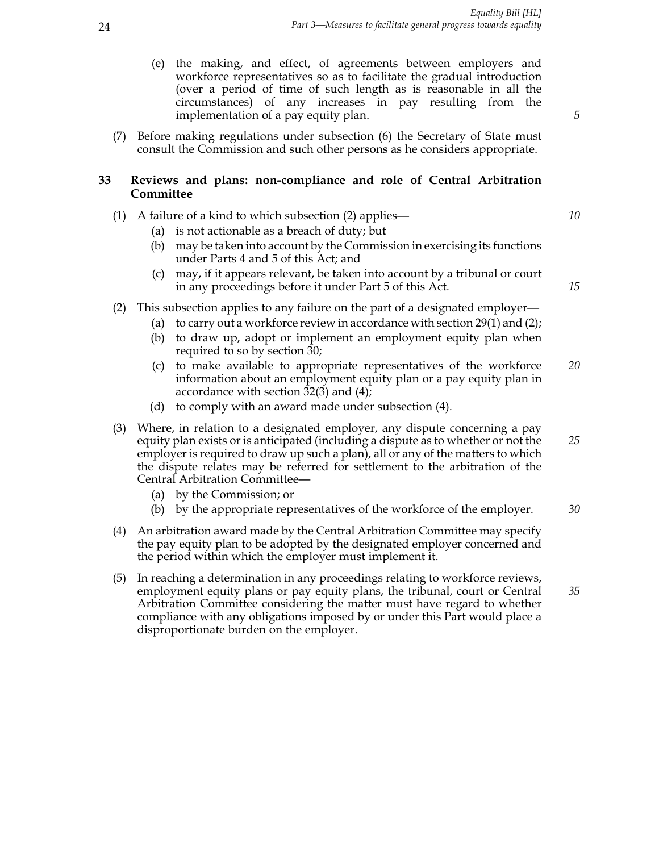- (e) the making, and effect, of agreements between employers and workforce representatives so as to facilitate the gradual introduction (over a period of time of such length as is reasonable in all the circumstances) of any increases in pay resulting from the implementation of a pay equity plan. *5*
- (7) Before making regulations under subsection (6) the Secretary of State must consult the Commission and such other persons as he considers appropriate.

#### **33 Reviews and plans: non-compliance and role of Central Arbitration Committee**

- (1) A failure of a kind to which subsection (2) applies— *10*
	- (a) is not actionable as a breach of duty; but
	- (b) may be taken into account by the Commission in exercising its functions under Parts 4 and 5 of this Act; and
	- (c) may, if it appears relevant, be taken into account by a tribunal or court in any proceedings before it under Part 5 of this Act. *15*
- (2) This subsection applies to any failure on the part of a designated employer—
	- (a) to carry out a workforce review in accordance with section 29(1) and (2);
	- (b) to draw up, adopt or implement an employment equity plan when required to so by section 30;
	- (c) to make available to appropriate representatives of the workforce *20* information about an employment equity plan or a pay equity plan in accordance with section 32(3) and (4);
	- (d) to comply with an award made under subsection (4).
- (3) Where, in relation to a designated employer, any dispute concerning a pay equity plan exists or is anticipated (including a dispute as to whether or not the *25* employer is required to draw up such a plan), all or any of the matters to which the dispute relates may be referred for settlement to the arbitration of the Central Arbitration Committee—
	- (a) by the Commission; or
	- (b) by the appropriate representatives of the workforce of the employer. *30*
- (4) An arbitration award made by the Central Arbitration Committee may specify the pay equity plan to be adopted by the designated employer concerned and the period within which the employer must implement it.
- (5) In reaching a determination in any proceedings relating to workforce reviews, employment equity plans or pay equity plans, the tribunal, court or Central *35* Arbitration Committee considering the matter must have regard to whether compliance with any obligations imposed by or under this Part would place a disproportionate burden on the employer.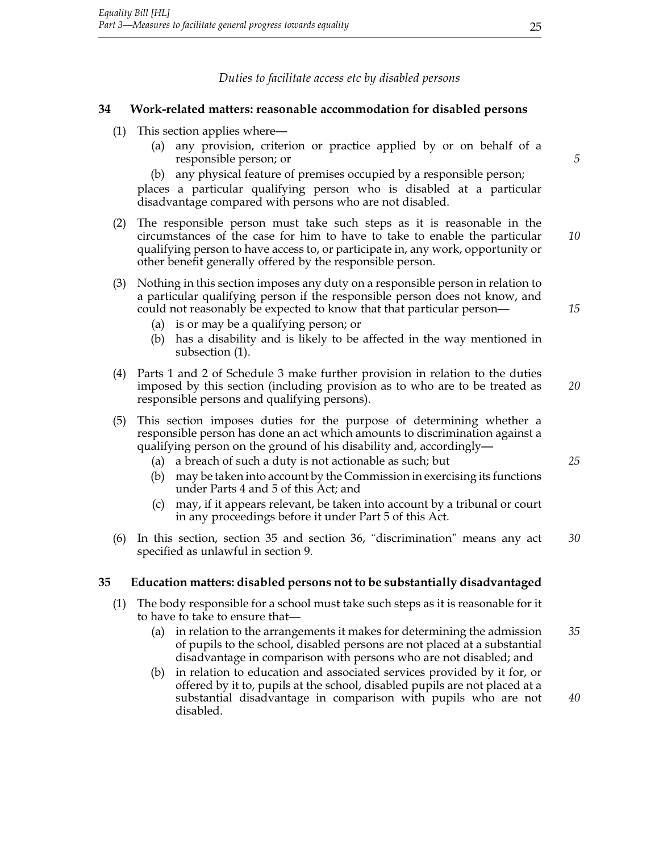*Duties to facilitate access etc by disabled persons*

#### **34 Work-related matters: reasonable accommodation for disabled persons**

- (1) This section applies where—
	- (a) any provision, criterion or practice applied by or on behalf of a responsible person; or *5*
	- (b) any physical feature of premises occupied by a responsible person;

places a particular qualifying person who is disabled at a particular disadvantage compared with persons who are not disabled.

- (2) The responsible person must take such steps as it is reasonable in the circumstances of the case for him to have to take to enable the particular *10* qualifying person to have access to, or participate in, any work, opportunity or other benefit generally offered by the responsible person.
- (3) Nothing in this section imposes any duty on a responsible person in relation to a particular qualifying person if the responsible person does not know, and could not reasonably be expected to know that that particular person— *15*
	- (a) is or may be a qualifying person; or
	- (b) has a disability and is likely to be affected in the way mentioned in subsection (1).
- (4) Parts 1 and 2 of Schedule 3 make further provision in relation to the duties imposed by this section (including provision as to who are to be treated as *20* responsible persons and qualifying persons).
- (5) This section imposes duties for the purpose of determining whether a responsible person has done an act which amounts to discrimination against a qualifying person on the ground of his disability and, accordingly—
	- (a) a breach of such a duty is not actionable as such; but *25*
	- (b) may be taken into account by the Commission in exercising its functions under Parts 4 and 5 of this Act; and
	- (c) may, if it appears relevant, be taken into account by a tribunal or court in any proceedings before it under Part 5 of this Act.
- (6) In this section, section 35 and section 36, "discrimination" means any act *30* specified as unlawful in section 9.

#### **35 Education matters: disabled persons not to be substantially disadvantaged**

- (1) The body responsible for a school must take such steps as it is reasonable for it to have to take to ensure that—
	- (a) in relation to the arrangements it makes for determining the admission *35* of pupils to the school, disabled persons are not placed at a substantial disadvantage in comparison with persons who are not disabled; and
	- in relation to education and associated services provided by it for, or offered by it to, pupils at the school, disabled pupils are not placed at a substantial disadvantage in comparison with pupils who are not *40* disabled.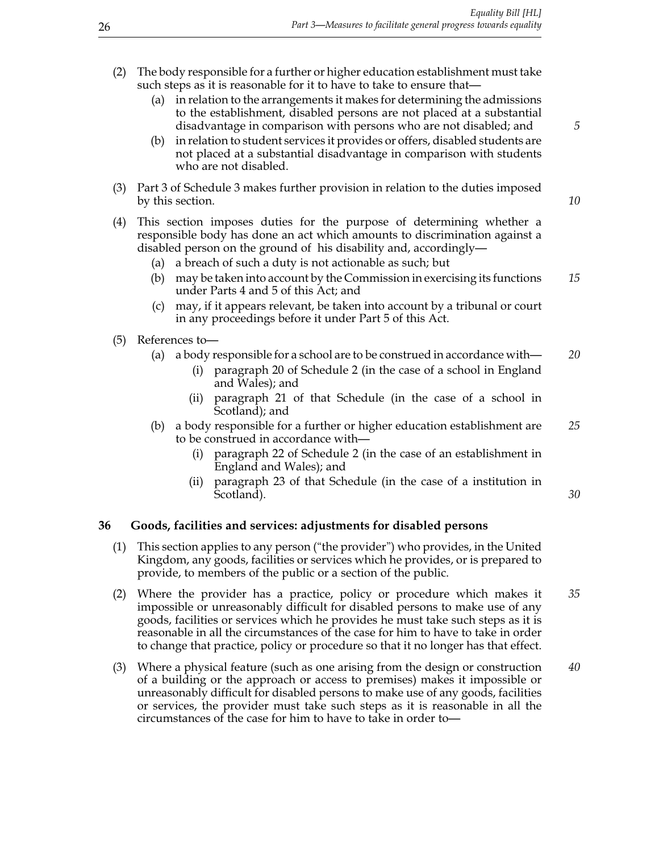- (2) The body responsible for a further or higher education establishment must take such steps as it is reasonable for it to have to take to ensure that—
	- (a) in relation to the arrangements it makes for determining the admissions to the establishment, disabled persons are not placed at a substantial disadvantage in comparison with persons who are not disabled; and *5*
	- (b) in relation to student services it provides or offers, disabled students are not placed at a substantial disadvantage in comparison with students who are not disabled.
- (3) Part 3 of Schedule 3 makes further provision in relation to the duties imposed by this section. *10*

- (4) This section imposes duties for the purpose of determining whether a responsible body has done an act which amounts to discrimination against a disabled person on the ground of his disability and, accordingly—
	- (a) a breach of such a duty is not actionable as such; but
	- (b) may be taken into account by the Commission in exercising its functions *15* under Parts 4 and 5 of this Act; and
	- (c) may, if it appears relevant, be taken into account by a tribunal or court in any proceedings before it under Part 5 of this Act.
- (5) References to—
	- (a) a body responsible for a school are to be construed in accordance with— *20*
		- (i) paragraph 20 of Schedule 2 (in the case of a school in England and Wales); and
		- (ii) paragraph 21 of that Schedule (in the case of a school in Scotland); and
	- (b) a body responsible for a further or higher education establishment are *25* to be construed in accordance with—
		- (i) paragraph 22 of Schedule 2 (in the case of an establishment in England and Wales); and
		- (ii) paragraph 23 of that Schedule (in the case of a institution in Scotland). **30**

#### **36 Goods, facilities and services: adjustments for disabled persons**

- (1) This section applies to any person ("the provider") who provides, in the United Kingdom, any goods, facilities or services which he provides, or is prepared to provide, to members of the public or a section of the public.
- (2) Where the provider has a practice, policy or procedure which makes it *35* impossible or unreasonably difficult for disabled persons to make use of any goods, facilities or services which he provides he must take such steps as it is reasonable in all the circumstances of the case for him to have to take in order to change that practice, policy or procedure so that it no longer has that effect.
- (3) Where a physical feature (such as one arising from the design or construction *40* of a building or the approach or access to premises) makes it impossible or unreasonably difficult for disabled persons to make use of any goods, facilities or services, the provider must take such steps as it is reasonable in all the circumstances of the case for him to have to take in order to—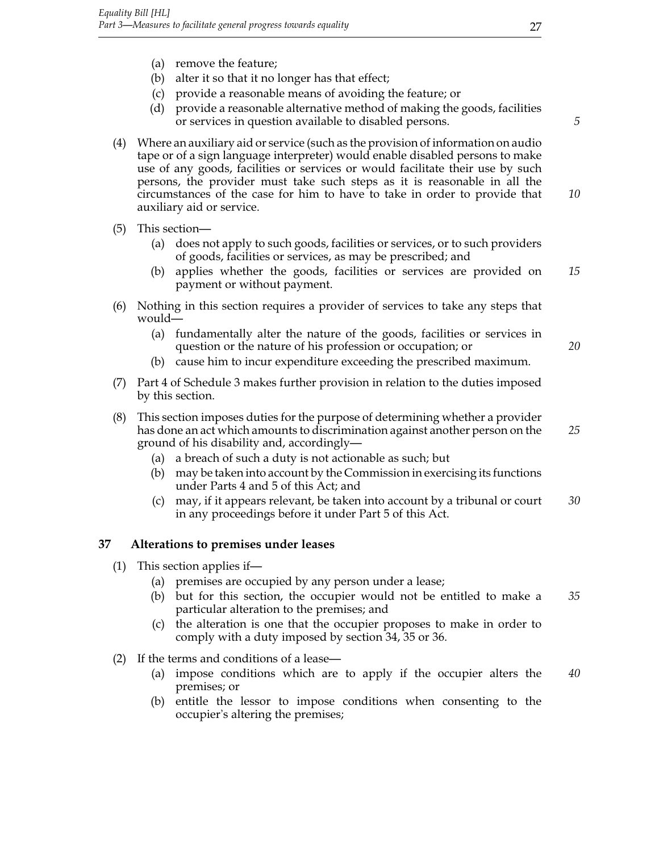- (a) remove the feature;
- (b) alter it so that it no longer has that effect;
- (c) provide a reasonable means of avoiding the feature; or
- (d) provide a reasonable alternative method of making the goods, facilities or services in question available to disabled persons. *5*
- (4) Where an auxiliary aid or service (such as the provision of information on audio tape or of a sign language interpreter) would enable disabled persons to make use of any goods, facilities or services or would facilitate their use by such persons, the provider must take such steps as it is reasonable in all the circumstances of the case for him to have to take in order to provide that *10* auxiliary aid or service.
- (5) This section—
	- (a) does not apply to such goods, facilities or services, or to such providers of goods, facilities or services, as may be prescribed; and
	- (b) applies whether the goods, facilities or services are provided on *15* payment or without payment.
- (6) Nothing in this section requires a provider of services to take any steps that would—
	- (a) fundamentally alter the nature of the goods, facilities or services in question or the nature of his profession or occupation; or *20*
	- (b) cause him to incur expenditure exceeding the prescribed maximum.
- (7) Part 4 of Schedule 3 makes further provision in relation to the duties imposed by this section.
- (8) This section imposes duties for the purpose of determining whether a provider has done an act which amounts to discrimination against another person on the *25* ground of his disability and, accordingly—
	- (a) a breach of such a duty is not actionable as such; but
	- (b) may be taken into account by the Commission in exercising its functions under Parts 4 and 5 of this Act; and
	- (c) may, if it appears relevant, be taken into account by a tribunal or court *30* in any proceedings before it under Part 5 of this Act.

#### **37 Alterations to premises under leases**

- (1) This section applies if—
	- (a) premises are occupied by any person under a lease;
	- (b) but for this section, the occupier would not be entitled to make a *35* particular alteration to the premises; and
	- (c) the alteration is one that the occupier proposes to make in order to comply with a duty imposed by section 34, 35 or 36.
- (2) If the terms and conditions of a lease—
	- (a) impose conditions which are to apply if the occupier alters the *40* premises; or
	- (b) entitle the lessor to impose conditions when consenting to the occupier's altering the premises;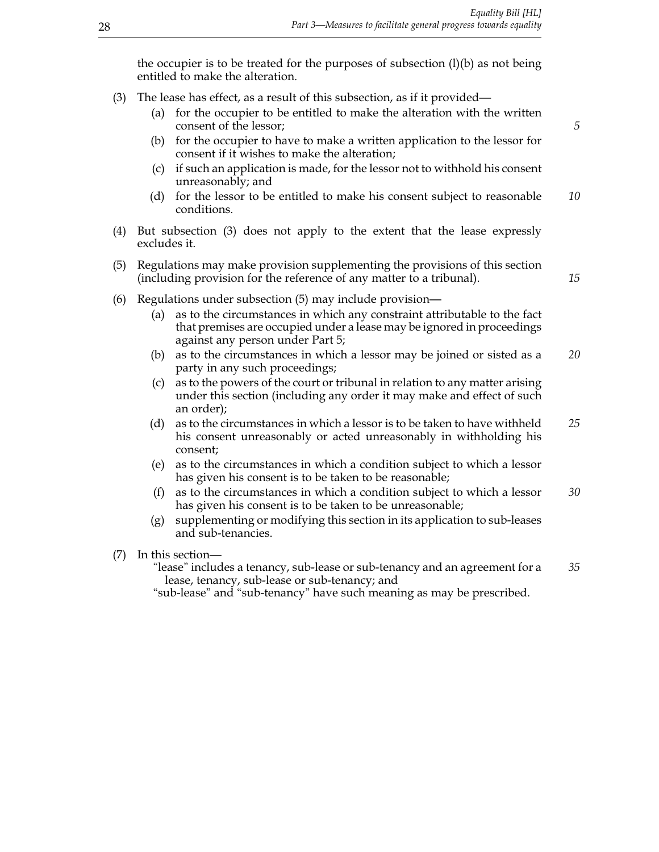the occupier is to be treated for the purposes of subsection  $(l)(b)$  as not being entitled to make the alteration.

- (3) The lease has effect, as a result of this subsection, as if it provided—
	- (a) for the occupier to be entitled to make the alteration with the written consent of the lessor; **5**
	- (b) for the occupier to have to make a written application to the lessor for consent if it wishes to make the alteration;
	- (c) if such an application is made, for the lessor not to withhold his consent unreasonably; and
	- (d) for the lessor to be entitled to make his consent subject to reasonable *10* conditions.
- (4) But subsection (3) does not apply to the extent that the lease expressly excludes it.
- (5) Regulations may make provision supplementing the provisions of this section (including provision for the reference of any matter to a tribunal). *15*
- (6) Regulations under subsection (5) may include provision—
	- (a) as to the circumstances in which any constraint attributable to the fact that premises are occupied under a lease may be ignored in proceedings against any person under Part 5;
	- (b) as to the circumstances in which a lessor may be joined or sisted as a *20* party in any such proceedings;
	- (c) as to the powers of the court or tribunal in relation to any matter arising under this section (including any order it may make and effect of such an order);
	- (d) as to the circumstances in which a lessor is to be taken to have withheld *25* his consent unreasonably or acted unreasonably in withholding his consent;
	- (e) as to the circumstances in which a condition subject to which a lessor has given his consent is to be taken to be reasonable;
	- (f) as to the circumstances in which a condition subject to which a lessor *30* has given his consent is to be taken to be unreasonable;
	- (g) supplementing or modifying this section in its application to sub-leases and sub-tenancies.
- (7) In this section—

"lease" includes a tenancy, sub-lease or sub-tenancy and an agreement for a *35* lease, tenancy, sub-lease or sub-tenancy; and

"sub-lease" and "sub-tenancy" have such meaning as may be prescribed.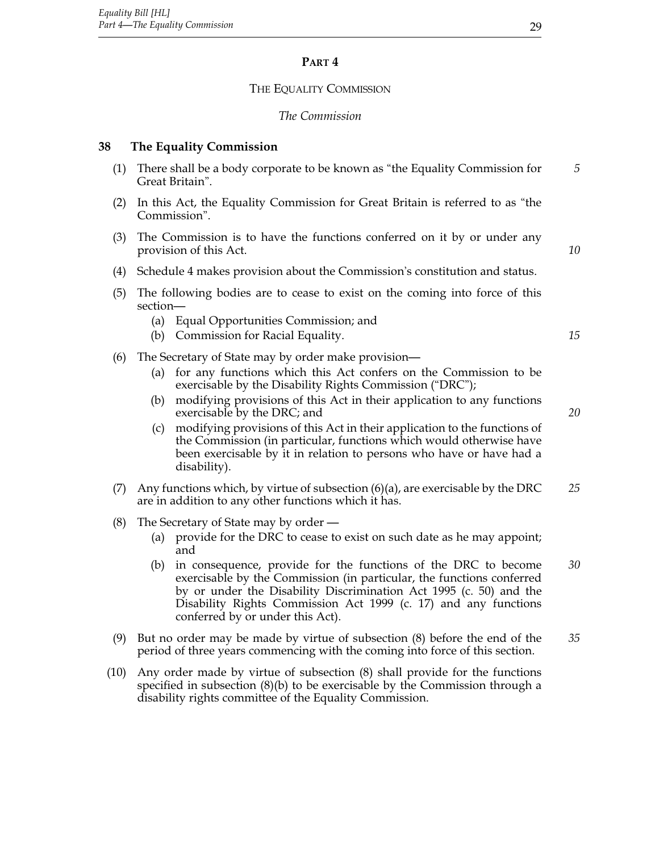# **Part 4**

# THE EQUALITY COMMISSION

#### *The Commission*

# **38 The Equality Commission**

| (1) | There shall be a body corporate to be known as "the Equality Commission for<br>Great Britain".                                             |                                                                                                                                                                                                                                                                                                                                                                                                                                                                                                                                          |    |  |  |  |  |  |
|-----|--------------------------------------------------------------------------------------------------------------------------------------------|------------------------------------------------------------------------------------------------------------------------------------------------------------------------------------------------------------------------------------------------------------------------------------------------------------------------------------------------------------------------------------------------------------------------------------------------------------------------------------------------------------------------------------------|----|--|--|--|--|--|
| (2) | In this Act, the Equality Commission for Great Britain is referred to as "the<br>Commission".                                              |                                                                                                                                                                                                                                                                                                                                                                                                                                                                                                                                          |    |  |  |  |  |  |
| (3) | The Commission is to have the functions conferred on it by or under any<br>provision of this Act.                                          |                                                                                                                                                                                                                                                                                                                                                                                                                                                                                                                                          |    |  |  |  |  |  |
| (4) | Schedule 4 makes provision about the Commission's constitution and status.                                                                 |                                                                                                                                                                                                                                                                                                                                                                                                                                                                                                                                          |    |  |  |  |  |  |
| (5) | section-                                                                                                                                   | The following bodies are to cease to exist on the coming into force of this                                                                                                                                                                                                                                                                                                                                                                                                                                                              |    |  |  |  |  |  |
|     |                                                                                                                                            | (a) Equal Opportunities Commission; and<br>(b) Commission for Racial Equality.                                                                                                                                                                                                                                                                                                                                                                                                                                                           | 15 |  |  |  |  |  |
| (6) | (a)<br>(b)<br>(c)                                                                                                                          | The Secretary of State may by order make provision—<br>for any functions which this Act confers on the Commission to be<br>exercisable by the Disability Rights Commission ("DRC");<br>modifying provisions of this Act in their application to any functions<br>exercisable by the DRC; and<br>modifying provisions of this Act in their application to the functions of<br>the Commission (in particular, functions which would otherwise have<br>been exercisable by it in relation to persons who have or have had a<br>disability). | 20 |  |  |  |  |  |
| (7) | Any functions which, by virtue of subsection $(6)(a)$ , are exercisable by the DRC<br>are in addition to any other functions which it has. |                                                                                                                                                                                                                                                                                                                                                                                                                                                                                                                                          |    |  |  |  |  |  |
| (8) | (a)<br>(b)                                                                                                                                 | The Secretary of State may by order —<br>provide for the DRC to cease to exist on such date as he may appoint;<br>and<br>in consequence, provide for the functions of the DRC to become<br>exercisable by the Commission (in particular, the functions conferred<br>by or under the Disability Discrimination Act 1995 (c. 50) and the<br>Disability Rights Commission Act 1999 (c. 17) and any functions<br>conferred by or under this Act).                                                                                            | 30 |  |  |  |  |  |
| (9) |                                                                                                                                            | But no order may be made by virtue of subsection (8) before the end of the<br>period of three years commencing with the coming into force of this section.                                                                                                                                                                                                                                                                                                                                                                               | 35 |  |  |  |  |  |
|     |                                                                                                                                            |                                                                                                                                                                                                                                                                                                                                                                                                                                                                                                                                          |    |  |  |  |  |  |

(10) Any order made by virtue of subsection (8) shall provide for the functions specified in subsection (8)(b) to be exercisable by the Commission through a disability rights committee of the Equality Commission.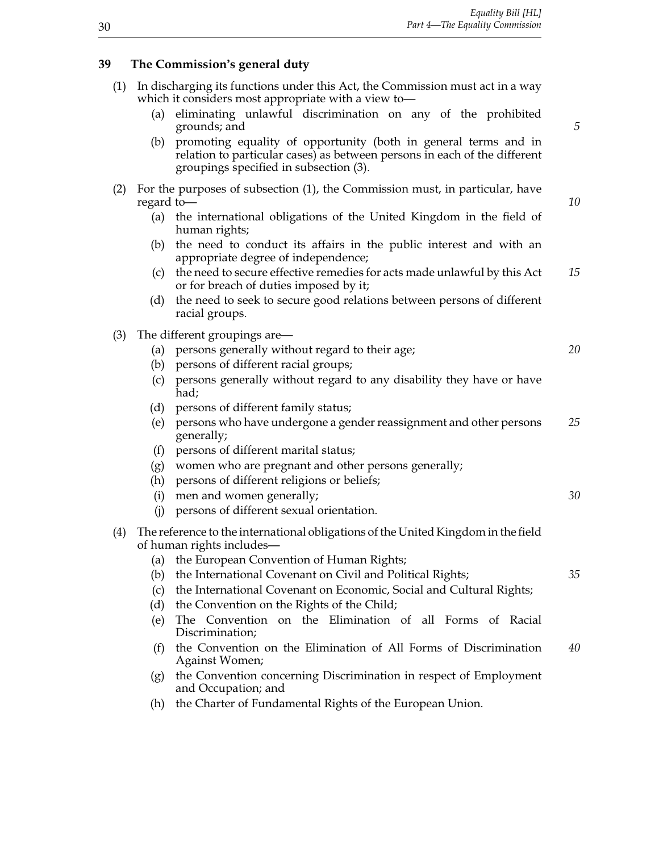#### **39 The Commission's general duty**

- (1) In discharging its functions under this Act, the Commission must act in a way which it considers most appropriate with a view to—
	- (a) eliminating unlawful discrimination on any of the prohibited grounds; and *5*
	- (b) promoting equality of opportunity (both in general terms and in relation to particular cases) as between persons in each of the different groupings specified in subsection (3).
- (2) For the purposes of subsection (1), the Commission must, in particular, have regard to regard to— *10*
	- (a) the international obligations of the United Kingdom in the field of human rights;
	- (b) the need to conduct its affairs in the public interest and with an appropriate degree of independence;
	- (c) the need to secure effective remedies for acts made unlawful by this Act *15* or for breach of duties imposed by it;
	- (d) the need to seek to secure good relations between persons of different racial groups.
- (3) The different groupings are—
	- (a) persons generally without regard to their age; *20*
	- (b) persons of different racial groups;
	- (c) persons generally without regard to any disability they have or have had;
	- (d) persons of different family status;
	- (e) persons who have undergone a gender reassignment and other persons *25* generally;
	- (f) persons of different marital status;
	- (g) women who are pregnant and other persons generally;
	- (h) persons of different religions or beliefs;
	- (i) men and women generally; *30*
	- (j) persons of different sexual orientation.
- (4) The reference to the international obligations of the United Kingdom in the field of human rights includes—
	- (a) the European Convention of Human Rights;
	- (b) the International Covenant on Civil and Political Rights; *35*
	- (c) the International Covenant on Economic, Social and Cultural Rights;
	- (d) the Convention on the Rights of the Child;
	- (e) The Convention on the Elimination of all Forms of Racial Discrimination;
	- (f) the Convention on the Elimination of All Forms of Discrimination *40* Against Women;
	- (g) the Convention concerning Discrimination in respect of Employment and Occupation; and
	- (h) the Charter of Fundamental Rights of the European Union.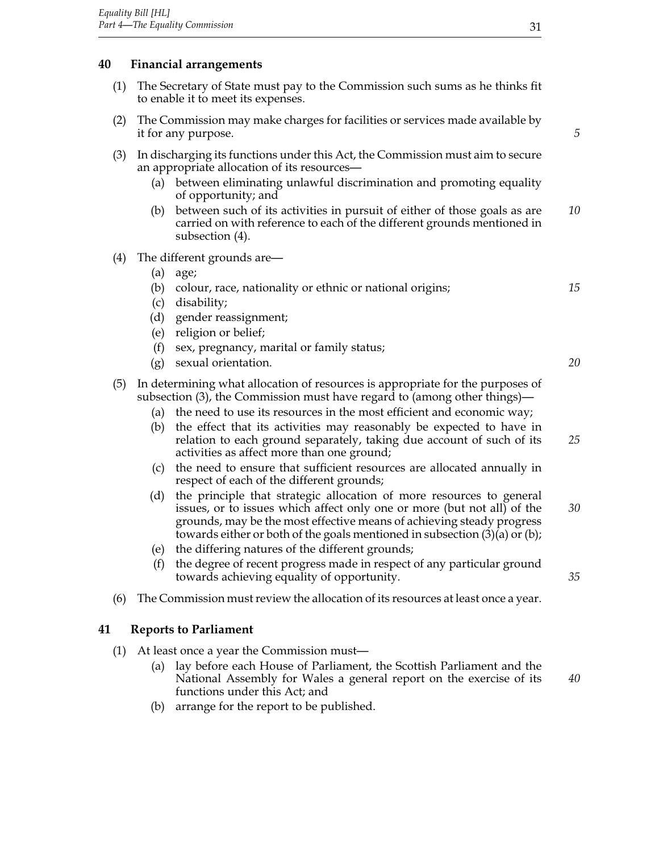# **40 Financial arrangements**

- (1) The Secretary of State must pay to the Commission such sums as he thinks fit to enable it to meet its expenses.
- (2) The Commission may make charges for facilities or services made available by it for any purpose. *5*
- (3) In discharging its functions under this Act, the Commission must aim to secure an appropriate allocation of its resources—
	- (a) between eliminating unlawful discrimination and promoting equality of opportunity; and
	- (b) between such of its activities in pursuit of either of those goals as are *10* carried on with reference to each of the different grounds mentioned in subsection (4).
- (4) The different grounds are—
	- (a) age;
	- (b) colour, race, nationality or ethnic or national origins; *15*
	- (c) disability;
	- (d) gender reassignment;
	- (e) religion or belief;
	- (f) sex, pregnancy, marital or family status;
	- (g) sexual orientation. *20*

(5) In determining what allocation of resources is appropriate for the purposes of subsection (3), the Commission must have regard to (among other things)—

- (a) the need to use its resources in the most efficient and economic way;
- (b) the effect that its activities may reasonably be expected to have in relation to each ground separately, taking due account of such of its *25* activities as affect more than one ground;
- (c) the need to ensure that sufficient resources are allocated annually in respect of each of the different grounds;
- (d) the principle that strategic allocation of more resources to general issues, or to issues which affect only one or more (but not all) of the *30* grounds, may be the most effective means of achieving steady progress towards either or both of the goals mentioned in subsection (3)(a) or (b);
- (e) the differing natures of the different grounds;
- (f) the degree of recent progress made in respect of any particular ground towards achieving equality of opportunity. *35*
- (6) The Commission must review the allocation of its resources at least once a year.

#### **41 Reports to Parliament**

- (1) At least once a year the Commission must—
	- (a) lay before each House of Parliament, the Scottish Parliament and the National Assembly for Wales a general report on the exercise of its *40* functions under this Act; and
	- (b) arrange for the report to be published.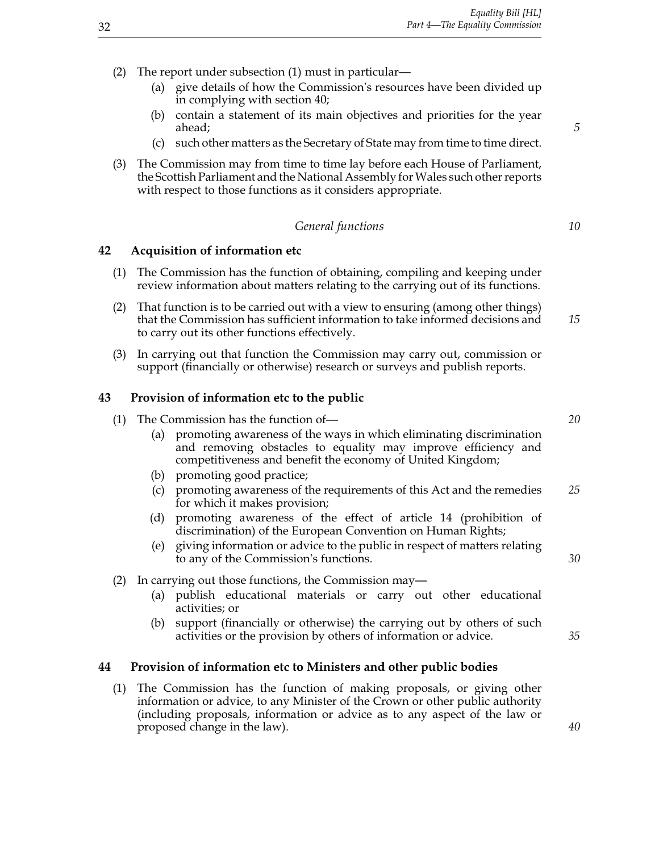- (2) The report under subsection (1) must in particular—
	- (a) give details of how the Commission's resources have been divided up in complying with section 40;
	- (b) contain a statement of its main objectives and priorities for the year ahead; *5*
	- (c) such other matters as the Secretary of State may from time to time direct.
- (3) The Commission may from time to time lay before each House of Parliament, the Scottish Parliament and the National Assembly for Wales such other reports with respect to those functions as it considers appropriate.

#### *General functions 10*

#### **42 Acquisition of information etc**

- (1) The Commission has the function of obtaining, compiling and keeping under review information about matters relating to the carrying out of its functions.
- (2) That function is to be carried out with a view to ensuring (among other things) that the Commission has sufficient information to take informed decisions and *15* to carry out its other functions effectively.
- (3) In carrying out that function the Commission may carry out, commission or support (financially or otherwise) research or surveys and publish reports.

#### **43 Provision of information etc to the public**

| (1) The Commission has the function of-                                                                                                                                                                | 20 |
|--------------------------------------------------------------------------------------------------------------------------------------------------------------------------------------------------------|----|
| (a) promoting awareness of the ways in which eliminating discrimination<br>and removing obstacles to equality may improve efficiency and<br>competitiveness and benefit the economy of United Kingdom; |    |

- (b) promoting good practice;
- (c) promoting awareness of the requirements of this Act and the remedies *25* for which it makes provision;
- (d) promoting awareness of the effect of article 14 (prohibition of discrimination) of the European Convention on Human Rights;
- (e) giving information or advice to the public in respect of matters relating to any of the Commission's functions. *30*
- (2) In carrying out those functions, the Commission may—
	- (a) publish educational materials or carry out other educational activities; or
	- (b) support (financially or otherwise) the carrying out by others of such activities or the provision by others of information or advice. *35*

#### **44 Provision of information etc to Ministers and other public bodies**

(1) The Commission has the function of making proposals, or giving other information or advice, to any Minister of the Crown or other public authority (including proposals, information or advice as to any aspect of the law or proposed change in the law). *40*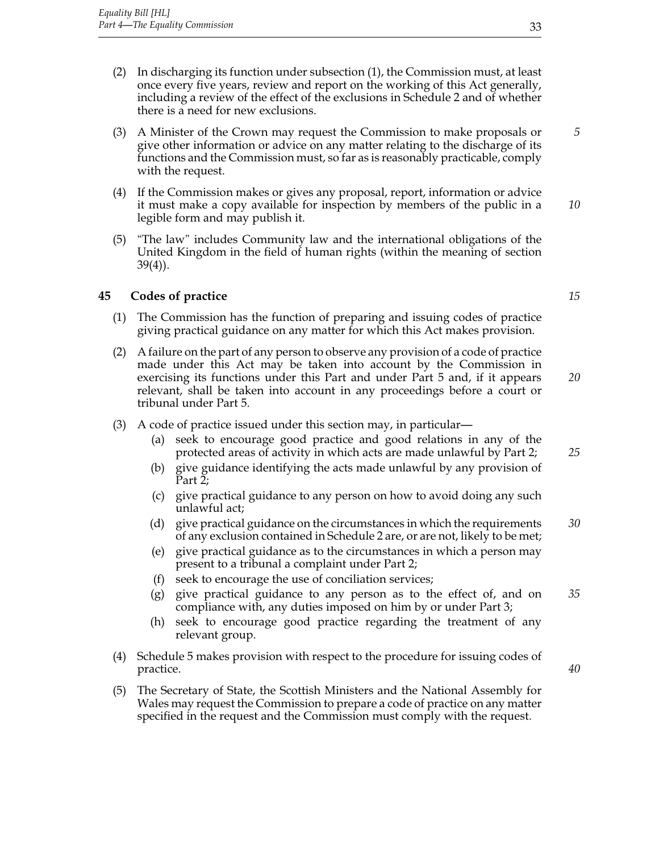- (2) In discharging its function under subsection (1), the Commission must, at least once every five years, review and report on the working of this Act generally, including a review of the effect of the exclusions in Schedule 2 and of whether there is a need for new exclusions.
- (3) A Minister of the Crown may request the Commission to make proposals or *5* give other information or advice on any matter relating to the discharge of its functions and the Commission must, so far as is reasonably practicable, comply with the request.
- (4) If the Commission makes or gives any proposal, report, information or advice it must make a copy available for inspection by members of the public in a *10* legible form and may publish it.
- (5) "The law" includes Community law and the international obligations of the United Kingdom in the field of human rights (within the meaning of section 39(4)).

## **45 Codes of practice** *15*

- (1) The Commission has the function of preparing and issuing codes of practice giving practical guidance on any matter for which this Act makes provision.
- (2) A failure on the part of any person to observe any provision of a code of practice made under this Act may be taken into account by the Commission in exercising its functions under this Part and under Part 5 and, if it appears *20* relevant, shall be taken into account in any proceedings before a court or tribunal under Part 5.
- (3) A code of practice issued under this section may, in particular—
	- (a) seek to encourage good practice and good relations in any of the protected areas of activity in which acts are made unlawful by Part 2; *25*
	- (b) give guidance identifying the acts made unlawful by any provision of Part 2;
	- (c) give practical guidance to any person on how to avoid doing any such unlawful act;
	- (d) give practical guidance on the circumstances in which the requirements *30* of any exclusion contained in Schedule 2 are, or are not, likely to be met;
	- (e) give practical guidance as to the circumstances in which a person may present to a tribunal a complaint under Part 2;
	- (f) seek to encourage the use of conciliation services;
	- (g) give practical guidance to any person as to the effect of, and on *35* compliance with, any duties imposed on him by or under Part 3;
	- (h) seek to encourage good practice regarding the treatment of any relevant group.
- (4) Schedule 5 makes provision with respect to the procedure for issuing codes of practice. *40*
- (5) The Secretary of State, the Scottish Ministers and the National Assembly for Wales may request the Commission to prepare a code of practice on any matter specified in the request and the Commission must comply with the request.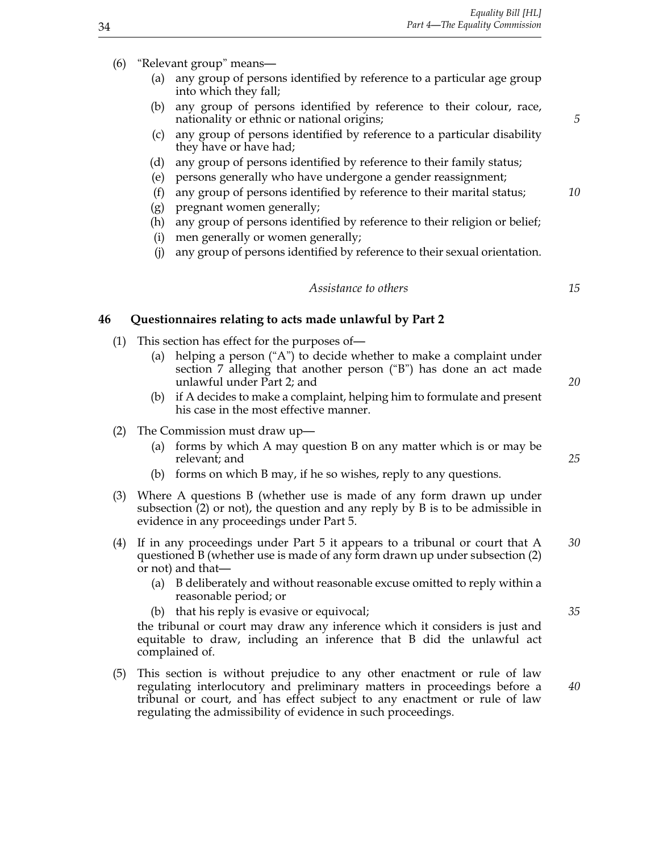- (6) "Relevant group" means—
	- (a) any group of persons identified by reference to a particular age group into which they fall;
	- (b) any group of persons identified by reference to their colour, race, nationality or ethnic or national origins; *5*
	- (c) any group of persons identified by reference to a particular disability they have or have had;
	- (d) any group of persons identified by reference to their family status;
	- (e) persons generally who have undergone a gender reassignment;
	- (f) any group of persons identified by reference to their marital status; *10*
	- (g) pregnant women generally;
	- (h) any group of persons identified by reference to their religion or belief;
	- (i) men generally or women generally;
	- (j) any group of persons identified by reference to their sexual orientation.

#### *Assistance to others 15*

#### **46 Questionnaires relating to acts made unlawful by Part 2**

- (1) This section has effect for the purposes of—
	- (a) helping a person ("A") to decide whether to make a complaint under section 7 alleging that another person ("B") has done an act made unlawful under Part 2; and *20*
	- (b) if A decides to make a complaint, helping him to formulate and present his case in the most effective manner.
- (2) The Commission must draw up—
	- (a) forms by which A may question B on any matter which is or may be relevant; and *25*
	- (b) forms on which B may, if he so wishes, reply to any questions.
- (3) Where A questions B (whether use is made of any form drawn up under subsection (2) or not), the question and any reply by B is to be admissible in evidence in any proceedings under Part 5.
- (4) If in any proceedings under Part 5 it appears to a tribunal or court that A *30* questioned B (whether use is made of any form drawn up under subsection (2) or not) and that—
	- (a) B deliberately and without reasonable excuse omitted to reply within a reasonable period; or
	- (b) that his reply is evasive or equivocal; *35*

the tribunal or court may draw any inference which it considers is just and equitable to draw, including an inference that B did the unlawful act complained of.

(5) This section is without prejudice to any other enactment or rule of law regulating interlocutory and preliminary matters in proceedings before a *40* tribunal or court, and has effect subject to any enactment or rule of law regulating the admissibility of evidence in such proceedings.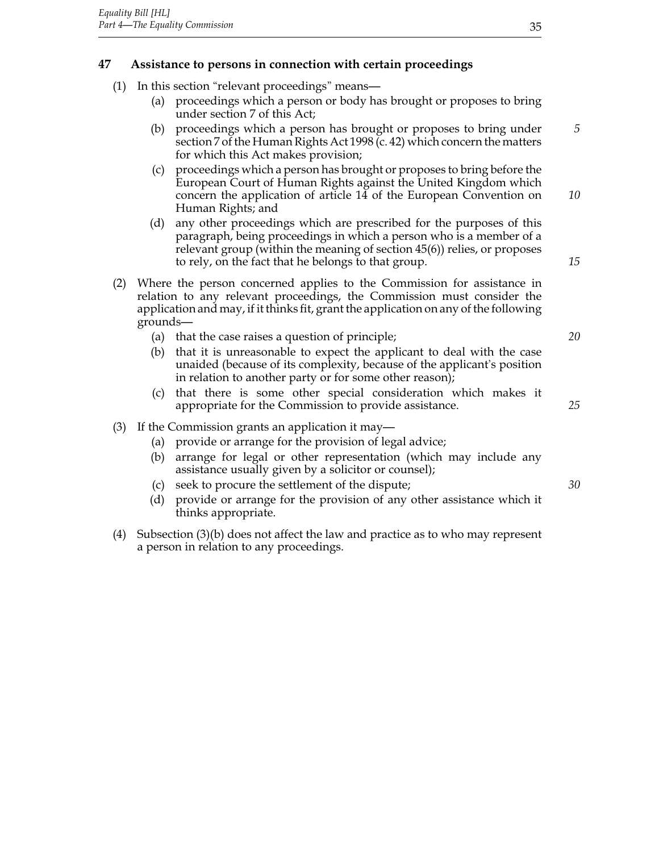# **47 Assistance to persons in connection with certain proceedings**

- (1) In this section "relevant proceedings" means—
	- (a) proceedings which a person or body has brought or proposes to bring under section 7 of this Act;
	- (b) proceedings which a person has brought or proposes to bring under *5* section 7 of the Human Rights Act 1998 (c. 42) which concern the matters for which this Act makes provision;
	- (c) proceedings which a person has brought or proposes to bring before the European Court of Human Rights against the United Kingdom which concern the application of article 14 of the European Convention on *10* Human Rights; and
	- (d) any other proceedings which are prescribed for the purposes of this paragraph, being proceedings in which a person who is a member of a relevant group (within the meaning of section 45(6)) relies, or proposes to rely, on the fact that he belongs to that group. *15*
- (2) Where the person concerned applies to the Commission for assistance in relation to any relevant proceedings, the Commission must consider the application and may, if it thinks fit, grant the application on any of the following grounds—
	- (a) that the case raises a question of principle; *20*
	- (b) that it is unreasonable to expect the applicant to deal with the case unaided (because of its complexity, because of the applicant's position in relation to another party or for some other reason);
	- (c) that there is some other special consideration which makes it appropriate for the Commission to provide assistance. *25*
- (3) If the Commission grants an application it may—
	- (a) provide or arrange for the provision of legal advice;
	- (b) arrange for legal or other representation (which may include any assistance usually given by a solicitor or counsel);
	- (c) seek to procure the settlement of the dispute; *30*
	- (d) provide or arrange for the provision of any other assistance which it thinks appropriate.
- (4) Subsection (3)(b) does not affect the law and practice as to who may represent a person in relation to any proceedings.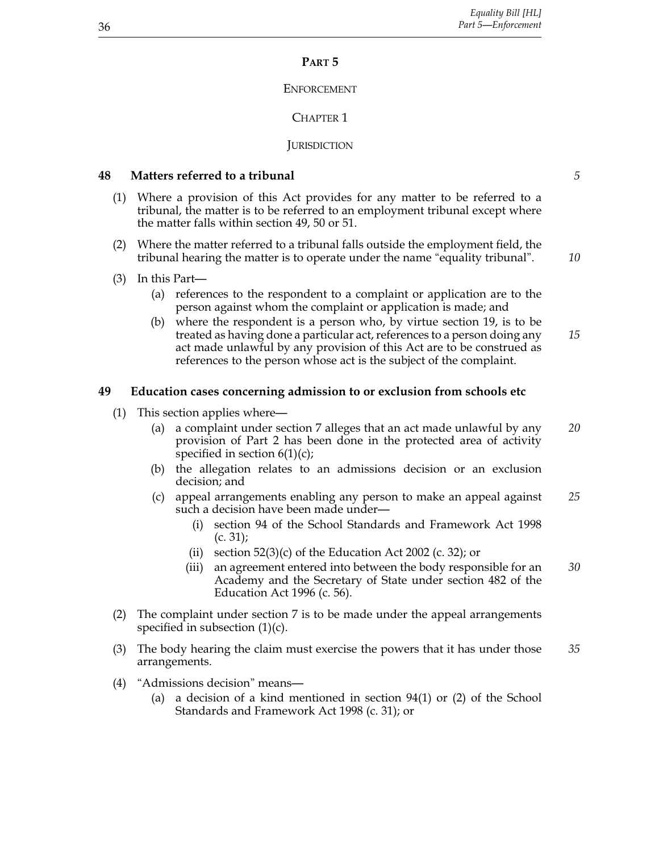## **Part 5**

## **ENFORCEMENT**

# CHAPTER<sub>1</sub>

# **JURISDICTION**

## **48 Matters referred to a tribunal** *5*

- (1) Where a provision of this Act provides for any matter to be referred to a tribunal, the matter is to be referred to an employment tribunal except where the matter falls within section 49, 50 or 51.
- (2) Where the matter referred to a tribunal falls outside the employment field, the tribunal hearing the matter is to operate under the name "equality tribunal". *10*
- (3) In this Part—
	- (a) references to the respondent to a complaint or application are to the person against whom the complaint or application is made; and
	- (b) where the respondent is a person who, by virtue section 19, is to be treated as having done a particular act, references to a person doing any *15* act made unlawful by any provision of this Act are to be construed as references to the person whose act is the subject of the complaint.

## **49 Education cases concerning admission to or exclusion from schools etc**

- (1) This section applies where—
	- (a) a complaint under section 7 alleges that an act made unlawful by any *20* provision of Part 2 has been done in the protected area of activity specified in section  $6(1)(c)$ ;
	- (b) the allegation relates to an admissions decision or an exclusion decision; and
	- (c) appeal arrangements enabling any person to make an appeal against *25* such a decision have been made under—
		- (i) section 94 of the School Standards and Framework Act 1998 (c. 31);
		- (ii) section  $52(3)(c)$  of the Education Act 2002 (c. 32); or
		- (iii) an agreement entered into between the body responsible for an *30* Academy and the Secretary of State under section 482 of the Education Act 1996 (c. 56).
- (2) The complaint under section 7 is to be made under the appeal arrangements specified in subsection  $(1)(c)$ .
- (3) The body hearing the claim must exercise the powers that it has under those *35* arrangements.
- (4) "Admissions decision" means—
	- (a) a decision of a kind mentioned in section 94(1) or (2) of the School Standards and Framework Act 1998 (c. 31); or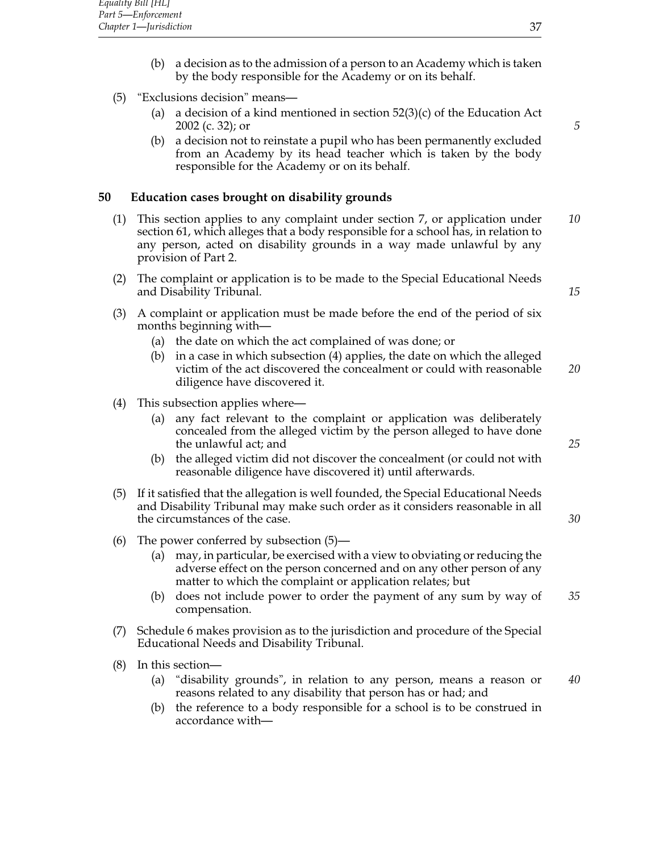- (b) a decision as to the admission of a person to an Academy which is taken by the body responsible for the Academy or on its behalf.
- (5) "Exclusions decision" means—
	- (a) a decision of a kind mentioned in section  $52(3)(c)$  of the Education Act 2002 (c. 32); or *5*
	- (b) a decision not to reinstate a pupil who has been permanently excluded from an Academy by its head teacher which is taken by the body responsible for the Academy or on its behalf.

# **50 Education cases brought on disability grounds**

- (1) This section applies to any complaint under section 7, or application under *10* section 61, which alleges that a body responsible for a school has, in relation to any person, acted on disability grounds in a way made unlawful by any provision of Part 2.
- (2) The complaint or application is to be made to the Special Educational Needs and Disability Tribunal. *15*
- (3) A complaint or application must be made before the end of the period of six months beginning with—
	- (a) the date on which the act complained of was done; or
	- (b) in a case in which subsection (4) applies, the date on which the alleged victim of the act discovered the concealment or could with reasonable *20* diligence have discovered it.
- (4) This subsection applies where—
	- (a) any fact relevant to the complaint or application was deliberately concealed from the alleged victim by the person alleged to have done the unlawful act; and *25*
	- (b) the alleged victim did not discover the concealment (or could not with reasonable diligence have discovered it) until afterwards.
- (5) If it satisfied that the allegation is well founded, the Special Educational Needs and Disability Tribunal may make such order as it considers reasonable in all the circumstances of the case. *30*
- (6) The power conferred by subsection (5)—
	- (a) may, in particular, be exercised with a view to obviating or reducing the adverse effect on the person concerned and on any other person of any matter to which the complaint or application relates; but
	- (b) does not include power to order the payment of any sum by way of *35* compensation.
- (7) Schedule 6 makes provision as to the jurisdiction and procedure of the Special Educational Needs and Disability Tribunal.
- (8) In this section—
	- (a) "disability grounds", in relation to any person, means a reason or *40* reasons related to any disability that person has or had; and
	- (b) the reference to a body responsible for a school is to be construed in accordance with—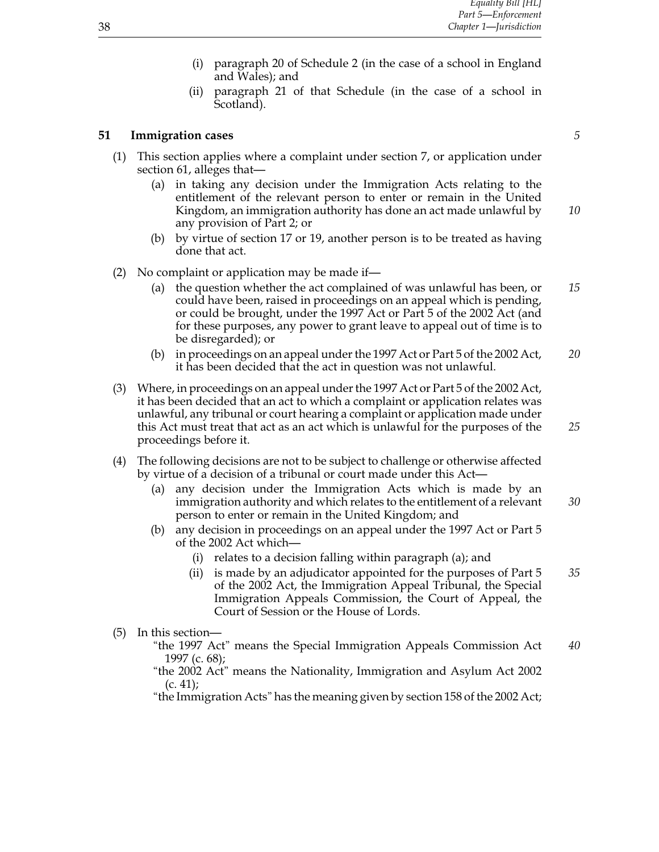- (i) paragraph 20 of Schedule 2 (in the case of a school in England and Wales); and
- (ii) paragraph 21 of that Schedule (in the case of a school in Scotland).

## **51 Immigration cases** *5*

- (1) This section applies where a complaint under section 7, or application under section 61, alleges that—
	- (a) in taking any decision under the Immigration Acts relating to the entitlement of the relevant person to enter or remain in the United Kingdom, an immigration authority has done an act made unlawful by *10* any provision of Part 2; or
	- (b) by virtue of section 17 or 19, another person is to be treated as having done that act.
- (2) No complaint or application may be made if—
	- (a) the question whether the act complained of was unlawful has been, or *15* could have been, raised in proceedings on an appeal which is pending, or could be brought, under the 1997 Act or Part 5 of the 2002 Act (and for these purposes, any power to grant leave to appeal out of time is to be disregarded); or
	- (b) in proceedings on an appeal under the 1997 Act or Part 5 of the 2002 Act, *20* it has been decided that the act in question was not unlawful.
- (3) Where, in proceedings on an appeal under the 1997 Act or Part 5 of the 2002 Act, it has been decided that an act to which a complaint or application relates was unlawful, any tribunal or court hearing a complaint or application made under this Act must treat that act as an act which is unlawful for the purposes of the *25* proceedings before it.
- (4) The following decisions are not to be subject to challenge or otherwise affected by virtue of a decision of a tribunal or court made under this Act—
	- (a) any decision under the Immigration Acts which is made by an immigration authority and which relates to the entitlement of a relevant *30* person to enter or remain in the United Kingdom; and
	- (b) any decision in proceedings on an appeal under the 1997 Act or Part 5 of the 2002 Act which—
		- (i) relates to a decision falling within paragraph (a); and
		- (ii) is made by an adjudicator appointed for the purposes of Part 5 *35* of the 2002 Act, the Immigration Appeal Tribunal, the Special Immigration Appeals Commission, the Court of Appeal, the Court of Session or the House of Lords.
- (5) In this section—
	- "the 1997 Act" means the Special Immigration Appeals Commission Act *40* 1997 (c. 68);

"the 2002 Act" means the Nationality, Immigration and Asylum Act 2002  $(c. 41)$ ;

"the Immigration Acts" has the meaning given by section 158 of the 2002 Act;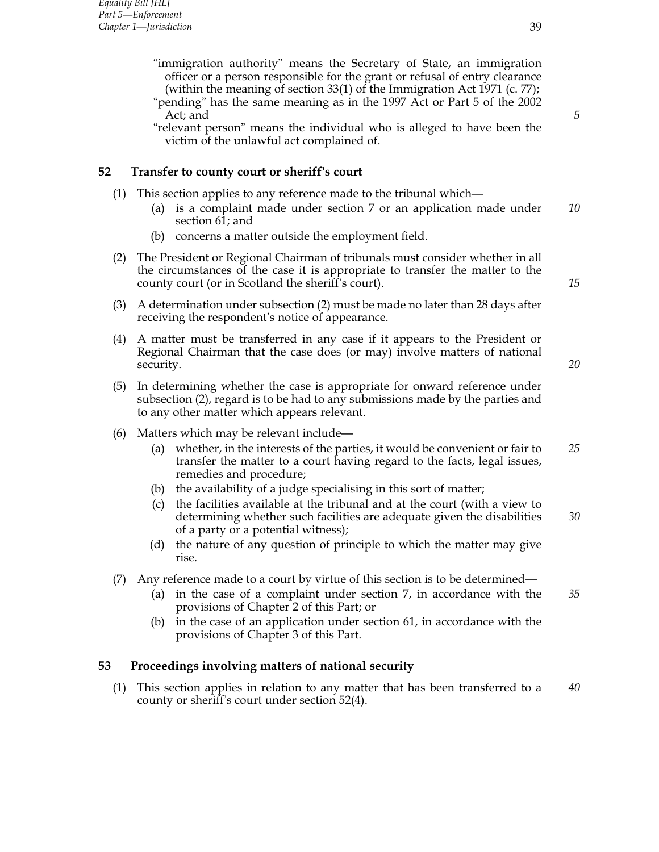"immigration authority" means the Secretary of State, an immigration officer or a person responsible for the grant or refusal of entry clearance (within the meaning of section 33(1) of the Immigration Act 1971 (c. 77);

"pending" has the same meaning as in the 1997 Act or Part 5 of the 2002 Act; and **5** 

"relevant person" means the individual who is alleged to have been the victim of the unlawful act complained of.

## **52 Transfer to county court or sheriff's court**

- (1) This section applies to any reference made to the tribunal which—
	- (a) is a complaint made under section 7 or an application made under *10* section 61; and
	- (b) concerns a matter outside the employment field.
- (2) The President or Regional Chairman of tribunals must consider whether in all the circumstances of the case it is appropriate to transfer the matter to the county court (or in Scotland the sheriff's court). *15*
- (3) A determination under subsection (2) must be made no later than 28 days after receiving the respondent's notice of appearance.
- (4) A matter must be transferred in any case if it appears to the President or Regional Chairman that the case does (or may) involve matters of national security. *20*
	-
- (5) In determining whether the case is appropriate for onward reference under subsection (2), regard is to be had to any submissions made by the parties and to any other matter which appears relevant.
- (6) Matters which may be relevant include—
	- (a) whether, in the interests of the parties, it would be convenient or fair to *25* transfer the matter to a court having regard to the facts, legal issues, remedies and procedure;
	- (b) the availability of a judge specialising in this sort of matter;
	- (c) the facilities available at the tribunal and at the court (with a view to determining whether such facilities are adequate given the disabilities *30* of a party or a potential witness);
	- (d) the nature of any question of principle to which the matter may give rise.
- (7) Any reference made to a court by virtue of this section is to be determined—
	- (a) in the case of a complaint under section 7, in accordance with the *35* provisions of Chapter 2 of this Part; or
	- (b) in the case of an application under section 61, in accordance with the provisions of Chapter 3 of this Part.

## **53 Proceedings involving matters of national security**

(1) This section applies in relation to any matter that has been transferred to a *40* county or sheriff's court under section 52(4).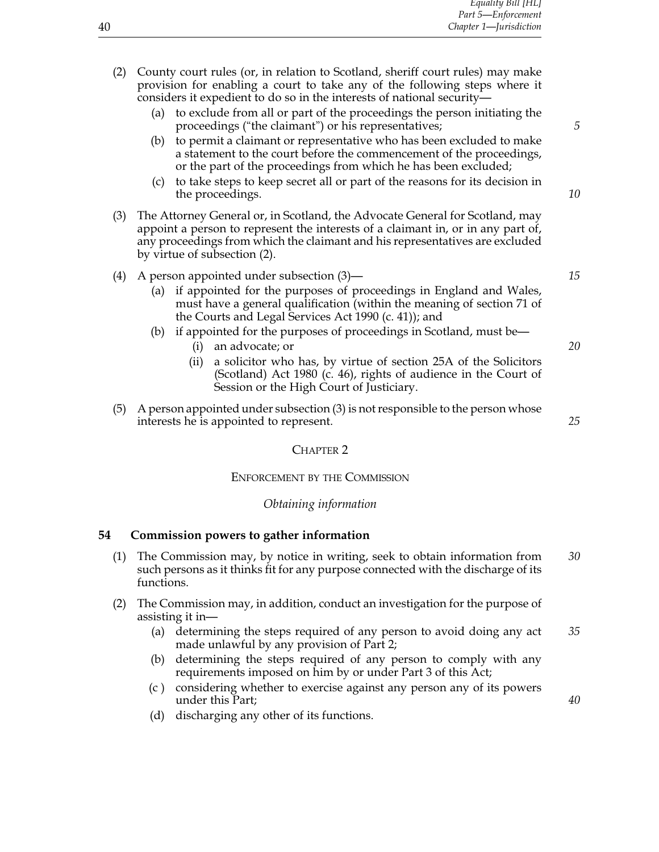| (2) | County court rules (or, in relation to Scotland, sheriff court rules) may make<br>provision for enabling a court to take any of the following steps where it<br>considers it expedient to do so in the interests of national security-                                                                                            |    |
|-----|-----------------------------------------------------------------------------------------------------------------------------------------------------------------------------------------------------------------------------------------------------------------------------------------------------------------------------------|----|
|     | to exclude from all or part of the proceedings the person initiating the<br>(a)<br>proceedings ("the claimant") or his representatives;                                                                                                                                                                                           | 5  |
|     | to permit a claimant or representative who has been excluded to make<br>(b)<br>a statement to the court before the commencement of the proceedings,<br>or the part of the proceedings from which he has been excluded;                                                                                                            |    |
|     | to take steps to keep secret all or part of the reasons for its decision in<br>(c)<br>the proceedings.                                                                                                                                                                                                                            | 10 |
| (3) | The Attorney General or, in Scotland, the Advocate General for Scotland, may<br>appoint a person to represent the interests of a claimant in, or in any part of,<br>any proceedings from which the claimant and his representatives are excluded<br>by virtue of subsection (2).                                                  |    |
| (4) | A person appointed under subsection (3)—<br>(a) if appointed for the purposes of proceedings in England and Wales,<br>must have a general qualification (within the meaning of section 71 of<br>the Courts and Legal Services Act 1990 (c. 41)); and<br>if appointed for the purposes of proceedings in Scotland, must be-<br>(b) | 15 |
|     | an advocate; or<br>(i)<br>a solicitor who has, by virtue of section 25A of the Solicitors<br>(i)<br>(Scotland) Act 1980 (c. 46), rights of audience in the Court of<br>Session or the High Court of Justiciary.                                                                                                                   | 20 |
| (5) | A person appointed under subsection (3) is not responsible to the person whose<br>interests he is appointed to represent.                                                                                                                                                                                                         | 25 |
|     | <b>CHAPTER 2</b>                                                                                                                                                                                                                                                                                                                  |    |

# Enforcement by the Commission

# *Obtaining information*

# **54 Commission powers to gather information**

- (1) The Commission may, by notice in writing, seek to obtain information from *30* such persons as it thinks fit for any purpose connected with the discharge of its functions.
- (2) The Commission may, in addition, conduct an investigation for the purpose of assisting it in—
	- (a) determining the steps required of any person to avoid doing any act *35* made unlawful by any provision of Part 2;
	- (b) determining the steps required of any person to comply with any requirements imposed on him by or under Part 3 of this Act;
	- (c ) considering whether to exercise against any person any of its powers under this Part; *40*
	- (d) discharging any other of its functions.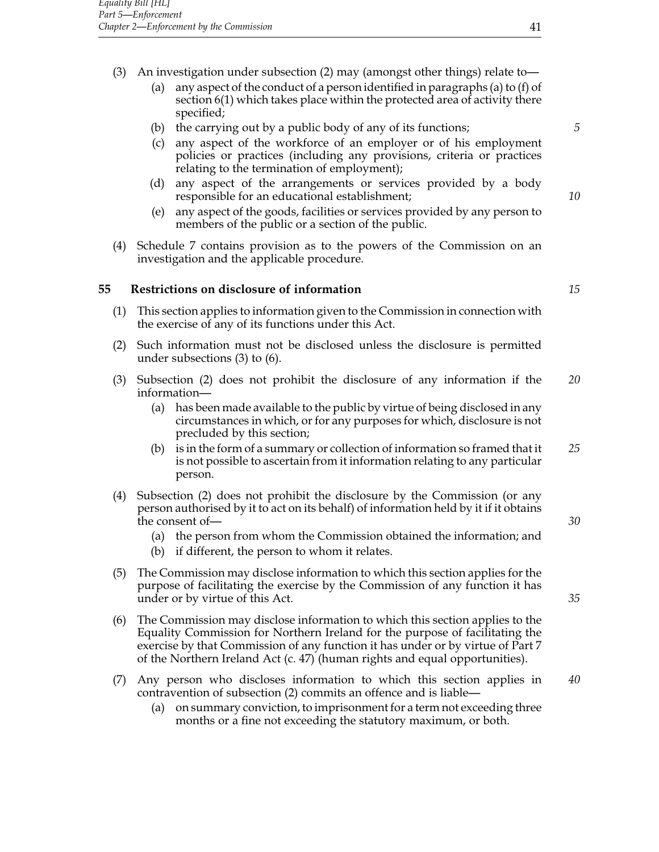- (3) An investigation under subsection (2) may (amongst other things) relate to—
	- (a) any aspect of the conduct of a person identified in paragraphs (a) to (f) of section 6(1) which takes place within the protected area of activity there specified;
	- (b) the carrying out by a public body of any of its functions; *5*
	- (c) any aspect of the workforce of an employer or of his employment policies or practices (including any provisions, criteria or practices relating to the termination of employment);
	- (d) any aspect of the arrangements or services provided by a body responsible for an educational establishment; *10*
	- (e) any aspect of the goods, facilities or services provided by any person to members of the public or a section of the public.
- (4) Schedule 7 contains provision as to the powers of the Commission on an investigation and the applicable procedure.

## **55 Restrictions on disclosure of information** *15*

- (1) This section applies to information given to the Commission in connection with the exercise of any of its functions under this Act.
- (2) Such information must not be disclosed unless the disclosure is permitted under subsections (3) to (6).
- (3) Subsection (2) does not prohibit the disclosure of any information if the *20* information—
	- (a) has been made available to the public by virtue of being disclosed in any circumstances in which, or for any purposes for which, disclosure is not precluded by this section;
	- (b) is in the form of a summary or collection of information so framed that it *25* is not possible to ascertain from it information relating to any particular person.
- (4) Subsection (2) does not prohibit the disclosure by the Commission (or any person authorised by it to act on its behalf) of information held by it if it obtains the consent of — <sup>30</sup>
	- (a) the person from whom the Commission obtained the information; and
	- (b) if different, the person to whom it relates.
- (5) The Commission may disclose information to which this section applies for the purpose of facilitating the exercise by the Commission of any function it has under or by virtue of this Act. *35*
- (6) The Commission may disclose information to which this section applies to the Equality Commission for Northern Ireland for the purpose of facilitating the exercise by that Commission of any function it has under or by virtue of Part 7 of the Northern Ireland Act (c. 47) (human rights and equal opportunities).
- (7) Any person who discloses information to which this section applies in *40* contravention of subsection (2) commits an offence and is liable—
	- (a) on summary conviction, to imprisonment for a term not exceeding three months or a fine not exceeding the statutory maximum, or both.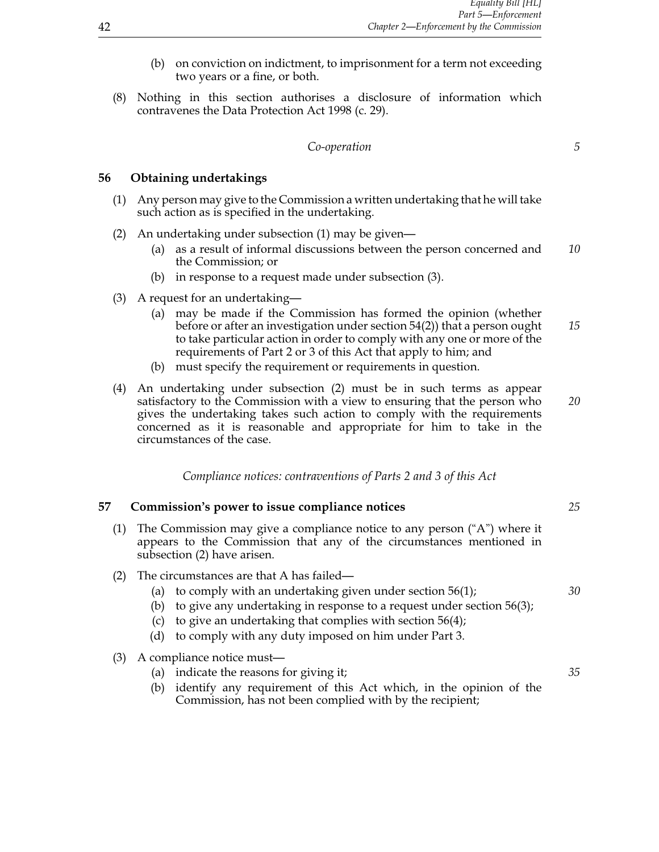- (b) on conviction on indictment, to imprisonment for a term not exceeding two years or a fine, or both.
- (8) Nothing in this section authorises a disclosure of information which contravenes the Data Protection Act 1998 (c. 29).

#### *Co-operation 5*

## **56 Obtaining undertakings**

- (1) Any person may give to the Commission a written undertaking that he will take such action as is specified in the undertaking.
- (2) An undertaking under subsection (1) may be given—
	- (a) as a result of informal discussions between the person concerned and *10* the Commission; or
	- (b) in response to a request made under subsection (3).
- (3) A request for an undertaking—
	- (a) may be made if the Commission has formed the opinion (whether before or after an investigation under section 54(2)) that a person ought *15* to take particular action in order to comply with any one or more of the requirements of Part 2 or 3 of this Act that apply to him; and
	- (b) must specify the requirement or requirements in question.
- (4) An undertaking under subsection (2) must be in such terms as appear satisfactory to the Commission with a view to ensuring that the person who *20* gives the undertaking takes such action to comply with the requirements concerned as it is reasonable and appropriate for him to take in the circumstances of the case.

*Compliance notices: contraventions of Parts 2 and 3 of this Act*

#### **57 Commission's power to issue compliance notices** *25*

- (1) The Commission may give a compliance notice to any person  $(^\circ A)$  where it appears to the Commission that any of the circumstances mentioned in subsection (2) have arisen.
- (2) The circumstances are that A has failed—
	- (a) to comply with an undertaking given under section 56(1); *30*
	- (b) to give any undertaking in response to a request under section 56(3);
	- (c) to give an undertaking that complies with section 56(4);
	- (d) to comply with any duty imposed on him under Part 3.

#### (3) A compliance notice must—

- (a) indicate the reasons for giving it; *35*
- (b) identify any requirement of this Act which, in the opinion of the Commission, has not been complied with by the recipient;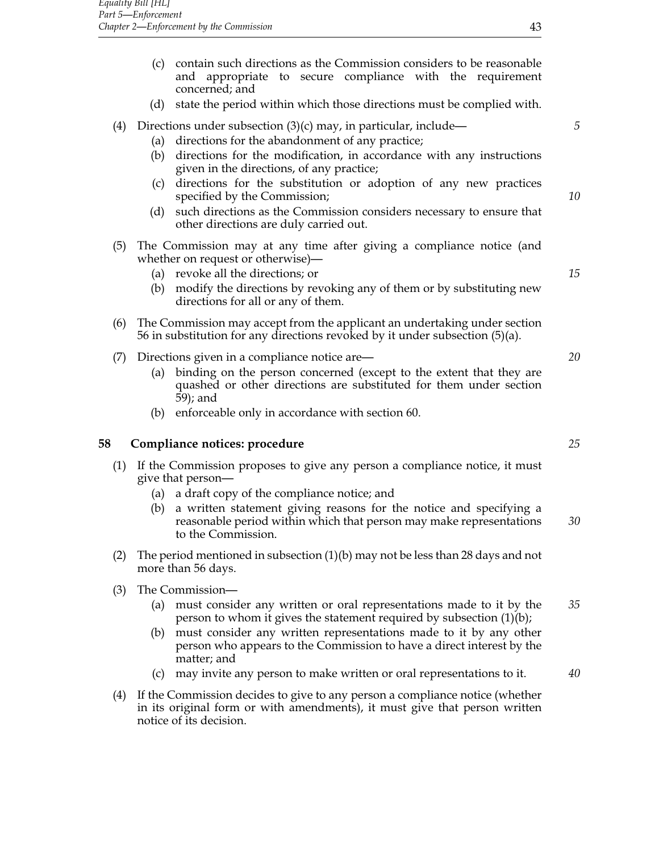- (c) contain such directions as the Commission considers to be reasonable and appropriate to secure compliance with the requirement concerned; and
- (d) state the period within which those directions must be complied with.

## (4) Directions under subsection (3)(c) may, in particular, include— *5*

- (a) directions for the abandonment of any practice;
- (b) directions for the modification, in accordance with any instructions given in the directions, of any practice;
- (c) directions for the substitution or adoption of any new practices specified by the Commission; *10*
- (d) such directions as the Commission considers necessary to ensure that other directions are duly carried out.
- (5) The Commission may at any time after giving a compliance notice (and whether on request or otherwise)—
	- (a) revoke all the directions; or *15*
	- (b) modify the directions by revoking any of them or by substituting new directions for all or any of them.
- (6) The Commission may accept from the applicant an undertaking under section 56 in substitution for any directions revoked by it under subsection (5)(a).
- (7) Directions given in a compliance notice are— *20*
	- (a) binding on the person concerned (except to the extent that they are quashed or other directions are substituted for them under section 59); and
	- (b) enforceable only in accordance with section 60.

#### **58 Compliance notices: procedure** *25*

- (1) If the Commission proposes to give any person a compliance notice, it must give that person—
	- (a) a draft copy of the compliance notice; and
	- (b) a written statement giving reasons for the notice and specifying a reasonable period within which that person may make representations *30* to the Commission.
- (2) The period mentioned in subsection (1)(b) may not be less than 28 days and not more than 56 days.
- (3) The Commission—
	- (a) must consider any written or oral representations made to it by the *35* person to whom it gives the statement required by subsection (1)(b);
	- (b) must consider any written representations made to it by any other person who appears to the Commission to have a direct interest by the matter; and
	- (c) may invite any person to make written or oral representations to it. *40*
- (4) If the Commission decides to give to any person a compliance notice (whether in its original form or with amendments), it must give that person written notice of its decision.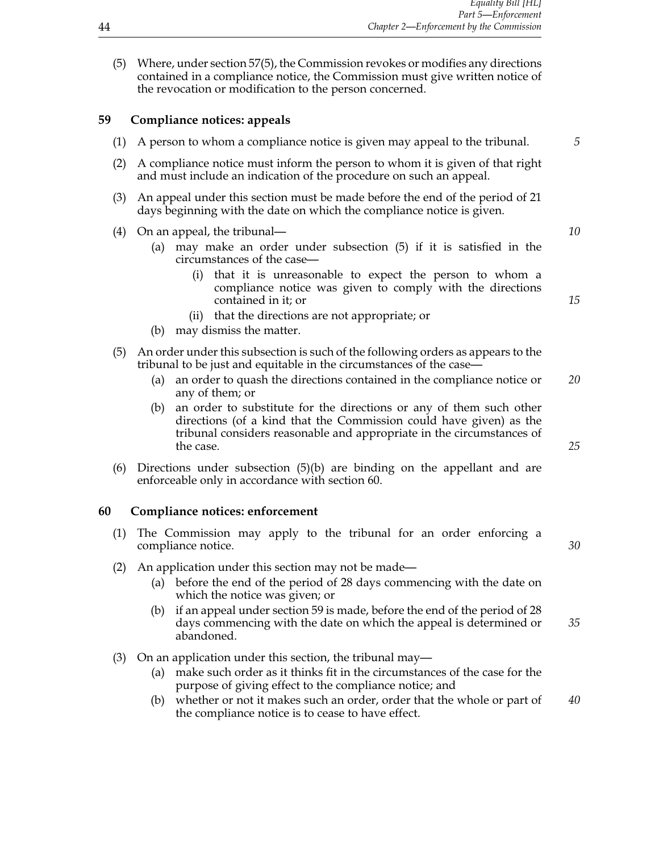(5) Where, under section 57(5), the Commission revokes or modifies any directions contained in a compliance notice, the Commission must give written notice of the revocation or modification to the person concerned.

## **59 Compliance notices: appeals**

- (1) A person to whom a compliance notice is given may appeal to the tribunal. *5* (2) A compliance notice must inform the person to whom it is given of that right and must include an indication of the procedure on such an appeal. (3) An appeal under this section must be made before the end of the period of 21 days beginning with the date on which the compliance notice is given. (4) On an appeal, the tribunal— *10* (a) may make an order under subsection (5) if it is satisfied in the circumstances of the case— (i) that it is unreasonable to expect the person to whom a compliance notice was given to comply with the directions contained in it; or *15* (ii) that the directions are not appropriate; or (b) may dismiss the matter. (5) An order under this subsection is such of the following orders as appears to the tribunal to be just and equitable in the circumstances of the case— (a) an order to quash the directions contained in the compliance notice or *20*
	- any of them; or (b) an order to substitute for the directions or any of them such other
	- directions (of a kind that the Commission could have given) as the tribunal considers reasonable and appropriate in the circumstances of the case. *25*
- (6) Directions under subsection (5)(b) are binding on the appellant and are enforceable only in accordance with section 60.

## **60 Compliance notices: enforcement**

- (1) The Commission may apply to the tribunal for an order enforcing a compliance notice. *30*
- (2) An application under this section may not be made—
	- (a) before the end of the period of 28 days commencing with the date on which the notice was given; or
	- (b) if an appeal under section 59 is made, before the end of the period of 28 days commencing with the date on which the appeal is determined or *35* abandoned.
- (3) On an application under this section, the tribunal may—
	- (a) make such order as it thinks fit in the circumstances of the case for the purpose of giving effect to the compliance notice; and
	- (b) whether or not it makes such an order, order that the whole or part of *40* the compliance notice is to cease to have effect.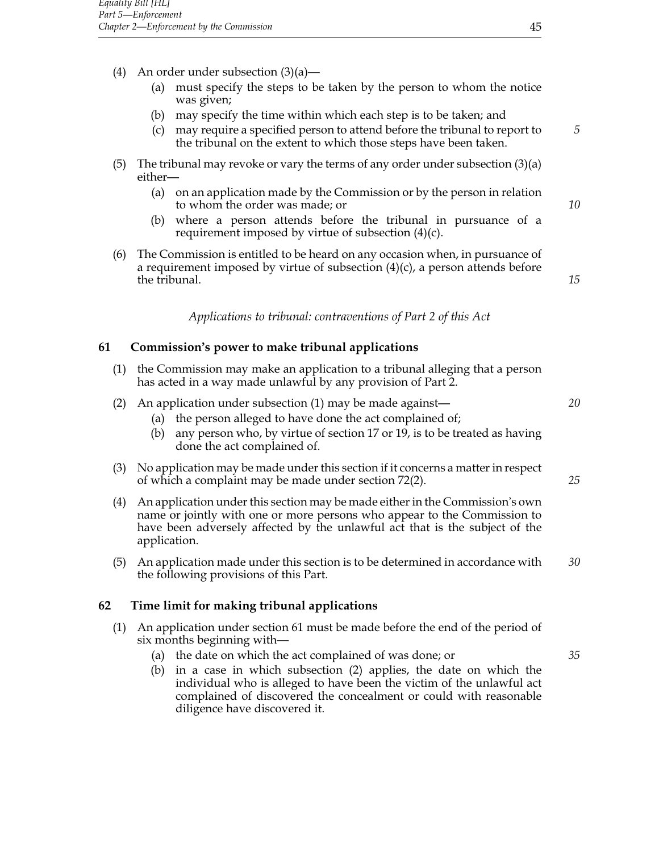- (4) An order under subsection  $(3)(a)$ 
	- (a) must specify the steps to be taken by the person to whom the notice was given;
	- (b) may specify the time within which each step is to be taken; and
	- (c) may require a specified person to attend before the tribunal to report to *5* the tribunal on the extent to which those steps have been taken.
- (5) The tribunal may revoke or vary the terms of any order under subsection (3)(a) either—
	- (a) on an application made by the Commission or by the person in relation to whom the order was made; or *10*
	- (b) where a person attends before the tribunal in pursuance of a requirement imposed by virtue of subsection (4)(c).
- (6) The Commission is entitled to be heard on any occasion when, in pursuance of a requirement imposed by virtue of subsection  $(4)(c)$ , a person attends before the tribunal. **15**

*Applications to tribunal: contraventions of Part 2 of this Act*

## **61 Commission's power to make tribunal applications**

- (1) the Commission may make an application to a tribunal alleging that a person has acted in a way made unlawful by any provision of Part 2.
- (2) An application under subsection (1) may be made against— *20*
	- (a) the person alleged to have done the act complained of;
	- (b) any person who, by virtue of section 17 or 19, is to be treated as having done the act complained of.
- (3) No application may be made under this section if it concerns a matter in respect of which a complaint may be made under section 72(2). *25*
- (4) An application under this section may be made either in the Commission's own name or jointly with one or more persons who appear to the Commission to have been adversely affected by the unlawful act that is the subject of the application.
- (5) An application made under this section is to be determined in accordance with *30* the following provisions of this Part.

## **62 Time limit for making tribunal applications**

- (1) An application under section 61 must be made before the end of the period of six months beginning with—
	- (a) the date on which the act complained of was done; or *35*
	- (b) in a case in which subsection (2) applies, the date on which the individual who is alleged to have been the victim of the unlawful act complained of discovered the concealment or could with reasonable diligence have discovered it.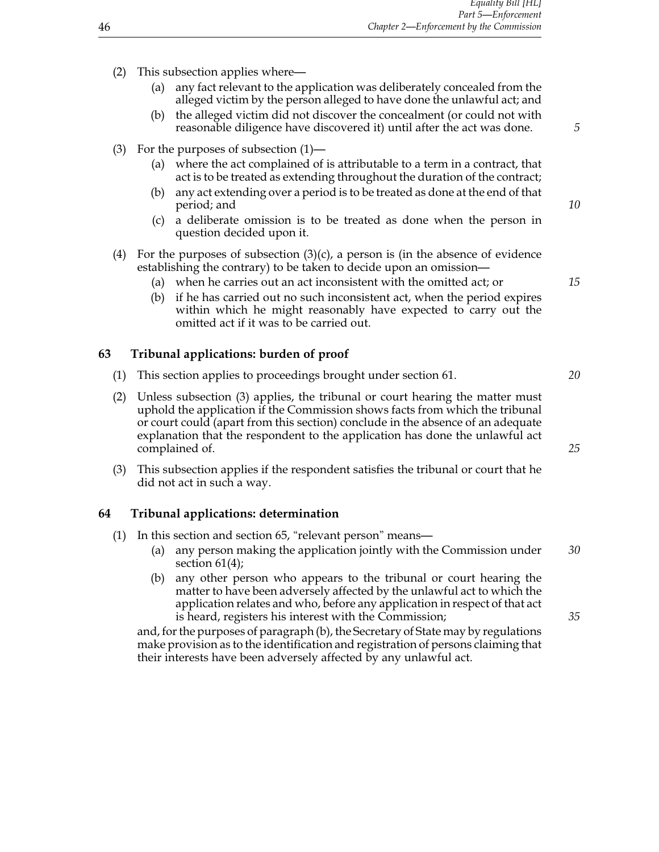- (2) This subsection applies where—
	- (a) any fact relevant to the application was deliberately concealed from the alleged victim by the person alleged to have done the unlawful act; and
	- (b) the alleged victim did not discover the concealment (or could not with reasonable diligence have discovered it) until after the act was done. *5*
- (3) For the purposes of subsection (1)—
	- (a) where the act complained of is attributable to a term in a contract, that act is to be treated as extending throughout the duration of the contract;
	- (b) any act extending over a period is to be treated as done at the end of that period; and *10*
	- (c) a deliberate omission is to be treated as done when the person in question decided upon it.
- (4) For the purposes of subsection  $(3)(c)$ , a person is (in the absence of evidence establishing the contrary) to be taken to decide upon an omission—
	- (a) when he carries out an act inconsistent with the omitted act; or *15*
	- (b) if he has carried out no such inconsistent act, when the period expires within which he might reasonably have expected to carry out the omitted act if it was to be carried out.

## **63 Tribunal applications: burden of proof**

- (1) This section applies to proceedings brought under section 61. *20*
- (2) Unless subsection (3) applies, the tribunal or court hearing the matter must uphold the application if the Commission shows facts from which the tribunal or court could (apart from this section) conclude in the absence of an adequate explanation that the respondent to the application has done the unlawful act complained of 25
- (3) This subsection applies if the respondent satisfies the tribunal or court that he did not act in such a way.

#### **64 Tribunal applications: determination**

- (1) In this section and section 65, "relevant person" means—
	- (a) any person making the application jointly with the Commission under *30* section 61(4);
	- (b) any other person who appears to the tribunal or court hearing the matter to have been adversely affected by the unlawful act to which the application relates and who, before any application in respect of that act is heard, registers his interest with the Commission; *35*

and, for the purposes of paragraph (b), the Secretary of State may by regulations make provision as to the identification and registration of persons claiming that their interests have been adversely affected by any unlawful act.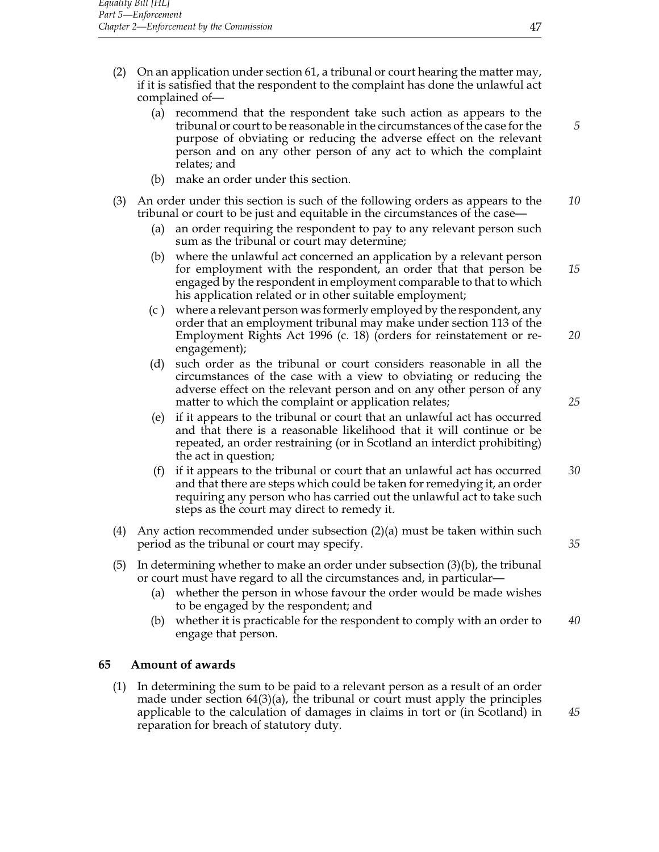- (2) On an application under section 61, a tribunal or court hearing the matter may, if it is satisfied that the respondent to the complaint has done the unlawful act complained of—
	- (a) recommend that the respondent take such action as appears to the tribunal or court to be reasonable in the circumstances of the case for the *5* purpose of obviating or reducing the adverse effect on the relevant person and on any other person of any act to which the complaint relates; and
	- (b) make an order under this section.
- (3) An order under this section is such of the following orders as appears to the *10* tribunal or court to be just and equitable in the circumstances of the case—
	- (a) an order requiring the respondent to pay to any relevant person such sum as the tribunal or court may determine;
	- (b) where the unlawful act concerned an application by a relevant person for employment with the respondent, an order that that person be *15* engaged by the respondent in employment comparable to that to which his application related or in other suitable employment;
	- (c ) where a relevant person was formerly employed by the respondent, any order that an employment tribunal may make under section 113 of the Employment Rights Act 1996 (c. 18) (orders for reinstatement or re- *20* engagement);
	- (d) such order as the tribunal or court considers reasonable in all the circumstances of the case with a view to obviating or reducing the adverse effect on the relevant person and on any other person of any matter to which the complaint or application relates; **25** 25
	- (e) if it appears to the tribunal or court that an unlawful act has occurred and that there is a reasonable likelihood that it will continue or be repeated, an order restraining (or in Scotland an interdict prohibiting) the act in question;
	- (f) if it appears to the tribunal or court that an unlawful act has occurred *30* and that there are steps which could be taken for remedying it, an order requiring any person who has carried out the unlawful act to take such steps as the court may direct to remedy it.
- (4) Any action recommended under subsection (2)(a) must be taken within such period as the tribunal or court may specify. *35*
- (5) In determining whether to make an order under subsection  $(3)(b)$ , the tribunal or court must have regard to all the circumstances and, in particular—
	- (a) whether the person in whose favour the order would be made wishes to be engaged by the respondent; and
	- (b) whether it is practicable for the respondent to comply with an order to *40* engage that person.

## **65 Amount of awards**

(1) In determining the sum to be paid to a relevant person as a result of an order made under section  $64(3)(a)$ , the tribunal or court must apply the principles applicable to the calculation of damages in claims in tort or (in Scotland) in *45* reparation for breach of statutory duty.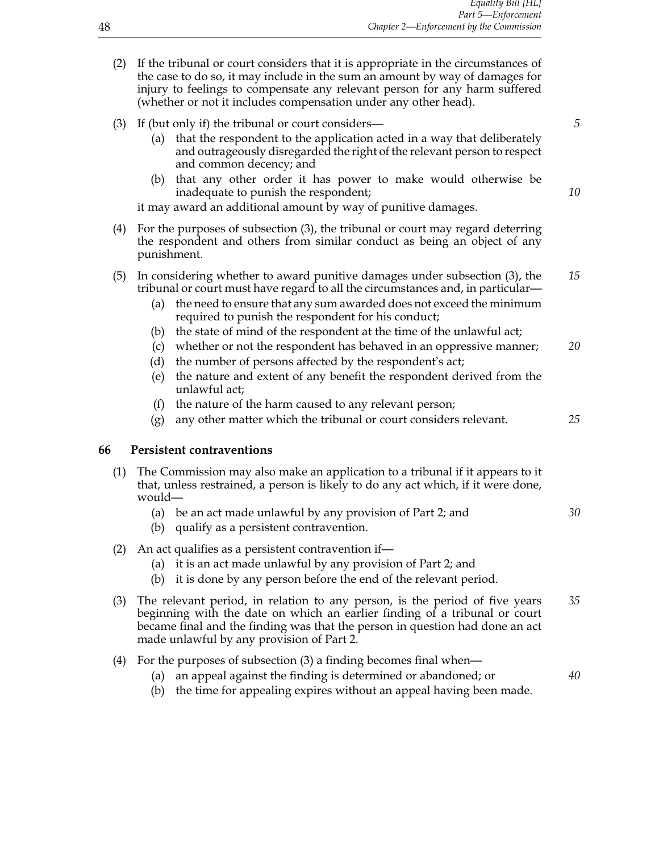- (2) If the tribunal or court considers that it is appropriate in the circumstances of the case to do so, it may include in the sum an amount by way of damages for injury to feelings to compensate any relevant person for any harm suffered (whether or not it includes compensation under any other head).
- (3) If (but only if) the tribunal or court considers— *5*
	- (a) that the respondent to the application acted in a way that deliberately and outrageously disregarded the right of the relevant person to respect and common decency; and
	- (b) that any other order it has power to make would otherwise be inadequate to punish the respondent; *10*

it may award an additional amount by way of punitive damages.

- (4) For the purposes of subsection (3), the tribunal or court may regard deterring the respondent and others from similar conduct as being an object of any punishment.
- (5) In considering whether to award punitive damages under subsection (3), the *15* tribunal or court must have regard to all the circumstances and, in particular—
	- (a) the need to ensure that any sum awarded does not exceed the minimum required to punish the respondent for his conduct;
	- (b) the state of mind of the respondent at the time of the unlawful act;
	- (c) whether or not the respondent has behaved in an oppressive manner; *20*
	- (d) the number of persons affected by the respondent's act;
	- (e) the nature and extent of any benefit the respondent derived from the unlawful act;
	- (f) the nature of the harm caused to any relevant person;
	- (g) any other matter which the tribunal or court considers relevant. *25*

## **66 Persistent contraventions**

| (1) The Commission may also make an application to a tribunal if it appears to it |
|-----------------------------------------------------------------------------------|
| that, unless restrained, a person is likely to do any act which, if it were done, |
| would—                                                                            |

- (a) be an act made unlawful by any provision of Part 2; and *30*
- (b) qualify as a persistent contravention.
- (2) An act qualifies as a persistent contravention if—
	- (a) it is an act made unlawful by any provision of Part 2; and
	- (b) it is done by any person before the end of the relevant period.
- (3) The relevant period, in relation to any person, is the period of five years *35* beginning with the date on which an earlier finding of a tribunal or court became final and the finding was that the person in question had done an act made unlawful by any provision of Part 2.
- (4) For the purposes of subsection (3) a finding becomes final when—
	- (a) an appeal against the finding is determined or abandoned; or *40*
	- (b) the time for appealing expires without an appeal having been made.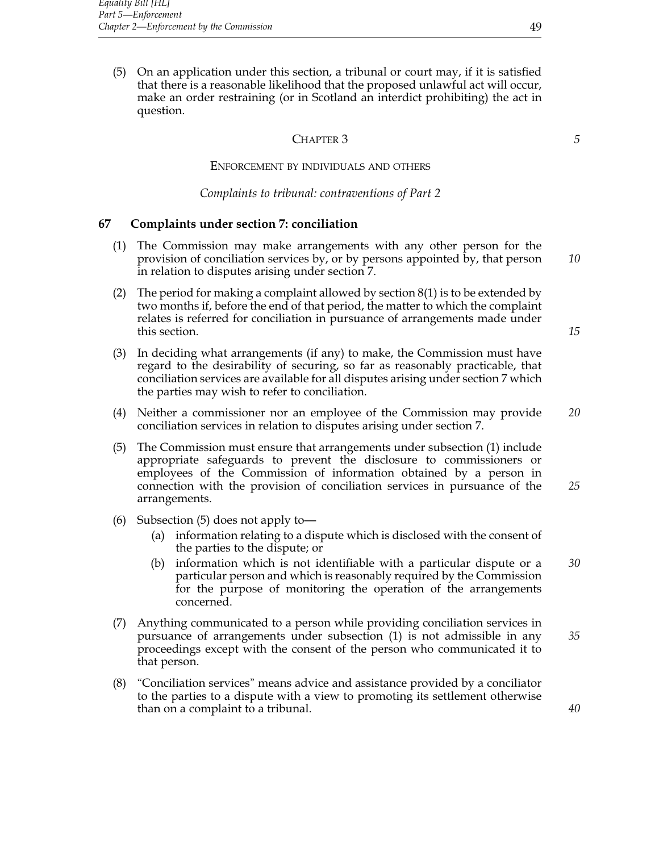(5) On an application under this section, a tribunal or court may, if it is satisfied that there is a reasonable likelihood that the proposed unlawful act will occur, make an order restraining (or in Scotland an interdict prohibiting) the act in question.

#### CHAPTER 3 *5*

# Enforcement by individuals and others

#### *Complaints to tribunal: contraventions of Part 2*

## **67 Complaints under section 7: conciliation**

- (1) The Commission may make arrangements with any other person for the provision of conciliation services by, or by persons appointed by, that person *10* in relation to disputes arising under section 7.
- (2) The period for making a complaint allowed by section  $8(1)$  is to be extended by two months if, before the end of that period, the matter to which the complaint relates is referred for conciliation in pursuance of arrangements made under this section. **15**
- (3) In deciding what arrangements (if any) to make, the Commission must have regard to the desirability of securing, so far as reasonably practicable, that conciliation services are available for all disputes arising under section 7 which the parties may wish to refer to conciliation.
- (4) Neither a commissioner nor an employee of the Commission may provide *20* conciliation services in relation to disputes arising under section 7.
- (5) The Commission must ensure that arrangements under subsection (1) include appropriate safeguards to prevent the disclosure to commissioners or employees of the Commission of information obtained by a person in connection with the provision of conciliation services in pursuance of the *25* arrangements.
- (6) Subsection (5) does not apply to—
	- (a) information relating to a dispute which is disclosed with the consent of the parties to the dispute; or
	- (b) information which is not identifiable with a particular dispute or a *30* particular person and which is reasonably required by the Commission for the purpose of monitoring the operation of the arrangements concerned.
- (7) Anything communicated to a person while providing conciliation services in pursuance of arrangements under subsection (1) is not admissible in any *35* proceedings except with the consent of the person who communicated it to that person.
- (8) "Conciliation services" means advice and assistance provided by a conciliator to the parties to a dispute with a view to promoting its settlement otherwise than on a complaint to a tribunal. *40*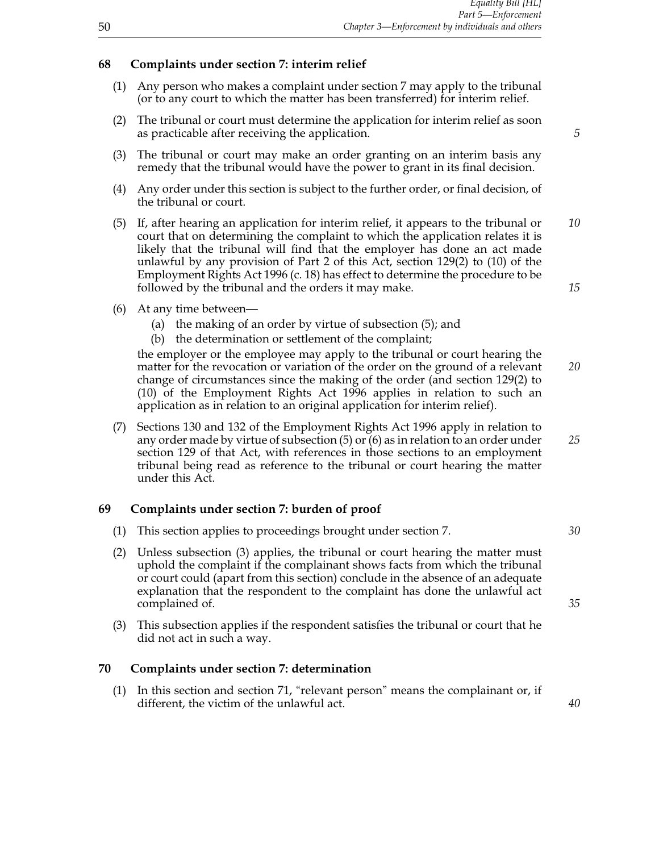## **68 Complaints under section 7: interim relief**

- (1) Any person who makes a complaint under section 7 may apply to the tribunal (or to any court to which the matter has been transferred) for interim relief.
- (2) The tribunal or court must determine the application for interim relief as soon as practicable after receiving the application. *5*
- (3) The tribunal or court may make an order granting on an interim basis any remedy that the tribunal would have the power to grant in its final decision.
- (4) Any order under this section is subject to the further order, or final decision, of the tribunal or court.
- (5) If, after hearing an application for interim relief, it appears to the tribunal or *10* court that on determining the complaint to which the application relates it is likely that the tribunal will find that the employer has done an act made unlawful by any provision of Part 2 of this Act, section 129(2) to (10) of the Employment Rights Act 1996 (c. 18) has effect to determine the procedure to be followed by the tribunal and the orders it may make. *15*
- (6) At any time between—
	- (a) the making of an order by virtue of subsection (5); and
	- (b) the determination or settlement of the complaint;

the employer or the employee may apply to the tribunal or court hearing the matter for the revocation or variation of the order on the ground of a relevant *20* change of circumstances since the making of the order (and section 129(2) to (10) of the Employment Rights Act 1996 applies in relation to such an application as in relation to an original application for interim relief).

(7) Sections 130 and 132 of the Employment Rights Act 1996 apply in relation to any order made by virtue of subsection (5) or (6) as in relation to an order under *25* section 129 of that Act, with references in those sections to an employment tribunal being read as reference to the tribunal or court hearing the matter under this Act.

## **69 Complaints under section 7: burden of proof**

- (1) This section applies to proceedings brought under section 7. *30*
- (2) Unless subsection (3) applies, the tribunal or court hearing the matter must uphold the complaint if the complainant shows facts from which the tribunal or court could (apart from this section) conclude in the absence of an adequate explanation that the respondent to the complaint has done the unlawful act complained of **35**
- (3) This subsection applies if the respondent satisfies the tribunal or court that he did not act in such a way.

## **70 Complaints under section 7: determination**

(1) In this section and section 71, "relevant person" means the complainant or, if different, the victim of the unlawful act. *40*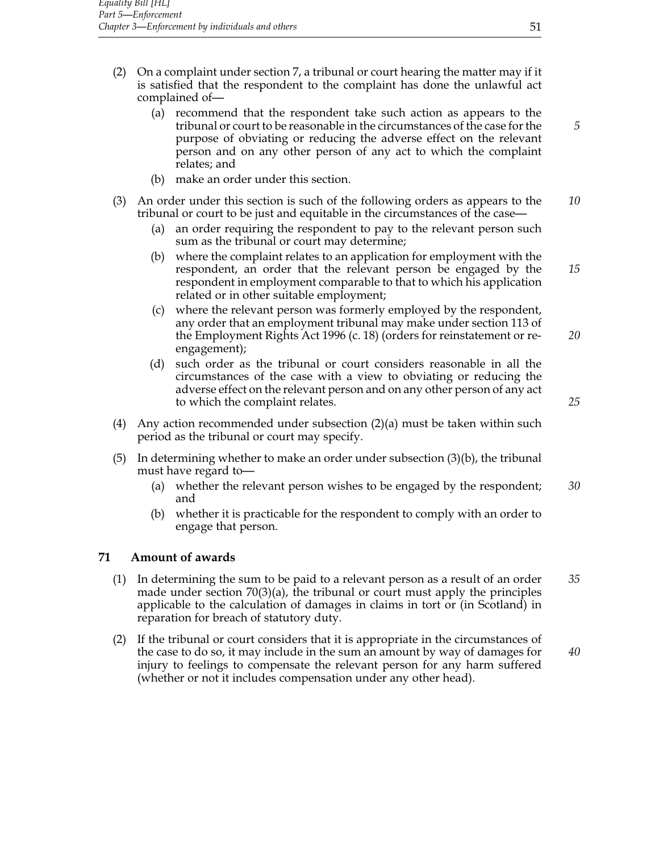- (2) On a complaint under section 7, a tribunal or court hearing the matter may if it is satisfied that the respondent to the complaint has done the unlawful act complained of—
	- (a) recommend that the respondent take such action as appears to the tribunal or court to be reasonable in the circumstances of the case for the *5* purpose of obviating or reducing the adverse effect on the relevant person and on any other person of any act to which the complaint relates; and
	- (b) make an order under this section.
- (3) An order under this section is such of the following orders as appears to the *10* tribunal or court to be just and equitable in the circumstances of the case—
	- (a) an order requiring the respondent to pay to the relevant person such sum as the tribunal or court may determine;
	- (b) where the complaint relates to an application for employment with the respondent, an order that the relevant person be engaged by the *15* respondent in employment comparable to that to which his application related or in other suitable employment;
	- (c) where the relevant person was formerly employed by the respondent, any order that an employment tribunal may make under section 113 of the Employment Rights Act 1996 (c. 18) (orders for reinstatement or re- *20* engagement);
	- (d) such order as the tribunal or court considers reasonable in all the circumstances of the case with a view to obviating or reducing the adverse effect on the relevant person and on any other person of any act to which the complaint relates. *25*
- (4) Any action recommended under subsection (2)(a) must be taken within such period as the tribunal or court may specify.
- (5) In determining whether to make an order under subsection (3)(b), the tribunal must have regard to—
	- (a) whether the relevant person wishes to be engaged by the respondent; *30* and
	- (b) whether it is practicable for the respondent to comply with an order to engage that person.

## **71 Amount of awards**

- (1) In determining the sum to be paid to a relevant person as a result of an order *35* made under section  $70(3)(a)$ , the tribunal or court must apply the principles applicable to the calculation of damages in claims in tort or (in Scotland) in reparation for breach of statutory duty.
- (2) If the tribunal or court considers that it is appropriate in the circumstances of the case to do so, it may include in the sum an amount by way of damages for *40* injury to feelings to compensate the relevant person for any harm suffered (whether or not it includes compensation under any other head).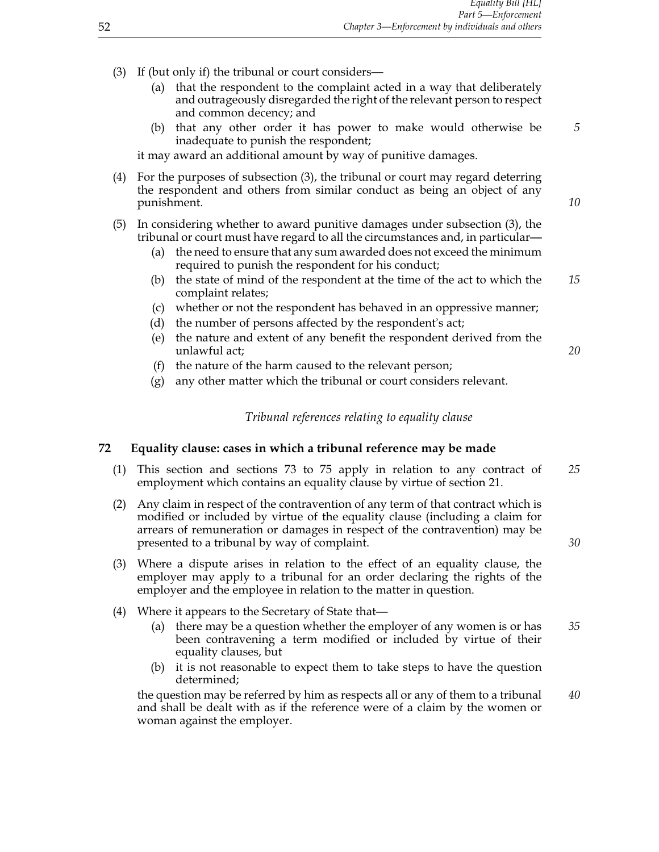- (3) If (but only if) the tribunal or court considers—
	- (a) that the respondent to the complaint acted in a way that deliberately and outrageously disregarded the right of the relevant person to respect and common decency; and
	- (b) that any other order it has power to make would otherwise be *5* inadequate to punish the respondent;

it may award an additional amount by way of punitive damages.

- (4) For the purposes of subsection (3), the tribunal or court may regard deterring the respondent and others from similar conduct as being an object of any punishment. **10**
- (5) In considering whether to award punitive damages under subsection (3), the tribunal or court must have regard to all the circumstances and, in particular—
	- (a) the need to ensure that any sum awarded does not exceed the minimum required to punish the respondent for his conduct;
	- (b) the state of mind of the respondent at the time of the act to which the *15* complaint relates;
	- (c) whether or not the respondent has behaved in an oppressive manner;
	- (d) the number of persons affected by the respondent's act;
	- (e) the nature and extent of any benefit the respondent derived from the unlawful act; *20*
	- (f) the nature of the harm caused to the relevant person;
	- (g) any other matter which the tribunal or court considers relevant.

#### *Tribunal references relating to equality clause*

#### **72 Equality clause: cases in which a tribunal reference may be made**

- (1) This section and sections 73 to 75 apply in relation to any contract of *25* employment which contains an equality clause by virtue of section 21.
- (2) Any claim in respect of the contravention of any term of that contract which is modified or included by virtue of the equality clause (including a claim for arrears of remuneration or damages in respect of the contravention) may be presented to a tribunal by way of complaint. *30*
- (3) Where a dispute arises in relation to the effect of an equality clause, the employer may apply to a tribunal for an order declaring the rights of the employer and the employee in relation to the matter in question.
- (4) Where it appears to the Secretary of State that—
	- (a) there may be a question whether the employer of any women is or has *35* been contravening a term modified or included by virtue of their equality clauses, but
	- (b) it is not reasonable to expect them to take steps to have the question determined;

the question may be referred by him as respects all or any of them to a tribunal *40* and shall be dealt with as if the reference were of a claim by the women or woman against the employer.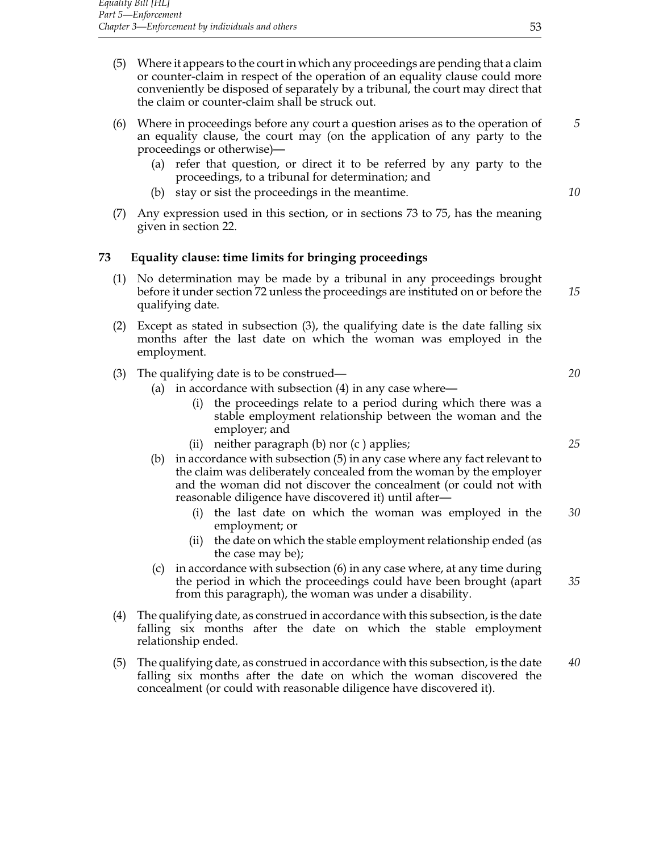- (5) Where it appears to the court in which any proceedings are pending that a claim or counter-claim in respect of the operation of an equality clause could more conveniently be disposed of separately by a tribunal, the court may direct that the claim or counter-claim shall be struck out.
- (6) Where in proceedings before any court a question arises as to the operation of *5* an equality clause, the court may (on the application of any party to the proceedings or otherwise)—
	- (a) refer that question, or direct it to be referred by any party to the proceedings, to a tribunal for determination; and
	- (b) stay or sist the proceedings in the meantime. *10*
- (7) Any expression used in this section, or in sections 73 to 75, has the meaning given in section 22.

# **73 Equality clause: time limits for bringing proceedings**

- (1) No determination may be made by a tribunal in any proceedings brought before it under section 72 unless the proceedings are instituted on or before the *15* qualifying date.
- (2) Except as stated in subsection (3), the qualifying date is the date falling six months after the last date on which the woman was employed in the employment.
- (3) The qualifying date is to be construed— *20*
	- (a) in accordance with subsection (4) in any case where—
		- (i) the proceedings relate to a period during which there was a stable employment relationship between the woman and the employer; and
		- (ii) neither paragraph (b) nor (c ) applies; *25*
	- (b) in accordance with subsection (5) in any case where any fact relevant to the claim was deliberately concealed from the woman by the employer and the woman did not discover the concealment (or could not with reasonable diligence have discovered it) until after—
		- (i) the last date on which the woman was employed in the *30* employment; or
		- (ii) the date on which the stable employment relationship ended (as the case may be);
	- (c) in accordance with subsection (6) in any case where, at any time during the period in which the proceedings could have been brought (apart *35* from this paragraph), the woman was under a disability.
- (4) The qualifying date, as construed in accordance with this subsection, is the date falling six months after the date on which the stable employment relationship ended.
- (5) The qualifying date, as construed in accordance with this subsection, is the date *40* falling six months after the date on which the woman discovered the concealment (or could with reasonable diligence have discovered it).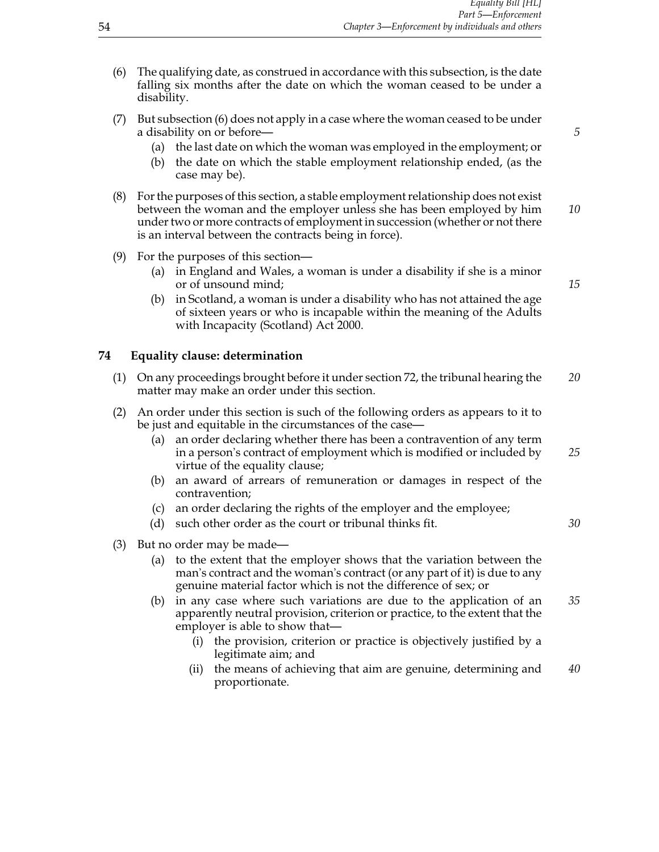- (6) The qualifying date, as construed in accordance with this subsection, is the date falling six months after the date on which the woman ceased to be under a disability.
- (7) But subsection (6) does not apply in a case where the woman ceased to be under a disability on or before— *5*
	- (a) the last date on which the woman was employed in the employment; or
	- (b) the date on which the stable employment relationship ended, (as the case may be).
- (8) For the purposes of this section, a stable employment relationship does not exist between the woman and the employer unless she has been employed by him *10* under two or more contracts of employment in succession (whether or not there is an interval between the contracts being in force).
- (9) For the purposes of this section—
	- (a) in England and Wales, a woman is under a disability if she is a minor or of unsound mind; *15*
	- (b) in Scotland, a woman is under a disability who has not attained the age of sixteen years or who is incapable within the meaning of the Adults with Incapacity (Scotland) Act 2000.

#### **74 Equality clause: determination**

- (1) On any proceedings brought before it under section 72, the tribunal hearing the *20* matter may make an order under this section.
- (2) An order under this section is such of the following orders as appears to it to be just and equitable in the circumstances of the case—
	- (a) an order declaring whether there has been a contravention of any term in a person's contract of employment which is modified or included by *25* virtue of the equality clause;
	- (b) an award of arrears of remuneration or damages in respect of the contravention;
	- (c) an order declaring the rights of the employer and the employee;
	- (d) such other order as the court or tribunal thinks fit. *30*
- (3) But no order may be made—
	- (a) to the extent that the employer shows that the variation between the man's contract and the woman's contract (or any part of it) is due to any genuine material factor which is not the difference of sex; or
	- (b) in any case where such variations are due to the application of an *35* apparently neutral provision, criterion or practice, to the extent that the employer is able to show that—
		- (i) the provision, criterion or practice is objectively justified by a legitimate aim; and
		- (ii) the means of achieving that aim are genuine, determining and *40* proportionate.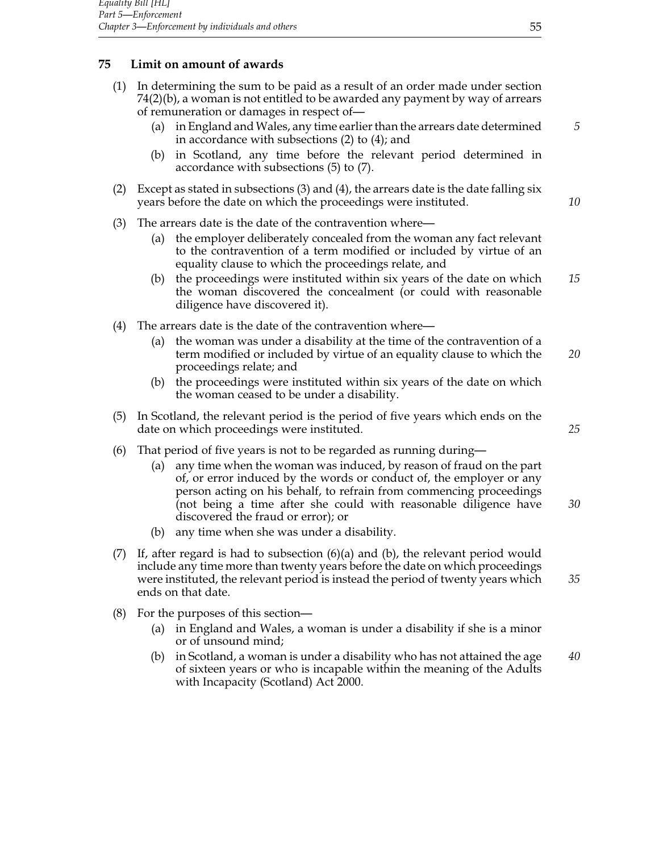# **75 Limit on amount of awards**

- (1) In determining the sum to be paid as a result of an order made under section 74(2)(b), a woman is not entitled to be awarded any payment by way of arrears of remuneration or damages in respect of—
	- (a) in England andWales, any time earlier than the arrears date determined *5* in accordance with subsections (2) to (4); and
	- (b) in Scotland, any time before the relevant period determined in accordance with subsections (5) to (7).
- (2) Except as stated in subsections (3) and (4), the arrears date is the date falling six years before the date on which the proceedings were instituted. *10*
- (3) The arrears date is the date of the contravention where—
	- (a) the employer deliberately concealed from the woman any fact relevant to the contravention of a term modified or included by virtue of an equality clause to which the proceedings relate, and
	- (b) the proceedings were instituted within six years of the date on which *15* the woman discovered the concealment (or could with reasonable diligence have discovered it).
- (4) The arrears date is the date of the contravention where—
	- (a) the woman was under a disability at the time of the contravention of a term modified or included by virtue of an equality clause to which the *20* proceedings relate; and
	- (b) the proceedings were instituted within six years of the date on which the woman ceased to be under a disability.
- (5) In Scotland, the relevant period is the period of five years which ends on the date on which proceedings were instituted. *25*
- (6) That period of five years is not to be regarded as running during—
	- (a) any time when the woman was induced, by reason of fraud on the part of, or error induced by the words or conduct of, the employer or any person acting on his behalf, to refrain from commencing proceedings (not being a time after she could with reasonable diligence have *30* discovered the fraud or error); or
	- (b) any time when she was under a disability.
- $(7)$  If, after regard is had to subsection  $(6)(a)$  and  $(b)$ , the relevant period would include any time more than twenty years before the date on which proceedings were instituted, the relevant period is instead the period of twenty years which *35* ends on that date.
- (8) For the purposes of this section—
	- (a) in England and Wales, a woman is under a disability if she is a minor or of unsound mind;
	- (b) in Scotland, a woman is under a disability who has not attained the age *40* of sixteen years or who is incapable within the meaning of the Adults with Incapacity (Scotland) Act 2000.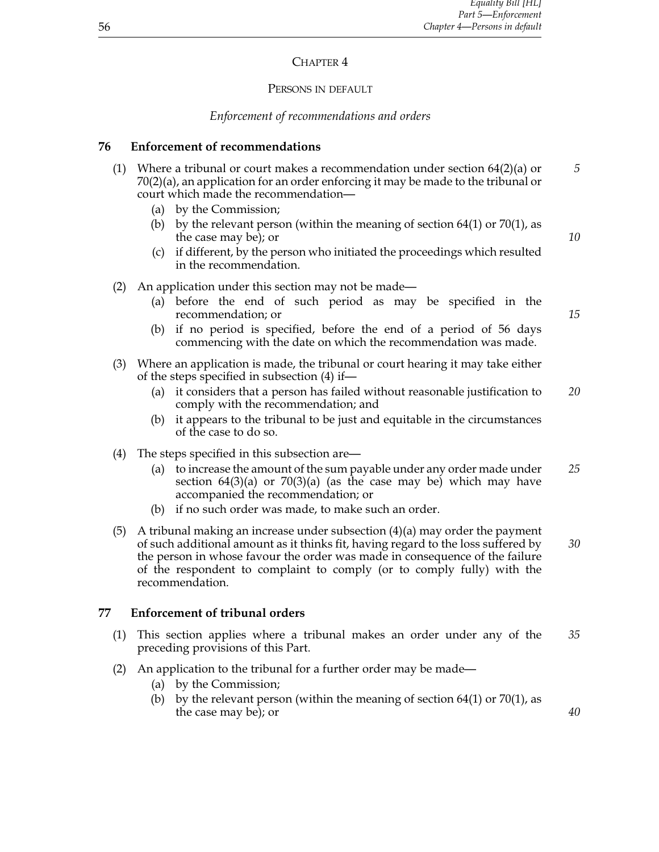# CHAPTER<sub>4</sub>

## PERSONS IN DEFAULT

# *Enforcement of recommendations and orders*

## **76 Enforcement of recommendations**

- (1) Where a tribunal or court makes a recommendation under section 64(2)(a) or *5* 70(2)(a), an application for an order enforcing it may be made to the tribunal or court which made the recommendation—
	- (a) by the Commission;
	- (b) by the relevant person (within the meaning of section  $64(1)$  or  $70(1)$ , as the case may be); or *10*
	- (c) if different, by the person who initiated the proceedings which resulted in the recommendation.
- (2) An application under this section may not be made—
	- (a) before the end of such period as may be specified in the recommendation; or *15*
	- (b) if no period is specified, before the end of a period of 56 days commencing with the date on which the recommendation was made.
- (3) Where an application is made, the tribunal or court hearing it may take either of the steps specified in subsection (4) if—
	- (a) it considers that a person has failed without reasonable justification to *20* comply with the recommendation; and
	- (b) it appears to the tribunal to be just and equitable in the circumstances of the case to do so.
- (4) The steps specified in this subsection are—
	- (a) to increase the amount of the sum payable under any order made under *25* section  $64(3)(a)$  or  $70(3)(a)$  (as the case may be) which may have accompanied the recommendation; or
	- (b) if no such order was made, to make such an order.
- (5) A tribunal making an increase under subsection (4)(a) may order the payment of such additional amount as it thinks fit, having regard to the loss suffered by *30* the person in whose favour the order was made in consequence of the failure of the respondent to complaint to comply (or to comply fully) with the recommendation.

## **77 Enforcement of tribunal orders**

- (1) This section applies where a tribunal makes an order under any of the *35* preceding provisions of this Part.
- (2) An application to the tribunal for a further order may be made—
	- (a) by the Commission;
	- (b) by the relevant person (within the meaning of section  $64(1)$  or  $70(1)$ , as the case may be); or *40*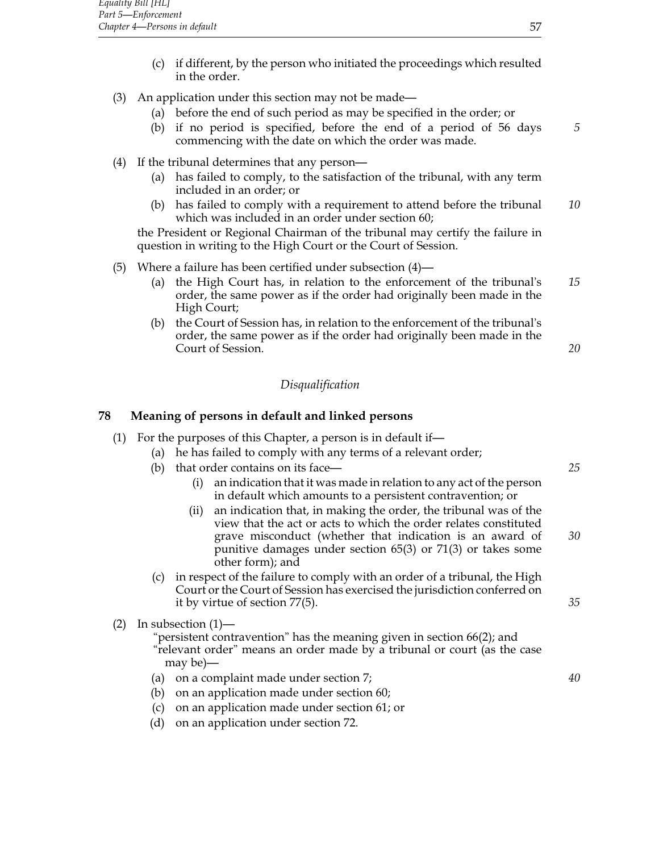- (c) if different, by the person who initiated the proceedings which resulted in the order.
- (3) An application under this section may not be made—
	- (a) before the end of such period as may be specified in the order; or
	- (b) if no period is specified, before the end of a period of 56 days *5* commencing with the date on which the order was made.
- (4) If the tribunal determines that any person—
	- (a) has failed to comply, to the satisfaction of the tribunal, with any term included in an order; or
	- (b) has failed to comply with a requirement to attend before the tribunal *10* which was included in an order under section 60;

the President or Regional Chairman of the tribunal may certify the failure in question in writing to the High Court or the Court of Session.

- (5) Where a failure has been certified under subsection (4)—
	- (a) the High Court has, in relation to the enforcement of the tribunal's *15* order, the same power as if the order had originally been made in the High Court;
	- (b) the Court of Session has, in relation to the enforcement of the tribunal's order, the same power as if the order had originally been made in the Court of Session. *20*

## *Disqualification*

## **78 Meaning of persons in default and linked persons**

- (1) For the purposes of this Chapter, a person is in default if—
	- (a) he has failed to comply with any terms of a relevant order;
	- (b) that order contains on its face— *25*
		- (i) an indication that it was made in relation to any act of the person in default which amounts to a persistent contravention; or
		- (ii) an indication that, in making the order, the tribunal was of the view that the act or acts to which the order relates constituted grave misconduct (whether that indication is an award of *30* punitive damages under section 65(3) or 71(3) or takes some other form); and
	- (c) in respect of the failure to comply with an order of a tribunal, the High Court or the Court of Session has exercised the jurisdiction conferred on it by virtue of section 77(5). *35*
- (2) In subsection (1)—
	- "persistent contravention" has the meaning given in section 66(2); and "relevant order" means an order made by a tribunal or court (as the case may be)—
	- (a) on a complaint made under section 7; *40*
	- (b) on an application made under section 60;
	- (c) on an application made under section 61; or
	- (d) on an application under section 72.

- 
-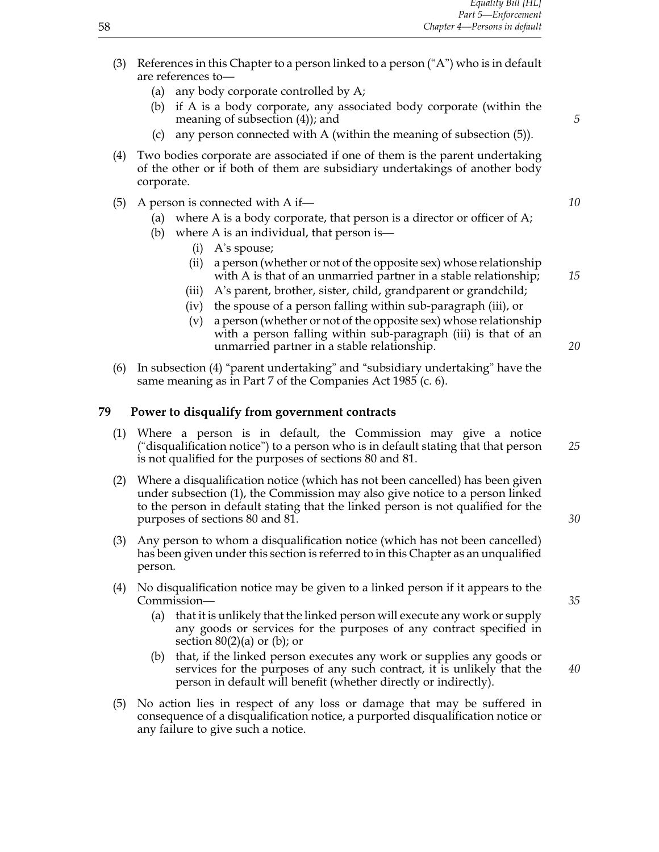- (3) References in this Chapter to a person linked to a person ("A") who is in default are references to—
	- (a) any body corporate controlled by A;
	- (b) if A is a body corporate, any associated body corporate (within the meaning of subsection (4)); and **5**
	- (c) any person connected with A (within the meaning of subsection (5)).
- (4) Two bodies corporate are associated if one of them is the parent undertaking of the other or if both of them are subsidiary undertakings of another body corporate.
- (5) A person is connected with A if— *10*
	- (a) where A is a body corporate, that person is a director or officer of A;
	- (b) where A is an individual, that person is—
		- (i) A's spouse;
		- (ii) a person (whether or not of the opposite sex) whose relationship with A is that of an unmarried partner in a stable relationship; *15*
		- (iii) A's parent, brother, sister, child, grandparent or grandchild;
		- (iv) the spouse of a person falling within sub-paragraph (iii), or
		- (v) a person (whether or not of the opposite sex) whose relationship with a person falling within sub-paragraph (iii) is that of an unmarried partner in a stable relationship. *20*
- (6) In subsection (4) "parent undertaking" and "subsidiary undertaking" have the same meaning as in Part 7 of the Companies Act 1985 (c. 6).

## **79 Power to disqualify from government contracts**

- (1) Where a person is in default, the Commission may give a notice ("disqualification notice") to a person who is in default stating that that person *25* is not qualified for the purposes of sections 80 and 81.
- (2) Where a disqualification notice (which has not been cancelled) has been given under subsection (1), the Commission may also give notice to a person linked to the person in default stating that the linked person is not qualified for the purposes of sections 80 and 81. *30*
- (3) Any person to whom a disqualification notice (which has not been cancelled) has been given under this section is referred to in this Chapter as an unqualified person.
- (4) No disqualification notice may be given to a linked person if it appears to the Commission— *35*
	- (a) that it is unlikely that the linked person will execute any work or supply any goods or services for the purposes of any contract specified in section  $80(2)(a)$  or  $(b)$ ; or
	- (b) that, if the linked person executes any work or supplies any goods or services for the purposes of any such contract, it is unlikely that the *40* person in default will benefit (whether directly or indirectly).
- (5) No action lies in respect of any loss or damage that may be suffered in consequence of a disqualification notice, a purported disqualification notice or any failure to give such a notice.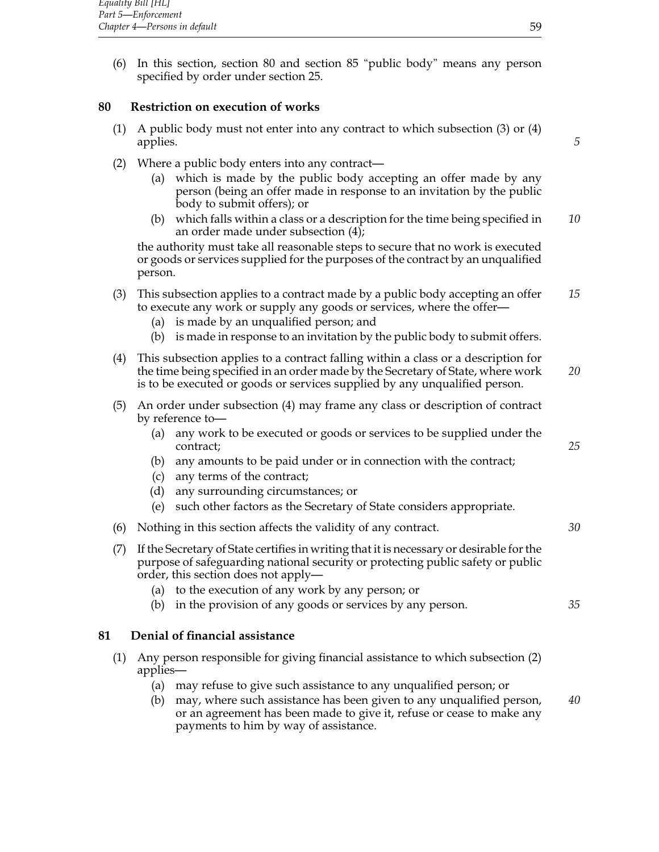(6) In this section, section 80 and section 85 "public body" means any person specified by order under section 25.

## **80 Restriction on execution of works**

- (1) A public body must not enter into any contract to which subsection (3) or (4) applies. *5*
- (2) Where a public body enters into any contract—
	- (a) which is made by the public body accepting an offer made by any person (being an offer made in response to an invitation by the public body to submit offers); or
	- (b) which falls within a class or a description for the time being specified in *10* an order made under subsection (4);

the authority must take all reasonable steps to secure that no work is executed or goods or services supplied for the purposes of the contract by an unqualified person.

- (3) This subsection applies to a contract made by a public body accepting an offer *15* to execute any work or supply any goods or services, where the offer—
	- (a) is made by an unqualified person; and
	- (b) is made in response to an invitation by the public body to submit offers.
- (4) This subsection applies to a contract falling within a class or a description for the time being specified in an order made by the Secretary of State, where work *20* is to be executed or goods or services supplied by any unqualified person.
- (5) An order under subsection (4) may frame any class or description of contract by reference to—
	- (a) any work to be executed or goods or services to be supplied under the contract; *25*
	- (b) any amounts to be paid under or in connection with the contract;
	- (c) any terms of the contract;
	- (d) any surrounding circumstances; or
	- (e) such other factors as the Secretary of State considers appropriate.
- (6) Nothing in this section affects the validity of any contract. *30*
- (7) If the Secretary of State certifies in writing that it is necessary or desirable for the purpose of safeguarding national security or protecting public safety or public order, this section does not apply—
	- (a) to the execution of any work by any person; or
	- (b) in the provision of any goods or services by any person. *35*

## **81 Denial of financial assistance**

- (1) Any person responsible for giving financial assistance to which subsection (2) applies—
	- (a) may refuse to give such assistance to any unqualified person; or
	- (b) may, where such assistance has been given to any unqualified person, *40* or an agreement has been made to give it, refuse or cease to make any payments to him by way of assistance.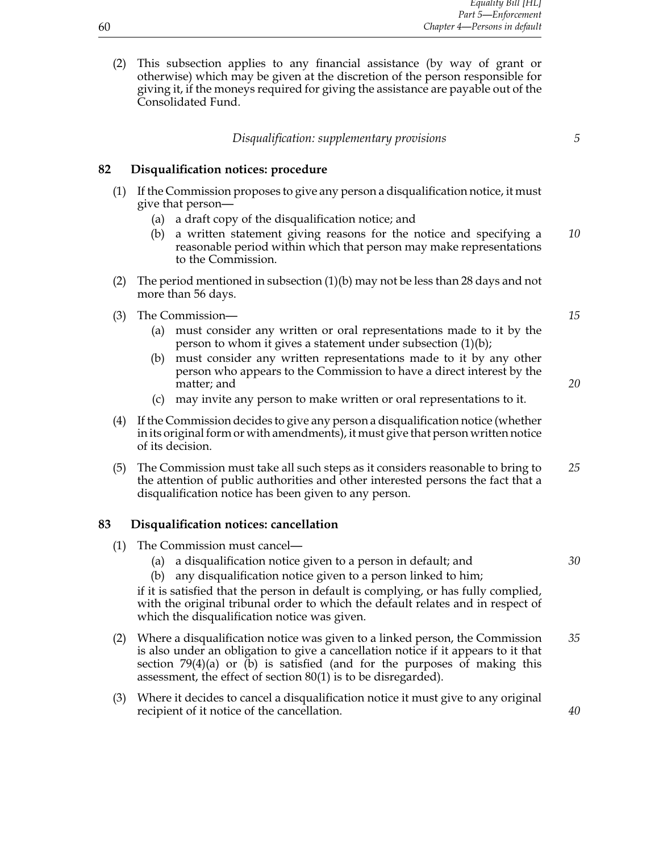(2) This subsection applies to any financial assistance (by way of grant or otherwise) which may be given at the discretion of the person responsible for giving it, if the moneys required for giving the assistance are payable out of the Consolidated Fund.

## **82 Disqualification notices: procedure**

- (1) If the Commission proposes to give any person a disqualification notice, it must give that person—
	- (a) a draft copy of the disqualification notice; and
	- (b) a written statement giving reasons for the notice and specifying a *10* reasonable period within which that person may make representations to the Commission.
- (2) The period mentioned in subsection (1)(b) may not be less than 28 days and not more than 56 days.
- (3) The Commission— *15*
	- (a) must consider any written or oral representations made to it by the person to whom it gives a statement under subsection (1)(b);
	- (b) must consider any written representations made to it by any other person who appears to the Commission to have a direct interest by the matter; and **20** and **20** and **20** and **20** and **20** and **20** and **20** and **20** and **20** and **20** and **20** and **20** and **20** and **20** and **20** and **20** and **20** and **20** and **20** and **20** and **20** and **20** and **20** and **20**
	- (c) may invite any person to make written or oral representations to it.
- (4) If the Commission decides to give any person a disqualification notice (whether in its original form or with amendments), it must give that person written notice of its decision.
- (5) The Commission must take all such steps as it considers reasonable to bring to *25* the attention of public authorities and other interested persons the fact that a disqualification notice has been given to any person.

#### **83 Disqualification notices: cancellation**

- (1) The Commission must cancel—
	- (a) a disqualification notice given to a person in default; and *30*
	- (b) any disqualification notice given to a person linked to him;

if it is satisfied that the person in default is complying, or has fully complied, with the original tribunal order to which the default relates and in respect of which the disqualification notice was given.

- (2) Where a disqualification notice was given to a linked person, the Commission *35* is also under an obligation to give a cancellation notice if it appears to it that section  $79(4)(a)$  or (b) is satisfied (and for the purposes of making this assessment, the effect of section 80(1) is to be disregarded).
- (3) Where it decides to cancel a disqualification notice it must give to any original recipient of it notice of the cancellation. *40*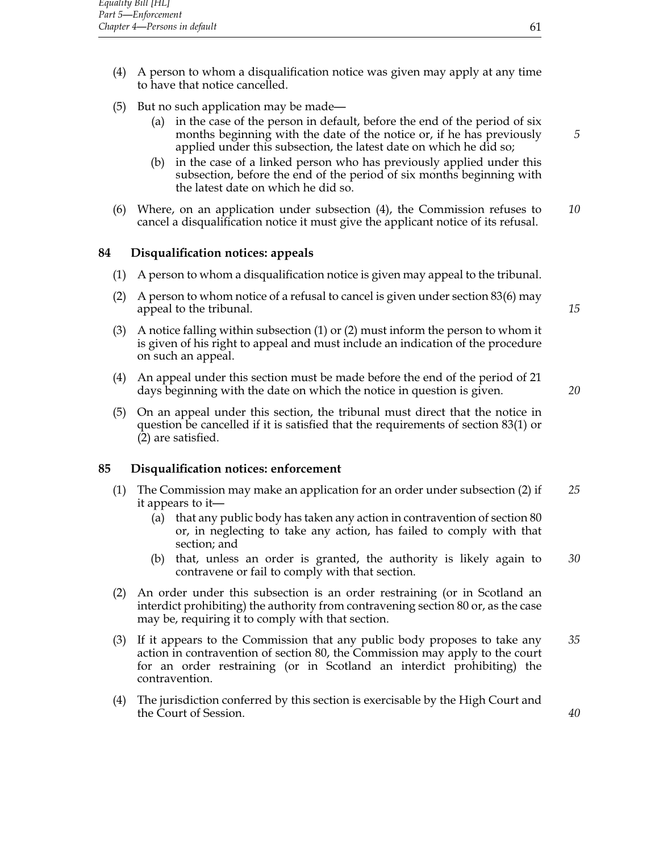- (4) A person to whom a disqualification notice was given may apply at any time to have that notice cancelled.
- (5) But no such application may be made—
	- (a) in the case of the person in default, before the end of the period of six months beginning with the date of the notice or, if he has previously *5* applied under this subsection, the latest date on which he did so;
	- (b) in the case of a linked person who has previously applied under this subsection, before the end of the period of six months beginning with the latest date on which he did so.
- (6) Where, on an application under subsection (4), the Commission refuses to *10* cancel a disqualification notice it must give the applicant notice of its refusal.

## **84 Disqualification notices: appeals**

- (1) A person to whom a disqualification notice is given may appeal to the tribunal.
- (2) A person to whom notice of a refusal to cancel is given under section 83(6) may appeal to the tribunal. **15** and the tribunal. **15** and the tribunal.
- (3) A notice falling within subsection (1) or (2) must inform the person to whom it is given of his right to appeal and must include an indication of the procedure on such an appeal.
- (4) An appeal under this section must be made before the end of the period of 21 days beginning with the date on which the notice in question is given. *20*
- (5) On an appeal under this section, the tribunal must direct that the notice in question be cancelled if it is satisfied that the requirements of section 83(1) or (2) are satisfied.

## **85 Disqualification notices: enforcement**

- (1) The Commission may make an application for an order under subsection (2) if *25* it appears to it—
	- (a) that any public body has taken any action in contravention of section 80 or, in neglecting to take any action, has failed to comply with that section; and
	- (b) that, unless an order is granted, the authority is likely again to *30* contravene or fail to comply with that section.
- (2) An order under this subsection is an order restraining (or in Scotland an interdict prohibiting) the authority from contravening section 80 or, as the case may be, requiring it to comply with that section.
- (3) If it appears to the Commission that any public body proposes to take any *35* action in contravention of section 80, the Commission may apply to the court for an order restraining (or in Scotland an interdict prohibiting) the contravention.
- (4) The jurisdiction conferred by this section is exercisable by the High Court and the Court of Session. *40*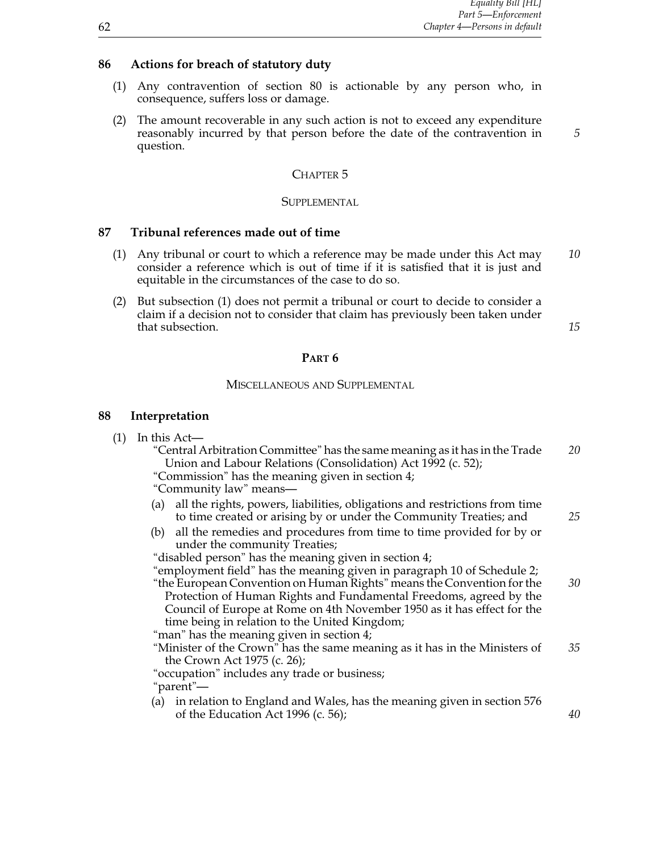## **86 Actions for breach of statutory duty**

- (1) Any contravention of section 80 is actionable by any person who, in consequence, suffers loss or damage.
- (2) The amount recoverable in any such action is not to exceed any expenditure reasonably incurred by that person before the date of the contravention in *5* question.

# CHAPTER<sub>5</sub>

# **SUPPLEMENTAL**

#### **87 Tribunal references made out of time**

- (1) Any tribunal or court to which a reference may be made under this Act may *10* consider a reference which is out of time if it is satisfied that it is just and equitable in the circumstances of the case to do so.
- (2) But subsection (1) does not permit a tribunal or court to decide to consider a claim if a decision not to consider that claim has previously been taken under that subsection. **15** and the subsection of the subsection of the subsection of the subsection. **15**

#### **Part 6**

## Miscellaneous and Supplemental

#### **88 Interpretation**

| (1) |  |  | In this Act- |
|-----|--|--|--------------|
|-----|--|--|--------------|

| "Central Arbitration Committee" has the same meaning as it has in the Trade | 20 |
|-----------------------------------------------------------------------------|----|
| Union and Labour Relations (Consolidation) Act 1992 (c. 52);                |    |
|                                                                             |    |

"Commission" has the meaning given in section 4;

"Community law" means—

- (a) all the rights, powers, liabilities, obligations and restrictions from time to time created or arising by or under the Community Treaties; and *25*
- (b) all the remedies and procedures from time to time provided for by or under the community Treaties;

"disabled person" has the meaning given in section 4;

"employment field" has the meaning given in paragraph 10 of Schedule 2; "the European Convention on Human Rights" means the Convention for the *30*

Protection of Human Rights and Fundamental Freedoms, agreed by the Council of Europe at Rome on 4th November 1950 as it has effect for the time being in relation to the United Kingdom;

"man" has the meaning given in section 4;

"Minister of the Crown" has the same meaning as it has in the Ministers of *35* the Crown Act 1975 (c. 26);

"occupation" includes any trade or business; "parent"—

(a) in relation to England and Wales, has the meaning given in section 576 of the Education Act 1996 (c. 56); *40*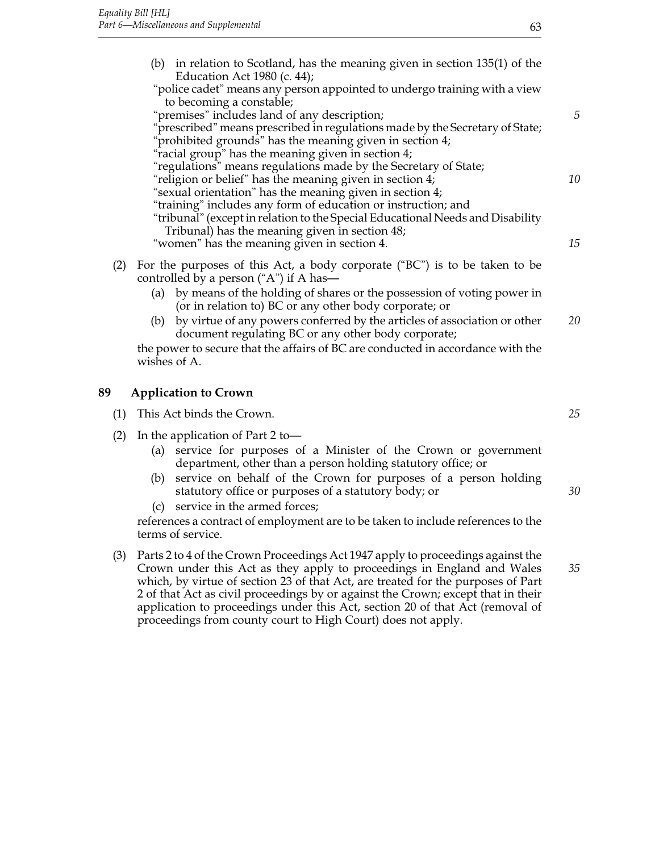|     | (b) in relation to Scotland, has the meaning given in section 135(1) of the<br>Education Act 1980 (c. 44);<br>"police cadet" means any person appointed to undergo training with a view |    |
|-----|-----------------------------------------------------------------------------------------------------------------------------------------------------------------------------------------|----|
|     | to becoming a constable;                                                                                                                                                                |    |
|     | "premises" includes land of any description;                                                                                                                                            | 5  |
|     | "prescribed" means prescribed in regulations made by the Secretary of State;<br>"prohibited grounds" has the meaning given in section 4;                                                |    |
|     | "racial group" has the meaning given in section 4;                                                                                                                                      |    |
|     | "regulations" means regulations made by the Secretary of State;                                                                                                                         |    |
|     | "religion or belief" has the meaning given in section 4;                                                                                                                                | 10 |
|     | "sexual orientation" has the meaning given in section 4;                                                                                                                                |    |
|     | "training" includes any form of education or instruction; and                                                                                                                           |    |
|     | "tribunal" (except in relation to the Special Educational Needs and Disability                                                                                                          |    |
|     | Tribunal) has the meaning given in section 48;                                                                                                                                          |    |
|     | "women" has the meaning given in section 4.                                                                                                                                             | 15 |
| (2) | For the purposes of this Act, a body corporate ("BC") is to be taken to be<br>controlled by a person ("A") if A has—                                                                    |    |
|     | (a) by means of the holding of shares or the possession of voting power in<br>(or in relation to) BC or any other body corporate; or                                                    |    |
|     | by virtue of any powers conferred by the articles of association or other<br>(b)<br>document regulating BC or any other body corporate;                                                 | 20 |
|     | the power to secure that the affairs of BC are conducted in accordance with the                                                                                                         |    |

wishes of A.

## **89 Application to Crown**

| (1) This Act binds the Crown. |  |
|-------------------------------|--|
|-------------------------------|--|

- (2) In the application of Part 2 to—
	- (a) service for purposes of a Minister of the Crown or government department, other than a person holding statutory office; or
	- (b) service on behalf of the Crown for purposes of a person holding statutory office or purposes of a statutory body; or *30*
	- (c) service in the armed forces;

references a contract of employment are to be taken to include references to the terms of service.

(3) Parts 2 to 4 of the Crown Proceedings Act 1947 apply to proceedings against the Crown under this Act as they apply to proceedings in England and Wales *35* which, by virtue of section 23 of that Act, are treated for the purposes of Part 2 of that Act as civil proceedings by or against the Crown; except that in their application to proceedings under this Act, section 20 of that Act (removal of proceedings from county court to High Court) does not apply.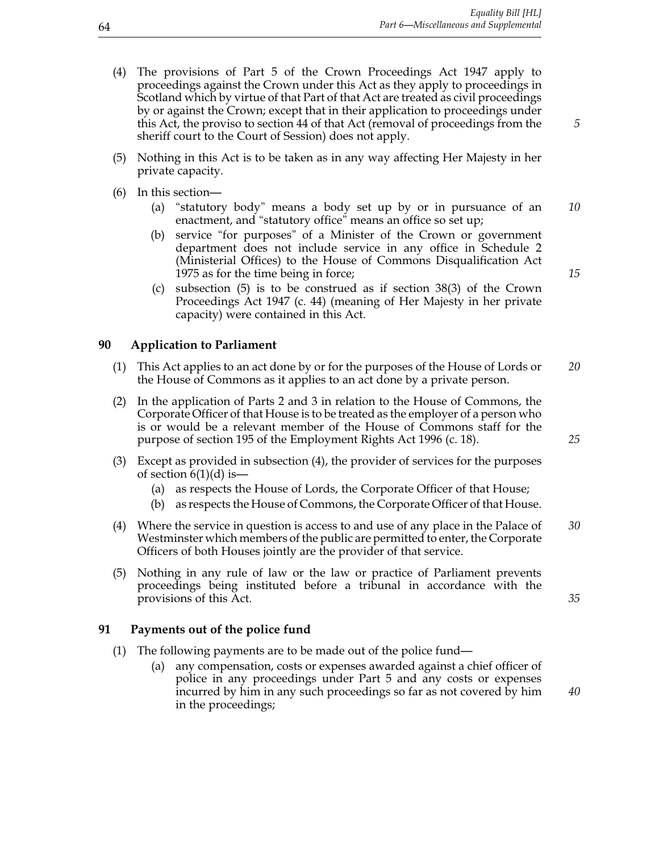- (4) The provisions of Part 5 of the Crown Proceedings Act 1947 apply to proceedings against the Crown under this Act as they apply to proceedings in Scotland which by virtue of that Part of that Act are treated as civil proceedings by or against the Crown; except that in their application to proceedings under this Act, the proviso to section 44 of that Act (removal of proceedings from the *5* sheriff court to the Court of Session) does not apply.
- (5) Nothing in this Act is to be taken as in any way affecting Her Majesty in her private capacity.
- (6) In this section—
	- (a) "statutory body" means a body set up by or in pursuance of an *10* enactment, and "statutory office" means an office so set up;
	- (b) service "for purposes" of a Minister of the Crown or government department does not include service in any office in Schedule 2 (Ministerial Offices) to the House of Commons Disqualification Act 1975 as for the time being in force; *15*
	- (c) subsection (5) is to be construed as if section 38(3) of the Crown Proceedings Act 1947 (c. 44) (meaning of Her Majesty in her private capacity) were contained in this Act.

#### **90 Application to Parliament**

- (1) This Act applies to an act done by or for the purposes of the House of Lords or *20* the House of Commons as it applies to an act done by a private person.
- (2) In the application of Parts 2 and 3 in relation to the House of Commons, the Corporate Officer of that House is to be treated as the employer of a person who is or would be a relevant member of the House of Commons staff for the purpose of section 195 of the Employment Rights Act 1996 (c. 18). *25*
- (3) Except as provided in subsection (4), the provider of services for the purposes of section  $6(1)(d)$  is —
	- (a) as respects the House of Lords, the Corporate Officer of that House;
	- (b) as respects the House of Commons, the Corporate Officer of that House.
- (4) Where the service in question is access to and use of any place in the Palace of *30* Westminster which members of the public are permitted to enter, the Corporate Officers of both Houses jointly are the provider of that service.
- (5) Nothing in any rule of law or the law or practice of Parliament prevents proceedings being instituted before a tribunal in accordance with the provisions of this Act. *35*

#### **91 Payments out of the police fund**

- (1) The following payments are to be made out of the police fund—
	- (a) any compensation, costs or expenses awarded against a chief officer of police in any proceedings under Part 5 and any costs or expenses incurred by him in any such proceedings so far as not covered by him *40* in the proceedings;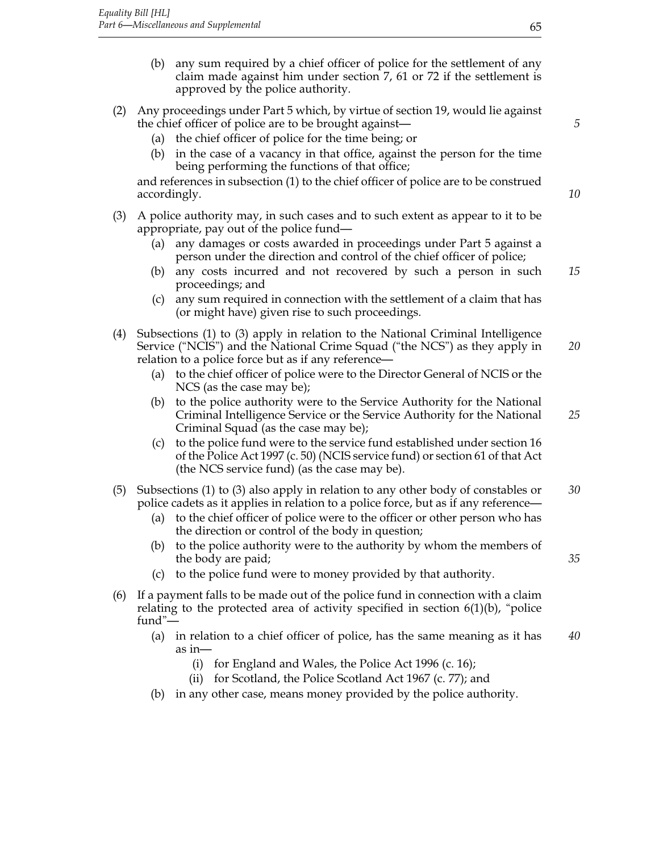- (b) any sum required by a chief officer of police for the settlement of any claim made against him under section 7, 61 or 72 if the settlement is approved by the police authority.
- (2) Any proceedings under Part 5 which, by virtue of section 19, would lie against the chief officer of police are to be brought against— *5*
	- (a) the chief officer of police for the time being; or
	- (b) in the case of a vacancy in that office, against the person for the time being performing the functions of that office;

and references in subsection (1) to the chief officer of police are to be construed accordingly. *10*

- (3) A police authority may, in such cases and to such extent as appear to it to be appropriate, pay out of the police fund—
	- (a) any damages or costs awarded in proceedings under Part 5 against a person under the direction and control of the chief officer of police;
	- (b) any costs incurred and not recovered by such a person in such *15* proceedings; and
	- (c) any sum required in connection with the settlement of a claim that has (or might have) given rise to such proceedings.
- (4) Subsections (1) to (3) apply in relation to the National Criminal Intelligence Service ("NCIS") and the National Crime Squad ("the NCS") as they apply in *20* relation to a police force but as if any reference—
	- (a) to the chief officer of police were to the Director General of NCIS or the NCS (as the case may be);
	- (b) to the police authority were to the Service Authority for the National Criminal Intelligence Service or the Service Authority for the National *25* Criminal Squad (as the case may be);
	- (c) to the police fund were to the service fund established under section 16 of the Police Act 1997 (c. 50) (NCIS service fund) or section 61 of that Act (the NCS service fund) (as the case may be).
- (5) Subsections (1) to (3) also apply in relation to any other body of constables or *30* police cadets as it applies in relation to a police force, but as if any reference—
	- (a) to the chief officer of police were to the officer or other person who has the direction or control of the body in question;
	- (b) to the police authority were to the authority by whom the members of the body are paid; *35*
	- (c) to the police fund were to money provided by that authority.
- (6) If a payment falls to be made out of the police fund in connection with a claim relating to the protected area of activity specified in section  $6(1)(b)$ , "police fund"—
	- (a) in relation to a chief officer of police, has the same meaning as it has *40* as in—
		- (i) for England and Wales, the Police Act 1996 (c. 16);
		- (ii) for Scotland, the Police Scotland Act 1967 (c. 77); and
	- (b) in any other case, means money provided by the police authority.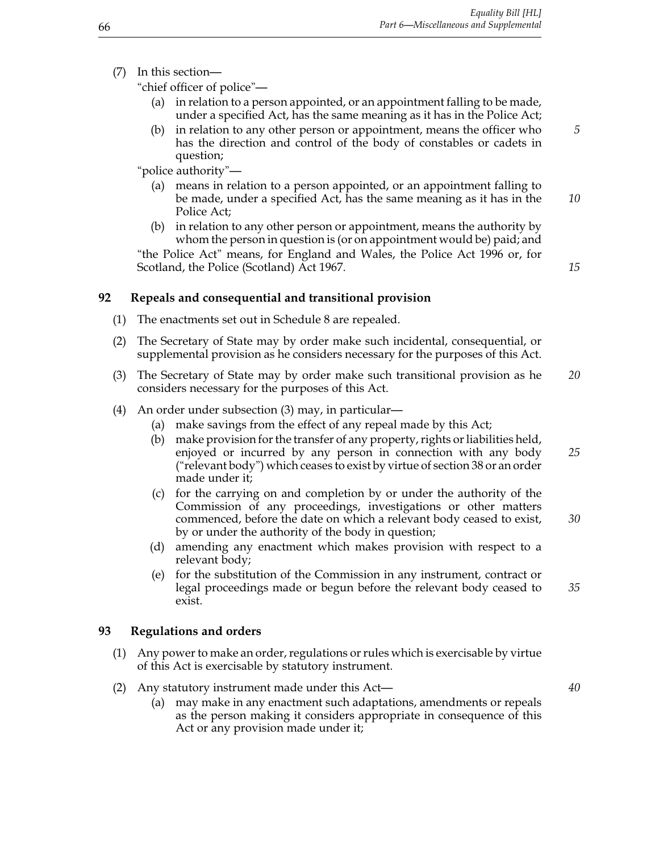(7) In this section—

"chief officer of police"—

- (a) in relation to a person appointed, or an appointment falling to be made, under a specified Act, has the same meaning as it has in the Police Act;
- (b) in relation to any other person or appointment, means the officer who *5* has the direction and control of the body of constables or cadets in question;

"police authority"—

- (a) means in relation to a person appointed, or an appointment falling to be made, under a specified Act, has the same meaning as it has in the *10* Police Act;
- (b) in relation to any other person or appointment, means the authority by whom the person in question is (or on appointment would be) paid; and

"the Police Act" means, for England and Wales, the Police Act 1996 or, for Scotland, the Police (Scotland) Act 1967. *15*

## **92 Repeals and consequential and transitional provision**

- (1) The enactments set out in Schedule 8 are repealed.
- (2) The Secretary of State may by order make such incidental, consequential, or supplemental provision as he considers necessary for the purposes of this Act.
- (3) The Secretary of State may by order make such transitional provision as he *20* considers necessary for the purposes of this Act.
- (4) An order under subsection (3) may, in particular—
	- (a) make savings from the effect of any repeal made by this Act;
	- (b) make provision for the transfer of any property, rights or liabilities held, enjoyed or incurred by any person in connection with any body *25* ("relevant body") which ceases to exist by virtue of section 38 or an order made under it;
	- (c) for the carrying on and completion by or under the authority of the Commission of any proceedings, investigations or other matters commenced, before the date on which a relevant body ceased to exist, *30* by or under the authority of the body in question;
	- (d) amending any enactment which makes provision with respect to a relevant body;
	- (e) for the substitution of the Commission in any instrument, contract or legal proceedings made or begun before the relevant body ceased to *35* exist.

## **93 Regulations and orders**

- (1) Any power to make an order, regulations or rules which is exercisable by virtue of this Act is exercisable by statutory instrument.
- (2) Any statutory instrument made under this Act— *40*
	- (a) may make in any enactment such adaptations, amendments or repeals as the person making it considers appropriate in consequence of this Act or any provision made under it;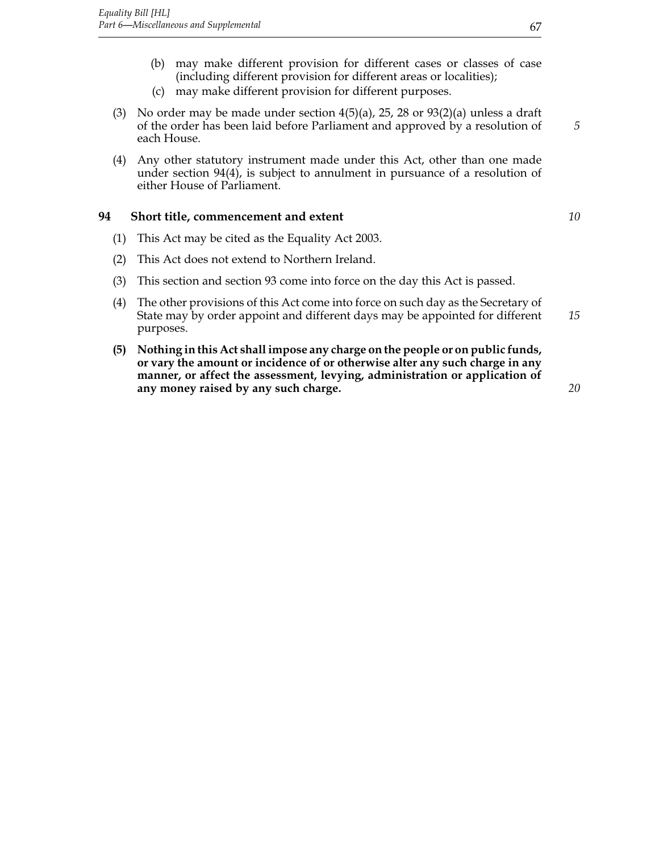- (b) may make different provision for different cases or classes of case (including different provision for different areas or localities);
- (c) may make different provision for different purposes.
- (3) No order may be made under section  $4(5)(a)$ , 25, 28 or  $93(2)(a)$  unless a draft of the order has been laid before Parliament and approved by a resolution of *5* each House.
- (4) Any other statutory instrument made under this Act, other than one made under section 94(4), is subject to annulment in pursuance of a resolution of either House of Parliament.

## **94 Short title, commencement and extent** *10*

- (1) This Act may be cited as the Equality Act 2003.
- (2) This Act does not extend to Northern Ireland.
- (3) This section and section 93 come into force on the day this Act is passed.
- (4) The other provisions of this Act come into force on such day as the Secretary of State may by order appoint and different days may be appointed for different *15* purposes.
- **(5) Nothing in this Act shall impose any charge on the people or on public funds, or vary the amount or incidence of or otherwise alter any such charge in any manner, or affect the assessment, levying, administration or application of any money raised by any such charge.** *20*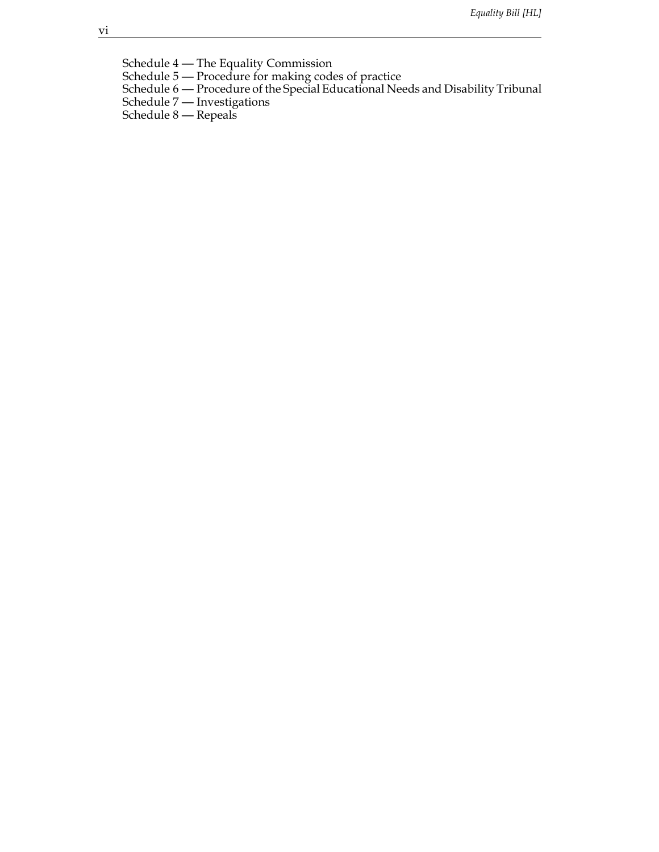Schedule 4 — The Equality Commission

- Schedule 5 Procedure for making codes of practice
- Schedule 6 Procedure of the Special Educational Needs and Disability Tribunal
- Schedule 7 Investigations
- Schedule 8 Repeals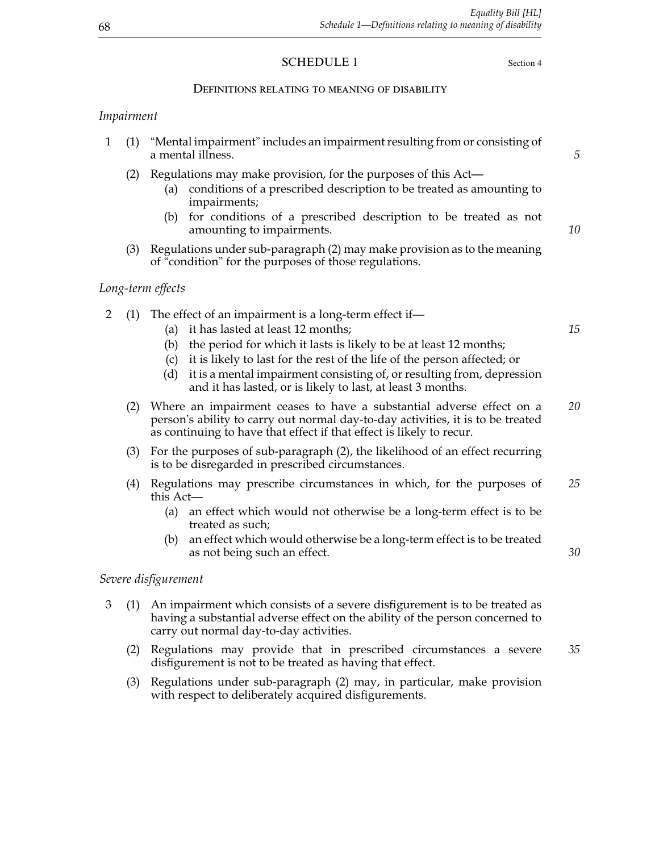## SCHEDULE 1 Section 4

## Definitions relating to meaning of disability

## *Impairment*

|  |  | a mental illness. |  | 1 (1) "Mental impairment" includes an impairment resulting from or consisting of |  |
|--|--|-------------------|--|----------------------------------------------------------------------------------|--|
|  |  |                   |  |                                                                                  |  |

- (2) Regulations may make provision, for the purposes of this Act—
	- (a) conditions of a prescribed description to be treated as amounting to impairments;
	- (b) for conditions of a prescribed description to be treated as not amounting to impairments. *10*
- (3) Regulations under sub-paragraph (2) may make provision as to the meaning of "condition" for the purposes of those regulations.

## *Long-term effects*

- 2 (1) The effect of an impairment is a long-term effect if—
	- (a) it has lasted at least 12 months; *15*
	- (b) the period for which it lasts is likely to be at least 12 months;
	- (c) it is likely to last for the rest of the life of the person affected; or
	- (d) it is a mental impairment consisting of, or resulting from, depression and it has lasted, or is likely to last, at least 3 months.
	- (2) Where an impairment ceases to have a substantial adverse effect on a *20* person's ability to carry out normal day-to-day activities, it is to be treated as continuing to have that effect if that effect is likely to recur.
	- (3) For the purposes of sub-paragraph (2), the likelihood of an effect recurring is to be disregarded in prescribed circumstances.
	- (4) Regulations may prescribe circumstances in which, for the purposes of *25* this Act—
		- (a) an effect which would not otherwise be a long-term effect is to be treated as such;
		- (b) an effect which would otherwise be a long-term effect is to be treated as not being such an effect. *30*

#### *Severe disfigurement*

- 3 (1) An impairment which consists of a severe disfigurement is to be treated as having a substantial adverse effect on the ability of the person concerned to carry out normal day-to-day activities.
	- (2) Regulations may provide that in prescribed circumstances a severe *35* disfigurement is not to be treated as having that effect.
	- (3) Regulations under sub-paragraph (2) may, in particular, make provision with respect to deliberately acquired disfigurements.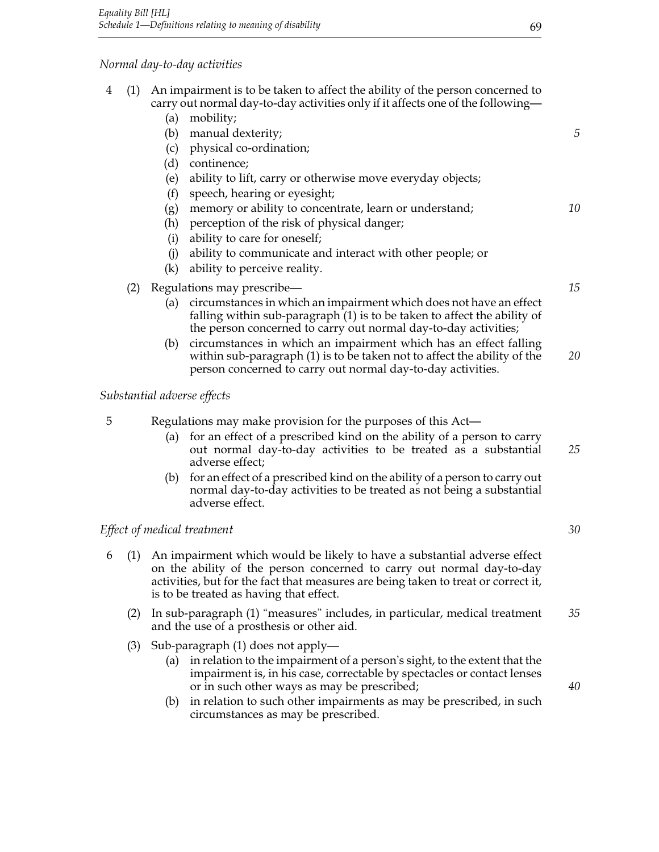(a) mobility;

# *Normal day-to-day activities*

|     | (b)        | manual dexterity;                                                                                                                                                                                                                                                                      | 5  |
|-----|------------|----------------------------------------------------------------------------------------------------------------------------------------------------------------------------------------------------------------------------------------------------------------------------------------|----|
|     |            | physical co-ordination;<br>(c)                                                                                                                                                                                                                                                         |    |
|     | (d)        | continence;                                                                                                                                                                                                                                                                            |    |
|     | (e)        | ability to lift, carry or otherwise move everyday objects;                                                                                                                                                                                                                             |    |
|     | (f)        | speech, hearing or eyesight;                                                                                                                                                                                                                                                           |    |
|     | (g)        | memory or ability to concentrate, learn or understand;                                                                                                                                                                                                                                 | 10 |
|     | (h)        | perception of the risk of physical danger;                                                                                                                                                                                                                                             |    |
|     | (i)        | ability to care for oneself;                                                                                                                                                                                                                                                           |    |
|     | (i)        | ability to communicate and interact with other people; or                                                                                                                                                                                                                              |    |
|     | (k)        | ability to perceive reality.                                                                                                                                                                                                                                                           |    |
| (2) |            | Regulations may prescribe—                                                                                                                                                                                                                                                             | 15 |
|     | (a)        | circumstances in which an impairment which does not have an effect<br>falling within sub-paragraph (1) is to be taken to affect the ability of<br>the person concerned to carry out normal day-to-day activities;                                                                      |    |
|     | (b)        | circumstances in which an impairment which has an effect falling<br>within sub-paragraph (1) is to be taken not to affect the ability of the<br>person concerned to carry out normal day-to-day activities.                                                                            | 20 |
|     |            | Substantial adverse effects                                                                                                                                                                                                                                                            |    |
| 5   |            | Regulations may make provision for the purposes of this Act—                                                                                                                                                                                                                           |    |
|     | (a)        | for an effect of a prescribed kind on the ability of a person to carry<br>out normal day-to-day activities to be treated as a substantial<br>adverse effect;                                                                                                                           | 25 |
|     | (b)        | for an effect of a prescribed kind on the ability of a person to carry out<br>normal day-to-day activities to be treated as not being a substantial<br>adverse effect.                                                                                                                 |    |
|     |            | Effect of medical treatment                                                                                                                                                                                                                                                            | 30 |
| 6   |            | (1) An impairment which would be likely to have a substantial adverse effect<br>on the ability of the person concerned to carry out normal day-to-day<br>activities, but for the fact that measures are being taken to treat or correct it,<br>is to be treated as having that effect. |    |
|     |            | (2) In sub-paragraph (1) "measures" includes, in particular, medical treatment<br>and the use of a prosthesis or other aid.                                                                                                                                                            | 35 |
|     | (3)<br>(a) | Sub-paragraph (1) does not apply—<br>in relation to the impairment of a person's sight, to the extent that the<br>impairment is, in his case, correctable by spectacles or contact lenses<br>or in such other ways as may be prescribed;                                               | 40 |
|     | (b)        | in relation to such other impairments as may be prescribed, in such<br>circumstances as may be prescribed.                                                                                                                                                                             |    |
|     |            |                                                                                                                                                                                                                                                                                        |    |
|     |            |                                                                                                                                                                                                                                                                                        |    |
|     |            |                                                                                                                                                                                                                                                                                        |    |

4 (1) An impairment is to be taken to affect the ability of the person concerned to

carry out normal day-to-day activities only if it affects one of the following—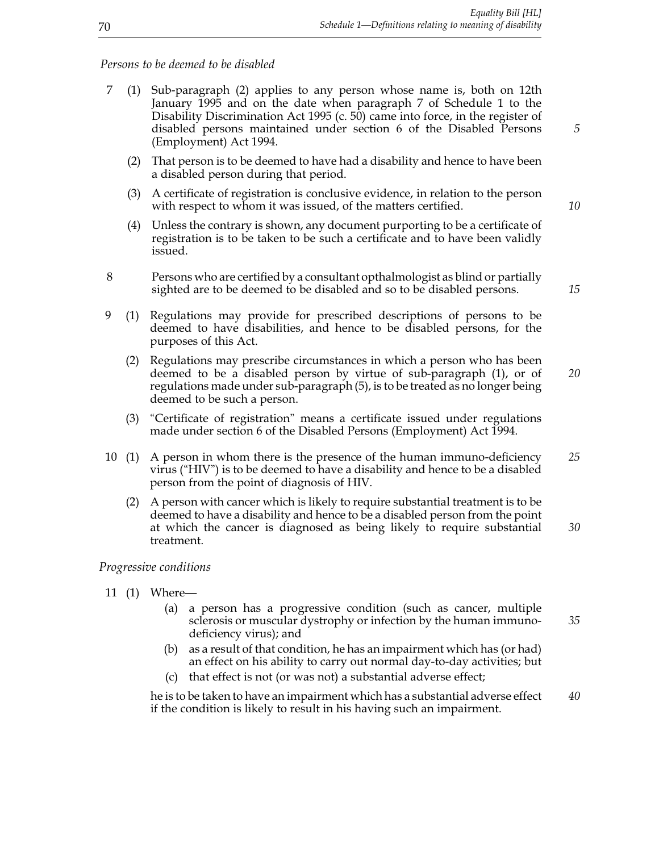#### *Persons to be deemed to be disabled*

- 7 (1) Sub-paragraph (2) applies to any person whose name is, both on 12th January 1995 and on the date when paragraph 7 of Schedule 1 to the Disability Discrimination Act 1995 (c. 50) came into force, in the register of disabled persons maintained under section 6 of the Disabled Persons *5* (Employment) Act 1994.
	- (2) That person is to be deemed to have had a disability and hence to have been a disabled person during that period.
	- (3) A certificate of registration is conclusive evidence, in relation to the person with respect to whom it was issued, of the matters certified. *10*
	- (4) Unless the contrary is shown, any document purporting to be a certificate of registration is to be taken to be such a certificate and to have been validly issued.
- 8 Persons who are certified by a consultant opthalmologist as blind or partially sighted are to be deemed to be disabled and so to be disabled persons. *15*
- 9 (1) Regulations may provide for prescribed descriptions of persons to be deemed to have disabilities, and hence to be disabled persons, for the purposes of this Act.
	- (2) Regulations may prescribe circumstances in which a person who has been deemed to be a disabled person by virtue of sub-paragraph (1), or of *20* regulations made under sub-paragraph (5), is to be treated as no longer being deemed to be such a person.
	- (3) "Certificate of registration" means a certificate issued under regulations made under section 6 of the Disabled Persons (Employment) Act 1994.
- 10 (1) A person in whom there is the presence of the human immuno-deficiency *25* virus ("HIV") is to be deemed to have a disability and hence to be a disabled person from the point of diagnosis of HIV.
	- (2) A person with cancer which is likely to require substantial treatment is to be deemed to have a disability and hence to be a disabled person from the point at which the cancer is diagnosed as being likely to require substantial *30* treatment.

#### *Progressive conditions*

- 11 (1) Where—
	- (a) a person has a progressive condition (such as cancer, multiple sclerosis or muscular dystrophy or infection by the human immuno- *35* deficiency virus); and
	- (b) as a result of that condition, he has an impairment which has (or had) an effect on his ability to carry out normal day-to-day activities; but
	- (c) that effect is not (or was not) a substantial adverse effect;

he is to be taken to have an impairment which has a substantial adverse effect *40* if the condition is likely to result in his having such an impairment.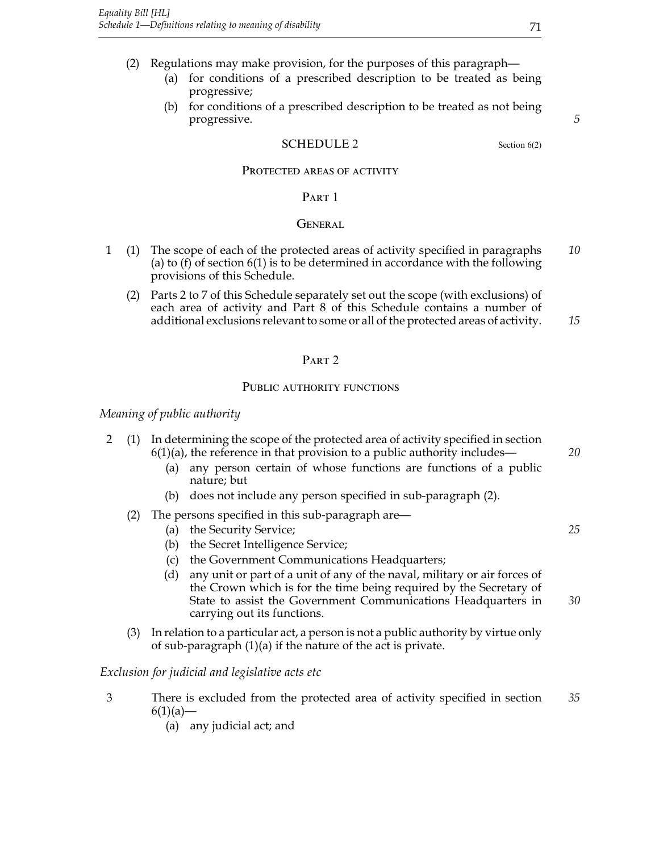- (2) Regulations may make provision, for the purposes of this paragraph—
	- (a) for conditions of a prescribed description to be treated as being progressive;
	- (b) for conditions of a prescribed description to be treated as not being progressive. *5*

## SCHEDULE 2 Section 6(2)

## PROTECTED AREAS OF ACTIVITY

## PART 1

## **GENERAL**

- 1 (1) The scope of each of the protected areas of activity specified in paragraphs *10* (a) to (f) of section  $6(1)$  is to be determined in accordance with the following provisions of this Schedule.
	- (2) Parts 2 to 7 of this Schedule separately set out the scope (with exclusions) of each area of activity and Part 8 of this Schedule contains a number of additional exclusions relevant to some or all of the protected areas of activity. *15*

## PART<sub>2</sub>

#### PUBLIC AUTHORITY FUNCTIONS

*Meaning of public authority*

| $\mathcal{P}$ |     |     | (1) In determining the scope of the protected area of activity specified in section<br>$6(1)(a)$ , the reference in that provision to a public authority includes—                                                                              | 20 |
|---------------|-----|-----|-------------------------------------------------------------------------------------------------------------------------------------------------------------------------------------------------------------------------------------------------|----|
|               |     | (a) | any person certain of whose functions are functions of a public<br>nature; but                                                                                                                                                                  |    |
|               |     | (b) | does not include any person specified in sub-paragraph (2).                                                                                                                                                                                     |    |
|               | (2) |     | The persons specified in this sub-paragraph are—                                                                                                                                                                                                |    |
|               |     | (a) | the Security Service;                                                                                                                                                                                                                           | 25 |
|               |     | (b) | the Secret Intelligence Service;                                                                                                                                                                                                                |    |
|               |     | (c) | the Government Communications Headquarters;                                                                                                                                                                                                     |    |
|               |     | (d) | any unit or part of a unit of any of the naval, military or air forces of<br>the Crown which is for the time being required by the Secretary of<br>State to assist the Government Communications Headquarters in<br>carrying out its functions. | 30 |
|               | (3) |     | In relation to a particular act, a person is not a public authority by virtue only<br>of sub-paragraph $(1)(a)$ if the nature of the act is private.                                                                                            |    |
|               |     |     | Exclusion for judicial and legislative acts etc                                                                                                                                                                                                 |    |

- 3 There is excluded from the protected area of activity specified in section *35*  $6(1)(a)$ —
	- (a) any judicial act; and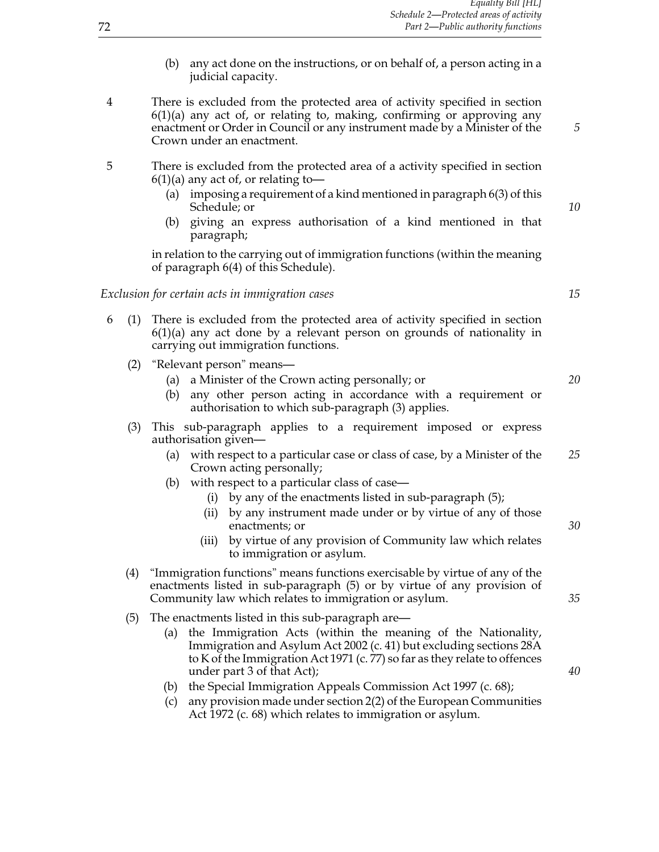- (b) any act done on the instructions, or on behalf of, a person acting in a judicial capacity.
- 4 There is excluded from the protected area of activity specified in section  $6(1)(a)$  any act of, or relating to, making, confirming or approving any enactment or Order in Council or any instrument made by a Minister of the *5* Crown under an enactment.
- 5 There is excluded from the protected area of a activity specified in section  $6(1)(a)$  any act of, or relating to-
	- (a) imposing a requirement of a kind mentioned in paragraph 6(3) of this Schedule; or *10*
	- (b) giving an express authorisation of a kind mentioned in that paragraph;

in relation to the carrying out of immigration functions (within the meaning of paragraph 6(4) of this Schedule).

## *Exclusion for certain acts in immigration cases 15*

- 6 (1) There is excluded from the protected area of activity specified in section  $6(1)(a)$  any act done by a relevant person on grounds of nationality in carrying out immigration functions.
	- (2) "Relevant person" means—
		- (a) a Minister of the Crown acting personally; or *20*
		- (b) any other person acting in accordance with a requirement or authorisation to which sub-paragraph (3) applies.
	- (3) This sub-paragraph applies to a requirement imposed or express authorisation given—
		- (a) with respect to a particular case or class of case, by a Minister of the *25* Crown acting personally;
		- (b) with respect to a particular class of case—
			- (i) by any of the enactments listed in sub-paragraph (5);
			- (ii) by any instrument made under or by virtue of any of those enactments; or *30*
			- (iii) by virtue of any provision of Community law which relates to immigration or asylum.
	- (4) "Immigration functions" means functions exercisable by virtue of any of the enactments listed in sub-paragraph (5) or by virtue of any provision of Community law which relates to immigration or asylum. *35*
	- (5) The enactments listed in this sub-paragraph are—
		- (a) the Immigration Acts (within the meaning of the Nationality, Immigration and Asylum Act 2002 (c. 41) but excluding sections 28A to K of the Immigration Act 1971 (c. 77) so far as they relate to offences under part 3 of that Act); *40*
		- (b) the Special Immigration Appeals Commission Act 1997 (c. 68);
		- (c) any provision made under section 2(2) of the European Communities Act 1972 (c. 68) which relates to immigration or asylum.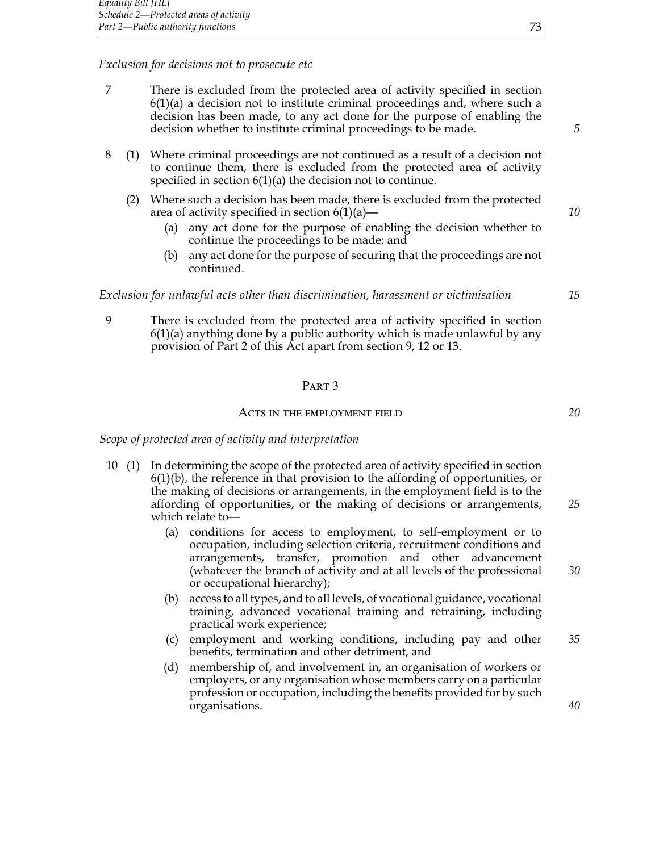## *Exclusion for decisions not to prosecute etc*

- 7 There is excluded from the protected area of activity specified in section  $6(1)(a)$  a decision not to institute criminal proceedings and, where such a decision has been made, to any act done for the purpose of enabling the decision whether to institute criminal proceedings to be made. *5*
- 8 (1) Where criminal proceedings are not continued as a result of a decision not to continue them, there is excluded from the protected area of activity specified in section 6(1)(a) the decision not to continue.
	- (2) Where such a decision has been made, there is excluded from the protected area of activity specified in section 6(1)(a)— *10*
		- (a) any act done for the purpose of enabling the decision whether to continue the proceedings to be made; and
		- (b) any act done for the purpose of securing that the proceedings are not continued.

#### *Exclusion for unlawful acts other than discrimination, harassment or victimisation 15*

9 There is excluded from the protected area of activity specified in section  $6(1)(a)$  anything done by a public authority which is made unlawful by any provision of Part 2 of this Act apart from section 9, 12 or 13.

#### PART<sub>3</sub>

#### ACTS IN THE EMPLOYMENT FIELD **20**

#### *Scope of protected area of activity and interpretation*

- 10 (1) In determining the scope of the protected area of activity specified in section  $6(1)(b)$ , the reference in that provision to the affording of opportunities, or the making of decisions or arrangements, in the employment field is to the affording of opportunities, or the making of decisions or arrangements, *25* which relate to—
	- (a) conditions for access to employment, to self-employment or to occupation, including selection criteria, recruitment conditions and arrangements, transfer, promotion and other advancement (whatever the branch of activity and at all levels of the professional *30* or occupational hierarchy);
	- (b) access to all types, and to all levels, of vocational guidance, vocational training, advanced vocational training and retraining, including practical work experience;
	- (c) employment and working conditions, including pay and other *35* benefits, termination and other detriment, and
	- (d) membership of, and involvement in, an organisation of workers or employers, or any organisation whose members carry on a particular profession or occupation, including the benefits provided for by such organisations. *40*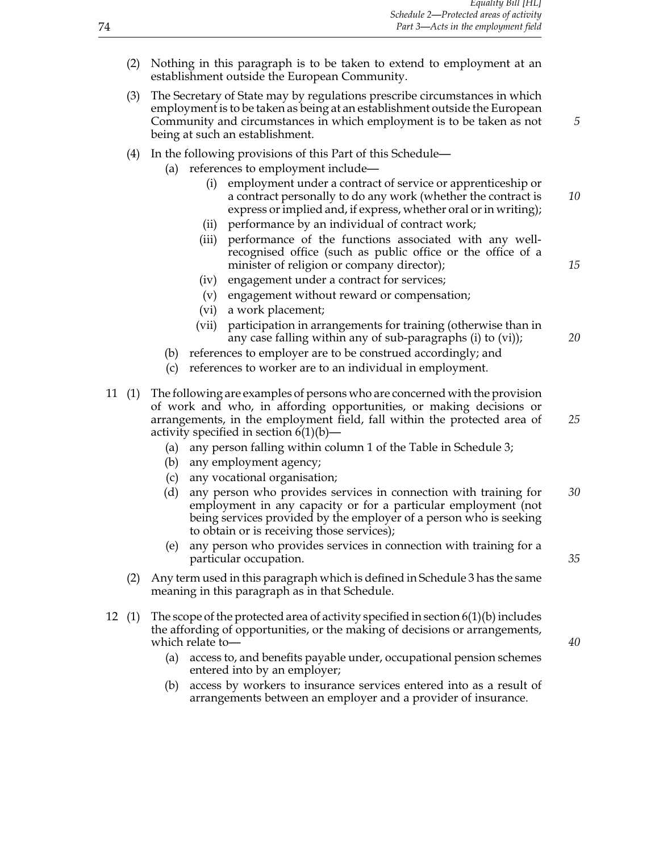- (2) Nothing in this paragraph is to be taken to extend to employment at an establishment outside the European Community.
- (3) The Secretary of State may by regulations prescribe circumstances in which employment is to be taken as being at an establishment outside the European Community and circumstances in which employment is to be taken as not *5* being at such an establishment.
- (4) In the following provisions of this Part of this Schedule—
	- (a) references to employment include—
		- (i) employment under a contract of service or apprenticeship or a contract personally to do any work (whether the contract is *10* express or implied and, if express, whether oral or in writing);
		- (ii) performance by an individual of contract work;
		- (iii) performance of the functions associated with any wellrecognised office (such as public office or the office of a minister of religion or company director); **15**
		- (iv) engagement under a contract for services;
		- (v) engagement without reward or compensation;
		- (vi) a work placement;
		- (vii) participation in arrangements for training (otherwise than in any case falling within any of sub-paragraphs (i) to (vi)); *20*
	- (b) references to employer are to be construed accordingly; and
	- (c) references to worker are to an individual in employment.
- 11 (1) The following are examples of persons who are concerned with the provision of work and who, in affording opportunities, or making decisions or arrangements, in the employment field, fall within the protected area of *25* activity specified in section  $6(1)(b)$ —
	- (a) any person falling within column 1 of the Table in Schedule 3;
	- (b) any employment agency;
	- (c) any vocational organisation;
	- (d) any person who provides services in connection with training for *30* employment in any capacity or for a particular employment (not being services provided by the employer of a person who is seeking to obtain or is receiving those services);
	- (e) any person who provides services in connection with training for a particular occupation. *35*
	- (2) Any term used in this paragraph which is defined in Schedule 3 has the same meaning in this paragraph as in that Schedule.
- 12 (1) The scope of the protected area of activity specified in section 6(1)(b) includes the affording of opportunities, or the making of decisions or arrangements, which relate to —  $40$ 
	- (a) access to, and benefits payable under, occupational pension schemes entered into by an employer;
	- (b) access by workers to insurance services entered into as a result of arrangements between an employer and a provider of insurance.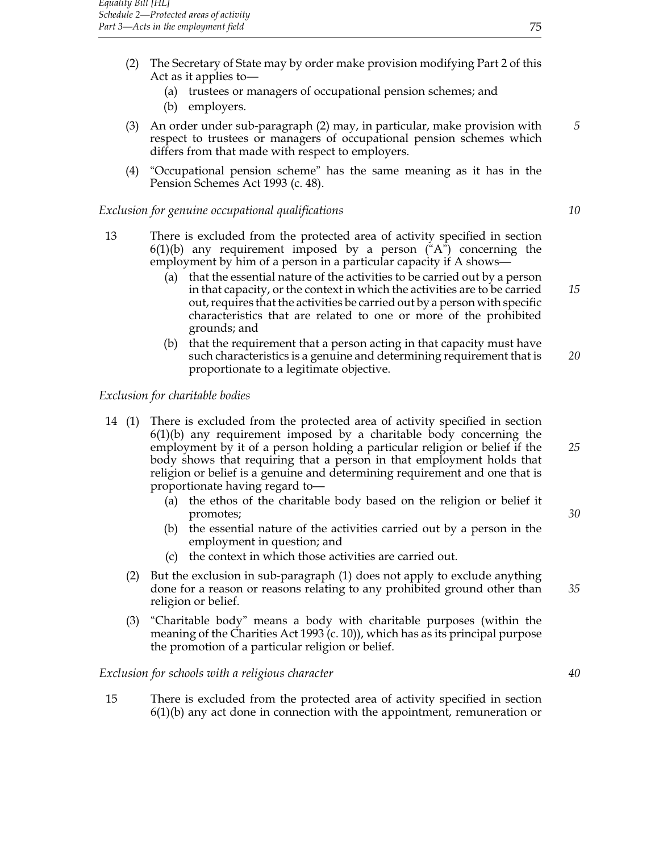- (2) The Secretary of State may by order make provision modifying Part 2 of this Act as it applies to—
	- (a) trustees or managers of occupational pension schemes; and
	- (b) employers.
- (3) An order under sub-paragraph (2) may, in particular, make provision with *5* respect to trustees or managers of occupational pension schemes which differs from that made with respect to employers.
- (4) "Occupational pension scheme" has the same meaning as it has in the Pension Schemes Act 1993 (c. 48).

## *Exclusion for genuine occupational qualifications 10*

- 13 There is excluded from the protected area of activity specified in section  $6(1)(b)$  any requirement imposed by a person  $(^{6}A^{3})$  concerning the employment by him of a person in a particular capacity if A shows—
	- (a) that the essential nature of the activities to be carried out by a person in that capacity, or the context in which the activities are to be carried *15* out, requires that the activities be carried out by a person with specific characteristics that are related to one or more of the prohibited grounds; and
	- (b) that the requirement that a person acting in that capacity must have such characteristics is a genuine and determining requirement that is *20* proportionate to a legitimate objective.

#### *Exclusion for charitable bodies*

- 14 (1) There is excluded from the protected area of activity specified in section  $6(1)(b)$  any requirement imposed by a charitable body concerning the employment by it of a person holding a particular religion or belief if the *25* body shows that requiring that a person in that employment holds that religion or belief is a genuine and determining requirement and one that is proportionate having regard to—
	- (a) the ethos of the charitable body based on the religion or belief it promotes; *30*
	- (b) the essential nature of the activities carried out by a person in the employment in question; and
	- (c) the context in which those activities are carried out.
	- (2) But the exclusion in sub-paragraph (1) does not apply to exclude anything done for a reason or reasons relating to any prohibited ground other than *35* religion or belief.
	- (3) "Charitable body" means a body with charitable purposes (within the meaning of the Charities Act 1993 (c. 10)), which has as its principal purpose the promotion of a particular religion or belief.

#### *Exclusion for schools with a religious character 40*

15 There is excluded from the protected area of activity specified in section  $6(1)(b)$  any act done in connection with the appointment, remuneration or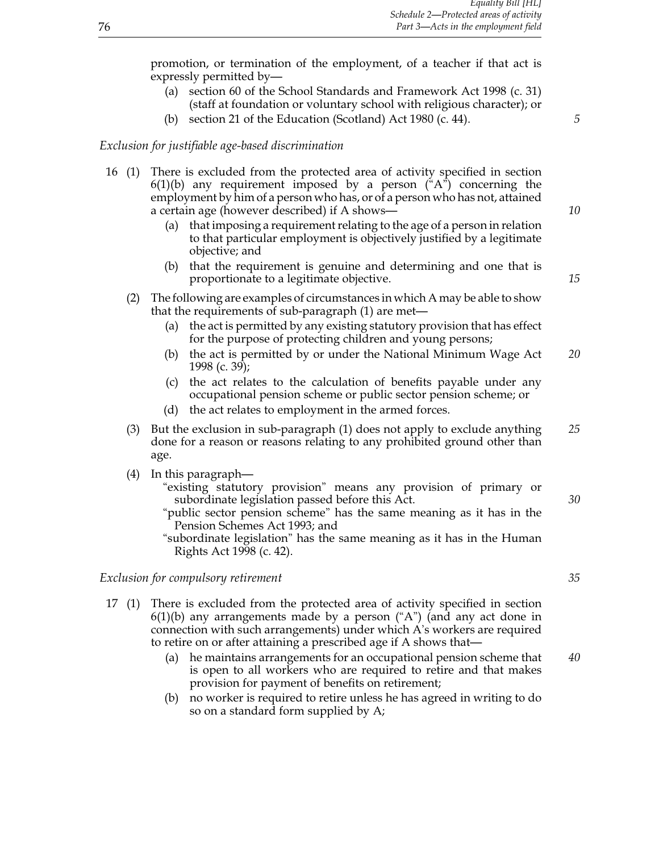promotion, or termination of the employment, of a teacher if that act is expressly permitted by—

- (a) section 60 of the School Standards and Framework Act 1998 (c. 31) (staff at foundation or voluntary school with religious character); or
- (b) section 21 of the Education (Scotland) Act 1980 (c. 44). *5*

#### *Exclusion for justifiable age-based discrimination*

- 16 (1) There is excluded from the protected area of activity specified in section  $6(1)(b)$  any requirement imposed by a person ("A") concerning the employment by him of a person who has, or of a person who has not, attained a certain age (however described) if A shows— *10*
	- (a) that imposing a requirement relating to the age of a person in relation to that particular employment is objectively justified by a legitimate objective; and
	- (b) that the requirement is genuine and determining and one that is proportionate to a legitimate objective. *15*
	- (2) The following are examples of circumstances in which A may be able to show that the requirements of sub-paragraph (1) are met—
		- (a) the act is permitted by any existing statutory provision that has effect for the purpose of protecting children and young persons;
		- (b) the act is permitted by or under the National Minimum Wage Act *20* 1998 (c. 39);
		- (c) the act relates to the calculation of benefits payable under any occupational pension scheme or public sector pension scheme; or
		- (d) the act relates to employment in the armed forces.
	- (3) But the exclusion in sub-paragraph (1) does not apply to exclude anything *25* done for a reason or reasons relating to any prohibited ground other than age.
	- (4) In this paragraph—
		- "existing statutory provision" means any provision of primary or subordinate legislation passed before this Act. *30*
		- "public sector pension scheme" has the same meaning as it has in the Pension Schemes Act 1993; and
		- "subordinate legislation" has the same meaning as it has in the Human Rights Act 1998 (c. 42).

#### *Exclusion for compulsory retirement 35*

- 17 (1) There is excluded from the protected area of activity specified in section  $6(1)(b)$  any arrangements made by a person  $(4)$ <sup>"</sup>) (and any act done in connection with such arrangements) under which A's workers are required to retire on or after attaining a prescribed age if A shows that—
	- (a) he maintains arrangements for an occupational pension scheme that *40* is open to all workers who are required to retire and that makes provision for payment of benefits on retirement;
	- (b) no worker is required to retire unless he has agreed in writing to do so on a standard form supplied by A;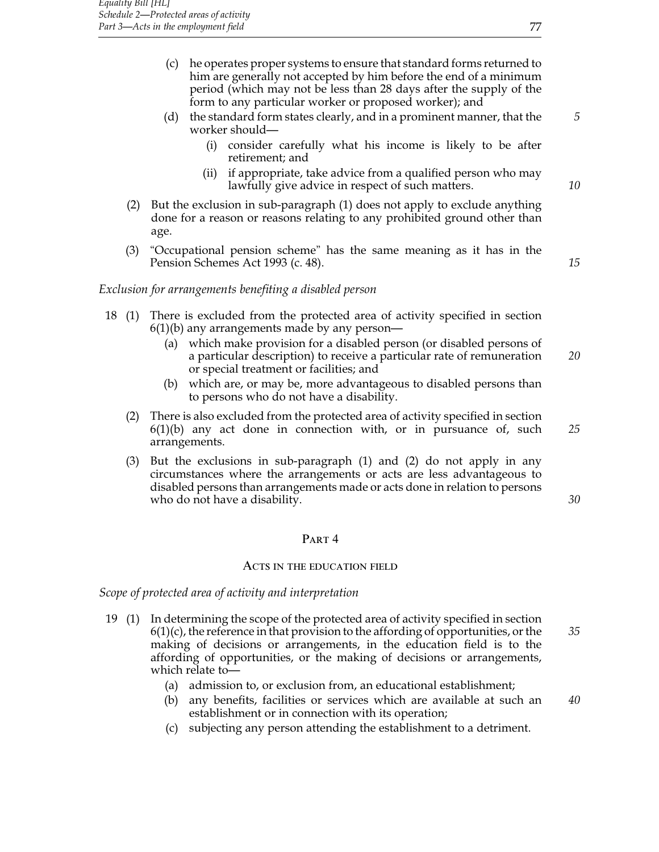- (c) he operates proper systems to ensure that standard forms returned to him are generally not accepted by him before the end of a minimum period (which may not be less than 28 days after the supply of the form to any particular worker or proposed worker); and
- (d) the standard form states clearly, and in a prominent manner, that the *5* worker should—
	- (i) consider carefully what his income is likely to be after retirement; and
	- (ii) if appropriate, take advice from a qualified person who may lawfully give advice in respect of such matters. *10*
- (2) But the exclusion in sub-paragraph (1) does not apply to exclude anything done for a reason or reasons relating to any prohibited ground other than age.
- (3) "Occupational pension scheme" has the same meaning as it has in the Pension Schemes Act 1993 (c. 48). *15*

## *Exclusion for arrangements benefiting a disabled person*

- 18 (1) There is excluded from the protected area of activity specified in section 6(1)(b) any arrangements made by any person—
	- (a) which make provision for a disabled person (or disabled persons of a particular description) to receive a particular rate of remuneration *20* or special treatment or facilities; and
	- (b) which are, or may be, more advantageous to disabled persons than to persons who do not have a disability.
	- (2) There is also excluded from the protected area of activity specified in section 6(1)(b) any act done in connection with, or in pursuance of, such *25* arrangements.
	- (3) But the exclusions in sub-paragraph (1) and (2) do not apply in any circumstances where the arrangements or acts are less advantageous to disabled persons than arrangements made or acts done in relation to persons who do not have a disability. *30 30*

#### PART<sub>4</sub>

#### Acts in the education field

*Scope of protected area of activity and interpretation*

- 19 (1) In determining the scope of the protected area of activity specified in section 6(1)(c), the reference in that provision to the affording of opportunities, or the *35* making of decisions or arrangements, in the education field is to the affording of opportunities, or the making of decisions or arrangements, which relate to—
	- (a) admission to, or exclusion from, an educational establishment;
	- (b) any benefits, facilities or services which are available at such an *40* establishment or in connection with its operation;
	- (c) subjecting any person attending the establishment to a detriment.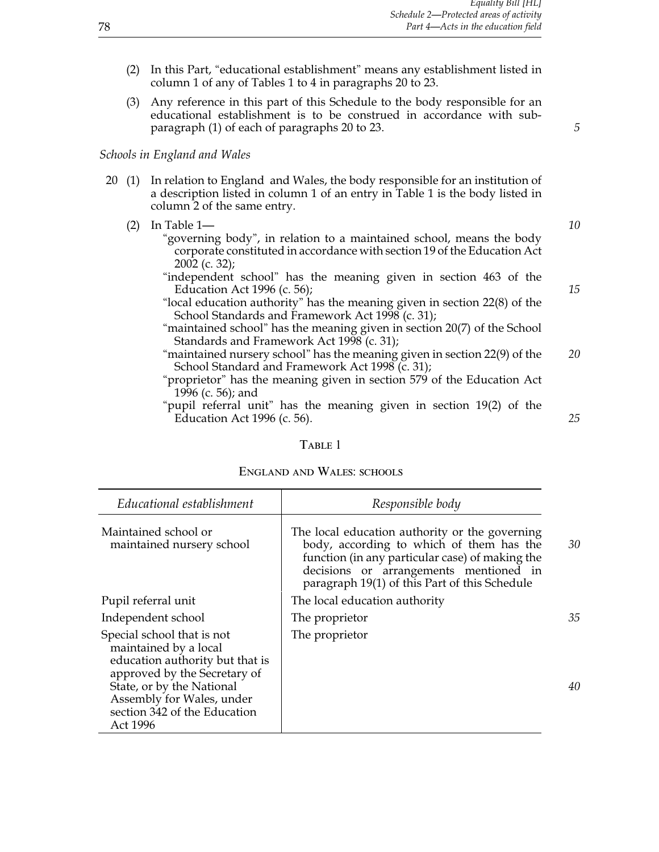- (2) In this Part, "educational establishment" means any establishment listed in column 1 of any of Tables 1 to 4 in paragraphs 20 to 23.
- (3) Any reference in this part of this Schedule to the body responsible for an educational establishment is to be construed in accordance with subparagraph (1) of each of paragraphs 20 to 23. *5*

## *Schools in England and Wales*

- 20 (1) In relation to England and Wales, the body responsible for an institution of a description listed in column 1 of an entry in Table 1 is the body listed in column 2 of the same entry.
	- (2) In Table 1— *10*
		- "governing body", in relation to a maintained school, means the body corporate constituted in accordance with section 19 of the Education Act 2002 (c. 32);
		- "independent school" has the meaning given in section 463 of the Education Act 1996 (c. 56); *15*
		- "local education authority" has the meaning given in section 22(8) of the School Standards and Framework Act 1998 (c. 31);
		- "maintained school" has the meaning given in section 20(7) of the School Standards and Framework Act 1998 (c. 31);
		- "maintained nursery school" has the meaning given in section 22(9) of the *20* School Standard and Framework Act 1998 (c. 31);
		- "proprietor" has the meaning given in section 579 of the Education Act 1996 (c. 56); and
		- "pupil referral unit" has the meaning given in section 19(2) of the Education Act 1996 (c. 56). *25*

#### TABLE 1

#### England and Wales: schools

| Educational establishment                                                                                                                                                                                                    | Responsible body                                                                                                                                                                                                                         |    |
|------------------------------------------------------------------------------------------------------------------------------------------------------------------------------------------------------------------------------|------------------------------------------------------------------------------------------------------------------------------------------------------------------------------------------------------------------------------------------|----|
| Maintained school or<br>maintained nursery school                                                                                                                                                                            | The local education authority or the governing<br>body, according to which of them has the<br>function (in any particular case) of making the<br>decisions or arrangements mentioned in<br>paragraph 19(1) of this Part of this Schedule | 30 |
| Pupil referral unit                                                                                                                                                                                                          | The local education authority                                                                                                                                                                                                            |    |
| Independent school                                                                                                                                                                                                           | The proprietor                                                                                                                                                                                                                           | 35 |
| Special school that is not<br>maintained by a local<br>education authority but that is<br>approved by the Secretary of<br>State, or by the National<br>Assembly for Wales, under<br>section 342 of the Education<br>Act 1996 | The proprietor                                                                                                                                                                                                                           | 40 |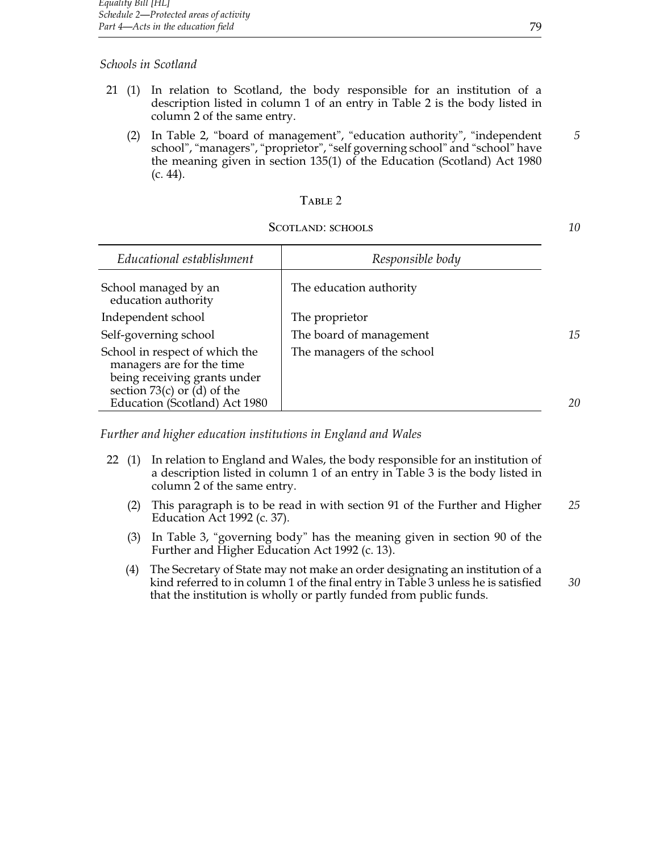## *Schools in Scotland*

- 21 (1) In relation to Scotland, the body responsible for an institution of a description listed in column 1 of an entry in Table 2 is the body listed in column 2 of the same entry.
	- (2) In Table 2, "board of management", "education authority", "independent *5* school", "managers", "proprietor", "self governing school" and "school" have the meaning given in section 135(1) of the Education (Scotland) Act 1980 (c. 44).

## TABLE 2

## SCOTLAND: SCHOOLS **10**

| Responsible body           |    |
|----------------------------|----|
| The education authority    |    |
| The proprietor             |    |
| The board of management    | 15 |
| The managers of the school | 20 |
|                            |    |

*Further and higher education institutions in England and Wales*

- 22 (1) In relation to England and Wales, the body responsible for an institution of a description listed in column 1 of an entry in Table 3 is the body listed in column 2 of the same entry.
	- (2) This paragraph is to be read in with section 91 of the Further and Higher *25* Education Act 1992 (c. 37).
	- (3) In Table 3, "governing body" has the meaning given in section 90 of the Further and Higher Education Act 1992 (c. 13).
	- (4) The Secretary of State may not make an order designating an institution of a kind referred to in column 1 of the final entry in Table 3 unless he is satisfied *30* that the institution is wholly or partly funded from public funds.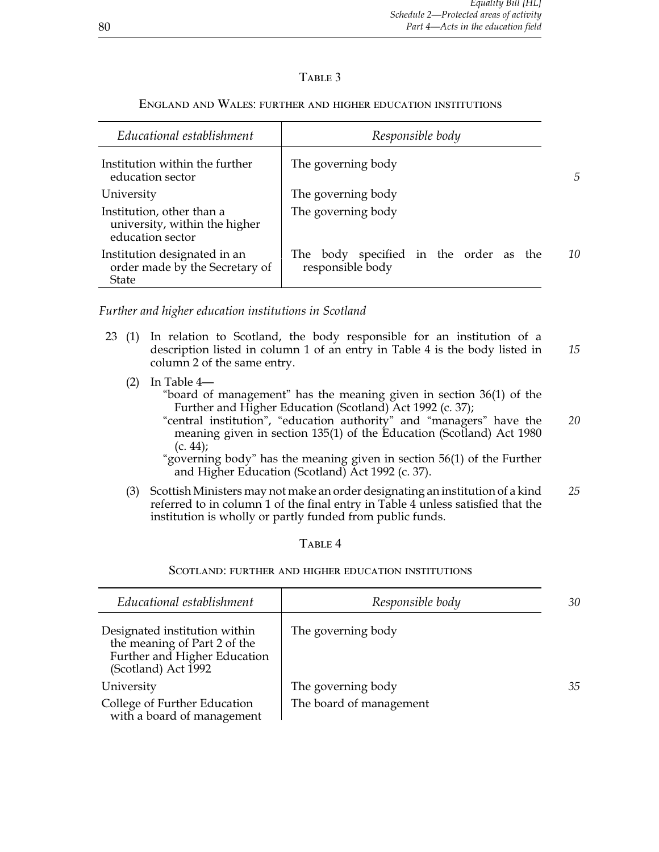## TABLE 3

# *Educational establishment Responsible body* Institution within the further  $\parallel$  The governing body education sector **5** University The governing body Institution, other than a The governing body university, within the higher education sector Institution designated in an The body specified in the order as the *10* order made by the Secretary of responsible body order made by the Secretary of State

## England and Wales: further and higher education institutions

*Further and higher education institutions in Scotland*

- 23 (1) In relation to Scotland, the body responsible for an institution of a description listed in column 1 of an entry in Table 4 is the body listed in *15* column 2 of the same entry.
	- (2) In Table 4—

"board of management" has the meaning given in section 36(1) of the Further and Higher Education (Scotland) Act 1992 (c. 37);

"central institution", "education authority" and "managers" have the *20* meaning given in section 135(1) of the Education (Scotland) Act 1980  $(c. 44)$ ;

"governing body" has the meaning given in section 56(1) of the Further and Higher Education (Scotland) Act 1992 (c. 37).

(3) Scottish Ministers may not make an order designating an institution of a kind *25* referred to in column 1 of the final entry in Table 4 unless satisfied that the institution is wholly or partly funded from public funds.

## TABLE<sub>4</sub>

#### Scotland: further and higher education institutions

| Educational establishment                                                                                            | Responsible body        | 30 |
|----------------------------------------------------------------------------------------------------------------------|-------------------------|----|
| Designated institution within<br>the meaning of Part 2 of the<br>Further and Higher Education<br>(Scotland) Act 1992 | The governing body      |    |
| University                                                                                                           | The governing body      | 35 |
| College of Further Education<br>with a board of management                                                           | The board of management |    |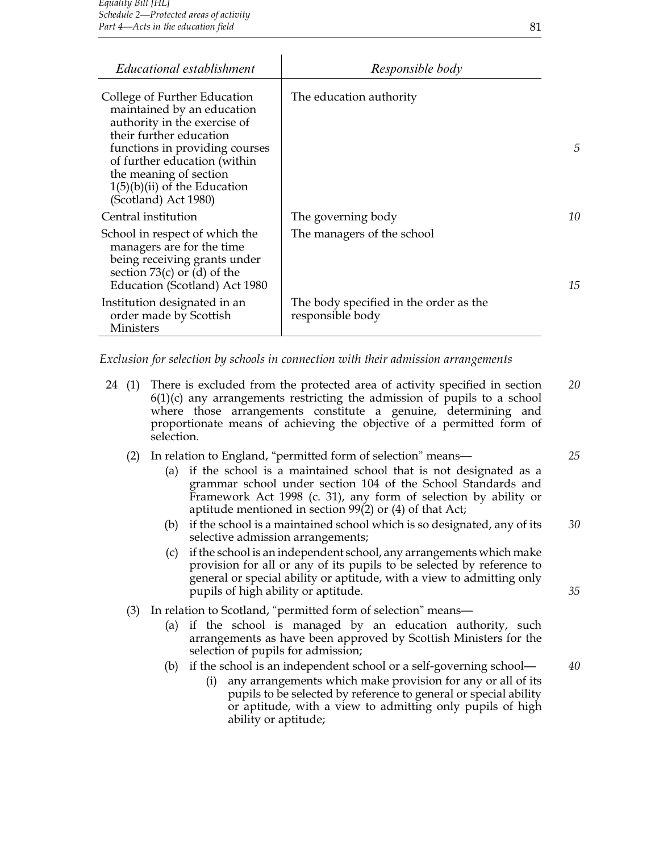| Educational establishment                                                                                                                                                                                                                                                   | Responsible body                                           |    |
|-----------------------------------------------------------------------------------------------------------------------------------------------------------------------------------------------------------------------------------------------------------------------------|------------------------------------------------------------|----|
| College of Further Education<br>maintained by an education<br>authority in the exercise of<br>their further education<br>functions in providing courses<br>of further education (within<br>the meaning of section<br>$1(5)(b)(ii)$ of the Education<br>(Scotland) Act 1980) | The education authority                                    | 5  |
| Central institution                                                                                                                                                                                                                                                         | The governing body                                         | 10 |
| School in respect of which the<br>managers are for the time<br>being receiving grants under<br>section $73(c)$ or (d) of the<br>Education (Scotland) Act 1980                                                                                                               | The managers of the school                                 | 15 |
| Institution designated in an<br>order made by Scottish<br><b>Ministers</b>                                                                                                                                                                                                  | The body specified in the order as the<br>responsible body |    |

*Exclusion for selection by schools in connection with their admission arrangements*

- 24 (1) There is excluded from the protected area of activity specified in section *20*  $6(1)(c)$  any arrangements restricting the admission of pupils to a school where those arrangements constitute a genuine, determining and proportionate means of achieving the objective of a permitted form of selection.
	- (2) In relation to England, "permitted form of selection" means— *25*
		- (a) if the school is a maintained school that is not designated as a grammar school under section 104 of the School Standards and Framework Act 1998 (c. 31), any form of selection by ability or aptitude mentioned in section 99(2) or (4) of that Act;
		- (b) if the school is a maintained school which is so designated, any of its *30* selective admission arrangements;
		- (c) if the school is an independent school, any arrangements which make provision for all or any of its pupils to be selected by reference to general or special ability or aptitude, with a view to admitting only pupils of high ability or aptitude. *35*
	- (3) In relation to Scotland, "permitted form of selection" means—
		- (a) if the school is managed by an education authority, such arrangements as have been approved by Scottish Ministers for the selection of pupils for admission;
		- (b) if the school is an independent school or a self-governing school— *40*
			- (i) any arrangements which make provision for any or all of its pupils to be selected by reference to general or special ability or aptitude, with a view to admitting only pupils of high ability or aptitude;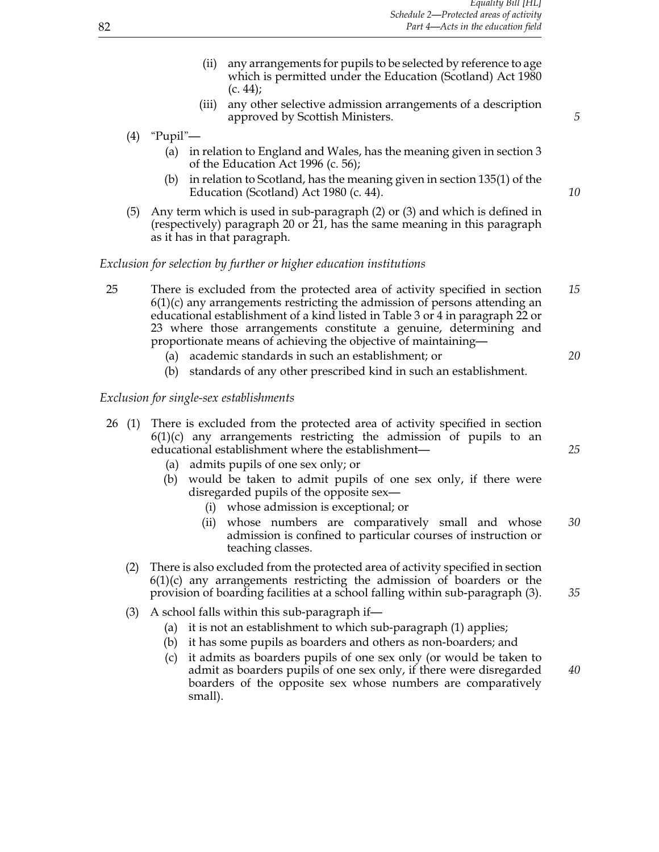- (ii) any arrangements for pupils to be selected by reference to age which is permitted under the Education (Scotland) Act 1980  $(c. 44)$ ;
- (iii) any other selective admission arrangements of a description approved by Scottish Ministers. *5*
- (4) "Pupil"—
	- (a) in relation to England and Wales, has the meaning given in section 3 of the Education Act 1996 (c. 56);
	- (b) in relation to Scotland, has the meaning given in section 135(1) of the Education (Scotland) Act 1980 (c. 44). *10*
- (5) Any term which is used in sub-paragraph (2) or (3) and which is defined in (respectively) paragraph 20 or 21, has the same meaning in this paragraph as it has in that paragraph.

## *Exclusion for selection by further or higher education institutions*

- 25 There is excluded from the protected area of activity specified in section *15*  $6(1)(c)$  any arrangements restricting the admission of persons attending an educational establishment of a kind listed in Table 3 or 4 in paragraph 22 or 23 where those arrangements constitute a genuine, determining and proportionate means of achieving the objective of maintaining—
	- (a) academic standards in such an establishment; or *20*
	- (b) standards of any other prescribed kind in such an establishment.

#### *Exclusion for single-sex establishments*

- 26 (1) There is excluded from the protected area of activity specified in section  $6(1)(c)$  any arrangements restricting the admission of pupils to an educational establishment where the establishment— *25*
	- (a) admits pupils of one sex only; or
	- (b) would be taken to admit pupils of one sex only, if there were disregarded pupils of the opposite sex—
		- (i) whose admission is exceptional; or
		- (ii) whose numbers are comparatively small and whose *30* admission is confined to particular courses of instruction or teaching classes.
	- (2) There is also excluded from the protected area of activity specified in section  $6(1)(c)$  any arrangements restricting the admission of boarders or the provision of boarding facilities at a school falling within sub-paragraph (3). *35*
	- (3) A school falls within this sub-paragraph if—
		- (a) it is not an establishment to which sub-paragraph (1) applies;
		- (b) it has some pupils as boarders and others as non-boarders; and
		- (c) it admits as boarders pupils of one sex only (or would be taken to admit as boarders pupils of one sex only, if there were disregarded *40* boarders of the opposite sex whose numbers are comparatively small).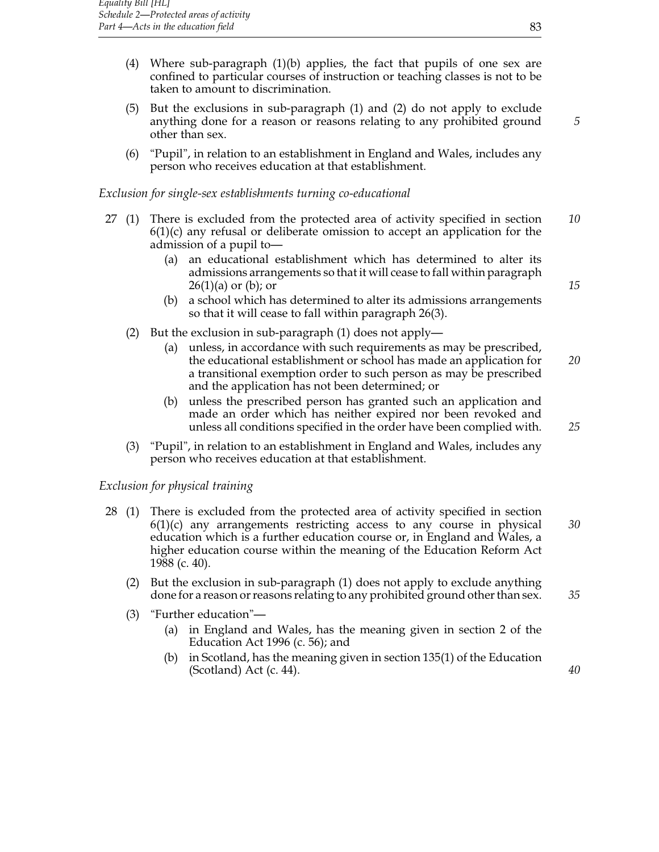- (4) Where sub-paragraph (1)(b) applies, the fact that pupils of one sex are confined to particular courses of instruction or teaching classes is not to be taken to amount to discrimination.
- (5) But the exclusions in sub-paragraph (1) and (2) do not apply to exclude anything done for a reason or reasons relating to any prohibited ground *5* other than sex.
- (6) "Pupil", in relation to an establishment in England and Wales, includes any person who receives education at that establishment.

## *Exclusion for single-sex establishments turning co-educational*

- 27 (1) There is excluded from the protected area of activity specified in section *10*  $6(1)(c)$  any refusal or deliberate omission to accept an application for the admission of a pupil to—
	- (a) an educational establishment which has determined to alter its admissions arrangements so that it will cease to fall within paragraph 26(1)(a) or (b); or *15*
	- (b) a school which has determined to alter its admissions arrangements so that it will cease to fall within paragraph 26(3).
	- (2) But the exclusion in sub-paragraph (1) does not apply—
		- (a) unless, in accordance with such requirements as may be prescribed, the educational establishment or school has made an application for *20* a transitional exemption order to such person as may be prescribed and the application has not been determined; or
		- (b) unless the prescribed person has granted such an application and made an order which has neither expired nor been revoked and unless all conditions specified in the order have been complied with. *25*
	- (3) "Pupil", in relation to an establishment in England and Wales, includes any person who receives education at that establishment.

## *Exclusion for physical training*

- 28 (1) There is excluded from the protected area of activity specified in section 6(1)(c) any arrangements restricting access to any course in physical *30* education which is a further education course or, in England and Wales, a higher education course within the meaning of the Education Reform Act 1988 (c. 40).
	- (2) But the exclusion in sub-paragraph (1) does not apply to exclude anything done for a reason or reasons relating to any prohibited ground other than sex. *35*
	- (3) "Further education"—
		- (a) in England and Wales, has the meaning given in section 2 of the Education Act 1996 (c. 56); and
		- (b) in Scotland, has the meaning given in section 135(1) of the Education (Scotland) Act (c. 44). *40*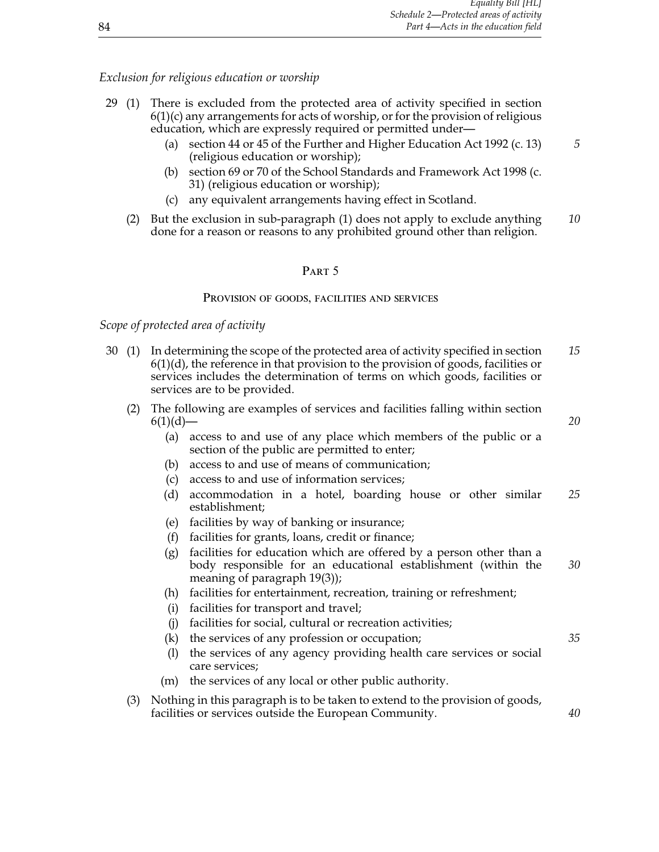## *Exclusion for religious education or worship*

- 29 (1) There is excluded from the protected area of activity specified in section  $6(1)(c)$  any arrangements for acts of worship, or for the provision of religious education, which are expressly required or permitted under—
	- (a) section 44 or 45 of the Further and Higher Education Act 1992 (c. 13) *5* (religious education or worship);
	- (b) section 69 or 70 of the School Standards and Framework Act 1998 (c. 31) (religious education or worship);
	- (c) any equivalent arrangements having effect in Scotland.
	- (2) But the exclusion in sub-paragraph (1) does not apply to exclude anything *10* done for a reason or reasons to any prohibited ground other than religion.

## PART<sub>5</sub>

#### PROVISION OF GOODS, FACILITIES AND SERVICES

## *Scope of protected area of activity*

- 30 (1) In determining the scope of the protected area of activity specified in section *15*  $6(1)(d)$ , the reference in that provision to the provision of goods, facilities or services includes the determination of terms on which goods, facilities or services are to be provided.
	- (2) The following are examples of services and facilities falling within section 6(1)(d)— *20*
		- (a) access to and use of any place which members of the public or a section of the public are permitted to enter;
		- (b) access to and use of means of communication;
		- (c) access to and use of information services;
		- (d) accommodation in a hotel, boarding house or other similar *25* establishment;
		- (e) facilities by way of banking or insurance;
		- (f) facilities for grants, loans, credit or finance;
		- (g) facilities for education which are offered by a person other than a body responsible for an educational establishment (within the *30* meaning of paragraph 19(3));
		- (h) facilities for entertainment, recreation, training or refreshment;
		- (i) facilities for transport and travel;
		- (j) facilities for social, cultural or recreation activities;
		- (k) the services of any profession or occupation; *35*
		- (l) the services of any agency providing health care services or social care services;
		- (m) the services of any local or other public authority.
	- (3) Nothing in this paragraph is to be taken to extend to the provision of goods, facilities or services outside the European Community. *40*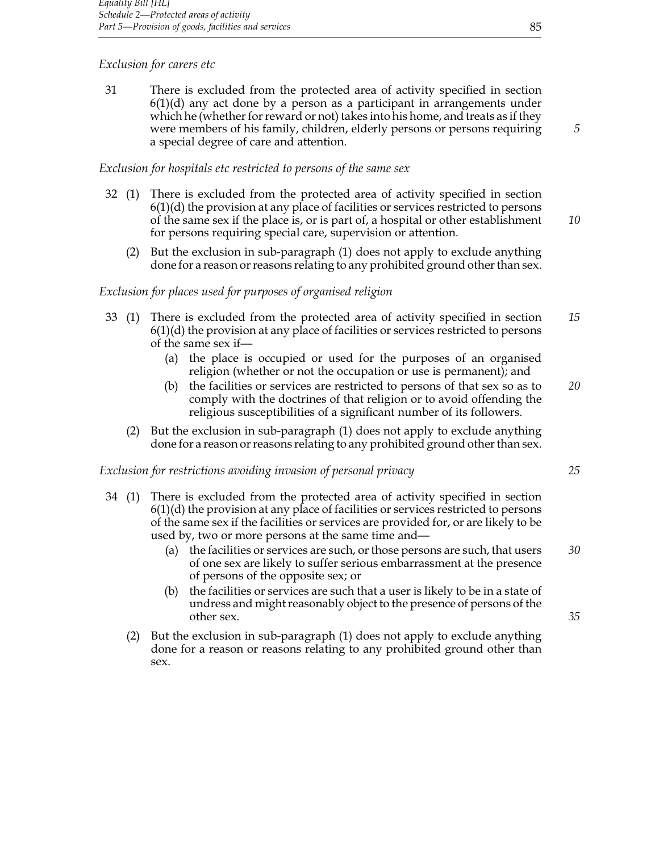## *Exclusion for carers etc*

31 There is excluded from the protected area of activity specified in section  $6(1)(d)$  any act done by a person as a participant in arrangements under which he (whether for reward or not) takes into his home, and treats as if they were members of his family, children, elderly persons or persons requiring *5* a special degree of care and attention.

## *Exclusion for hospitals etc restricted to persons of the same sex*

- 32 (1) There is excluded from the protected area of activity specified in section  $6(1)(d)$  the provision at any place of facilities or services restricted to persons of the same sex if the place is, or is part of, a hospital or other establishment *10* for persons requiring special care, supervision or attention.
	- (2) But the exclusion in sub-paragraph (1) does not apply to exclude anything done for a reason or reasons relating to any prohibited ground other than sex.

## *Exclusion for places used for purposes of organised religion*

- 33 (1) There is excluded from the protected area of activity specified in section *15*  $6(1)(d)$  the provision at any place of facilities or services restricted to persons of the same sex if—
	- (a) the place is occupied or used for the purposes of an organised religion (whether or not the occupation or use is permanent); and
	- (b) the facilities or services are restricted to persons of that sex so as to *20* comply with the doctrines of that religion or to avoid offending the religious susceptibilities of a significant number of its followers.
	- (2) But the exclusion in sub-paragraph (1) does not apply to exclude anything done for a reason or reasons relating to any prohibited ground other than sex.

#### *Exclusion for restrictions avoiding invasion of personal privacy 25*

- 34 (1) There is excluded from the protected area of activity specified in section  $6(1)(d)$  the provision at any place of facilities or services restricted to persons of the same sex if the facilities or services are provided for, or are likely to be used by, two or more persons at the same time and—
	- (a) the facilities or services are such, or those persons are such, that users *30* of one sex are likely to suffer serious embarrassment at the presence of persons of the opposite sex; or
	- (b) the facilities or services are such that a user is likely to be in a state of undress and might reasonably object to the presence of persons of the other sex. *35*
	- (2) But the exclusion in sub-paragraph (1) does not apply to exclude anything done for a reason or reasons relating to any prohibited ground other than sex.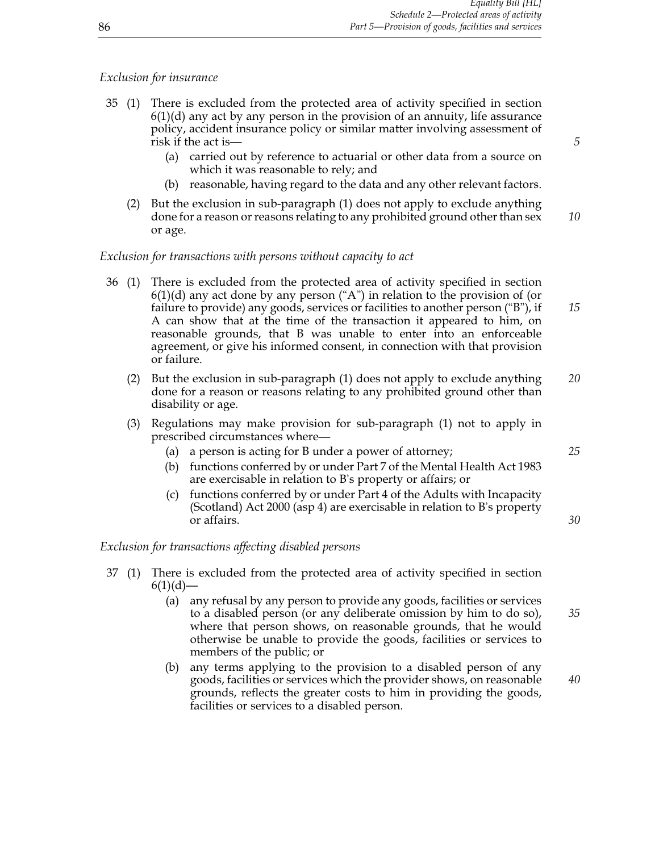## *Exclusion for insurance*

- 35 (1) There is excluded from the protected area of activity specified in section 6(1)(d) any act by any person in the provision of an annuity, life assurance policy, accident insurance policy or similar matter involving assessment of risk if the act is— *5*
	- (a) carried out by reference to actuarial or other data from a source on which it was reasonable to rely; and
	- (b) reasonable, having regard to the data and any other relevant factors.
	- (2) But the exclusion in sub-paragraph (1) does not apply to exclude anything done for a reason or reasons relating to any prohibited ground other than sex *10* or age.

## *Exclusion for transactions with persons without capacity to act*

- 36 (1) There is excluded from the protected area of activity specified in section  $6(1)(d)$  any act done by any person ("A") in relation to the provision of (or failure to provide) any goods, services or facilities to another person ("B"), if *15* A can show that at the time of the transaction it appeared to him, on reasonable grounds, that B was unable to enter into an enforceable agreement, or give his informed consent, in connection with that provision or failure.
	- (2) But the exclusion in sub-paragraph (1) does not apply to exclude anything *20* done for a reason or reasons relating to any prohibited ground other than disability or age.
	- (3) Regulations may make provision for sub-paragraph (1) not to apply in prescribed circumstances where—
		- (a) a person is acting for B under a power of attorney; *25*
		- (b) functions conferred by or under Part 7 of the Mental Health Act 1983 are exercisable in relation to B's property or affairs; or
		- (c) functions conferred by or under Part 4 of the Adults with Incapacity (Scotland) Act 2000 (asp 4) are exercisable in relation to B's property or affairs. *30*

## *Exclusion for transactions affecting disabled persons*

- 37 (1) There is excluded from the protected area of activity specified in section  $6(1)(d)$ —
	- (a) any refusal by any person to provide any goods, facilities or services to a disabled person (or any deliberate omission by him to do so), *35* where that person shows, on reasonable grounds, that he would otherwise be unable to provide the goods, facilities or services to members of the public; or
	- (b) any terms applying to the provision to a disabled person of any goods, facilities or services which the provider shows, on reasonable *40* grounds, reflects the greater costs to him in providing the goods, facilities or services to a disabled person.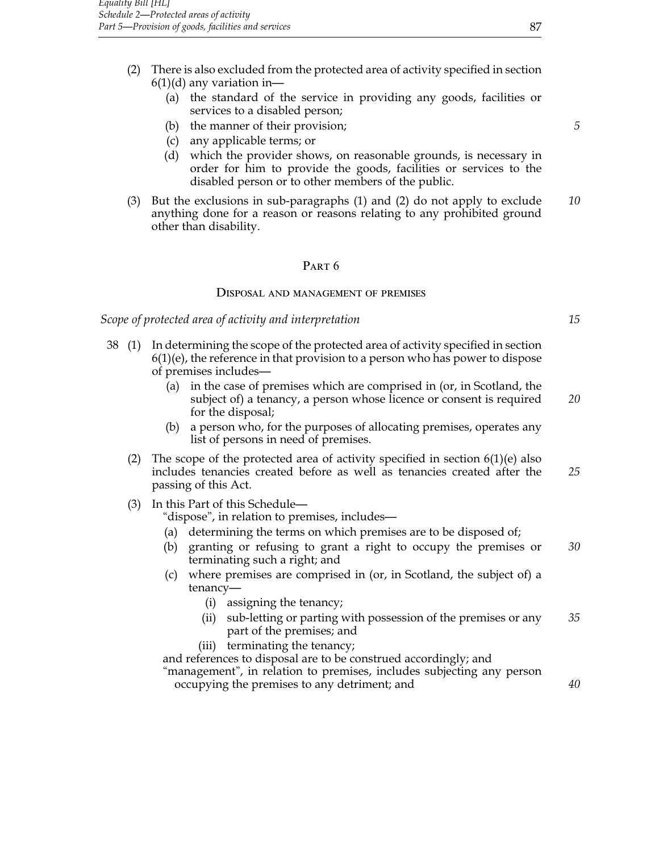- (2) There is also excluded from the protected area of activity specified in section  $6(1)(d)$  any variation in-
	- (a) the standard of the service in providing any goods, facilities or services to a disabled person;
	- (b) the manner of their provision; *5*
	- (c) any applicable terms; or
	- (d) which the provider shows, on reasonable grounds, is necessary in order for him to provide the goods, facilities or services to the disabled person or to other members of the public.
- (3) But the exclusions in sub-paragraphs (1) and (2) do not apply to exclude *10* anything done for a reason or reasons relating to any prohibited ground other than disability.

#### PART<sub>6</sub>

#### Disposal and management of premises

*Scope of protected area of activity and interpretation 15*

- 38 (1) In determining the scope of the protected area of activity specified in section  $6(1)(e)$ , the reference in that provision to a person who has power to dispose of premises includes—
	- (a) in the case of premises which are comprised in (or, in Scotland, the subject of) a tenancy, a person whose licence or consent is required *20* for the disposal;
	- (b) a person who, for the purposes of allocating premises, operates any list of persons in need of premises.
	- (2) The scope of the protected area of activity specified in section  $6(1)(e)$  also includes tenancies created before as well as tenancies created after the *25* passing of this Act.
	- (3) In this Part of this Schedule—

"dispose", in relation to premises, includes—

- (a) determining the terms on which premises are to be disposed of;
- (b) granting or refusing to grant a right to occupy the premises or *30* terminating such a right; and
- (c) where premises are comprised in (or, in Scotland, the subject of) a tenancy—
	- (i) assigning the tenancy;
	- (ii) sub-letting or parting with possession of the premises or any *35* part of the premises; and
	- (iii) terminating the tenancy;

and references to disposal are to be construed accordingly; and "management", in relation to premises, includes subjecting any person occupying the premises to any detriment; and *40*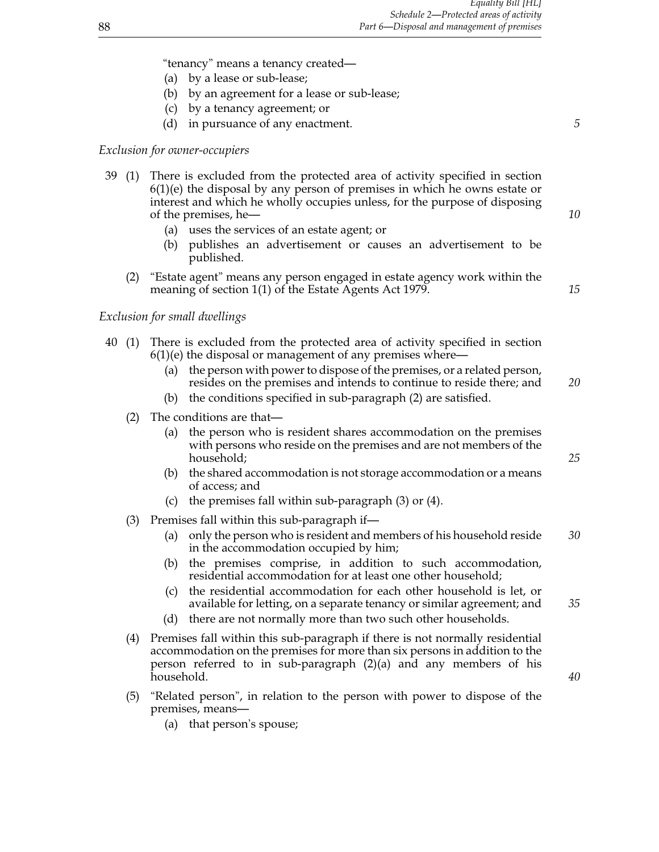"tenancy" means a tenancy created—

- (a) by a lease or sub-lease;
- (b) by an agreement for a lease or sub-lease;
- (c) by a tenancy agreement; or
- (d) in pursuance of any enactment. *5*

## *Exclusion for owner-occupiers*

- 39 (1) There is excluded from the protected area of activity specified in section  $6(1)(e)$  the disposal by any person of premises in which he owns estate or interest and which he wholly occupies unless, for the purpose of disposing of the premises, he— *10*
	- (a) uses the services of an estate agent; or
	- (b) publishes an advertisement or causes an advertisement to be published.
	- (2) "Estate agent" means any person engaged in estate agency work within the meaning of section 1(1) of the Estate Agents Act 1979. *15*

*Exclusion for small dwellings*

- 40 (1) There is excluded from the protected area of activity specified in section  $6(1)(e)$  the disposal or management of any premises where—
	- (a) the person with power to dispose of the premises, or a related person, resides on the premises and intends to continue to reside there; and *20*
	- (b) the conditions specified in sub-paragraph (2) are satisfied.
	- (2) The conditions are that—
		- (a) the person who is resident shares accommodation on the premises with persons who reside on the premises and are not members of the household; *25*
		- (b) the shared accommodation is not storage accommodation or a means of access; and
		- (c) the premises fall within sub-paragraph (3) or (4).
	- (3) Premises fall within this sub-paragraph if—
		- (a) only the person who is resident and members of his household reside *30* in the accommodation occupied by him;
		- (b) the premises comprise, in addition to such accommodation, residential accommodation for at least one other household;
		- (c) the residential accommodation for each other household is let, or available for letting, on a separate tenancy or similar agreement; and *35*
		- (d) there are not normally more than two such other households.
	- (4) Premises fall within this sub-paragraph if there is not normally residential accommodation on the premises for more than six persons in addition to the person referred to in sub-paragraph (2)(a) and any members of his household. *40*
	- (5) "Related person", in relation to the person with power to dispose of the premises, means—
		- (a) that person's spouse;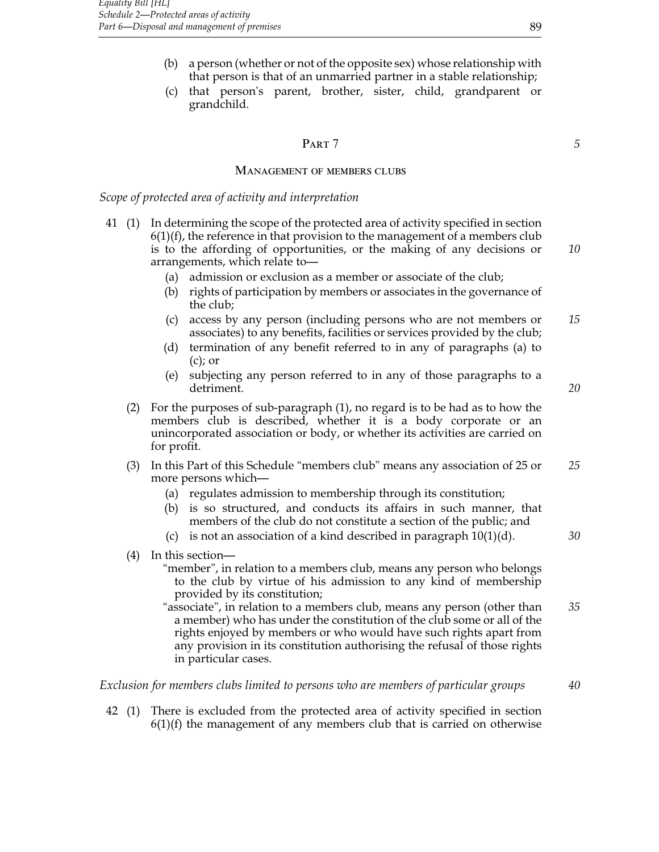- (b) a person (whether or not of the opposite sex) whose relationship with that person is that of an unmarried partner in a stable relationship;
- (c) that person's parent, brother, sister, child, grandparent or grandchild.

# **PART 7** 5

#### Management of members clubs

#### *Scope of protected area of activity and interpretation*

- 41 (1) In determining the scope of the protected area of activity specified in section  $6(1)(f)$ , the reference in that provision to the management of a members club is to the affording of opportunities, or the making of any decisions or *10* arrangements, which relate to—
	- (a) admission or exclusion as a member or associate of the club;
	- (b) rights of participation by members or associates in the governance of the club;
	- (c) access by any person (including persons who are not members or *15* associates) to any benefits, facilities or services provided by the club;
	- (d) termination of any benefit referred to in any of paragraphs (a) to  $(c)$ ; or
	- (e) subjecting any person referred to in any of those paragraphs to a detriment. *20*
	- (2) For the purposes of sub-paragraph (1), no regard is to be had as to how the members club is described, whether it is a body corporate or an unincorporated association or body, or whether its activities are carried on for profit.
	- (3) In this Part of this Schedule "members club" means any association of 25 or *25* more persons which—
		- (a) regulates admission to membership through its constitution;
		- (b) is so structured, and conducts its affairs in such manner, that members of the club do not constitute a section of the public; and
		- (c) is not an association of a kind described in paragraph 10(1)(d). *30*
	- (4) In this section—
		- "member", in relation to a members club, means any person who belongs to the club by virtue of his admission to any kind of membership provided by its constitution;
		- "associate", in relation to a members club, means any person (other than *35* a member) who has under the constitution of the club some or all of the rights enjoyed by members or who would have such rights apart from any provision in its constitution authorising the refusal of those rights in particular cases.

#### *Exclusion for members clubs limited to persons who are members of particular groups 40*

42 (1) There is excluded from the protected area of activity specified in section  $6(1)(f)$  the management of any members club that is carried on otherwise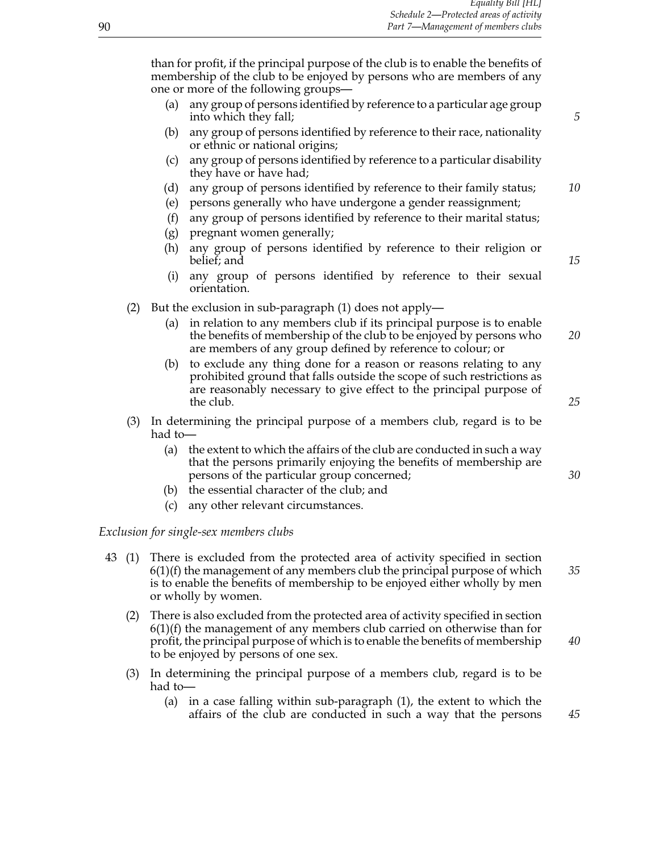than for profit, if the principal purpose of the club is to enable the benefits of membership of the club to be enjoyed by persons who are members of any one or more of the following groups—

- (a) any group of persons identified by reference to a particular age group into which they fall; **5**
- (b) any group of persons identified by reference to their race, nationality or ethnic or national origins;
- (c) any group of persons identified by reference to a particular disability they have or have had;
- (d) any group of persons identified by reference to their family status; *10*
- (e) persons generally who have undergone a gender reassignment;
- (f) any group of persons identified by reference to their marital status;
- (g) pregnant women generally;
- (h) any group of persons identified by reference to their religion or belief; and <sup>15</sup>
	-
- (i) any group of persons identified by reference to their sexual orientation.
- (2) But the exclusion in sub-paragraph (1) does not apply—
	- (a) in relation to any members club if its principal purpose is to enable the benefits of membership of the club to be enjoyed by persons who *20* are members of any group defined by reference to colour; or
	- (b) to exclude any thing done for a reason or reasons relating to any prohibited ground that falls outside the scope of such restrictions as are reasonably necessary to give effect to the principal purpose of the club. *25*
- (3) In determining the principal purpose of a members club, regard is to be had to—
	- (a) the extent to which the affairs of the club are conducted in such a way that the persons primarily enjoying the benefits of membership are persons of the particular group concerned; *30*
	- (b) the essential character of the club; and
	- (c) any other relevant circumstances.

#### *Exclusion for single-sex members clubs*

- 43 (1) There is excluded from the protected area of activity specified in section 6(1)(f) the management of any members club the principal purpose of which *35* is to enable the benefits of membership to be enjoyed either wholly by men or wholly by women.
	- (2) There is also excluded from the protected area of activity specified in section  $6(1)(f)$  the management of any members club carried on otherwise than for profit, the principal purpose of which is to enable the benefits of membership *40* to be enjoyed by persons of one sex.
	- (3) In determining the principal purpose of a members club, regard is to be had to—
		- (a) in a case falling within sub-paragraph (1), the extent to which the affairs of the club are conducted in such a way that the persons *45*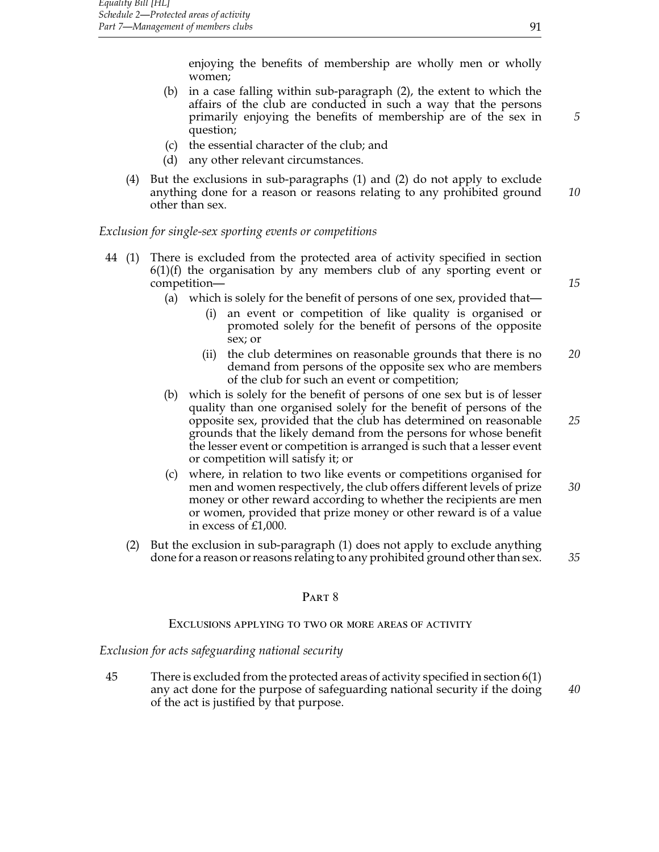enjoying the benefits of membership are wholly men or wholly women;

- (b) in a case falling within sub-paragraph (2), the extent to which the affairs of the club are conducted in such a way that the persons primarily enjoying the benefits of membership are of the sex in *5* question;
- (c) the essential character of the club; and
- (d) any other relevant circumstances.
- (4) But the exclusions in sub-paragraphs (1) and (2) do not apply to exclude anything done for a reason or reasons relating to any prohibited ground *10* other than sex.

## *Exclusion for single-sex sporting events or competitions*

- 44 (1) There is excluded from the protected area of activity specified in section  $6(1)(f)$  the organisation by any members club of any sporting event or competition— *15*
	- (a) which is solely for the benefit of persons of one sex, provided that—
		- (i) an event or competition of like quality is organised or promoted solely for the benefit of persons of the opposite sex; or
		- (ii) the club determines on reasonable grounds that there is no *20* demand from persons of the opposite sex who are members of the club for such an event or competition;
	- (b) which is solely for the benefit of persons of one sex but is of lesser quality than one organised solely for the benefit of persons of the opposite sex, provided that the club has determined on reasonable *25* grounds that the likely demand from the persons for whose benefit the lesser event or competition is arranged is such that a lesser event or competition will satisfy it; or
	- (c) where, in relation to two like events or competitions organised for men and women respectively, the club offers different levels of prize *30* money or other reward according to whether the recipients are men or women, provided that prize money or other reward is of a value in excess of £1,000.
	- (2) But the exclusion in sub-paragraph (1) does not apply to exclude anything done for a reason or reasons relating to any prohibited ground other than sex. *35*

#### PART<sub>8</sub>

#### Exclusions applying to two or more areas of activity

#### *Exclusion for acts safeguarding national security*

45 There is excluded from the protected areas of activity specified in section 6(1) any act done for the purpose of safeguarding national security if the doing *40* of the act is justified by that purpose.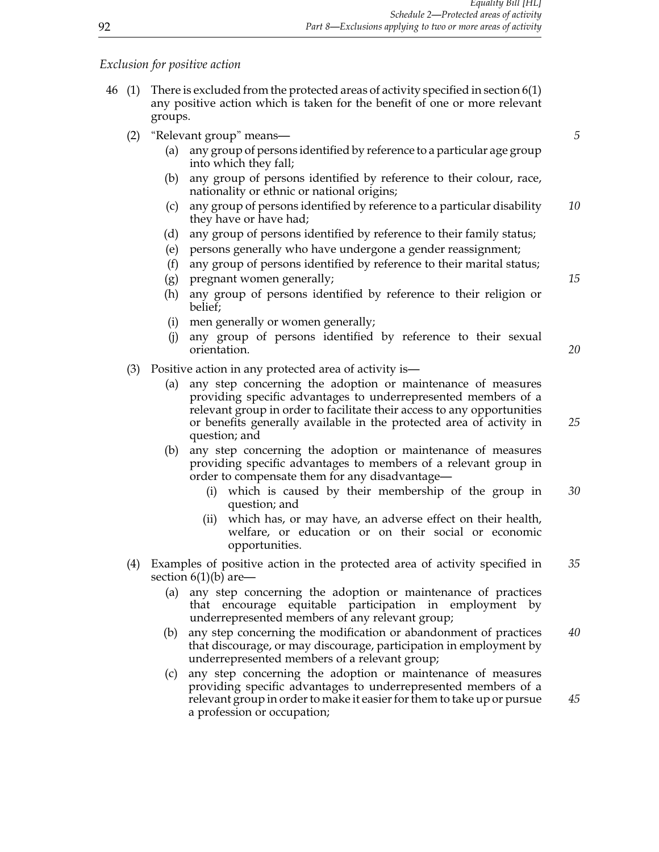*Exclusion for positive action*

- 46 (1) There is excluded from the protected areas of activity specified in section 6(1) any positive action which is taken for the benefit of one or more relevant groups.
	- (2) "Relevant group" means— *5*
		- (a) any group of persons identified by reference to a particular age group into which they fall;
		- (b) any group of persons identified by reference to their colour, race, nationality or ethnic or national origins;
		- (c) any group of persons identified by reference to a particular disability *10* they have or have had;
		- (d) any group of persons identified by reference to their family status;
		- (e) persons generally who have undergone a gender reassignment;
		- (f) any group of persons identified by reference to their marital status;
		- (g) pregnant women generally; *15*
		- (h) any group of persons identified by reference to their religion or belief;
		- (i) men generally or women generally;
		- (j) any group of persons identified by reference to their sexual orientation. *20*
	- (3) Positive action in any protected area of activity is—
		- (a) any step concerning the adoption or maintenance of measures providing specific advantages to underrepresented members of a relevant group in order to facilitate their access to any opportunities or benefits generally available in the protected area of activity in *25* question; and
		- (b) any step concerning the adoption or maintenance of measures providing specific advantages to members of a relevant group in order to compensate them for any disadvantage—
			- (i) which is caused by their membership of the group in *30* question; and
			- (ii) which has, or may have, an adverse effect on their health, welfare, or education or on their social or economic opportunities.
	- (4) Examples of positive action in the protected area of activity specified in *35* section  $6(1)(b)$  are-
		- (a) any step concerning the adoption or maintenance of practices that encourage equitable participation in employment by underrepresented members of any relevant group;
		- (b) any step concerning the modification or abandonment of practices *40* that discourage, or may discourage, participation in employment by underrepresented members of a relevant group;
		- (c) any step concerning the adoption or maintenance of measures providing specific advantages to underrepresented members of a relevant group in order to make it easier for them to take up or pursue *45* a profession or occupation;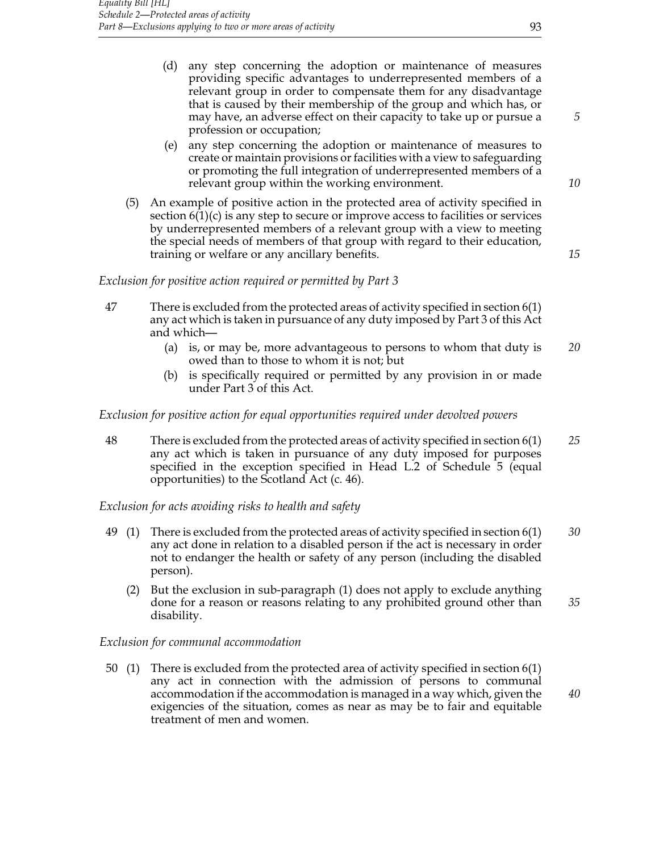- (d) any step concerning the adoption or maintenance of measures providing specific advantages to underrepresented members of a relevant group in order to compensate them for any disadvantage that is caused by their membership of the group and which has, or may have, an adverse effect on their capacity to take up or pursue a *5* profession or occupation;
- (e) any step concerning the adoption or maintenance of measures to create or maintain provisions or facilities with a view to safeguarding or promoting the full integration of underrepresented members of a relevant group within the working environment. *10*
- (5) An example of positive action in the protected area of activity specified in section  $6(1)(c)$  is any step to secure or improve access to facilities or services by underrepresented members of a relevant group with a view to meeting the special needs of members of that group with regard to their education, training or welfare or any ancillary benefits. *15*

*Exclusion for positive action required or permitted by Part 3*

- 47 There is excluded from the protected areas of activity specified in section 6(1) any act which is taken in pursuance of any duty imposed by Part 3 of this Act and which—
	- (a) is, or may be, more advantageous to persons to whom that duty is *20* owed than to those to whom it is not; but
	- (b) is specifically required or permitted by any provision in or made under Part 3 of this Act.

## *Exclusion for positive action for equal opportunities required under devolved powers*

48 There is excluded from the protected areas of activity specified in section 6(1) *25* any act which is taken in pursuance of any duty imposed for purposes specified in the exception specified in Head L.2 of Schedule 5 (equal opportunities) to the Scotland Act (c. 46).

*Exclusion for acts avoiding risks to health and safety*

- 49 (1) There is excluded from the protected areas of activity specified in section 6(1) *30* any act done in relation to a disabled person if the act is necessary in order not to endanger the health or safety of any person (including the disabled person).
	- (2) But the exclusion in sub-paragraph (1) does not apply to exclude anything done for a reason or reasons relating to any prohibited ground other than *35* disability.

## *Exclusion for communal accommodation*

50 (1) There is excluded from the protected area of activity specified in section 6(1) any act in connection with the admission of persons to communal accommodation if the accommodation is managed in a way which, given the *40* exigencies of the situation, comes as near as may be to fair and equitable treatment of men and women.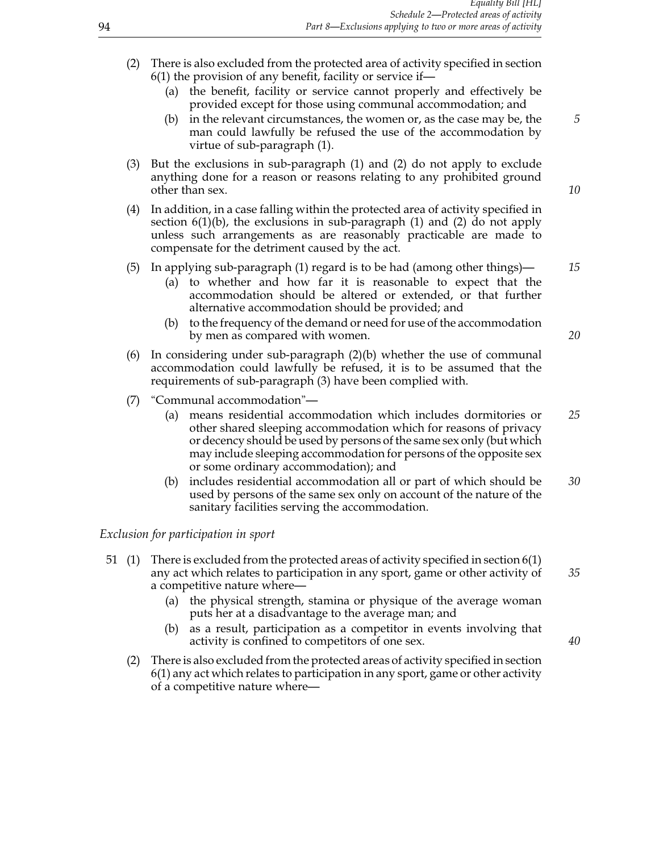- (2) There is also excluded from the protected area of activity specified in section 6(1) the provision of any benefit, facility or service if—
	- (a) the benefit, facility or service cannot properly and effectively be provided except for those using communal accommodation; and
	- (b) in the relevant circumstances, the women or, as the case may be, the *5* man could lawfully be refused the use of the accommodation by virtue of sub-paragraph (1).
- (3) But the exclusions in sub-paragraph (1) and (2) do not apply to exclude anything done for a reason or reasons relating to any prohibited ground other than sex. *10*
- (4) In addition, in a case falling within the protected area of activity specified in section  $6(1)(b)$ , the exclusions in sub-paragraph  $(1)$  and  $(2)$  do not apply unless such arrangements as are reasonably practicable are made to compensate for the detriment caused by the act.

## (5) In applying sub-paragraph (1) regard is to be had (among other things)— *15*

- (a) to whether and how far it is reasonable to expect that the accommodation should be altered or extended, or that further alternative accommodation should be provided; and
- (b) to the frequency of the demand or need for use of the accommodation by men as compared with women. *20*
- (6) In considering under sub-paragraph  $(2)(b)$  whether the use of communal accommodation could lawfully be refused, it is to be assumed that the requirements of sub-paragraph (3) have been complied with.
- (7) "Communal accommodation"—
	- (a) means residential accommodation which includes dormitories or *25* other shared sleeping accommodation which for reasons of privacy or decency should be used by persons of the same sex only (but which may include sleeping accommodation for persons of the opposite sex or some ordinary accommodation); and
	- (b) includes residential accommodation all or part of which should be *30* used by persons of the same sex only on account of the nature of the sanitary facilities serving the accommodation.

#### *Exclusion for participation in sport*

- 51 (1) There is excluded from the protected areas of activity specified in section 6(1) any act which relates to participation in any sport, game or other activity of *35* a competitive nature where—
	- (a) the physical strength, stamina or physique of the average woman puts her at a disadvantage to the average man; and
	- (b) as a result, participation as a competitor in events involving that activity is confined to competitors of one sex. *40*
	- (2) There is also excluded from the protected areas of activity specified in section 6(1) any act which relates to participation in any sport, game or other activity of a competitive nature where—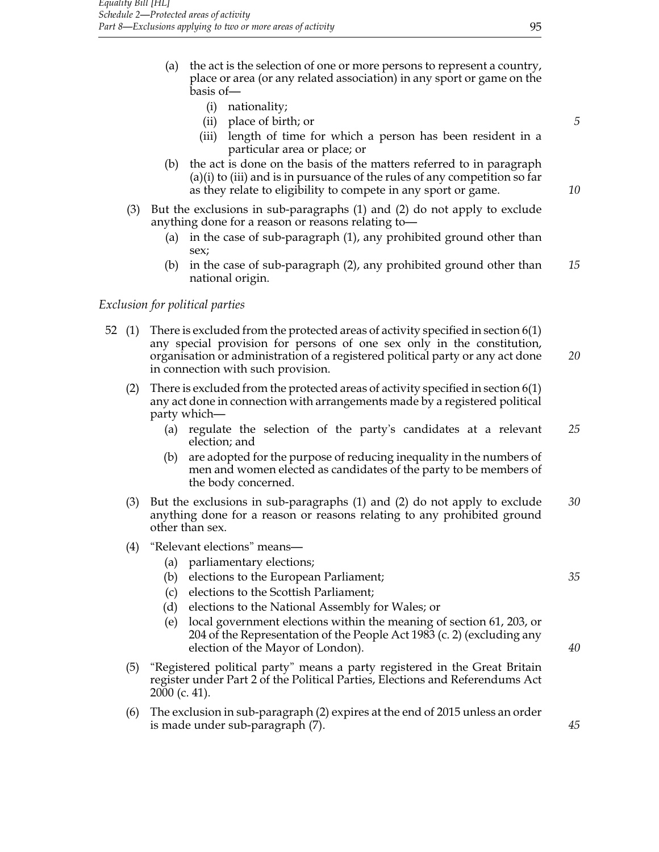- (a) the act is the selection of one or more persons to represent a country, place or area (or any related association) in any sport or game on the basis of—
	- (i) nationality;
	- (ii) place of birth; or *5*
	- (iii) length of time for which a person has been resident in a particular area or place; or
- (b) the act is done on the basis of the matters referred to in paragraph (a)(i) to (iii) and is in pursuance of the rules of any competition so far as they relate to eligibility to compete in any sport or game. *10*
- (3) But the exclusions in sub-paragraphs (1) and (2) do not apply to exclude anything done for a reason or reasons relating to—
	- (a) in the case of sub-paragraph (1), any prohibited ground other than sex;
	- (b) in the case of sub-paragraph (2), any prohibited ground other than *15* national origin.

## *Exclusion for political parties*

- 52 (1) There is excluded from the protected areas of activity specified in section 6(1) any special provision for persons of one sex only in the constitution, organisation or administration of a registered political party or any act done *20* in connection with such provision.
	- (2) There is excluded from the protected areas of activity specified in section 6(1) any act done in connection with arrangements made by a registered political party which—
		- (a) regulate the selection of the party's candidates at a relevant *25* election; and
		- (b) are adopted for the purpose of reducing inequality in the numbers of men and women elected as candidates of the party to be members of the body concerned.
	- (3) But the exclusions in sub-paragraphs (1) and (2) do not apply to exclude *30* anything done for a reason or reasons relating to any prohibited ground other than sex.
	- (4) "Relevant elections" means—
		- (a) parliamentary elections;
		- (b) elections to the European Parliament; *35*
		- (c) elections to the Scottish Parliament;
		- (d) elections to the National Assembly for Wales; or
		- (e) local government elections within the meaning of section 61, 203, or 204 of the Representation of the People Act 1983 (c. 2) (excluding any election of the Mayor of London). *40*
	- (5) "Registered political party" means a party registered in the Great Britain register under Part 2 of the Political Parties, Elections and Referendums Act 2000 (c. 41).
	- (6) The exclusion in sub-paragraph (2) expires at the end of 2015 unless an order is made under sub-paragraph (7). *45*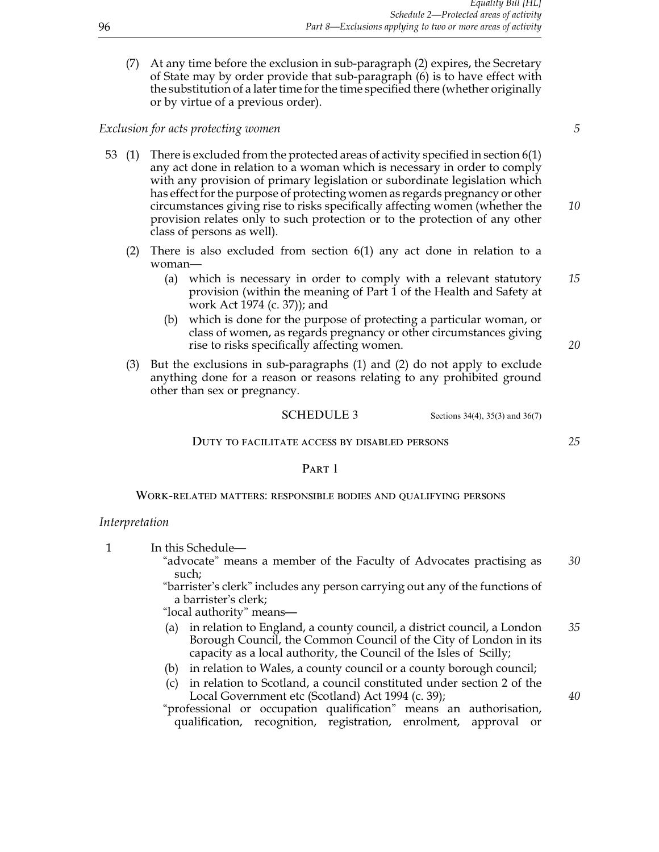(7) At any time before the exclusion in sub-paragraph (2) expires, the Secretary of State may by order provide that sub-paragraph (6) is to have effect with the substitution of a later time for the time specified there (whether originally or by virtue of a previous order).

## *Exclusion for acts protecting women 5*

53 (1) There is excluded from the protected areas of activity specified in section 6(1) any act done in relation to a woman which is necessary in order to comply with any provision of primary legislation or subordinate legislation which has effect for the purpose of protecting women as regards pregnancy or other circumstances giving rise to risks specifically affecting women (whether the *10* provision relates only to such protection or to the protection of any other class of persons as well).

- (2) There is also excluded from section 6(1) any act done in relation to a woman—
	- (a) which is necessary in order to comply with a relevant statutory *15* provision (within the meaning of Part 1 of the Health and Safety at work Act 1974 (c. 37)); and
	- (b) which is done for the purpose of protecting a particular woman, or class of women, as regards pregnancy or other circumstances giving rise to risks specifically affecting women. *20*
- (3) But the exclusions in sub-paragraphs (1) and (2) do not apply to exclude anything done for a reason or reasons relating to any prohibited ground other than sex or pregnancy.

#### **SCHEDULE 3** Sections  $34(4)$ ,  $35(3)$  and  $36(7)$

#### Duty to facilitate access by disabled persons *25*

#### PART 1

Work-related matters: responsible bodies and qualifying persons

#### *Interpretation*

1 In this Schedule—

"advocate" means a member of the Faculty of Advocates practising as *30* such;

"barrister's clerk" includes any person carrying out any of the functions of a barrister's clerk;

"local authority" means—

- (a) in relation to England, a county council, a district council, a London *35* Borough Council, the Common Council of the City of London in its capacity as a local authority, the Council of the Isles of Scilly;
- (b) in relation to Wales, a county council or a county borough council;
- (c) in relation to Scotland, a council constituted under section 2 of the Local Government etc (Scotland) Act 1994 (c. 39); *40*

"professional or occupation qualification" means an authorisation, qualification, recognition, registration, enrolment, approval or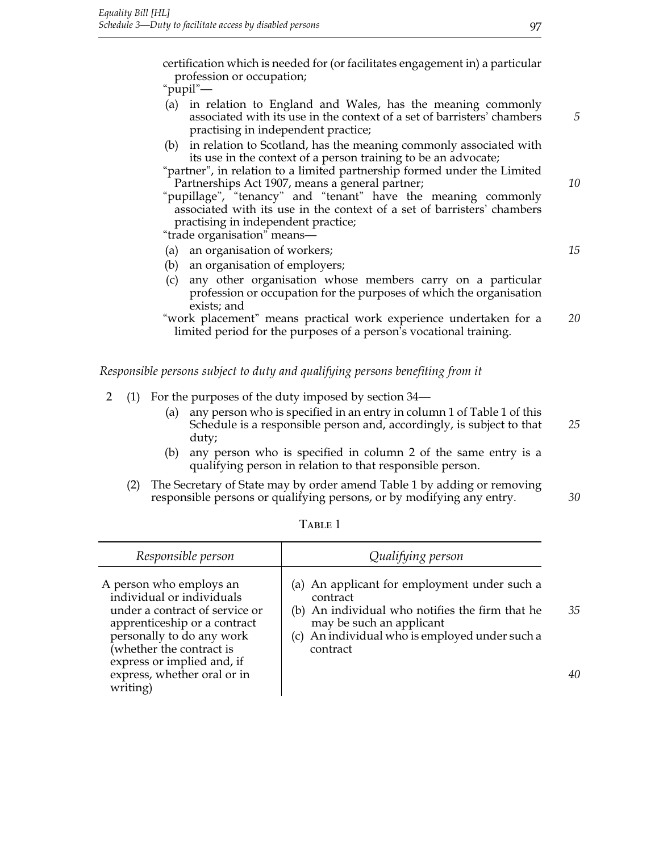certification which is needed for (or facilitates engagement in) a particular profession or occupation;

"pupil"—

- (a) in relation to England and Wales, has the meaning commonly associated with its use in the context of a set of barristers' chambers *5* practising in independent practice;
- (b) in relation to Scotland, has the meaning commonly associated with its use in the context of a person training to be an advocate;
- "partner", in relation to a limited partnership formed under the Limited Partnerships Act 1907, means a general partner; *10*

"pupillage", "tenancy" and "tenant" have the meaning commonly associated with its use in the context of a set of barristers' chambers practising in independent practice;

"trade organisation" means—

- (a) an organisation of workers; *15*
- (b) an organisation of employers;
- (c) any other organisation whose members carry on a particular profession or occupation for the purposes of which the organisation exists; and

"work placement" means practical work experience undertaken for a *20* limited period for the purposes of a person's vocational training.

*Responsible persons subject to duty and qualifying persons benefiting from it*

- 2 (1) For the purposes of the duty imposed by section 34—
	- (a) any person who is specified in an entry in column 1 of Table 1 of this Schedule is a responsible person and, accordingly, is subject to that *25* duty;
	- (b) any person who is specified in column 2 of the same entry is a qualifying person in relation to that responsible person.
	- (2) The Secretary of State may by order amend Table 1 by adding or removing responsible persons or qualifying persons, or by modifying any entry. *30*

| Responsible person                                                                                                                                                              | Qualifying person                                                                                                                                                                                     |    |
|---------------------------------------------------------------------------------------------------------------------------------------------------------------------------------|-------------------------------------------------------------------------------------------------------------------------------------------------------------------------------------------------------|----|
| A person who employs an<br>individual or individuals<br>under a contract of service or<br>apprenticeship or a contract<br>personally to do any work<br>(whether the contract is | (a) An applicant for employment under such a<br>contract<br>(b) An individual who notifies the firm that he<br>may be such an applicant<br>(c) An individual who is employed under such a<br>contract | 35 |
| express or implied and, if<br>express, whether oral or in<br>writing)                                                                                                           |                                                                                                                                                                                                       | 40 |

Table 1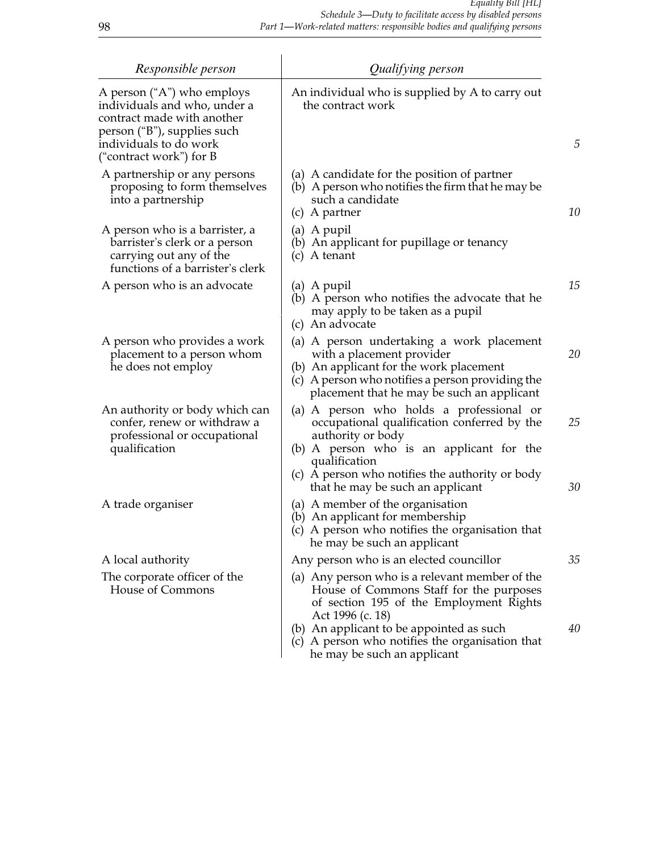| Responsible person                                                                                                                                                           | Qualifying person                                                                                                                                                                                                                                                                      |          |
|------------------------------------------------------------------------------------------------------------------------------------------------------------------------------|----------------------------------------------------------------------------------------------------------------------------------------------------------------------------------------------------------------------------------------------------------------------------------------|----------|
| A person ("A") who employs<br>individuals and who, under a<br>contract made with another<br>person ("B"), supplies such<br>individuals to do work<br>("contract work") for B | An individual who is supplied by A to carry out<br>the contract work                                                                                                                                                                                                                   | 5        |
| A partnership or any persons<br>proposing to form themselves<br>into a partnership                                                                                           | (a) A candidate for the position of partner<br>(b) A person who notifies the firm that he may be<br>such a candidate<br>(c) A partner                                                                                                                                                  | 10       |
| A person who is a barrister, a<br>barrister's clerk or a person<br>carrying out any of the<br>functions of a barrister's clerk                                               | (a) A pupil<br>(b) An applicant for pupillage or tenancy<br>A tenant<br>(c)                                                                                                                                                                                                            |          |
| A person who is an advocate                                                                                                                                                  | (a) A pupil<br>(b) A person who notifies the advocate that he<br>may apply to be taken as a pupil<br>(c) An advocate                                                                                                                                                                   | 15       |
| A person who provides a work<br>placement to a person whom<br>he does not employ                                                                                             | (a) A person undertaking a work placement<br>with a placement provider<br>(b) An applicant for the work placement<br>(c) A person who notifies a person providing the<br>placement that he may be such an applicant                                                                    | 20       |
| An authority or body which can<br>confer, renew or withdraw a<br>professional or occupational<br>qualification                                                               | A person who holds a professional or<br>(a)<br>occupational qualification conferred by the<br>authority or body<br>(b) A person who is an applicant for the<br>qualification<br>(c) A person who notifies the authority or body<br>that he may be such an applicant                    | 25<br>30 |
| A trade organiser                                                                                                                                                            | (a) A member of the organisation<br>(b) An applicant for membership<br>(c) A person who notifies the organisation that<br>he may be such an applicant                                                                                                                                  |          |
| A local authority                                                                                                                                                            | Any person who is an elected councillor                                                                                                                                                                                                                                                | 35       |
| The corporate officer of the<br>House of Commons                                                                                                                             | (a) Any person who is a relevant member of the<br>House of Commons Staff for the purposes<br>of section 195 of the Employment Rights<br>Act 1996 (c. 18)<br>(b) An applicant to be appointed as such<br>(c) A person who notifies the organisation that<br>he may be such an applicant | 40       |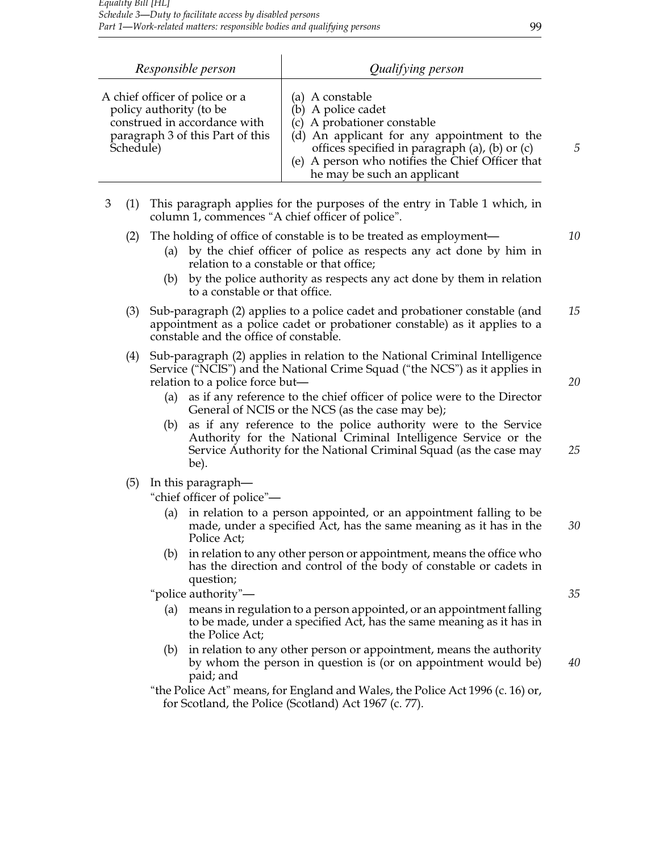| Responsible person                                                                                                                         | Qualifying person                                                                                                                                                                                                                                        |   |
|--------------------------------------------------------------------------------------------------------------------------------------------|----------------------------------------------------------------------------------------------------------------------------------------------------------------------------------------------------------------------------------------------------------|---|
| A chief officer of police or a<br>policy authority (to be<br>construed in accordance with<br>paragraph 3 of this Part of this<br>Schedule) | (a) A constable<br>(b) A police cadet<br>(c) A probationer constable<br>(d) An applicant for any appointment to the<br>offices specified in paragraph (a), (b) or (c)<br>(e) A person who notifies the Chief Officer that<br>he may be such an applicant | 5 |

|  | 3 (1) This paragraph applies for the purposes of the entry in Table 1 which, in |
|--|---------------------------------------------------------------------------------|
|  | column 1, commences "A chief officer of police".                                |

## (2) The holding of office of constable is to be treated as employment— *10*

- (a) by the chief officer of police as respects any act done by him in relation to a constable or that office;
- (b) by the police authority as respects any act done by them in relation to a constable or that office.
- (3) Sub-paragraph (2) applies to a police cadet and probationer constable (and *15* appointment as a police cadet or probationer constable) as it applies to a constable and the office of constable.
- (4) Sub-paragraph (2) applies in relation to the National Criminal Intelligence Service ("NCIS") and the National Crime Squad ("the NCS") as it applies in relation to a police force but— *20*
	- (a) as if any reference to the chief officer of police were to the Director General of NCIS or the NCS (as the case may be);
	- (b) as if any reference to the police authority were to the Service Authority for the National Criminal Intelligence Service or the Service Authority for the National Criminal Squad (as the case may *25* be).
- (5) In this paragraph—

"chief officer of police"—

- (a) in relation to a person appointed, or an appointment falling to be made, under a specified Act, has the same meaning as it has in the *30* Police Act;
- (b) in relation to any other person or appointment, means the office who has the direction and control of the body of constable or cadets in question;

"police authority"— *35*

- (a) means in regulation to a person appointed, or an appointment falling to be made, under a specified Act, has the same meaning as it has in the Police Act;
- (b) in relation to any other person or appointment, means the authority by whom the person in question is (or on appointment would be) *40* paid; and

<sup>&</sup>quot;the Police Act" means, for England and Wales, the Police Act 1996 (c. 16) or, for Scotland, the Police (Scotland) Act 1967 (c. 77).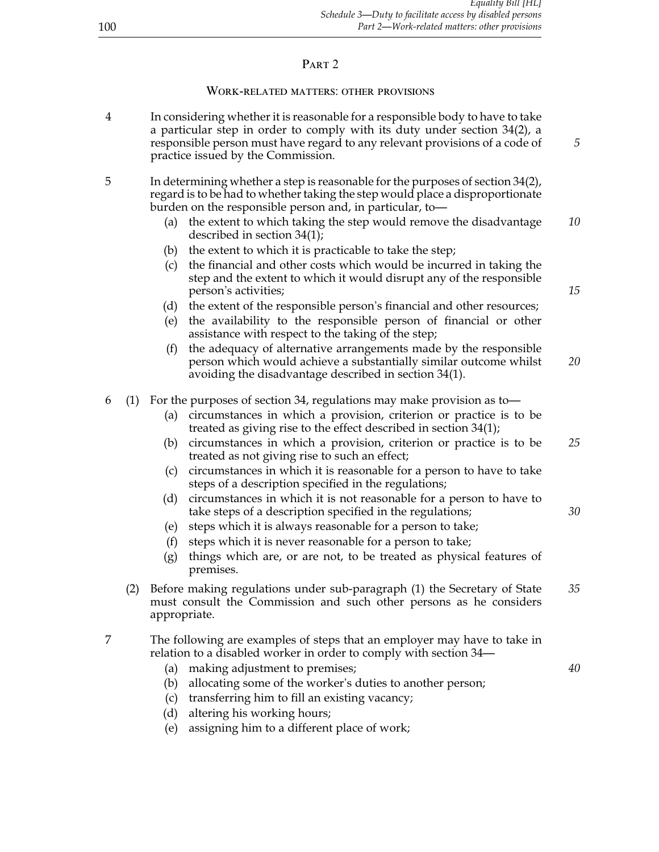# PART<sub>2</sub>

# Work-related matters: other provisions

| 4 |     | In considering whether it is reasonable for a responsible body to have to take<br>a particular step in order to comply with its duty under section $34(2)$ , a<br>responsible person must have regard to any relevant provisions of a code of<br>practice issued by the Commission. | 5  |
|---|-----|-------------------------------------------------------------------------------------------------------------------------------------------------------------------------------------------------------------------------------------------------------------------------------------|----|
| 5 |     | In determining whether a step is reasonable for the purposes of section $34(2)$ ,<br>regard is to be had to whether taking the step would place a disproportionate<br>burden on the responsible person and, in particular, to-                                                      |    |
|   |     | the extent to which taking the step would remove the disadvantage<br>(a)<br>described in section $34(1)$ ;                                                                                                                                                                          | 10 |
|   |     | the extent to which it is practicable to take the step;<br>(b)                                                                                                                                                                                                                      |    |
|   |     | the financial and other costs which would be incurred in taking the<br>(c)<br>step and the extent to which it would disrupt any of the responsible<br>person's activities;                                                                                                          | 15 |
|   |     | (d) the extent of the responsible person's financial and other resources;                                                                                                                                                                                                           |    |
|   |     | the availability to the responsible person of financial or other<br>(e)<br>assistance with respect to the taking of the step;                                                                                                                                                       |    |
|   |     | the adequacy of alternative arrangements made by the responsible<br>(f)<br>person which would achieve a substantially similar outcome whilst<br>avoiding the disadvantage described in section $34(1)$ .                                                                            | 20 |
| 6 | (1) | For the purposes of section 34, regulations may make provision as to-                                                                                                                                                                                                               |    |
|   |     | circumstances in which a provision, criterion or practice is to be<br>(a)<br>treated as giving rise to the effect described in section $34(1)$ ;                                                                                                                                    |    |
|   |     | circumstances in which a provision, criterion or practice is to be<br>(b)<br>treated as not giving rise to such an effect;                                                                                                                                                          | 25 |
|   |     | circumstances in which it is reasonable for a person to have to take<br>(c)<br>steps of a description specified in the regulations;                                                                                                                                                 |    |
|   |     | circumstances in which it is not reasonable for a person to have to<br>(d)<br>take steps of a description specified in the regulations;                                                                                                                                             | 30 |
|   |     | steps which it is always reasonable for a person to take;<br>(e)                                                                                                                                                                                                                    |    |
|   |     | steps which it is never reasonable for a person to take;<br>(f)<br>things which are, or are not, to be treated as physical features of                                                                                                                                              |    |
|   |     | (g)<br>premises.                                                                                                                                                                                                                                                                    |    |
|   | (2) | Before making regulations under sub-paragraph (1) the Secretary of State<br>must consult the Commission and such other persons as he considers<br>appropriate.                                                                                                                      | 35 |
| 7 |     | The following are examples of steps that an employer may have to take in<br>relation to a disabled worker in order to comply with section 34-                                                                                                                                       |    |
|   |     | making adjustment to premises;<br>(a)                                                                                                                                                                                                                                               | 40 |
|   |     | allocating some of the worker's duties to another person;<br>(b)                                                                                                                                                                                                                    |    |
|   |     | transferring him to fill an existing vacancy;<br>(c)                                                                                                                                                                                                                                |    |
|   |     | altering his working hours;<br>(d)                                                                                                                                                                                                                                                  |    |

(e) assigning him to a different place of work;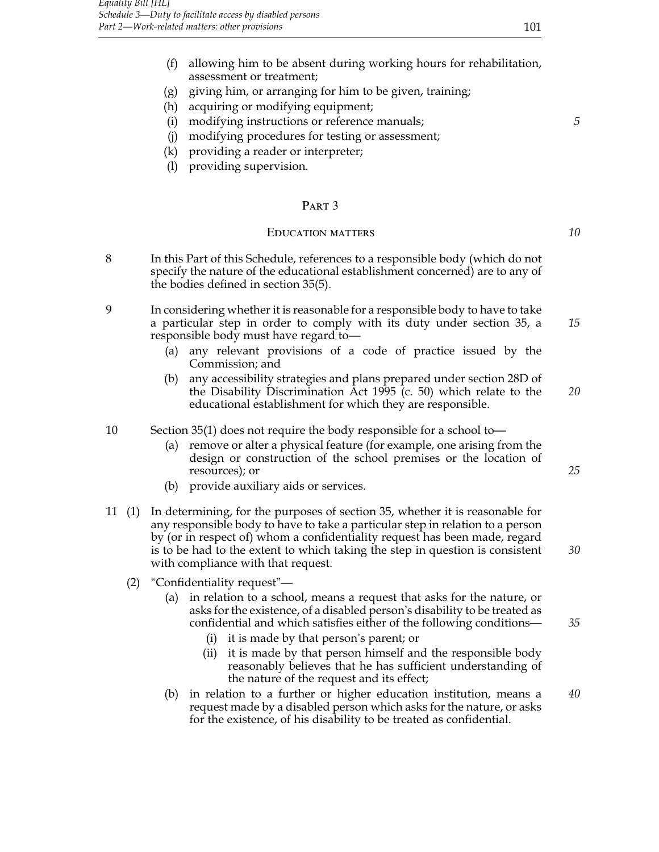- (f) allowing him to be absent during working hours for rehabilitation, assessment or treatment;
- (g) giving him, or arranging for him to be given, training;
- (h) acquiring or modifying equipment;
- (i) modifying instructions or reference manuals; *5*
- (j) modifying procedures for testing or assessment;
- (k) providing a reader or interpreter;
- (l) providing supervision.

## PART<sub>3</sub>

## Education matters *10*

- 8 In this Part of this Schedule, references to a responsible body (which do not specify the nature of the educational establishment concerned) are to any of the bodies defined in section 35(5).
- 9 In considering whether it is reasonable for a responsible body to have to take a particular step in order to comply with its duty under section 35, a *15* responsible body must have regard to—
	- (a) any relevant provisions of a code of practice issued by the Commission; and
	- (b) any accessibility strategies and plans prepared under section 28D of the Disability Discrimination Act 1995 (c. 50) which relate to the *20* educational establishment for which they are responsible.

#### 10 Section 35(1) does not require the body responsible for a school to—

- (a) remove or alter a physical feature (for example, one arising from the design or construction of the school premises or the location of resources); or  $25$
- (b) provide auxiliary aids or services.
- 11 (1) In determining, for the purposes of section 35, whether it is reasonable for any responsible body to have to take a particular step in relation to a person by (or in respect of) whom a confidentiality request has been made, regard is to be had to the extent to which taking the step in question is consistent *30* with compliance with that request.
	- (2) "Confidentiality request"—
		- (a) in relation to a school, means a request that asks for the nature, or asks for the existence, of a disabled person's disability to be treated as confidential and which satisfies either of the following conditions— *35*
			- (i) it is made by that person's parent; or
			- (ii) it is made by that person himself and the responsible body reasonably believes that he has sufficient understanding of the nature of the request and its effect;
		- (b) in relation to a further or higher education institution, means a *40* request made by a disabled person which asks for the nature, or asks for the existence, of his disability to be treated as confidential.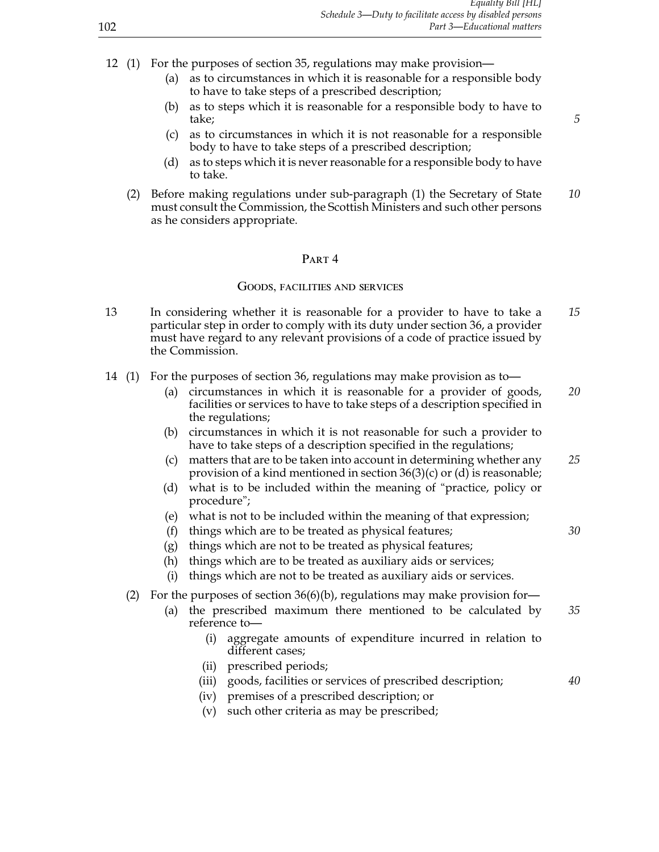- 12 (1) For the purposes of section 35, regulations may make provision—
	- (a) as to circumstances in which it is reasonable for a responsible body to have to take steps of a prescribed description;
	- (b) as to steps which it is reasonable for a responsible body to have to take; *5*
	- (c) as to circumstances in which it is not reasonable for a responsible body to have to take steps of a prescribed description;
	- (d) as to steps which it is never reasonable for a responsible body to have to take.
	- (2) Before making regulations under sub-paragraph (1) the Secretary of State *10* must consult the Commission, the Scottish Ministers and such other persons as he considers appropriate.

## PART<sub>4</sub>

#### Goods, facilities and services

- 13 In considering whether it is reasonable for a provider to have to take a *15* particular step in order to comply with its duty under section 36, a provider must have regard to any relevant provisions of a code of practice issued by the Commission.
- 14 (1) For the purposes of section 36, regulations may make provision as to—
	- (a) circumstances in which it is reasonable for a provider of goods, *20* facilities or services to have to take steps of a description specified in the regulations;
	- (b) circumstances in which it is not reasonable for such a provider to have to take steps of a description specified in the regulations;
	- (c) matters that are to be taken into account in determining whether any *25* provision of a kind mentioned in section 36(3)(c) or (d) is reasonable;
	- (d) what is to be included within the meaning of "practice, policy or procedure";
	- (e) what is not to be included within the meaning of that expression;
	- (f) things which are to be treated as physical features; *30*
	- (g) things which are not to be treated as physical features;
	- (h) things which are to be treated as auxiliary aids or services;
	- (i) things which are not to be treated as auxiliary aids or services.
	- (2) For the purposes of section  $36(6)(b)$ , regulations may make provision for-
		- (a) the prescribed maximum there mentioned to be calculated by *35* reference to—
			- (i) aggregate amounts of expenditure incurred in relation to different cases;
			- (ii) prescribed periods;
			- (iii) goods, facilities or services of prescribed description; *40*
			- (iv) premises of a prescribed description; or
			- (v) such other criteria as may be prescribed;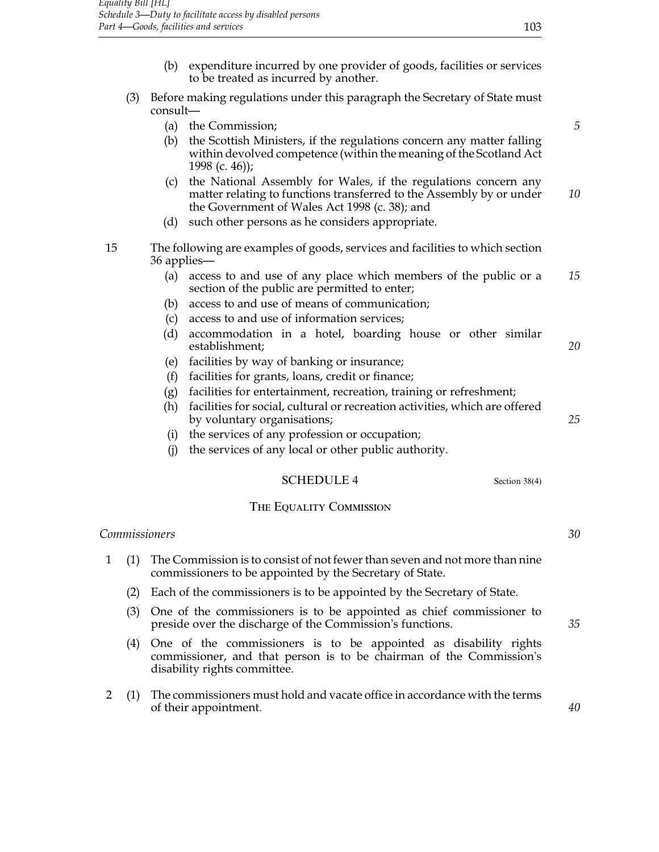- (b) expenditure incurred by one provider of goods, facilities or services to be treated as incurred by another.
- (3) Before making regulations under this paragraph the Secretary of State must consult—
	- (a) the Commission; *5*
	- (b) the Scottish Ministers, if the regulations concern any matter falling within devolved competence (within the meaning of the Scotland Act 1998 (c. 46));
	- (c) the National Assembly for Wales, if the regulations concern any matter relating to functions transferred to the Assembly by or under *10* the Government of Wales Act 1998 (c. 38); and
	- (d) such other persons as he considers appropriate.
- 15 The following are examples of goods, services and facilities to which section 36 applies—
	- (a) access to and use of any place which members of the public or a *15* section of the public are permitted to enter;
	- (b) access to and use of means of communication;
	- (c) access to and use of information services;
	- (d) accommodation in a hotel, boarding house or other similar establishment; *20*
	- (e) facilities by way of banking or insurance;
	- (f) facilities for grants, loans, credit or finance;
	- (g) facilities for entertainment, recreation, training or refreshment;
	- (h) facilities for social, cultural or recreation activities, which are offered by voluntary organisations; *25*
	- (i) the services of any profession or occupation;
	- (j) the services of any local or other public authority.

## SCHEDULE 4 Section 38(4)

#### THE EQUALITY COMMISSION

# *Commissioners 30* 1 (1) The Commission is to consist of not fewer than seven and not more than nine commissioners to be appointed by the Secretary of State. (2) Each of the commissioners is to be appointed by the Secretary of State. (3) One of the commissioners is to be appointed as chief commissioner to preside over the discharge of the Commission's functions. *35* (4) One of the commissioners is to be appointed as disability rights commissioner, and that person is to be chairman of the Commission's disability rights committee. 2 (1) The commissioners must hold and vacate office in accordance with the terms of their appointment. *40*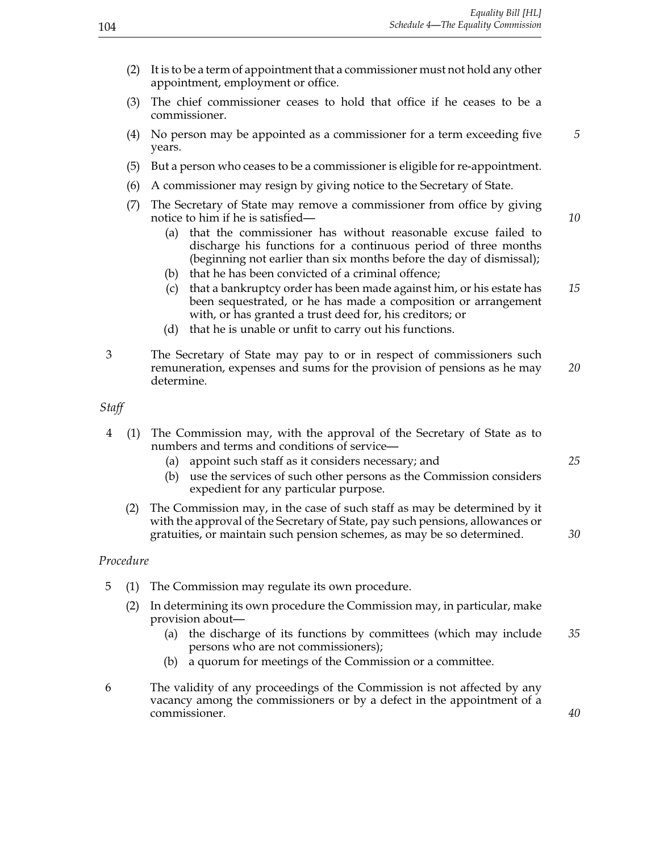- (2) It is to be a term of appointment that a commissioner must not hold any other appointment, employment or office.
- (3) The chief commissioner ceases to hold that office if he ceases to be a commissioner.
- (4) No person may be appointed as a commissioner for a term exceeding five *5* years.
- (5) But a person who ceases to be a commissioner is eligible for re-appointment.
- (6) A commissioner may resign by giving notice to the Secretary of State.
- (7) The Secretary of State may remove a commissioner from office by giving notice to him if he is satisfied— *10* 
	- (a) that the commissioner has without reasonable excuse failed to discharge his functions for a continuous period of three months (beginning not earlier than six months before the day of dismissal);
	- (b) that he has been convicted of a criminal offence;
	- (c) that a bankruptcy order has been made against him, or his estate has *15* been sequestrated, or he has made a composition or arrangement with, or has granted a trust deed for, his creditors; or
	- (d) that he is unable or unfit to carry out his functions.
- 3 The Secretary of State may pay to or in respect of commissioners such remuneration, expenses and sums for the provision of pensions as he may *20* determine.

*Staff*

- 4 (1) The Commission may, with the approval of the Secretary of State as to numbers and terms and conditions of service—
	- (a) appoint such staff as it considers necessary; and *25*
	- (b) use the services of such other persons as the Commission considers expedient for any particular purpose.
	- (2) The Commission may, in the case of such staff as may be determined by it with the approval of the Secretary of State, pay such pensions, allowances or gratuities, or maintain such pension schemes, as may be so determined. *30*

#### *Procedure*

- 5 (1) The Commission may regulate its own procedure.
	- (2) In determining its own procedure the Commission may, in particular, make provision about—
		- (a) the discharge of its functions by committees (which may include *35* persons who are not commissioners);
		- (b) a quorum for meetings of the Commission or a committee.
- 6 The validity of any proceedings of the Commission is not affected by any vacancy among the commissioners or by a defect in the appointment of a commissioner. *40*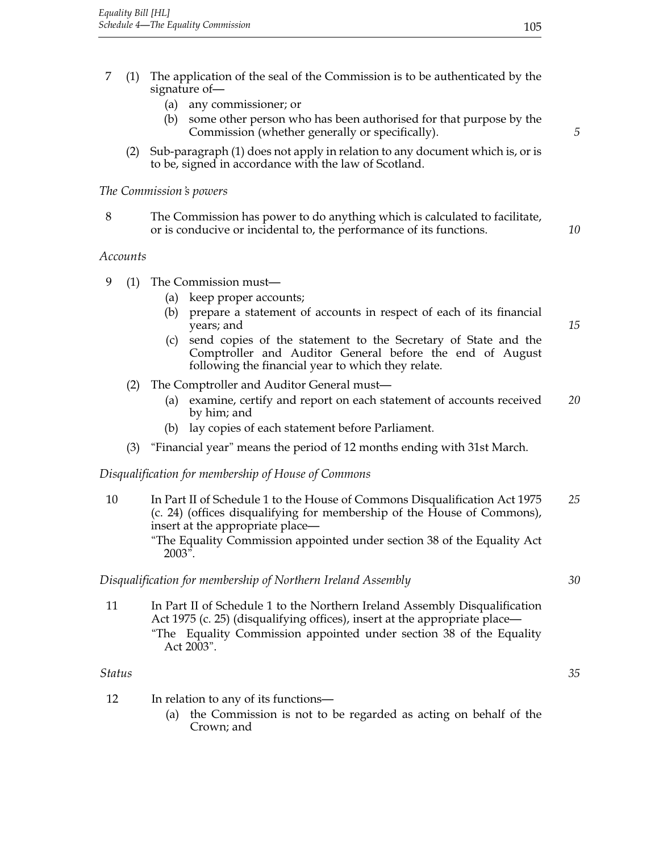- 7 (1) The application of the seal of the Commission is to be authenticated by the signature of—
	- (a) any commissioner; or
	- (b) some other person who has been authorised for that purpose by the Commission (whether generally or specifically). *5*
	- (2) Sub-paragraph (1) does not apply in relation to any document which is, or is to be, signed in accordance with the law of Scotland.

## *The Commission's powers*

8 The Commission has power to do anything which is calculated to facilitate, or is conducive or incidental to, the performance of its functions. *10*

## *Accounts*

- 9 (1) The Commission must—
	- (a) keep proper accounts;
	- (b) prepare a statement of accounts in respect of each of its financial years; and *15*
	- (c) send copies of the statement to the Secretary of State and the Comptroller and Auditor General before the end of August following the financial year to which they relate.
	- (2) The Comptroller and Auditor General must—
		- (a) examine, certify and report on each statement of accounts received *20* by him; and
		- (b) lay copies of each statement before Parliament.
	- (3) "Financial year" means the period of 12 months ending with 31st March.

## *Disqualification for membership of House of Commons*

- 10 In Part II of Schedule 1 to the House of Commons Disqualification Act 1975 *25* (c. 24) (offices disqualifying for membership of the House of Commons), insert at the appropriate place— "The Equality Commission appointed under section 38 of the Equality Act 2003". *Disqualification for membership of Northern Ireland Assembly 30* 11 In Part II of Schedule 1 to the Northern Ireland Assembly Disqualification Act 1975 (c. 25) (disqualifying offices), insert at the appropriate place— "The Equality Commission appointed under section 38 of the Equality Act 2003". *Status 35*
- 12 In relation to any of its functions—
	- (a) the Commission is not to be regarded as acting on behalf of the Crown; and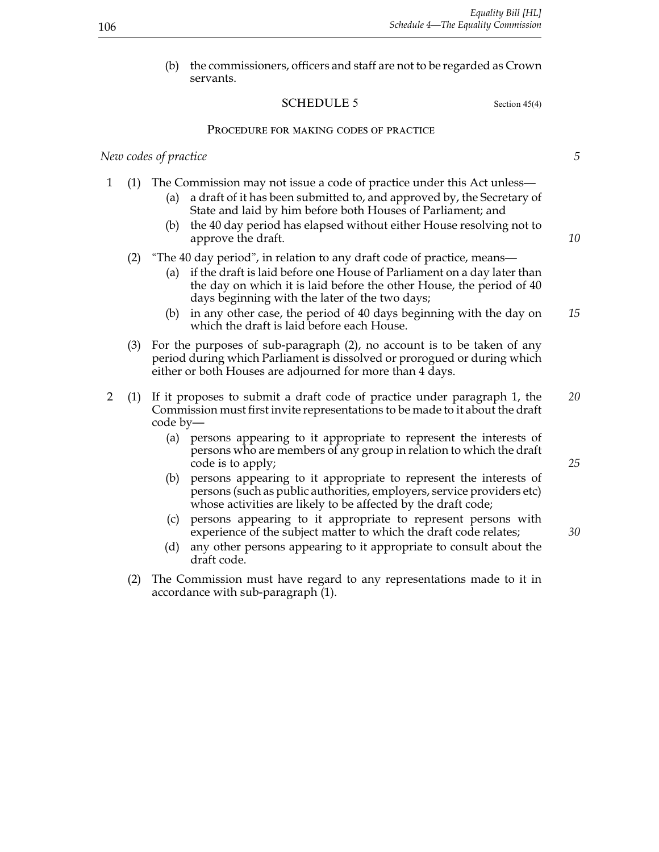(b) the commissioners, officers and staff are not to be regarded as Crown servants.

## SCHEDULE 5 Section 45(4)

#### Procedure for making codes of practice

#### *New codes of practice 5*

- 1 (1) The Commission may not issue a code of practice under this Act unless—
	- (a) a draft of it has been submitted to, and approved by, the Secretary of State and laid by him before both Houses of Parliament; and
	- (b) the 40 day period has elapsed without either House resolving not to approve the draft. *10*
	- (2) "The 40 day period", in relation to any draft code of practice, means—
		- (a) if the draft is laid before one House of Parliament on a day later than the day on which it is laid before the other House, the period of 40 days beginning with the later of the two days;
		- (b) in any other case, the period of 40 days beginning with the day on *15* which the draft is laid before each House.
	- (3) For the purposes of sub-paragraph (2), no account is to be taken of any period during which Parliament is dissolved or prorogued or during which either or both Houses are adjourned for more than 4 days.
- 2 (1) If it proposes to submit a draft code of practice under paragraph 1, the *20* Commission must first invite representations to be made to it about the draft code by—
	- (a) persons appearing to it appropriate to represent the interests of persons who are members of any group in relation to which the draft code is to apply; *25*
	- (b) persons appearing to it appropriate to represent the interests of persons (such as public authorities, employers, service providers etc) whose activities are likely to be affected by the draft code;
	- (c) persons appearing to it appropriate to represent persons with experience of the subject matter to which the draft code relates; *30*
	- (d) any other persons appearing to it appropriate to consult about the draft code.
	- (2) The Commission must have regard to any representations made to it in accordance with sub-paragraph (1).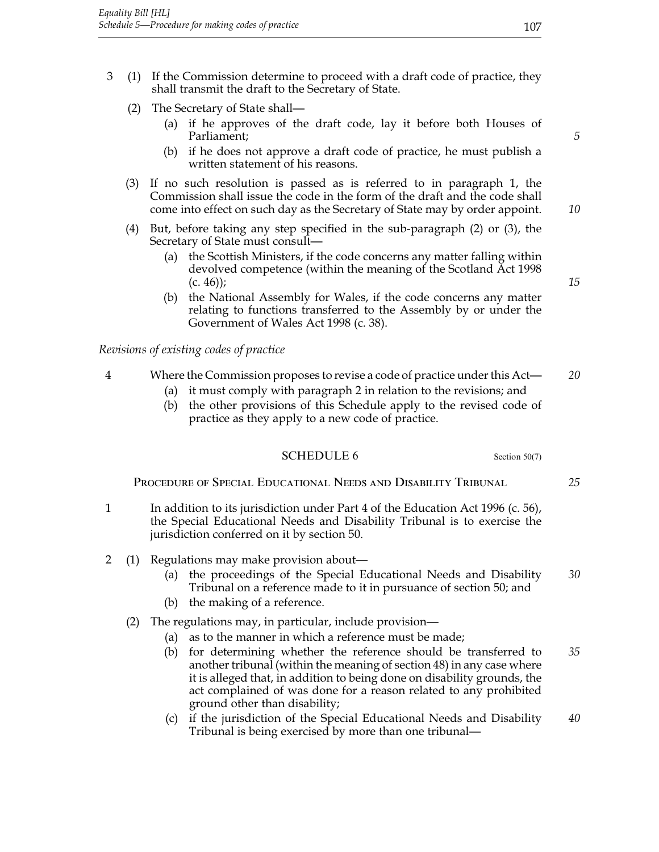- 3 (1) If the Commission determine to proceed with a draft code of practice, they shall transmit the draft to the Secretary of State.
	- (2) The Secretary of State shall—
		- (a) if he approves of the draft code, lay it before both Houses of Parliament; *5*
		- (b) if he does not approve a draft code of practice, he must publish a written statement of his reasons.
	- (3) If no such resolution is passed as is referred to in paragraph 1, the Commission shall issue the code in the form of the draft and the code shall come into effect on such day as the Secretary of State may by order appoint. *10*
	- (4) But, before taking any step specified in the sub-paragraph (2) or (3), the Secretary of State must consult—
		- (a) the Scottish Ministers, if the code concerns any matter falling within devolved competence (within the meaning of the Scotland Act 1998 (c. 46)); *15*
		- (b) the National Assembly for Wales, if the code concerns any matter relating to functions transferred to the Assembly by or under the Government of Wales Act 1998 (c. 38).

*Revisions of existing codes of practice*

## 4 Where the Commission proposes to revise a code of practice under this Act— *20*

- (a) it must comply with paragraph 2 in relation to the revisions; and
- (b) the other provisions of this Schedule apply to the revised code of practice as they apply to a new code of practice.

## SCHEDULE 6 Section 50(7)

Procedure of Special Educational Needs and Disability Tribunal *25*

- 1 In addition to its jurisdiction under Part 4 of the Education Act 1996 (c. 56), the Special Educational Needs and Disability Tribunal is to exercise the jurisdiction conferred on it by section 50.
- 2 (1) Regulations may make provision about—
	- (a) the proceedings of the Special Educational Needs and Disability *30* Tribunal on a reference made to it in pursuance of section 50; and
	- (b) the making of a reference.
	- (2) The regulations may, in particular, include provision—
		- (a) as to the manner in which a reference must be made;
		- (b) for determining whether the reference should be transferred to *35* another tribunal (within the meaning of section 48) in any case where it is alleged that, in addition to being done on disability grounds, the act complained of was done for a reason related to any prohibited ground other than disability;
		- (c) if the jurisdiction of the Special Educational Needs and Disability *40* Tribunal is being exercised by more than one tribunal—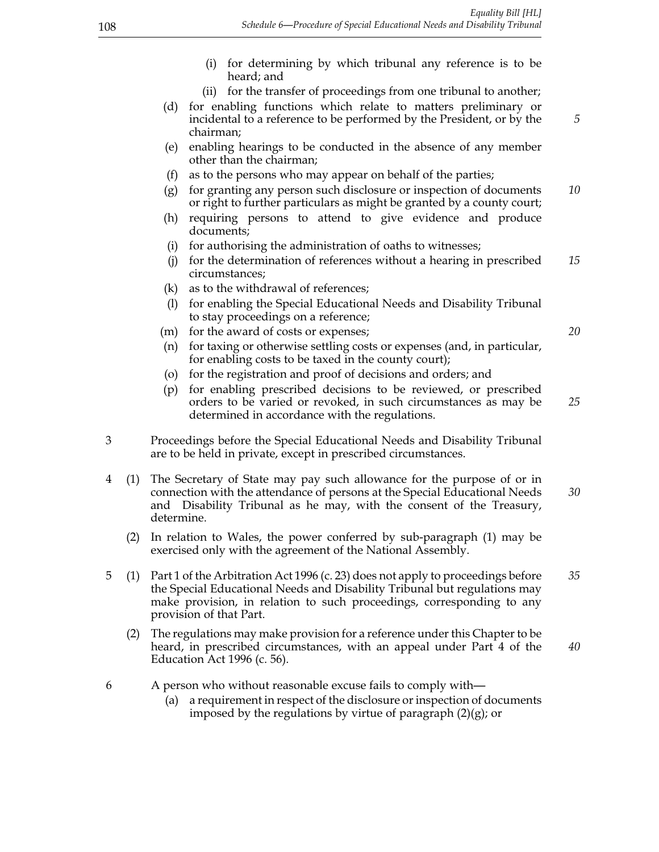- (i) for determining by which tribunal any reference is to be heard; and
- (ii) for the transfer of proceedings from one tribunal to another;
- (d) for enabling functions which relate to matters preliminary or incidental to a reference to be performed by the President, or by the *5* chairman;
- (e) enabling hearings to be conducted in the absence of any member other than the chairman;
- (f) as to the persons who may appear on behalf of the parties;
- (g) for granting any person such disclosure or inspection of documents *10* or right to further particulars as might be granted by a county court;
- (h) requiring persons to attend to give evidence and produce documents;
- (i) for authorising the administration of oaths to witnesses;
- (j) for the determination of references without a hearing in prescribed *15* circumstances;
- (k) as to the withdrawal of references;
- (l) for enabling the Special Educational Needs and Disability Tribunal to stay proceedings on a reference;
- (m) for the award of costs or expenses; *20*
- (n) for taxing or otherwise settling costs or expenses (and, in particular, for enabling costs to be taxed in the county court);
- (o) for the registration and proof of decisions and orders; and
- (p) for enabling prescribed decisions to be reviewed, or prescribed orders to be varied or revoked, in such circumstances as may be *25* determined in accordance with the regulations.
- 3 Proceedings before the Special Educational Needs and Disability Tribunal are to be held in private, except in prescribed circumstances.
- 4 (1) The Secretary of State may pay such allowance for the purpose of or in connection with the attendance of persons at the Special Educational Needs *30* and Disability Tribunal as he may, with the consent of the Treasury, determine.
	- (2) In relation to Wales, the power conferred by sub-paragraph (1) may be exercised only with the agreement of the National Assembly.
- 5 (1) Part 1 of the Arbitration Act 1996 (c. 23) does not apply to proceedings before *35* the Special Educational Needs and Disability Tribunal but regulations may make provision, in relation to such proceedings, corresponding to any provision of that Part.
	- (2) The regulations may make provision for a reference under this Chapter to be heard, in prescribed circumstances, with an appeal under Part 4 of the *40* Education Act 1996 (c. 56).
- 6 A person who without reasonable excuse fails to comply with—
	- (a) a requirement in respect of the disclosure or inspection of documents imposed by the regulations by virtue of paragraph (2)(g); or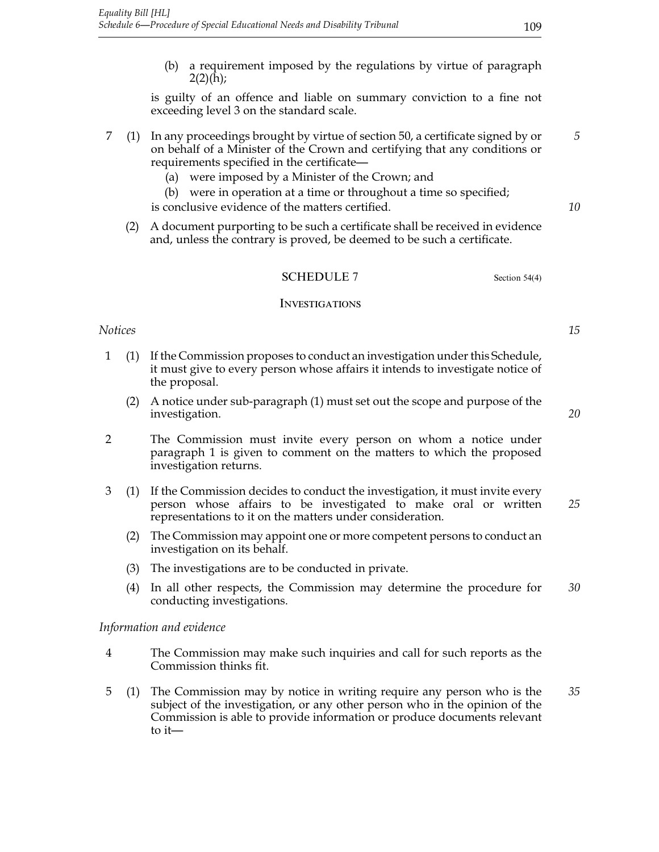(b) a requirement imposed by the regulations by virtue of paragraph  $2(2)(h);$ 

is guilty of an offence and liable on summary conviction to a fine not exceeding level 3 on the standard scale.

- 7 (1) In any proceedings brought by virtue of section 50, a certificate signed by or *5* on behalf of a Minister of the Crown and certifying that any conditions or requirements specified in the certificate—
	- (a) were imposed by a Minister of the Crown; and

(b) were in operation at a time or throughout a time so specified; is conclusive evidence of the matters certified. *10*

(2) A document purporting to be such a certificate shall be received in evidence and, unless the contrary is proved, be deemed to be such a certificate.

## SCHEDULE 7 Section 54(4)

#### **INVESTIGATIONS**

## *Notices 15*

- 1 (1) If the Commission proposes to conduct an investigation under this Schedule, it must give to every person whose affairs it intends to investigate notice of the proposal.
	- (2) A notice under sub-paragraph (1) must set out the scope and purpose of the investigation. *20*
- 2 The Commission must invite every person on whom a notice under paragraph 1 is given to comment on the matters to which the proposed investigation returns.
- 3 (1) If the Commission decides to conduct the investigation, it must invite every person whose affairs to be investigated to make oral or written *25* representations to it on the matters under consideration.
	- (2) The Commission may appoint one or more competent persons to conduct an investigation on its behalf.
	- (3) The investigations are to be conducted in private.
	- (4) In all other respects, the Commission may determine the procedure for *30* conducting investigations.

*Information and evidence*

- 4 The Commission may make such inquiries and call for such reports as the Commission thinks fit.
- 5 (1) The Commission may by notice in writing require any person who is the *35* subject of the investigation, or any other person who in the opinion of the Commission is able to provide information or produce documents relevant to it—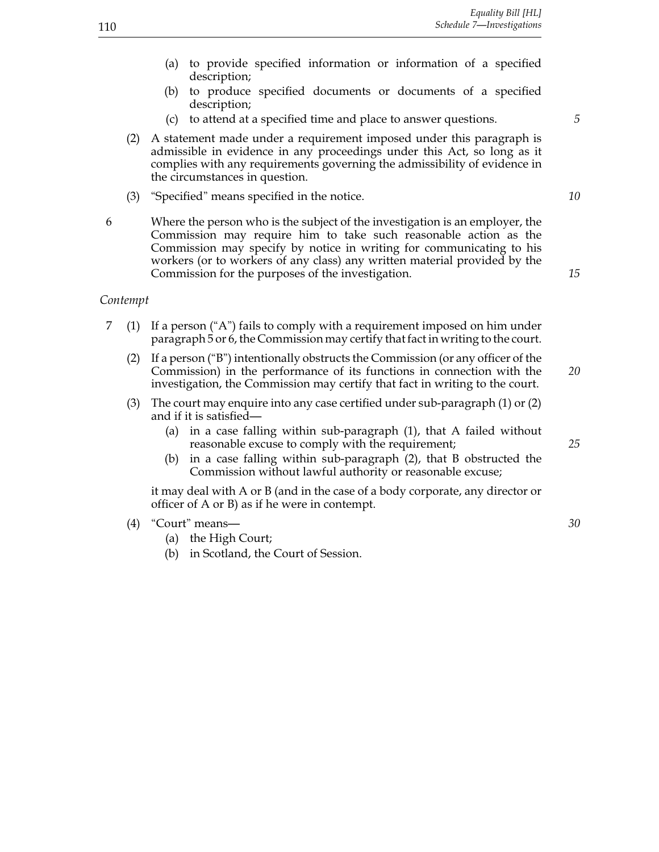- (a) to provide specified information or information of a specified description;
- (b) to produce specified documents or documents of a specified description;
- (c) to attend at a specified time and place to answer questions. *5*
- (2) A statement made under a requirement imposed under this paragraph is admissible in evidence in any proceedings under this Act, so long as it complies with any requirements governing the admissibility of evidence in the circumstances in question.
- (3) "Specified" means specified in the notice. *10*
- 6 Where the person who is the subject of the investigation is an employer, the Commission may require him to take such reasonable action as the Commission may specify by notice in writing for communicating to his workers (or to workers of any class) any written material provided by the Commission for the purposes of the investigation. *15*

#### *Contempt*

- 7 (1) If a person ("A") fails to comply with a requirement imposed on him under paragraph 5 or 6, the Commission may certify that fact in writing to the court.
	- (2) If a person ("B") intentionally obstructs the Commission (or any officer of the Commission) in the performance of its functions in connection with the *20* investigation, the Commission may certify that fact in writing to the court.
	- (3) The court may enquire into any case certified under sub-paragraph (1) or (2) and if it is satisfied—
		- (a) in a case falling within sub-paragraph (1), that A failed without reasonable excuse to comply with the requirement; *25*
		- (b) in a case falling within sub-paragraph (2), that B obstructed the Commission without lawful authority or reasonable excuse;

it may deal with A or B (and in the case of a body corporate, any director or officer of A or B) as if he were in contempt.

- (4) "Court" means— *30*
	- (a) the High Court;
	- (b) in Scotland, the Court of Session.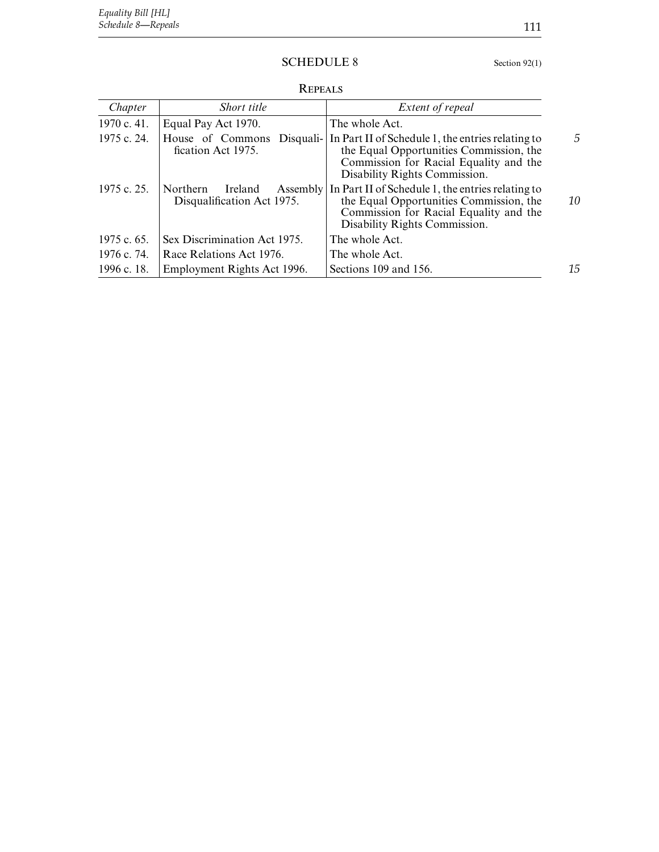## SCHEDULE 8 Section 92(1)

**REPEALS** 

| Chapter     | Short title                                                   | Extent of repeal                                                                                                                                                        |    |
|-------------|---------------------------------------------------------------|-------------------------------------------------------------------------------------------------------------------------------------------------------------------------|----|
| 1970 c. 41. | Equal Pay Act 1970.                                           | The whole Act.                                                                                                                                                          |    |
| 1975 c. 24. | House of Commons<br>Disquali-<br>fication Act 1975.           | In Part II of Schedule 1, the entries relating to<br>the Equal Opportunities Commission, the<br>Commission for Racial Equality and the<br>Disability Rights Commission. |    |
| 1975 c. 25. | Northern<br>Ireland<br>Assembly<br>Disqualification Act 1975. | In Part II of Schedule 1, the entries relating to<br>the Equal Opportunities Commission, the<br>Commission for Racial Equality and the<br>Disability Rights Commission. | 10 |
| 1975 c. 65. | Sex Discrimination Act 1975.                                  | The whole Act.                                                                                                                                                          |    |
| 1976 c. 74. | Race Relations Act 1976.                                      | The whole Act.                                                                                                                                                          |    |
| 1996 c. 18. | Employment Rights Act 1996.                                   | Sections 109 and 156.                                                                                                                                                   | 15 |